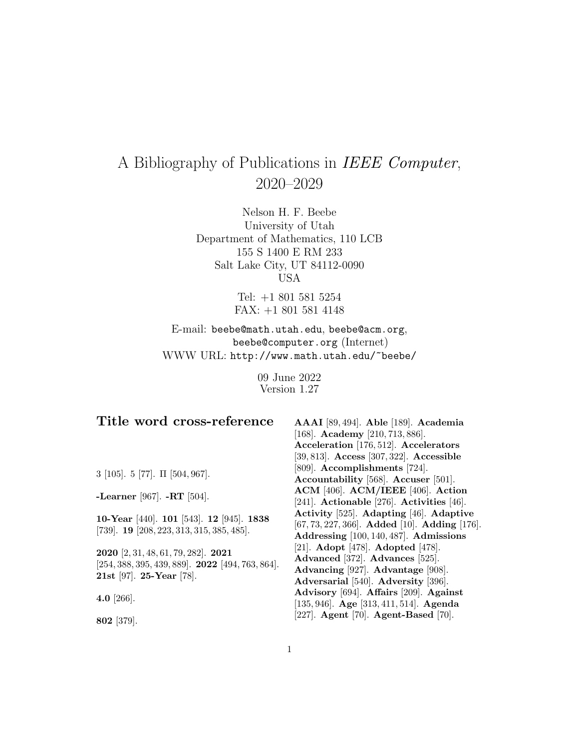# A Bibliography of Publications in IEEE Computer, 2020–2029

Nelson H. F. Beebe University of Utah Department of Mathematics, 110 LCB 155 S 1400 E RM 233 Salt Lake City, UT 84112-0090 USA

> Tel: +1 801 581 5254 FAX: +1 801 581 4148

E-mail: beebe@math.utah.edu, beebe@acm.org, beebe@computer.org (Internet) WWW URL: http://www.math.utah.edu/~beebe/

> 09 June 2022 Version 1.27

| Title word cross-reference                                                                   | AAAI [89, 494]. Able [189]. Academia          |
|----------------------------------------------------------------------------------------------|-----------------------------------------------|
|                                                                                              | [168]. Academy [210, 713, 886].               |
|                                                                                              | Acceleration [176, 512]. Accelerators         |
|                                                                                              | [39, 813]. Access [307, 322]. Accessible      |
| 3 [105]. 5 [77]. $\Pi$ [504, 967].                                                           | [809]. Accomplishments [724].                 |
|                                                                                              | Accountability [568]. Accuser [501].          |
| -Learner [967]. $-RT$ [504].                                                                 | ACM [406]. ACM/IEEE [406]. Action             |
|                                                                                              | [241]. Actionable [276]. Activities [46].     |
|                                                                                              | Activity [525]. Adapting [46]. Adaptive       |
| 10-Year [440]. 101 [543]. 12 [945]. 1838<br>[739]. <b>19</b> [208, 223, 313, 315, 385, 485]. | [67, 73, 227, 366]. Added [10]. Adding [176]. |
|                                                                                              | Addressing [100, 140, 487]. Admissions        |
| 2020 [2, 31, 48, 61, 79, 282]. 2021                                                          | [21]. Adopt [478]. Adopted [478].             |
| $[254, 388, 395, 439, 889]$ . <b>2022</b> [494, 763, 864].                                   | Advanced [372]. Advances [525].               |
| 21st [97]. 25-Year [78].                                                                     | Advancing [927]. Advantage [908].             |
|                                                                                              | Adversarial [540]. Adversity [396].           |
| 4.0 [266].                                                                                   | Advisory [694]. Affairs [209]. Against        |
|                                                                                              | [135, 946]. Age [313, 411, 514]. Agenda       |
| 802 [379].                                                                                   | [227]. Agent [70]. Agent-Based [70].          |
|                                                                                              |                                               |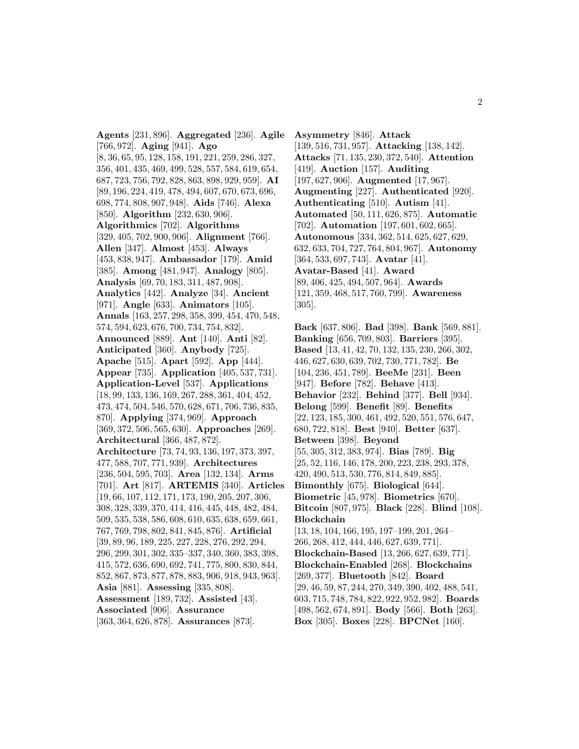**Agents** [231, 896]. **Aggregated** [236]. **Agile** [766, 972]. **Aging** [941]. **Ago** [8, 36, 65, 95, 128, 158, 191, 221, 259, 286, 327, 356, 401, 435, 469, 499, 528, 557, 584, 619, 654, 687, 723, 756, 792, 828, 863, 898, 929, 959]. **AI** [89, 196, 224, 419, 478, 494, 607, 670, 673, 696, 698, 774, 808, 907, 948]. **Aids** [746]. **Alexa** [850]. **Algorithm** [232, 630, 906]. **Algorithmics** [702]. **Algorithms** [329, 405, 702, 900, 906]. **Alignment** [766]. **Allen** [347]. **Almost** [453]. **Always** [453, 838, 947]. **Ambassador** [179]. **Amid** [385]. **Among** [481, 947]. **Analogy** [805]. **Analysis** [69, 70, 183, 311, 487, 908]. **Analytics** [442]. **Analyze** [34]. **Ancient** [971]. **Angle** [633]. **Animators** [105]. **Annals** [163, 257, 298, 358, 399, 454, 470, 548, 574, 594, 623, 676, 700, 734, 754, 832]. **Announced** [889]. **Ant** [140]. **Anti** [82]. **Anticipated** [360]. **Anybody** [725]. **Apache** [515]. **Apart** [592]. **App** [444]. **Appear** [735]. **Application** [405, 537, 731]. **Application-Level** [537]. **Applications** [18, 99, 133, 136, 169, 267, 288, 361, 404, 452, 473, 474, 504, 546, 570, 628, 671, 706, 736, 835, 870]. **Applying** [374, 969]. **Approach** [369, 372, 506, 565, 630]. **Approaches** [269]. **Architectural** [366, 487, 872]. **Architecture** [73, 74, 93, 136, 197, 373, 397, 477, 588, 707, 771, 939]. **Architectures** [236, 504, 595, 703]. **Area** [132, 134]. **Arms** [701]. **Art** [817]. **ARTEMIS** [340]. **Articles** [19, 66, 107, 112, 171, 173, 190, 205, 207, 306, 308, 328, 339, 370, 414, 416, 445, 448, 482, 484, 509, 535, 538, 586, 608, 610, 635, 638, 659, 661, 767, 769, 798, 802, 841, 845, 876]. **Artificial** [39, 89, 96, 189, 225, 227, 228, 276, 292, 294, 296, 299, 301, 302, 335–337, 340, 360, 383, 398, 415, 572, 636, 690, 692, 741, 775, 800, 830, 844, 852, 867, 873, 877, 878, 883, 906, 918, 943, 963]. **Asia** [881]. **Assessing** [335, 808]. **Assessment** [189, 732]. **Assisted** [43]. **Associated** [906]. **Assurance** [363, 364, 626, 878]. **Assurances** [873].

**Asymmetry** [846]. **Attack** [139, 516, 731, 957]. **Attacking** [138, 142]. **Attacks** [71, 135, 230, 372, 540]. **Attention** [419]. **Auction** [157]. **Auditing** [197, 627, 906]. **Augmented** [17, 967]. **Augmenting** [227]. **Authenticated** [920]. **Authenticating** [510]. **Autism** [41]. **Automated** [50, 111, 626, 875]. **Automatic** [702]. **Automation** [197, 601, 602, 665]. **Autonomous** [334, 362, 514, 625, 627, 629, 632, 633, 704, 727, 764, 804, 967]. **Autonomy** [364, 533, 697, 743]. **Avatar** [41]. **Avatar-Based** [41]. **Award** [89, 406, 425, 494, 507, 964]. **Awards** [121, 359, 468, 517, 760, 799]. **Awareness** [305].

**Back** [637, 806]. **Bad** [398]. **Bank** [569, 881]. **Banking** [656, 709, 803]. **Barriers** [395]. **Based** [13, 41, 42, 70, 132, 135, 230, 266, 302, 446, 627, 630, 639, 702, 730, 771, 782]. **Be** [104, 236, 451, 789]. **BeeMe** [231]. **Been** [947]. **Before** [782]. **Behave** [413]. **Behavior** [232]. **Behind** [377]. **Bell** [934]. **Belong** [599]. **Benefit** [89]. **Benefits** [22, 123, 185, 300, 461, 492, 520, 551, 576, 647, 680, 722, 818]. **Best** [940]. **Better** [637]. **Between** [398]. **Beyond** [55, 305, 312, 383, 974]. **Bias** [789]. **Big** [25, 52, 116, 146, 178, 200, 223, 238, 293, 378, 420, 490, 513, 530, 776, 814, 849, 885]. **Bimonthly** [675]. **Biological** [644]. **Biometric** [45, 978]. **Biometrics** [670]. **Bitcoin** [807, 975]. **Black** [228]. **Blind** [108]. **Blockchain** [13, 18, 104, 166, 195, 197–199, 201, 264– 266, 268, 412, 444, 446, 627, 639, 771]. **Blockchain-Based** [13, 266, 627, 639, 771]. **Blockchain-Enabled** [268]. **Blockchains** [269, 377]. **Bluetooth** [842]. **Board** [29, 46, 59, 87, 244, 270, 349, 390, 402, 488, 541, 603, 715, 748, 784, 822, 922, 952, 982]. **Boards** [498, 562, 674, 891]. **Body** [566]. **Both** [263]. **Box** [305]. **Boxes** [228]. **BPCNet** [160].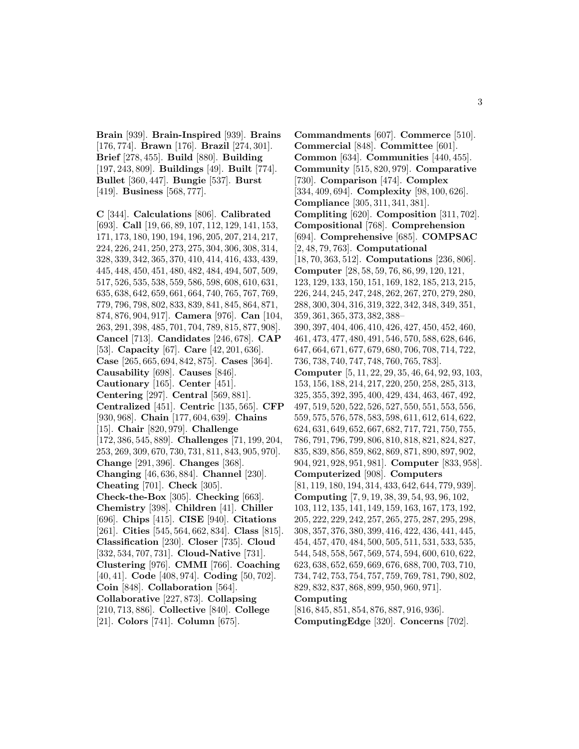**Brain** [939]. **Brain-Inspired** [939]. **Brains** [176, 774]. **Brawn** [176]. **Brazil** [274, 301]. **Brief** [278, 455]. **Build** [880]. **Building** [197, 243, 809]. **Buildings** [49]. **Built** [774]. **Bullet** [360, 447]. **Bungie** [537]. **Burst** [419]. **Business** [568, 777].

**C** [344]. **Calculations** [806]. **Calibrated** [693]. **Call** [19, 66, 89, 107, 112, 129, 141, 153, 171, 173, 180, 190, 194, 196, 205, 207, 214, 217, 224, 226, 241, 250, 273, 275, 304, 306, 308, 314, 328, 339, 342, 365, 370, 410, 414, 416, 433, 439, 445, 448, 450, 451, 480, 482, 484, 494, 507, 509, 517, 526, 535, 538, 559, 586, 598, 608, 610, 631, 635, 638, 642, 659, 661, 664, 740, 765, 767, 769, 779, 796, 798, 802, 833, 839, 841, 845, 864, 871, 874, 876, 904, 917]. **Camera** [976]. **Can** [104, 263, 291, 398, 485, 701, 704, 789, 815, 877, 908]. **Cancel** [713]. **Candidates** [246, 678]. **CAP** [53]. **Capacity** [67]. **Care** [42, 201, 636]. **Case** [265, 665, 694, 842, 875]. **Cases** [364]. **Causability** [698]. **Causes** [846]. **Cautionary** [165]. **Center** [451]. **Centering** [297]. **Central** [569, 881]. **Centralized** [451]. **Centric** [135, 565]. **CFP** [930, 968]. **Chain** [177, 604, 639]. **Chains** [15]. **Chair** [820, 979]. **Challenge** [172, 386, 545, 889]. **Challenges** [71, 199, 204, 253, 269, 309, 670, 730, 731, 811, 843, 905, 970]. **Change** [291, 396]. **Changes** [368]. **Changing** [46, 636, 884]. **Channel** [230]. **Cheating** [701]. **Check** [305]. **Check-the-Box** [305]. **Checking** [663]. **Chemistry** [398]. **Children** [41]. **Chiller** [696]. **Chips** [415]. **CISE** [940]. **Citations** [261]. **Cities** [545, 564, 662, 834]. **Class** [815]. **Classification** [230]. **Closer** [735]. **Cloud** [332, 534, 707, 731]. **Cloud-Native** [731]. **Clustering** [976]. **CMMI** [766]. **Coaching** [40, 41]. **Code** [408, 974]. **Coding** [50, 702]. **Coin** [848]. **Collaboration** [564]. **Collaborative** [227, 873]. **Collapsing** [210, 713, 886]. **Collective** [840]. **College** [21]. **Colors** [741]. **Column** [675].

**Commandments** [607]. **Commerce** [510]. **Commercial** [848]. **Committee** [601]. **Common** [634]. **Communities** [440, 455]. **Community** [515, 820, 979]. **Comparative** [730]. **Comparison** [474]. **Complex** [334, 409, 694]. **Complexity** [98, 100, 626]. **Compliance** [305, 311, 341, 381]. **Compliting** [620]. **Composition** [311, 702]. **Compositional** [768]. **Comprehension** [694]. **Comprehensive** [685]. **COMPSAC** [2, 48, 79, 763]. **Computational** [18, 70, 363, 512]. **Computations** [236, 806]. **Computer** [28, 58, 59, 76, 86, 99, 120, 121, 123, 129, 133, 150, 151, 169, 182, 185, 213, 215, 226, 244, 245, 247, 248, 262, 267, 270, 279, 280, 288, 300, 304, 316, 319, 322, 342, 348, 349, 351, 359, 361, 365, 373, 382, 388– 390, 397, 404, 406, 410, 426, 427, 450, 452, 460, 461, 473, 477, 480, 491, 546, 570, 588, 628, 646, 647, 664, 671, 677, 679, 680, 706, 708, 714, 722, 736, 738, 740, 747, 748, 760, 765, 783]. **Computer** [5, 11, 22, 29, 35, 46, 64, 92, 93, 103, 153, 156, 188, 214, 217, 220, 250, 258, 285, 313, 325, 355, 392, 395, 400, 429, 434, 463, 467, 492, 497, 519, 520, 522, 526, 527, 550, 551, 553, 556, 559, 575, 576, 578, 583, 598, 611, 612, 614, 622, 624, 631, 649, 652, 667, 682, 717, 721, 750, 755, 786, 791, 796, 799, 806, 810, 818, 821, 824, 827, 835, 839, 856, 859, 862, 869, 871, 890, 897, 902, 904, 921, 928, 951, 981]. **Computer** [833, 958]. **Computerized** [908]. **Computers** [81, 119, 180, 194, 314, 433, 642, 644, 779, 939]. **Computing** [7, 9, 19, 38, 39, 54, 93, 96, 102, 103, 112, 135, 141, 149, 159, 163, 167, 173, 192, 205, 222, 229, 242, 257, 265, 275, 287, 295, 298, 308, 357, 376, 380, 399, 416, 422, 436, 441, 445, 454, 457, 470, 484, 500, 505, 511, 531, 533, 535, 544, 548, 558, 567, 569, 574, 594, 600, 610, 622, 623, 638, 652, 659, 669, 676, 688, 700, 703, 710, 734, 742, 753, 754, 757, 759, 769, 781, 790, 802, 829, 832, 837, 868, 899, 950, 960, 971]. **Computing** [816, 845, 851, 854, 876, 887, 916, 936].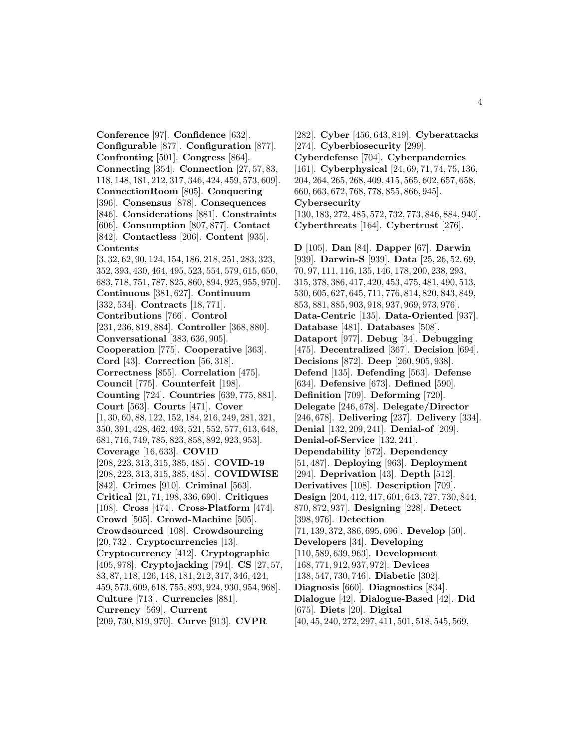**Conference** [97]. **Confidence** [632]. **Configurable** [877]. **Configuration** [877]. **Confronting** [501]. **Congress** [864]. **Connecting** [354]. **Connection** [27, 57, 83, 118, 148, 181, 212, 317, 346, 424, 459, 573, 609]. **ConnectionRoom** [805]. **Conquering** [396]. **Consensus** [878]. **Consequences** [846]. **Considerations** [881]. **Constraints** [606]. **Consumption** [807, 877]. **Contact** [842]. **Contactless** [206]. **Content** [935]. **Contents** [3, 32, 62, 90, 124, 154, 186, 218, 251, 283, 323, 352, 393, 430, 464, 495, 523, 554, 579, 615, 650, 683, 718, 751, 787, 825, 860, 894, 925, 955, 970]. **Continuous** [381, 627]. **Continuum** [332, 534]. **Contracts** [18, 771]. **Contributions** [766]. **Control** [231, 236, 819, 884]. **Controller** [368, 880]. **Conversational** [383, 636, 905]. **Cooperation** [775]. **Cooperative** [363]. **Cord** [43]. **Correction** [56, 318]. **Correctness** [855]. **Correlation** [475]. **Council** [775]. **Counterfeit** [198]. **Counting** [724]. **Countries** [639, 775, 881]. **Court** [563]. **Courts** [471]. **Cover** [1, 30, 60, 88, 122, 152, 184, 216, 249, 281, 321, 350, 391, 428, 462, 493, 521, 552, 577, 613, 648, 681, 716, 749, 785, 823, 858, 892, 923, 953]. **Coverage** [16, 633]. **COVID** [208, 223, 313, 315, 385, 485]. **COVID-19** [208, 223, 313, 315, 385, 485]. **COVIDWISE** [842]. **Crimes** [910]. **Criminal** [563]. **Critical** [21, 71, 198, 336, 690]. **Critiques** [108]. **Cross** [474]. **Cross-Platform** [474]. **Crowd** [505]. **Crowd-Machine** [505]. **Crowdsourced** [108]. **Crowdsourcing** [20, 732]. **Cryptocurrencies** [13]. **Cryptocurrency** [412]. **Cryptographic** [405, 978]. **Cryptojacking** [794]. **CS** [27, 57, 83, 87, 118, 126, 148, 181, 212, 317, 346, 424, 459, 573, 609, 618, 755, 893, 924, 930, 954, 968]. **Culture** [713]. **Currencies** [881]. **Currency** [569]. **Current** [209, 730, 819, 970]. **Curve** [913]. **CVPR**

[282]. **Cyber** [456, 643, 819]. **Cyberattacks** [274]. **Cyberbiosecurity** [299]. **Cyberdefense** [704]. **Cyberpandemics** [161]. **Cyberphysical** [24, 69, 71, 74, 75, 136, 204, 264, 265, 268, 409, 415, 565, 602, 657, 658, 660, 663, 672, 768, 778, 855, 866, 945]. **Cybersecurity** [130, 183, 272, 485, 572, 732, 773, 846, 884, 940]. **Cyberthreats** [164]. **Cybertrust** [276]. **D** [105]. **Dan** [84]. **Dapper** [67]. **Darwin** [939]. **Darwin-S** [939]. **Data** [25, 26, 52, 69, 70, 97, 111, 116, 135, 146, 178, 200, 238, 293, 315, 378, 386, 417, 420, 453, 475, 481, 490, 513, 530, 605, 627, 645, 711, 776, 814, 820, 843, 849, 853, 881, 885, 903, 918, 937, 969, 973, 976]. **Data-Centric** [135]. **Data-Oriented** [937]. **Database** [481]. **Databases** [508]. **Dataport** [977]. **Debug** [34]. **Debugging** [475]. **Decentralized** [367]. **Decision** [694]. **Decisions** [872]. **Deep** [260, 905, 938]. **Defend** [135]. **Defending** [563]. **Defense** [634]. **Defensive** [673]. **Defined** [590]. **Definition** [709]. **Deforming** [720]. **Delegate** [246, 678]. **Delegate/Director** [246, 678]. **Delivering** [237]. **Delivery** [334]. **Denial** [132, 209, 241]. **Denial-of** [209]. **Denial-of-Service** [132, 241]. **Dependability** [672]. **Dependency** [51, 487]. **Deploying** [963]. **Deployment** [294]. **Deprivation** [43]. **Depth** [512]. **Derivatives** [108]. **Description** [709]. **Design** [204, 412, 417, 601, 643, 727, 730, 844, 870, 872, 937]. **Designing** [228]. **Detect** [398, 976]. **Detection** [71, 139, 372, 386, 695, 696]. **Develop** [50]. **Developers** [34]. **Developing** [110, 589, 639, 963]. **Development** [168, 771, 912, 937, 972]. **Devices** [138, 547, 730, 746]. **Diabetic** [302]. **Diagnosis** [660]. **Diagnostics** [834]. **Dialogue** [42]. **Dialogue-Based** [42]. **Did** [675]. **Diets** [20]. **Digital** [40, 45, 240, 272, 297, 411, 501, 518, 545, 569,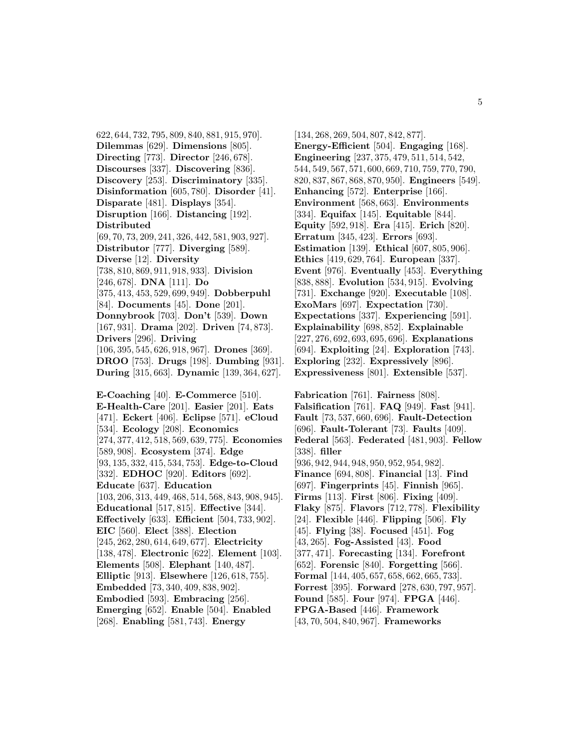622, 644, 732, 795, 809, 840, 881, 915, 970]. **Dilemmas** [629]. **Dimensions** [805]. **Directing** [773]. **Director** [246, 678]. **Discourses** [337]. **Discovering** [836]. **Discovery** [253]. **Discriminatory** [335]. **Disinformation** [605, 780]. **Disorder** [41]. **Disparate** [481]. **Displays** [354]. **Disruption** [166]. **Distancing** [192]. **Distributed** [69, 70, 73, 209, 241, 326, 442, 581, 903, 927]. **Distributor** [777]. **Diverging** [589]. **Diverse** [12]. **Diversity** [738, 810, 869, 911, 918, 933]. **Division** [246, 678]. **DNA** [111]. **Do** [375, 413, 453, 529, 699, 949]. **Dobberpuhl** [84]. **Documents** [45]. **Done** [201]. **Donnybrook** [703]. **Don't** [539]. **Down** [167, 931]. **Drama** [202]. **Driven** [74, 873]. **Drivers** [296]. **Driving** [106, 395, 545, 626, 918, 967]. **Drones** [369]. **DROO** [753]. **Drugs** [198]. **Dumbing** [931]. **During** [315, 663]. **Dynamic** [139, 364, 627]. **E-Coaching** [40]. **E-Commerce** [510]. **E-Health-Care** [201]. **Easier** [201]. **Eats** [471]. **Eckert** [406]. **Eclipse** [571]. **eCloud** [534]. **Ecology** [208]. **Economics** [274, 377, 412, 518, 569, 639, 775]. **Economies** [589, 908]. **Ecosystem** [374]. **Edge** [93, 135, 332, 415, 534, 753]. **Edge-to-Cloud** [332]. **EDHOC** [920]. **Editors** [692]. **Educate** [637]. **Education** [103, 206, 313, 449, 468, 514, 568, 843, 908, 945]. **Educational** [517, 815]. **Effective** [344]. **Effectively** [633]. **Efficient** [504, 733, 902]. **EIC** [560]. **Elect** [388]. **Election** [245, 262, 280, 614, 649, 677]. **Electricity** [138, 478]. **Electronic** [622]. **Element** [103]. **Elements** [508]. **Elephant** [140, 487]. **Elliptic** [913]. **Elsewhere** [126, 618, 755]. **Embedded** [73, 340, 409, 838, 902]. **Embodied** [593]. **Embracing** [256].

**Emerging** [652]. **Enable** [504]. **Enabled** [268]. **Enabling** [581, 743]. **Energy**

[134, 268, 269, 504, 807, 842, 877]. **Energy-Efficient** [504]. **Engaging** [168]. **Engineering** [237, 375, 479, 511, 514, 542, 544, 549, 567, 571, 600, 669, 710, 759, 770, 790, 820, 837, 867, 868, 870, 950]. **Engineers** [549]. **Enhancing** [572]. **Enterprise** [166]. **Environment** [568, 663]. **Environments** [334]. **Equifax** [145]. **Equitable** [844]. **Equity** [592, 918]. **Era** [415]. **Erich** [820]. **Erratum** [345, 423]. **Errors** [693]. **Estimation** [139]. **Ethical** [607, 805, 906]. **Ethics** [419, 629, 764]. **European** [337]. **Event** [976]. **Eventually** [453]. **Everything** [838, 888]. **Evolution** [534, 915]. **Evolving** [731]. **Exchange** [920]. **Executable** [108]. **ExoMars** [697]. **Expectation** [730]. **Expectations** [337]. **Experiencing** [591]. **Explainability** [698, 852]. **Explainable** [227, 276, 692, 693, 695, 696]. **Explanations** [694]. **Exploiting** [24]. **Exploration** [743]. **Exploring** [232]. **Expressively** [896]. **Expressiveness** [801]. **Extensible** [537].

**Fabrication** [761]. **Fairness** [808]. **Falsification** [761]. **FAQ** [949]. **Fast** [941]. **Fault** [73, 537, 660, 696]. **Fault-Detection** [696]. **Fault-Tolerant** [73]. **Faults** [409]. **Federal** [563]. **Federated** [481, 903]. **Fellow** [338]. **filler** [936, 942, 944, 948, 950, 952, 954, 982]. **Finance** [694, 808]. **Financial** [13]. **Find** [697]. **Fingerprints** [45]. **Finnish** [965]. **Firms** [113]. **First** [806]. **Fixing** [409]. **Flaky** [875]. **Flavors** [712, 778]. **Flexibility** [24]. **Flexible** [446]. **Flipping** [506]. **Fly** [45]. **Flying** [38]. **Focused** [451]. **Fog** [43, 265]. **Fog-Assisted** [43]. **Food** [377, 471]. **Forecasting** [134]. **Forefront** [652]. **Forensic** [840]. **Forgetting** [566]. **Formal** [144, 405, 657, 658, 662, 665, 733]. **Forrest** [395]. **Forward** [278, 630, 797, 957]. **Found** [585]. **Four** [974]. **FPGA** [446]. **FPGA-Based** [446]. **Framework** [43, 70, 504, 840, 967]. **Frameworks**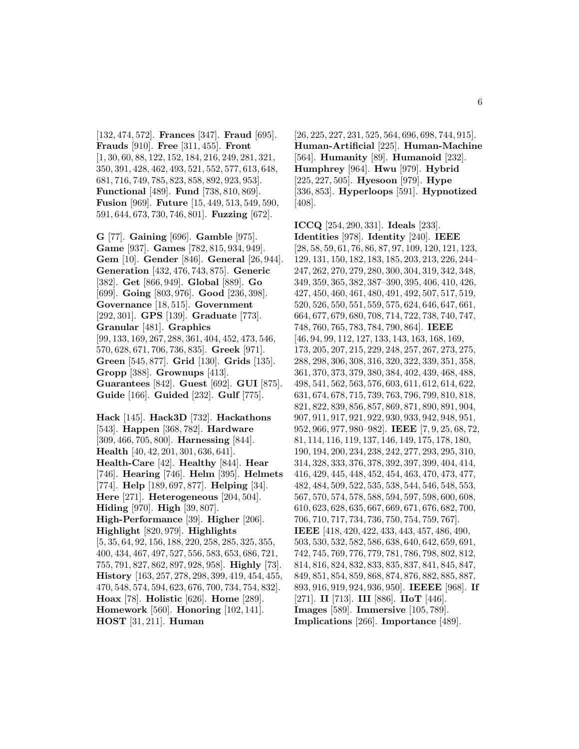[132, 474, 572]. **Frances** [347]. **Fraud** [695]. **Frauds** [910]. **Free** [311, 455]. **Front** [1, 30, 60, 88, 122, 152, 184, 216, 249, 281, 321, 350, 391, 428, 462, 493, 521, 552, 577, 613, 648, 681, 716, 749, 785, 823, 858, 892, 923, 953]. **Functional** [489]. **Fund** [738, 810, 869]. **Fusion** [969]. **Future** [15, 449, 513, 549, 590, 591, 644, 673, 730, 746, 801]. **Fuzzing** [672].

**G** [77]. **Gaining** [696]. **Gamble** [975]. **Game** [937]. **Games** [782, 815, 934, 949]. **Gem** [10]. **Gender** [846]. **General** [26, 944]. **Generation** [432, 476, 743, 875]. **Generic** [382]. **Get** [866, 949]. **Global** [889]. **Go** [699]. **Going** [803, 976]. **Good** [236, 398]. **Governance** [18, 515]. **Government** [292, 301]. **GPS** [139]. **Graduate** [773]. **Granular** [481]. **Graphics** [99, 133, 169, 267, 288, 361, 404, 452, 473, 546, 570, 628, 671, 706, 736, 835]. **Greek** [971]. **Green** [545, 877]. **Grid** [130]. **Grids** [135]. **Gropp** [388]. **Grownups** [413]. **Guarantees** [842]. **Guest** [692]. **GUI** [875]. **Guide** [166]. **Guided** [232]. **Gulf** [775].

**Hack** [145]. **Hack3D** [732]. **Hackathons** [543]. **Happen** [368, 782]. **Hardware** [309, 466, 705, 800]. **Harnessing** [844]. **Health** [40, 42, 201, 301, 636, 641]. **Health-Care** [42]. **Healthy** [844]. **Hear** [746]. **Hearing** [746]. **Helm** [395]. **Helmets** [774]. **Help** [189, 697, 877]. **Helping** [34]. **Here** [271]. **Heterogeneous** [204, 504]. **Hiding** [970]. **High** [39, 807]. **High-Performance** [39]. **Higher** [206]. **Highlight** [820, 979]. **Highlights** [5, 35, 64, 92, 156, 188, 220, 258, 285, 325, 355, 400, 434, 467, 497, 527, 556, 583, 653, 686, 721, 755, 791, 827, 862, 897, 928, 958]. **Highly** [73]. **History** [163, 257, 278, 298, 399, 419, 454, 455, 470, 548, 574, 594, 623, 676, 700, 734, 754, 832]. **Hoax** [78]. **Holistic** [626]. **Home** [289]. **Homework** [560]. **Honoring** [102, 141]. **HOST** [31, 211]. **Human**

[26, 225, 227, 231, 525, 564, 696, 698, 744, 915]. **Human-Artificial** [225]. **Human-Machine** [564]. **Humanity** [89]. **Humanoid** [232]. **Humphrey** [964]. **Hwu** [979]. **Hybrid** [225, 227, 505]. **Hyesoon** [979]. **Hype** [336, 853]. **Hyperloops** [591]. **Hypnotized** [408].

**ICCQ** [254, 290, 331]. **Ideals** [233]. **Identities** [978]. **Identity** [240]. **IEEE** [28, 58, 59, 61, 76, 86, 87, 97, 109, 120, 121, 123, 129, 131, 150, 182, 183, 185, 203, 213, 226, 244– 247, 262, 270, 279, 280, 300, 304, 319, 342, 348, 349, 359, 365, 382, 387–390, 395, 406, 410, 426, 427, 450, 460, 461, 480, 491, 492, 507, 517, 519, 520, 526, 550, 551, 559, 575, 624, 646, 647, 661, 664, 677, 679, 680, 708, 714, 722, 738, 740, 747, 748, 760, 765, 783, 784, 790, 864]. **IEEE** [46, 94, 99, 112, 127, 133, 143, 163, 168, 169, 173, 205, 207, 215, 229, 248, 257, 267, 273, 275, 288, 298, 306, 308, 316, 320, 322, 339, 351, 358, 361, 370, 373, 379, 380, 384, 402, 439, 468, 488, 498, 541, 562, 563, 576, 603, 611, 612, 614, 622, 631, 674, 678, 715, 739, 763, 796, 799, 810, 818, 821, 822, 839, 856, 857, 869, 871, 890, 891, 904, 907, 911, 917, 921, 922, 930, 933, 942, 948, 951, 952, 966, 977, 980–982]. **IEEE** [7, 9, 25, 68, 72, 81, 114, 116, 119, 137, 146, 149, 175, 178, 180, 190, 194, 200, 234, 238, 242, 277, 293, 295, 310, 314, 328, 333, 376, 378, 392, 397, 399, 404, 414, 416, 429, 445, 448, 452, 454, 463, 470, 473, 477, 482, 484, 509, 522, 535, 538, 544, 546, 548, 553, 567, 570, 574, 578, 588, 594, 597, 598, 600, 608, 610, 623, 628, 635, 667, 669, 671, 676, 682, 700, 706, 710, 717, 734, 736, 750, 754, 759, 767]. **IEEE** [418, 420, 422, 433, 443, 457, 486, 490, 503, 530, 532, 582, 586, 638, 640, 642, 659, 691, 742, 745, 769, 776, 779, 781, 786, 798, 802, 812, 814, 816, 824, 832, 833, 835, 837, 841, 845, 847, 849, 851, 854, 859, 868, 874, 876, 882, 885, 887, 893, 916, 919, 924, 936, 950]. **IEEEE** [968]. **If** [271]. **II** [713]. **III** [886]. **IIoT** [446]. **Images** [589]. **Immersive** [105, 789]. **Implications** [266]. **Importance** [489].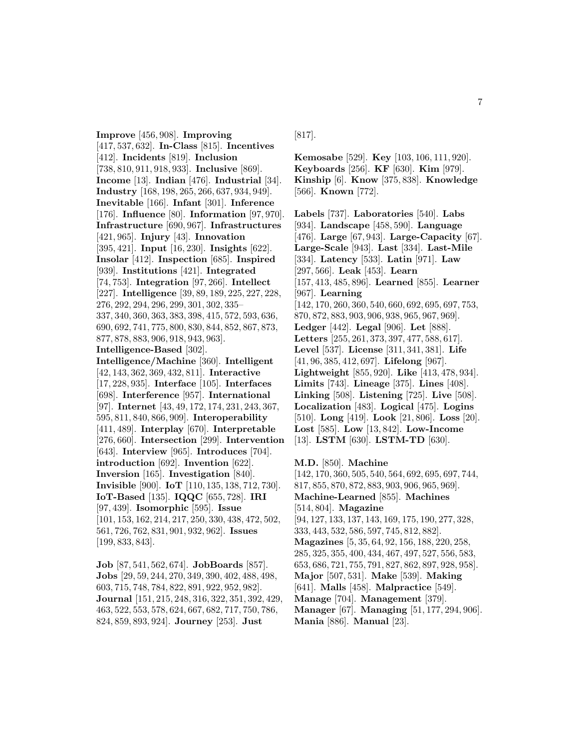**Improve** [456, 908]. **Improving** [417, 537, 632]. **In-Class** [815]. **Incentives** [412]. **Incidents** [819]. **Inclusion** [738, 810, 911, 918, 933]. **Inclusive** [869]. **Income** [13]. **Indian** [476]. **Industrial** [34]. **Industry** [168, 198, 265, 266, 637, 934, 949]. **Inevitable** [166]. **Infant** [301]. **Inference** [176]. **Influence** [80]. **Information** [97, 970]. **Infrastructure** [690, 967]. **Infrastructures** [421, 965]. **Injury** [43]. **Innovation** [395, 421]. **Input** [16, 230]. **Insights** [622]. **Insolar** [412]. **Inspection** [685]. **Inspired** [939]. **Institutions** [421]. **Integrated** [74, 753]. **Integration** [97, 266]. **Intellect** [227]. **Intelligence** [39, 89, 189, 225, 227, 228, 276, 292, 294, 296, 299, 301, 302, 335– 337, 340, 360, 363, 383, 398, 415, 572, 593, 636, 690, 692, 741, 775, 800, 830, 844, 852, 867, 873, 877, 878, 883, 906, 918, 943, 963]. **Intelligence-Based** [302]. **Intelligence/Machine** [360]. **Intelligent** [42, 143, 362, 369, 432, 811]. **Interactive** [17, 228, 935]. **Interface** [105]. **Interfaces** [698]. **Interference** [957]. **International** [97]. **Internet** [43, 49, 172, 174, 231, 243, 367, 595, 811, 840, 866, 909]. **Interoperability** [411, 489]. **Interplay** [670]. **Interpretable** [276, 660]. **Intersection** [299]. **Intervention** [643]. **Interview** [965]. **Introduces** [704]. **introduction** [692]. **Invention** [622]. **Inversion** [165]. **Investigation** [840]. **Invisible** [900]. **IoT** [110, 135, 138, 712, 730]. **IoT-Based** [135]. **IQQC** [655, 728]. **IRI** [97, 439]. **Isomorphic** [595]. **Issue** [101, 153, 162, 214, 217, 250, 330, 438, 472, 502, 561, 726, 762, 831, 901, 932, 962]. **Issues** [199, 833, 843].

**Job** [87, 541, 562, 674]. **JobBoards** [857]. **Jobs** [29, 59, 244, 270, 349, 390, 402, 488, 498, 603, 715, 748, 784, 822, 891, 922, 952, 982]. **Journal** [151, 215, 248, 316, 322, 351, 392, 429, 463, 522, 553, 578, 624, 667, 682, 717, 750, 786, 824, 859, 893, 924]. **Journey** [253]. **Just**

[817].

**Kemosabe** [529]. **Key** [103, 106, 111, 920]. **Keyboards** [256]. **KF** [630]. **Kim** [979]. **Kinship** [6]. **Know** [375, 838]. **Knowledge** [566]. **Known** [772].

**Labels** [737]. **Laboratories** [540]. **Labs** [934]. **Landscape** [458, 590]. **Language** [476]. **Large** [67, 943]. **Large-Capacity** [67]. **Large-Scale** [943]. **Last** [334]. **Last-Mile** [334]. **Latency** [533]. **Latin** [971]. **Law** [297, 566]. **Leak** [453]. **Learn** [157, 413, 485, 896]. **Learned** [855]. **Learner** [967]. **Learning** [142, 170, 260, 360, 540, 660, 692, 695, 697, 753, 870, 872, 883, 903, 906, 938, 965, 967, 969]. **Ledger** [442]. **Legal** [906]. **Let** [888]. **Letters** [255, 261, 373, 397, 477, 588, 617]. **Level** [537]. **License** [311, 341, 381]. **Life** [41, 96, 385, 412, 697]. **Lifelong** [967]. **Lightweight** [855, 920]. **Like** [413, 478, 934]. **Limits** [743]. **Lineage** [375]. **Lines** [408]. **Linking** [508]. **Listening** [725]. **Live** [508]. **Localization** [483]. **Logical** [475]. **Logins** [510]. **Long** [419]. **Look** [21, 806]. **Loss** [20]. **Lost** [585]. **Low** [13, 842]. **Low-Income** [13]. **LSTM** [630]. **LSTM-TD** [630].

**M.D.** [850]. **Machine**

[142, 170, 360, 505, 540, 564, 692, 695, 697, 744, 817, 855, 870, 872, 883, 903, 906, 965, 969]. **Machine-Learned** [855]. **Machines** [514, 804]. **Magazine** [94, 127, 133, 137, 143, 169, 175, 190, 277, 328, 333, 443, 532, 586, 597, 745, 812, 882]. **Magazines** [5, 35, 64, 92, 156, 188, 220, 258, 285, 325, 355, 400, 434, 467, 497, 527, 556, 583, 653, 686, 721, 755, 791, 827, 862, 897, 928, 958]. **Major** [507, 531]. **Make** [539]. **Making** [641]. **Malls** [458]. **Malpractice** [549]. **Manage** [704]. **Management** [379]. **Manager** [67]. **Managing** [51, 177, 294, 906]. **Mania** [886]. **Manual** [23].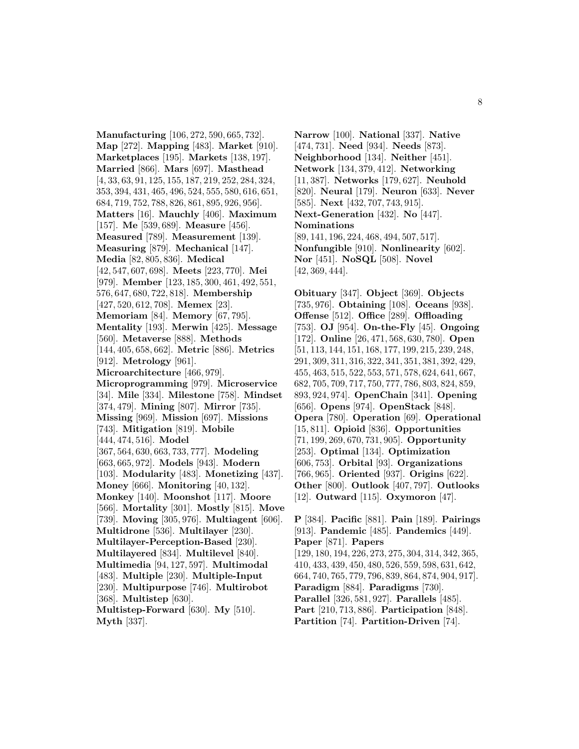**Manufacturing** [106, 272, 590, 665, 732]. **Map** [272]. **Mapping** [483]. **Market** [910]. **Marketplaces** [195]. **Markets** [138, 197]. **Married** [866]. **Mars** [697]. **Masthead** [4, 33, 63, 91, 125, 155, 187, 219, 252, 284, 324, 353, 394, 431, 465, 496, 524, 555, 580, 616, 651, 684, 719, 752, 788, 826, 861, 895, 926, 956]. **Matters** [16]. **Mauchly** [406]. **Maximum** [157]. **Me** [539, 689]. **Measure** [456]. **Measured** [789]. **Measurement** [139]. **Measuring** [879]. **Mechanical** [147]. **Media** [82, 805, 836]. **Medical** [42, 547, 607, 698]. **Meets** [223, 770]. **Mei** [979]. **Member** [123, 185, 300, 461, 492, 551, 576, 647, 680, 722, 818]. **Membership** [427, 520, 612, 708]. **Memex** [23]. **Memoriam** [84]. **Memory** [67, 795]. **Mentality** [193]. **Merwin** [425]. **Message** [560]. **Metaverse** [888]. **Methods** [144, 405, 658, 662]. **Metric** [886]. **Metrics** [912]. **Metrology** [961]. **Microarchitecture** [466, 979]. **Microprogramming** [979]. **Microservice** [34]. **Mile** [334]. **Milestone** [758]. **Mindset** [374, 479]. **Mining** [807]. **Mirror** [735]. **Missing** [969]. **Mission** [697]. **Missions** [743]. **Mitigation** [819]. **Mobile** [444, 474, 516]. **Model** [367, 564, 630, 663, 733, 777]. **Modeling** [663, 665, 972]. **Models** [943]. **Modern** [103]. **Modularity** [483]. **Monetizing** [437]. **Money** [666]. **Monitoring** [40, 132]. **Monkey** [140]. **Moonshot** [117]. **Moore** [566]. **Mortality** [301]. **Mostly** [815]. **Move** [739]. **Moving** [305, 976]. **Multiagent** [606]. **Multidrone** [536]. **Multilayer** [230]. **Multilayer-Perception-Based** [230]. **Multilayered** [834]. **Multilevel** [840]. **Multimedia** [94, 127, 597]. **Multimodal** [483]. **Multiple** [230]. **Multiple-Input** [230]. **Multipurpose** [746]. **Multirobot** [368]. **Multistep** [630]. **Multistep-Forward** [630]. **My** [510]. **Myth** [337].

**Narrow** [100]. **National** [337]. **Native** [474, 731]. **Need** [934]. **Needs** [873]. **Neighborhood** [134]. **Neither** [451]. **Network** [134, 379, 412]. **Networking** [11, 387]. **Networks** [179, 627]. **Neuhold** [820]. **Neural** [179]. **Neuron** [633]. **Never** [585]. **Next** [432, 707, 743, 915]. **Next-Generation** [432]. **No** [447]. **Nominations** [89, 141, 196, 224, 468, 494, 507, 517]. **Nonfungible** [910]. **Nonlinearity** [602]. **Nor** [451]. **NoSQL** [508]. **Novel** [42, 369, 444].

**Obituary** [347]. **Object** [369]. **Objects** [735, 976]. **Obtaining** [108]. **Oceans** [938]. **Offense** [512]. **Office** [289]. **Offloading** [753]. **OJ** [954]. **On-the-Fly** [45]. **Ongoing** [172]. **Online** [26, 471, 568, 630, 780]. **Open** [51, 113, 144, 151, 168, 177, 199, 215, 239, 248, 291, 309, 311, 316, 322, 341, 351, 381, 392, 429, 455, 463, 515, 522, 553, 571, 578, 624, 641, 667, 682, 705, 709, 717, 750, 777, 786, 803, 824, 859, 893, 924, 974]. **OpenChain** [341]. **Opening** [656]. **Opens** [974]. **OpenStack** [848]. **Opera** [780]. **Operation** [69]. **Operational** [15, 811]. **Opioid** [836]. **Opportunities** [71, 199, 269, 670, 731, 905]. **Opportunity** [253]. **Optimal** [134]. **Optimization** [606, 753]. **Orbital** [93]. **Organizations** [766, 965]. **Oriented** [937]. **Origins** [622]. **Other** [800]. **Outlook** [407, 797]. **Outlooks** [12]. **Outward** [115]. **Oxymoron** [47].

**P** [384]. **Pacific** [881]. **Pain** [189]. **Pairings** [913]. **Pandemic** [485]. **Pandemics** [449]. **Paper** [871]. **Papers** [129, 180, 194, 226, 273, 275, 304, 314, 342, 365, 410, 433, 439, 450, 480, 526, 559, 598, 631, 642, 664, 740, 765, 779, 796, 839, 864, 874, 904, 917]. **Paradigm** [884]. **Paradigms** [730]. **Parallel** [326, 581, 927]. **Parallels** [485]. **Part** [210, 713, 886]. **Participation** [848]. **Partition** [74]. **Partition-Driven** [74].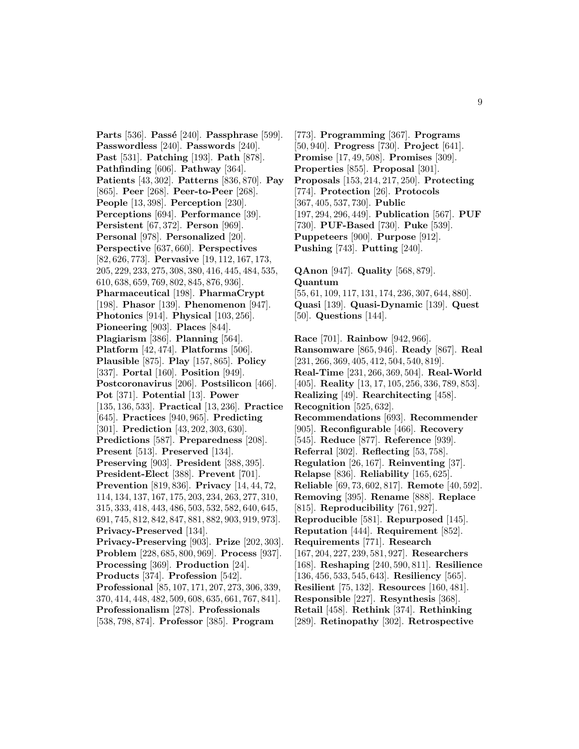**Parts** [536]. **Passé** [240]. **Passphrase** [599]. **Passwordless** [240]. **Passwords** [240]. **Past** [531]. **Patching** [193]. **Path** [878]. **Pathfinding** [606]. **Pathway** [364]. **Patients** [43, 302]. **Patterns** [836, 870]. **Pay** [865]. **Peer** [268]. **Peer-to-Peer** [268]. **People** [13, 398]. **Perception** [230]. **Perceptions** [694]. **Performance** [39]. **Persistent** [67, 372]. **Person** [969]. **Personal** [978]. **Personalized** [20]. **Perspective** [637, 660]. **Perspectives** [82, 626, 773]. **Pervasive** [19, 112, 167, 173, 205, 229, 233, 275, 308, 380, 416, 445, 484, 535, 610, 638, 659, 769, 802, 845, 876, 936]. **Pharmaceutical** [198]. **PharmaCrypt** [198]. **Phasor** [139]. **Phenomenon** [947]. **Photonics** [914]. **Physical** [103, 256]. **Pioneering** [903]. **Places** [844]. **Plagiarism** [386]. **Planning** [564]. **Platform** [42, 474]. **Platforms** [506]. **Plausible** [875]. **Play** [157, 865]. **Policy** [337]. **Portal** [160]. **Position** [949]. **Postcoronavirus** [206]. **Postsilicon** [466]. **Pot** [371]. **Potential** [13]. **Power** [135, 136, 533]. **Practical** [13, 236]. **Practice** [645]. **Practices** [940, 965]. **Predicting** [301]. **Prediction** [43, 202, 303, 630]. **Predictions** [587]. **Preparedness** [208]. **Present** [513]. **Preserved** [134]. **Preserving** [903]. **President** [388, 395]. **President-Elect** [388]. **Prevent** [701]. **Prevention** [819, 836]. **Privacy** [14, 44, 72, 114, 134, 137, 167, 175, 203, 234, 263, 277, 310, 315, 333, 418, 443, 486, 503, 532, 582, 640, 645, 691, 745, 812, 842, 847, 881, 882, 903, 919, 973]. **Privacy-Preserved** [134]. **Privacy-Preserving** [903]. **Prize** [202, 303]. **Problem** [228, 685, 800, 969]. **Process** [937]. **Processing** [369]. **Production** [24]. **Products** [374]. **Profession** [542]. **Professional** [85, 107, 171, 207, 273, 306, 339, 370, 414, 448, 482, 509, 608, 635, 661, 767, 841]. **Professionalism** [278]. **Professionals** [538, 798, 874]. **Professor** [385]. **Program**

[773]. **Programming** [367]. **Programs** [50, 940]. **Progress** [730]. **Project** [641]. **Promise** [17, 49, 508]. **Promises** [309]. **Properties** [855]. **Proposal** [301]. **Proposals** [153, 214, 217, 250]. **Protecting** [774]. **Protection** [26]. **Protocols** [367, 405, 537, 730]. **Public** [197, 294, 296, 449]. **Publication** [567]. **PUF** [730]. **PUF-Based** [730]. **Puke** [539]. **Puppeteers** [900]. **Purpose** [912]. **Pushing** [743]. **Putting** [240].

**QAnon** [947]. **Quality** [568, 879].

**Quantum** [55, 61, 109, 117, 131, 174, 236, 307, 644, 880]. **Quasi** [139]. **Quasi-Dynamic** [139]. **Quest** [50]. **Questions** [144]. **Race** [701]. **Rainbow** [942, 966]. **Ransomware** [865, 946]. **Ready** [867]. **Real** [231, 266, 369, 405, 412, 504, 540, 819]. **Real-Time** [231, 266, 369, 504]. **Real-World** [405]. **Reality** [13, 17, 105, 256, 336, 789, 853]. **Realizing** [49]. **Rearchitecting** [458]. **Recognition** [525, 632]. **Recommendations** [693]. **Recommender** [905]. **Reconfigurable** [466]. **Recovery** [545]. **Reduce** [877]. **Reference** [939]. **Referral** [302]. **Reflecting** [53, 758]. **Regulation** [26, 167]. **Reinventing** [37]. **Relapse** [836]. **Reliability** [165, 625]. **Reliable** [69, 73, 602, 817]. **Remote** [40, 592]. **Removing** [395]. **Rename** [888]. **Replace** [815]. **Reproducibility** [761, 927]. **Reproducible** [581]. **Repurposed** [145]. **Reputation** [444]. **Requirement** [852]. **Requirements** [771]. **Research** [167, 204, 227, 239, 581, 927]. **Researchers** [168]. **Reshaping** [240, 590, 811]. **Resilience** [136, 456, 533, 545, 643]. **Resiliency** [565]. **Resilient** [75, 132]. **Resources** [160, 481]. **Responsible** [227]. **Resynthesis** [368]. **Retail** [458]. **Rethink** [374]. **Rethinking** [289]. **Retinopathy** [302]. **Retrospective**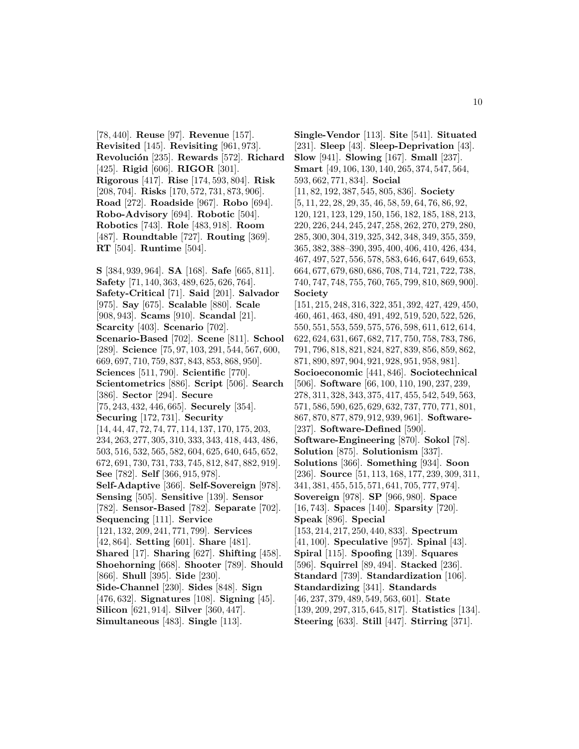[78, 440]. **Reuse** [97]. **Revenue** [157]. **Revisited** [145]. **Revisiting** [961, 973]. **Revoluci´on** [235]. **Rewards** [572]. **Richard** [425]. **Rigid** [606]. **RIGOR** [301]. **Rigorous** [417]. **Rise** [174, 593, 804]. **Risk** [208, 704]. **Risks** [170, 572, 731, 873, 906]. **Road** [272]. **Roadside** [967]. **Robo** [694]. **Robo-Advisory** [694]. **Robotic** [504]. **Robotics** [743]. **Role** [483, 918]. **Room** [487]. **Roundtable** [727]. **Routing** [369]. **RT** [504]. **Runtime** [504].

**S** [384, 939, 964]. **SA** [168]. **Safe** [665, 811]. **Safety** [71, 140, 363, 489, 625, 626, 764]. **Safety-Critical** [71]. **Said** [201]. **Salvador** [975]. **Say** [675]. **Scalable** [880]. **Scale** [908, 943]. **Scams** [910]. **Scandal** [21]. **Scarcity** [403]. **Scenario** [702]. **Scenario-Based** [702]. **Scene** [811]. **School** [289]. **Science** [75, 97, 103, 291, 544, 567, 600, 669, 697, 710, 759, 837, 843, 853, 868, 950]. **Sciences** [511, 790]. **Scientific** [770]. **Scientometrics** [886]. **Script** [506]. **Search** [386]. **Sector** [294]. **Secure** [75, 243, 432, 446, 665]. **Securely** [354]. **Securing** [172, 731]. **Security** [14, 44, 47, 72, 74, 77, 114, 137, 170, 175, 203, 234, 263, 277, 305, 310, 333, 343, 418, 443, 486, 503, 516, 532, 565, 582, 604, 625, 640, 645, 652, 672, 691, 730, 731, 733, 745, 812, 847, 882, 919]. **See** [782]. **Self** [366, 915, 978]. **Self-Adaptive** [366]. **Self-Sovereign** [978]. **Sensing** [505]. **Sensitive** [139]. **Sensor** [782]. **Sensor-Based** [782]. **Separate** [702]. **Sequencing** [111]. **Service** [121, 132, 209, 241, 771, 799]. **Services** [42, 864]. **Setting** [601]. **Share** [481]. **Shared** [17]. **Sharing** [627]. **Shifting** [458]. **Shoehorning** [668]. **Shooter** [789]. **Should** [866]. **Shull** [395]. **Side** [230]. **Side-Channel** [230]. **Sides** [848]. **Sign** [476, 632]. **Signatures** [108]. **Signing** [45]. **Silicon** [621, 914]. **Silver** [360, 447]. **Simultaneous** [483]. **Single** [113].

**Single-Vendor** [113]. **Site** [541]. **Situated** [231]. **Sleep** [43]. **Sleep-Deprivation** [43]. **Slow** [941]. **Slowing** [167]. **Small** [237]. **Smart** [49, 106, 130, 140, 265, 374, 547, 564, 593, 662, 771, 834]. **Social** [11, 82, 192, 387, 545, 805, 836]. **Society** [5, 11, 22, 28, 29, 35, 46, 58, 59, 64, 76, 86, 92, 120, 121, 123, 129, 150, 156, 182, 185, 188, 213, 220, 226, 244, 245, 247, 258, 262, 270, 279, 280, 285, 300, 304, 319, 325, 342, 348, 349, 355, 359, 365, 382, 388–390, 395, 400, 406, 410, 426, 434, 467, 497, 527, 556, 578, 583, 646, 647, 649, 653, 664, 677, 679, 680, 686, 708, 714, 721, 722, 738, 740, 747, 748, 755, 760, 765, 799, 810, 869, 900]. **Society** [151, 215, 248, 316, 322, 351, 392, 427, 429, 450, 460, 461, 463, 480, 491, 492, 519, 520, 522, 526, 550, 551, 553, 559, 575, 576, 598, 611, 612, 614, 622, 624, 631, 667, 682, 717, 750, 758, 783, 786, 791, 796, 818, 821, 824, 827, 839, 856, 859, 862, 871, 890, 897, 904, 921, 928, 951, 958, 981]. **Socioeconomic** [441, 846]. **Sociotechnical** [506]. **Software** [66, 100, 110, 190, 237, 239, 278, 311, 328, 343, 375, 417, 455, 542, 549, 563, 571, 586, 590, 625, 629, 632, 737, 770, 771, 801, 867, 870, 877, 879, 912, 939, 961]. **Software-** [237]. **Software-Defined** [590]. **Software-Engineering** [870]. **Sokol** [78]. **Solution** [875]. **Solutionism** [337]. **Solutions** [366]. **Something** [934]. **Soon** [236]. **Source** [51, 113, 168, 177, 239, 309, 311, 341, 381, 455, 515, 571, 641, 705, 777, 974]. **Sovereign** [978]. **SP** [966, 980]. **Space** [16, 743]. **Spaces** [140]. **Sparsity** [720]. **Speak** [896]. **Special** [153, 214, 217, 250, 440, 833]. **Spectrum** [41, 100]. **Speculative** [957]. **Spinal** [43]. **Spiral** [115]. **Spoofing** [139]. **Squares** [596]. **Squirrel** [89, 494]. **Stacked** [236]. **Standard** [739]. **Standardization** [106]. **Standardizing** [341]. **Standards** [46, 237, 379, 489, 549, 563, 601]. **State** [139, 209, 297, 315, 645, 817]. **Statistics** [134].

**Steering** [633]. **Still** [447]. **Stirring** [371].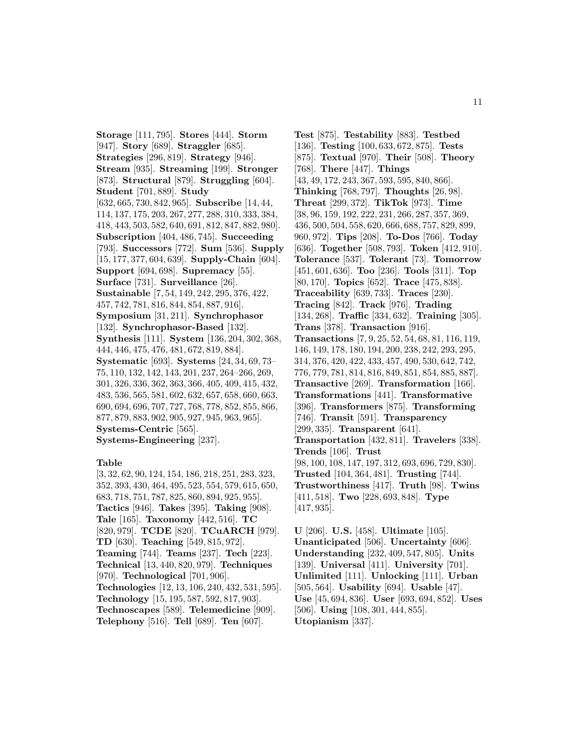**Storage** [111, 795]. **Stores** [444]. **Storm** [947]. **Story** [689]. **Straggler** [685]. **Strategies** [296, 819]. **Strategy** [946]. **Stream** [935]. **Streaming** [199]. **Stronger** [873]. **Structural** [879]. **Struggling** [604]. **Student** [701, 889]. **Study** [632, 665, 730, 842, 965]. **Subscribe** [14, 44, 114, 137, 175, 203, 267, 277, 288, 310, 333, 384, 418, 443, 503, 582, 640, 691, 812, 847, 882, 980]. **Subscription** [404, 486, 745]. **Succeeding** [793]. **Successors** [772]. **Sum** [536]. **Supply** [15, 177, 377, 604, 639]. **Supply-Chain** [604]. **Support** [694, 698]. **Supremacy** [55]. **Surface** [731]. **Surveillance** [26]. **Sustainable** [7, 54, 149, 242, 295, 376, 422, 457, 742, 781, 816, 844, 854, 887, 916]. **Symposium** [31, 211]. **Synchrophasor** [132]. **Synchrophasor-Based** [132]. **Synthesis** [111]. **System** [136, 204, 302, 368, 444, 446, 475, 476, 481, 672, 819, 884]. **Systematic** [693]. **Systems** [24, 34, 69, 73– 75, 110, 132, 142, 143, 201, 237, 264–266, 269, 301, 326, 336, 362, 363, 366, 405, 409, 415, 432, 483, 536, 565, 581, 602, 632, 657, 658, 660, 663, 690, 694, 696, 707, 727, 768, 778, 852, 855, 866, 877, 879, 883, 902, 905, 927, 945, 963, 965]. **Systems-Centric** [565]. **Systems-Engineering** [237].

#### **Table**

[3, 32, 62, 90, 124, 154, 186, 218, 251, 283, 323, 352, 393, 430, 464, 495, 523, 554, 579, 615, 650, 683, 718, 751, 787, 825, 860, 894, 925, 955]. **Tactics** [946]. **Takes** [395]. **Taking** [908]. **Tale** [165]. **Taxonomy** [442, 516]. **TC** [820, 979]. **TCDE** [820]. **TCuARCH** [979]. **TD** [630]. **Teaching** [549, 815, 972]. **Teaming** [744]. **Teams** [237]. **Tech** [223]. **Technical** [13, 440, 820, 979]. **Techniques** [970]. **Technological** [701, 906]. **Technologies** [12, 13, 106, 240, 432, 531, 595]. **Technology** [15, 195, 587, 592, 817, 903]. **Technoscapes** [589]. **Telemedicine** [909]. **Telephony** [516]. **Tell** [689]. **Ten** [607].

**Test** [875]. **Testability** [883]. **Testbed** [136]. **Testing** [100, 633, 672, 875]. **Tests** [875]. **Textual** [970]. **Their** [508]. **Theory** [768]. **There** [447]. **Things** [43, 49, 172, 243, 367, 593, 595, 840, 866]. **Thinking** [768, 797]. **Thoughts** [26, 98]. **Threat** [299, 372]. **TikTok** [973]. **Time** [38, 96, 159, 192, 222, 231, 266, 287, 357, 369, 436, 500, 504, 558, 620, 666, 688, 757, 829, 899, 960, 972]. **Tips** [208]. **To-Dos** [766]. **Today** [636]. **Together** [508, 793]. **Token** [412, 910]. **Tolerance** [537]. **Tolerant** [73]. **Tomorrow** [451, 601, 636]. **Too** [236]. **Tools** [311]. **Top** [80, 170]. **Topics** [652]. **Trace** [475, 838]. **Traceability** [639, 733]. **Traces** [230]. **Tracing** [842]. **Track** [976]. **Trading** [134, 268]. **Traffic** [334, 632]. **Training** [305]. **Trans** [378]. **Transaction** [916]. **Transactions** [7, 9, 25, 52, 54, 68, 81, 116, 119, 146, 149, 178, 180, 194, 200, 238, 242, 293, 295, 314, 376, 420, 422, 433, 457, 490, 530, 642, 742, 776, 779, 781, 814, 816, 849, 851, 854, 885, 887]. **Transactive** [269]. **Transformation** [166]. **Transformations** [441]. **Transformative** [396]. **Transformers** [875]. **Transforming** [746]. **Transit** [591]. **Transparency** [299, 335]. **Transparent** [641]. **Transportation** [432, 811]. **Travelers** [338]. **Trends** [106]. **Trust** [98, 100, 108, 147, 197, 312, 693, 696, 729, 830]. **Trusted** [104, 364, 481]. **Trusting** [744]. **Trustworthiness** [417]. **Truth** [98]. **Twins** [411, 518]. **Two** [228, 693, 848]. **Type** [417, 935].

**U** [206]. **U.S.** [458]. **Ultimate** [105]. **Unanticipated** [506]. **Uncertainty** [606]. **Understanding** [232, 409, 547, 805]. **Units** [139]. **Universal** [411]. **University** [701]. **Unlimited** [111]. **Unlocking** [111]. **Urban** [505, 564]. **Usability** [694]. **Usable** [47]. **Use** [45, 694, 836]. **User** [693, 694, 852]. **Uses** [506]. **Using** [108, 301, 444, 855]. **Utopianism** [337].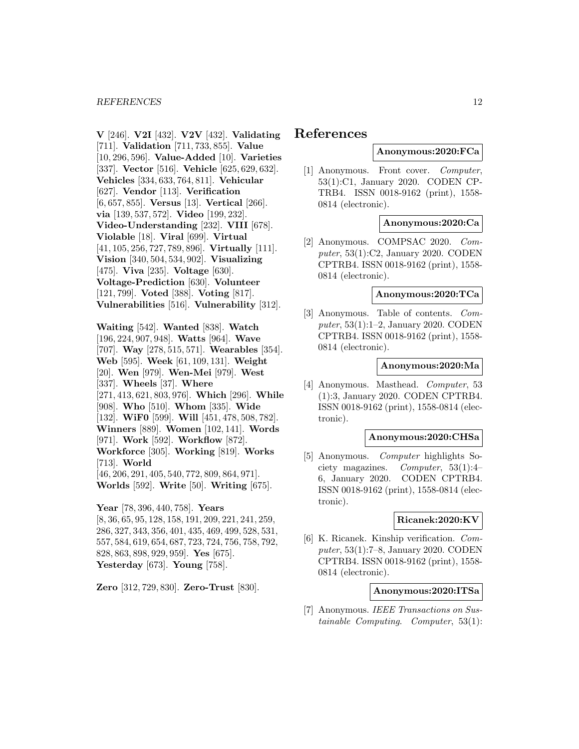**V** [246]. **V2I** [432]. **V2V** [432]. **Validating** [711]. **Validation** [711, 733, 855]. **Value** [10, 296, 596]. **Value-Added** [10]. **Varieties** [337]. **Vector** [516]. **Vehicle** [625, 629, 632]. **Vehicles** [334, 633, 764, 811]. **Vehicular** [627]. **Vendor** [113]. **Verification** [6, 657, 855]. **Versus** [13]. **Vertical** [266]. **via** [139, 537, 572]. **Video** [199, 232]. **Video-Understanding** [232]. **VIII** [678]. **Violable** [18]. **Viral** [699]. **Virtual** [41, 105, 256, 727, 789, 896]. **Virtually** [111]. **Vision** [340, 504, 534, 902]. **Visualizing** [475]. **Viva** [235]. **Voltage** [630]. **Voltage-Prediction** [630]. **Volunteer** [121, 799]. **Voted** [388]. **Voting** [817]. **Vulnerabilities** [516]. **Vulnerability** [312].

**Waiting** [542]. **Wanted** [838]. **Watch** [196, 224, 907, 948]. **Watts** [964]. **Wave** [707]. **Way** [278, 515, 571]. **Wearables** [354]. **Web** [595]. **Week** [61, 109, 131]. **Weight** [20]. **Wen** [979]. **Wen-Mei** [979]. **West** [337]. **Wheels** [37]. **Where** [271, 413, 621, 803, 976]. **Which** [296]. **While** [908]. **Who** [510]. **Whom** [335]. **Wide** [132]. **WiF0** [599]. **Will** [451, 478, 508, 782]. **Winners** [889]. **Women** [102, 141]. **Words** [971]. **Work** [592]. **Workflow** [872]. **Workforce** [305]. **Working** [819]. **Works** [713]. **World** [46, 206, 291, 405, 540, 772, 809, 864, 971].

**Worlds** [592]. **Write** [50]. **Writing** [675].

**Year** [78, 396, 440, 758]. **Years** [8, 36, 65, 95, 128, 158, 191, 209, 221, 241, 259, 286, 327, 343, 356, 401, 435, 469, 499, 528, 531, 557, 584, 619, 654, 687, 723, 724, 756, 758, 792, 828, 863, 898, 929, 959]. **Yes** [675]. **Yesterday** [673]. **Young** [758].

**Zero** [312, 729, 830]. **Zero-Trust** [830].

# **References**

# **Anonymous:2020:FCa**

[1] Anonymous. Front cover. Computer, 53(1):C1, January 2020. CODEN CP-TRB4. ISSN 0018-9162 (print), 1558- 0814 (electronic).

### **Anonymous:2020:Ca**

[2] Anonymous. COMPSAC 2020. Computer, 53(1):C2, January 2020. CODEN CPTRB4. ISSN 0018-9162 (print), 1558- 0814 (electronic).

# **Anonymous:2020:TCa**

[3] Anonymous. Table of contents. Computer, 53(1):1–2, January 2020. CODEN CPTRB4. ISSN 0018-9162 (print), 1558- 0814 (electronic).

#### **Anonymous:2020:Ma**

[4] Anonymous. Masthead. Computer, 53 (1):3, January 2020. CODEN CPTRB4. ISSN 0018-9162 (print), 1558-0814 (electronic).

### **Anonymous:2020:CHSa**

[5] Anonymous. Computer highlights Society magazines. Computer, 53(1):4– 6, January 2020. CODEN CPTRB4. ISSN 0018-9162 (print), 1558-0814 (electronic).

# **Ricanek:2020:KV**

[6] K. Ricanek. Kinship verification. Computer, 53(1):7–8, January 2020. CODEN CPTRB4. ISSN 0018-9162 (print), 1558- 0814 (electronic).

### **Anonymous:2020:ITSa**

[7] Anonymous. *IEEE Transactions on Sus*tainable Computing. Computer, 53(1):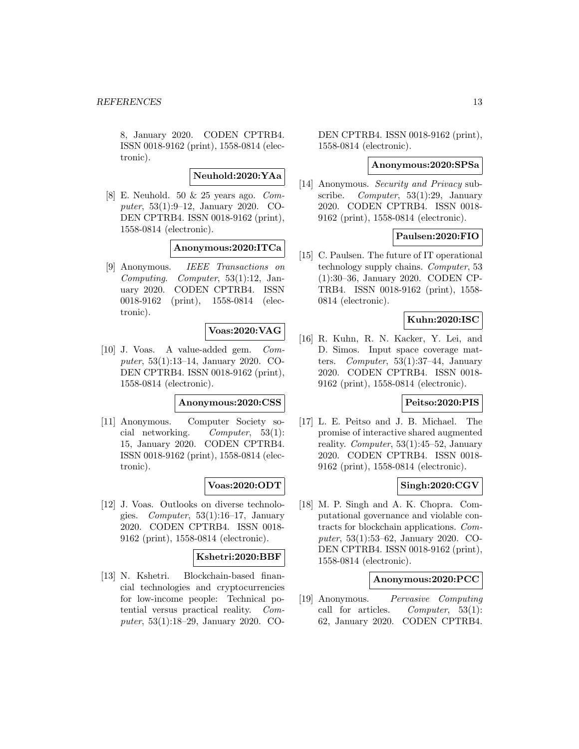8, January 2020. CODEN CPTRB4. ISSN 0018-9162 (print), 1558-0814 (electronic).

**Neuhold:2020:YAa**

[8] E. Neuhold. 50 & 25 years ago. Computer, 53(1):9–12, January 2020. CO-DEN CPTRB4. ISSN 0018-9162 (print), 1558-0814 (electronic).

### **Anonymous:2020:ITCa**

[9] Anonymous. IEEE Transactions on Computing. Computer, 53(1):12, January 2020. CODEN CPTRB4. ISSN 0018-9162 (print), 1558-0814 (electronic).

# **Voas:2020:VAG**

[10] J. Voas. A value-added gem. Computer, 53(1):13–14, January 2020. CO-DEN CPTRB4. ISSN 0018-9162 (print), 1558-0814 (electronic).

#### **Anonymous:2020:CSS**

[11] Anonymous. Computer Society social networking. Computer, 53(1): 15, January 2020. CODEN CPTRB4. ISSN 0018-9162 (print), 1558-0814 (electronic).

#### **Voas:2020:ODT**

[12] J. Voas. Outlooks on diverse technologies. Computer, 53(1):16–17, January 2020. CODEN CPTRB4. ISSN 0018- 9162 (print), 1558-0814 (electronic).

### **Kshetri:2020:BBF**

[13] N. Kshetri. Blockchain-based financial technologies and cryptocurrencies for low-income people: Technical potential versus practical reality. Computer, 53(1):18–29, January 2020. CO-

DEN CPTRB4. ISSN 0018-9162 (print), 1558-0814 (electronic).

### **Anonymous:2020:SPSa**

[14] Anonymous. *Security and Privacy* subscribe. Computer, 53(1):29, January 2020. CODEN CPTRB4. ISSN 0018- 9162 (print), 1558-0814 (electronic).

### **Paulsen:2020:FIO**

[15] C. Paulsen. The future of IT operational technology supply chains. Computer, 53 (1):30–36, January 2020. CODEN CP-TRB4. ISSN 0018-9162 (print), 1558- 0814 (electronic).

### **Kuhn:2020:ISC**

[16] R. Kuhn, R. N. Kacker, Y. Lei, and D. Simos. Input space coverage matters. Computer, 53(1):37–44, January 2020. CODEN CPTRB4. ISSN 0018- 9162 (print), 1558-0814 (electronic).

#### **Peitso:2020:PIS**

[17] L. E. Peitso and J. B. Michael. The promise of interactive shared augmented reality. Computer, 53(1):45–52, January 2020. CODEN CPTRB4. ISSN 0018- 9162 (print), 1558-0814 (electronic).

#### **Singh:2020:CGV**

[18] M. P. Singh and A. K. Chopra. Computational governance and violable contracts for blockchain applications. Computer, 53(1):53–62, January 2020. CO-DEN CPTRB4. ISSN 0018-9162 (print), 1558-0814 (electronic).

### **Anonymous:2020:PCC**

[19] Anonymous. Pervasive Computing call for articles. Computer, 53(1): 62, January 2020. CODEN CPTRB4.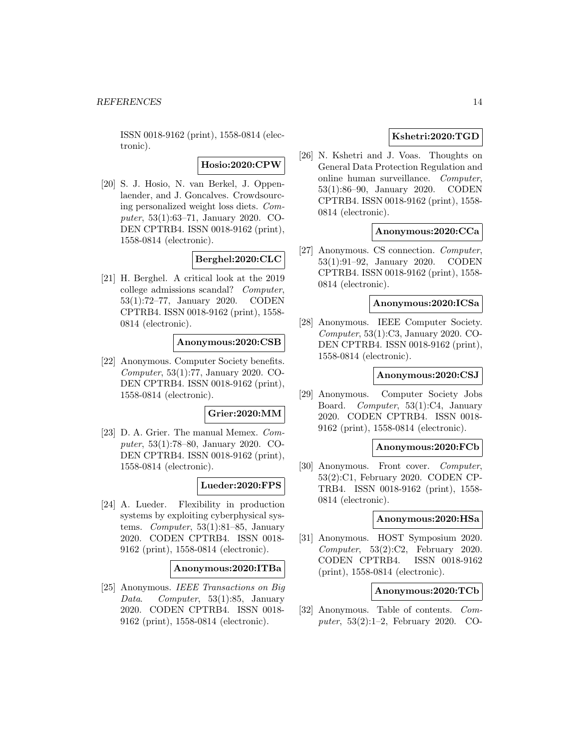ISSN 0018-9162 (print), 1558-0814 (electronic).

**Hosio:2020:CPW**

[20] S. J. Hosio, N. van Berkel, J. Oppenlaender, and J. Goncalves. Crowdsourcing personalized weight loss diets. Computer, 53(1):63–71, January 2020. CO-DEN CPTRB4. ISSN 0018-9162 (print), 1558-0814 (electronic).

#### **Berghel:2020:CLC**

[21] H. Berghel. A critical look at the 2019 college admissions scandal? Computer, 53(1):72–77, January 2020. CODEN CPTRB4. ISSN 0018-9162 (print), 1558- 0814 (electronic).

# **Anonymous:2020:CSB**

[22] Anonymous. Computer Society benefits. Computer, 53(1):77, January 2020. CO-DEN CPTRB4. ISSN 0018-9162 (print), 1558-0814 (electronic).

#### **Grier:2020:MM**

[23] D. A. Grier. The manual Memex. Computer, 53(1):78–80, January 2020. CO-DEN CPTRB4. ISSN 0018-9162 (print), 1558-0814 (electronic).

### **Lueder:2020:FPS**

[24] A. Lueder. Flexibility in production systems by exploiting cyberphysical systems. Computer, 53(1):81–85, January 2020. CODEN CPTRB4. ISSN 0018- 9162 (print), 1558-0814 (electronic).

#### **Anonymous:2020:ITBa**

[25] Anonymous. IEEE Transactions on Big Data. Computer, 53(1):85, January 2020. CODEN CPTRB4. ISSN 0018- 9162 (print), 1558-0814 (electronic).

# **Kshetri:2020:TGD**

[26] N. Kshetri and J. Voas. Thoughts on General Data Protection Regulation and online human surveillance. Computer, 53(1):86–90, January 2020. CODEN CPTRB4. ISSN 0018-9162 (print), 1558- 0814 (electronic).

### **Anonymous:2020:CCa**

[27] Anonymous. CS connection. Computer, 53(1):91–92, January 2020. CODEN CPTRB4. ISSN 0018-9162 (print), 1558- 0814 (electronic).

#### **Anonymous:2020:ICSa**

[28] Anonymous. IEEE Computer Society. Computer, 53(1):C3, January 2020. CO-DEN CPTRB4. ISSN 0018-9162 (print), 1558-0814 (electronic).

### **Anonymous:2020:CSJ**

[29] Anonymous. Computer Society Jobs Board. Computer, 53(1):C4, January 2020. CODEN CPTRB4. ISSN 0018- 9162 (print), 1558-0814 (electronic).

#### **Anonymous:2020:FCb**

[30] Anonymous. Front cover. *Computer*, 53(2):C1, February 2020. CODEN CP-TRB4. ISSN 0018-9162 (print), 1558- 0814 (electronic).

### **Anonymous:2020:HSa**

[31] Anonymous. HOST Symposium 2020. Computer, 53(2):C2, February 2020. CODEN CPTRB4. ISSN 0018-9162 (print), 1558-0814 (electronic).

#### **Anonymous:2020:TCb**

[32] Anonymous. Table of contents. Computer, 53(2):1–2, February 2020. CO-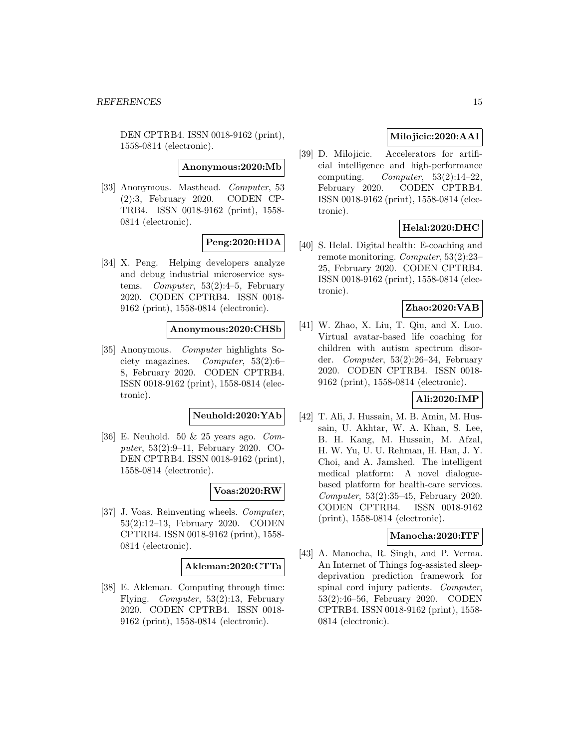DEN CPTRB4. ISSN 0018-9162 (print), 1558-0814 (electronic).

**Anonymous:2020:Mb**

[33] Anonymous. Masthead. Computer, 53 (2):3, February 2020. CODEN CP-TRB4. ISSN 0018-9162 (print), 1558- 0814 (electronic).

### **Peng:2020:HDA**

[34] X. Peng. Helping developers analyze and debug industrial microservice systems. Computer, 53(2):4–5, February 2020. CODEN CPTRB4. ISSN 0018- 9162 (print), 1558-0814 (electronic).

### **Anonymous:2020:CHSb**

[35] Anonymous. Computer highlights Society magazines. Computer, 53(2):6– 8, February 2020. CODEN CPTRB4. ISSN 0018-9162 (print), 1558-0814 (electronic).

### **Neuhold:2020:YAb**

[36] E. Neuhold. 50 & 25 years ago. Computer, 53(2):9–11, February 2020. CO-DEN CPTRB4. ISSN 0018-9162 (print), 1558-0814 (electronic).

#### **Voas:2020:RW**

[37] J. Voas. Reinventing wheels. Computer, 53(2):12–13, February 2020. CODEN CPTRB4. ISSN 0018-9162 (print), 1558- 0814 (electronic).

#### **Akleman:2020:CTTa**

[38] E. Akleman. Computing through time: Flying. Computer, 53(2):13, February 2020. CODEN CPTRB4. ISSN 0018- 9162 (print), 1558-0814 (electronic).

# **Milojicic:2020:AAI**

[39] D. Milojicic. Accelerators for artificial intelligence and high-performance computing. Computer,  $53(2):14-22$ , February 2020. CODEN CPTRB4. ISSN 0018-9162 (print), 1558-0814 (electronic).

### **Helal:2020:DHC**

[40] S. Helal. Digital health: E-coaching and remote monitoring. Computer, 53(2):23– 25, February 2020. CODEN CPTRB4. ISSN 0018-9162 (print), 1558-0814 (electronic).

### **Zhao:2020:VAB**

[41] W. Zhao, X. Liu, T. Qiu, and X. Luo. Virtual avatar-based life coaching for children with autism spectrum disorder. Computer, 53(2):26–34, February 2020. CODEN CPTRB4. ISSN 0018- 9162 (print), 1558-0814 (electronic).

### **Ali:2020:IMP**

[42] T. Ali, J. Hussain, M. B. Amin, M. Hussain, U. Akhtar, W. A. Khan, S. Lee, B. H. Kang, M. Hussain, M. Afzal, H. W. Yu, U. U. Rehman, H. Han, J. Y. Choi, and A. Jamshed. The intelligent medical platform: A novel dialoguebased platform for health-care services. Computer, 53(2):35–45, February 2020. CODEN CPTRB4. ISSN 0018-9162 (print), 1558-0814 (electronic).

### **Manocha:2020:ITF**

[43] A. Manocha, R. Singh, and P. Verma. An Internet of Things fog-assisted sleepdeprivation prediction framework for spinal cord injury patients. Computer, 53(2):46–56, February 2020. CODEN CPTRB4. ISSN 0018-9162 (print), 1558- 0814 (electronic).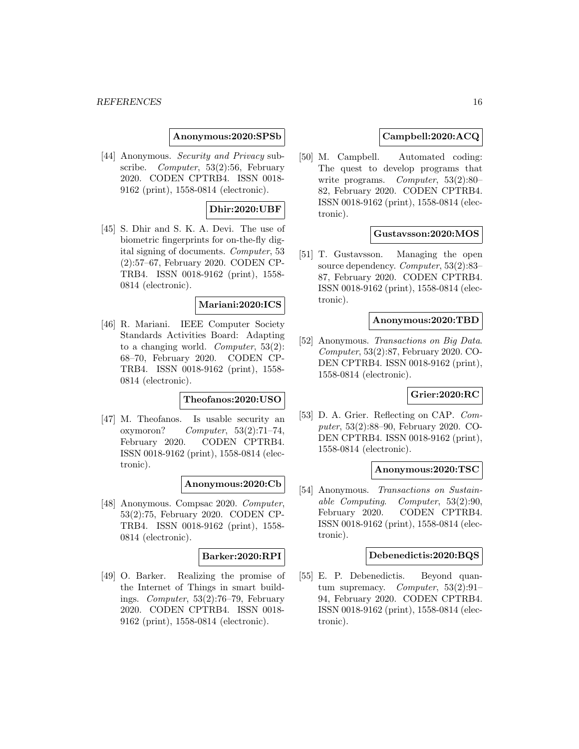### **Anonymous:2020:SPSb**

[44] Anonymous. Security and Privacy subscribe. Computer, 53(2):56, February 2020. CODEN CPTRB4. ISSN 0018- 9162 (print), 1558-0814 (electronic).

### **Dhir:2020:UBF**

[45] S. Dhir and S. K. A. Devi. The use of biometric fingerprints for on-the-fly digital signing of documents. Computer, 53 (2):57–67, February 2020. CODEN CP-TRB4. ISSN 0018-9162 (print), 1558- 0814 (electronic).

### **Mariani:2020:ICS**

[46] R. Mariani. IEEE Computer Society Standards Activities Board: Adapting to a changing world. Computer, 53(2): 68–70, February 2020. CODEN CP-TRB4. ISSN 0018-9162 (print), 1558- 0814 (electronic).

### **Theofanos:2020:USO**

[47] M. Theofanos. Is usable security an oxymoron? Computer,  $53(2):71-74$ , February 2020. CODEN CPTRB4. ISSN 0018-9162 (print), 1558-0814 (electronic).

**Anonymous:2020:Cb**

[48] Anonymous. Compsac 2020. Computer, 53(2):75, February 2020. CODEN CP-TRB4. ISSN 0018-9162 (print), 1558- 0814 (electronic).

### **Barker:2020:RPI**

[49] O. Barker. Realizing the promise of the Internet of Things in smart buildings. Computer, 53(2):76–79, February 2020. CODEN CPTRB4. ISSN 0018- 9162 (print), 1558-0814 (electronic).

### **Campbell:2020:ACQ**

[50] M. Campbell. Automated coding: The quest to develop programs that write programs. *Computer*, 53(2):80– 82, February 2020. CODEN CPTRB4. ISSN 0018-9162 (print), 1558-0814 (electronic).

#### **Gustavsson:2020:MOS**

[51] T. Gustavsson. Managing the open source dependency. Computer, 53(2):83-87, February 2020. CODEN CPTRB4. ISSN 0018-9162 (print), 1558-0814 (electronic).

#### **Anonymous:2020:TBD**

[52] Anonymous. Transactions on Big Data. Computer, 53(2):87, February 2020. CO-DEN CPTRB4. ISSN 0018-9162 (print), 1558-0814 (electronic).

# **Grier:2020:RC**

[53] D. A. Grier. Reflecting on CAP. Computer, 53(2):88–90, February 2020. CO-DEN CPTRB4. ISSN 0018-9162 (print), 1558-0814 (electronic).

### **Anonymous:2020:TSC**

[54] Anonymous. Transactions on Sustainable Computing. Computer, 53(2):90, February 2020. CODEN CPTRB4. ISSN 0018-9162 (print), 1558-0814 (electronic).

#### **Debenedictis:2020:BQS**

[55] E. P. Debenedictis. Beyond quantum supremacy. Computer,  $53(2):91-$ 94, February 2020. CODEN CPTRB4. ISSN 0018-9162 (print), 1558-0814 (electronic).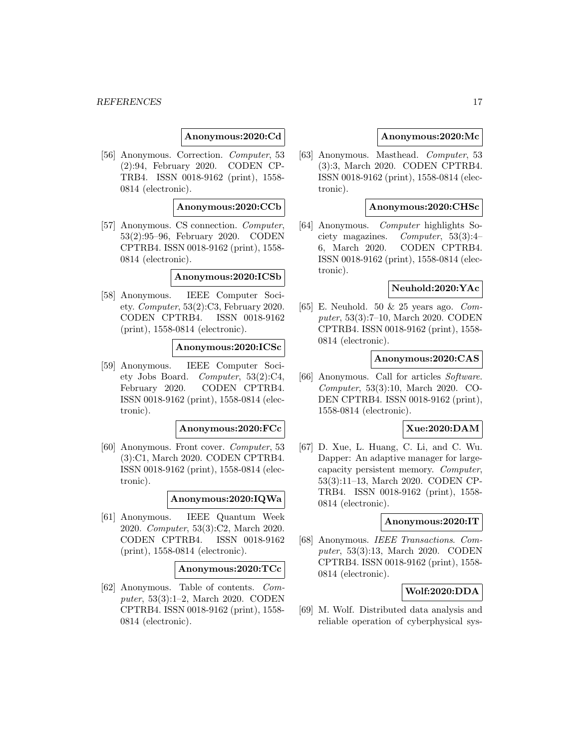### **Anonymous:2020:Cd**

[56] Anonymous. Correction. Computer, 53 (2):94, February 2020. CODEN CP-TRB4. ISSN 0018-9162 (print), 1558- 0814 (electronic).

### **Anonymous:2020:CCb**

[57] Anonymous. CS connection. Computer, 53(2):95–96, February 2020. CODEN CPTRB4. ISSN 0018-9162 (print), 1558- 0814 (electronic).

#### **Anonymous:2020:ICSb**

[58] Anonymous. IEEE Computer Society. Computer, 53(2):C3, February 2020. CODEN CPTRB4. ISSN 0018-9162 (print), 1558-0814 (electronic).

### **Anonymous:2020:ICSc**

[59] Anonymous. IEEE Computer Society Jobs Board. Computer, 53(2):C4, February 2020. CODEN CPTRB4. ISSN 0018-9162 (print), 1558-0814 (electronic).

#### **Anonymous:2020:FCc**

[60] Anonymous. Front cover. Computer, 53 (3):C1, March 2020. CODEN CPTRB4. ISSN 0018-9162 (print), 1558-0814 (electronic).

#### **Anonymous:2020:IQWa**

[61] Anonymous. IEEE Quantum Week 2020. Computer, 53(3):C2, March 2020. CODEN CPTRB4. ISSN 0018-9162 (print), 1558-0814 (electronic).

#### **Anonymous:2020:TCc**

[62] Anonymous. Table of contents. Computer, 53(3):1–2, March 2020. CODEN CPTRB4. ISSN 0018-9162 (print), 1558- 0814 (electronic).

#### **Anonymous:2020:Mc**

[63] Anonymous. Masthead. Computer, 53 (3):3, March 2020. CODEN CPTRB4. ISSN 0018-9162 (print), 1558-0814 (electronic).

### **Anonymous:2020:CHSc**

[64] Anonymous. Computer highlights Society magazines. Computer, 53(3):4– 6, March 2020. CODEN CPTRB4. ISSN 0018-9162 (print), 1558-0814 (electronic).

#### **Neuhold:2020:YAc**

[65] E. Neuhold. 50  $\&$  25 years ago. *Com*puter, 53(3):7–10, March 2020. CODEN CPTRB4. ISSN 0018-9162 (print), 1558- 0814 (electronic).

#### **Anonymous:2020:CAS**

[66] Anonymous. Call for articles Software. Computer, 53(3):10, March 2020. CO-DEN CPTRB4. ISSN 0018-9162 (print), 1558-0814 (electronic).

### **Xue:2020:DAM**

[67] D. Xue, L. Huang, C. Li, and C. Wu. Dapper: An adaptive manager for largecapacity persistent memory. Computer, 53(3):11–13, March 2020. CODEN CP-TRB4. ISSN 0018-9162 (print), 1558- 0814 (electronic).

#### **Anonymous:2020:IT**

[68] Anonymous. IEEE Transactions. Computer, 53(3):13, March 2020. CODEN CPTRB4. ISSN 0018-9162 (print), 1558- 0814 (electronic).

### **Wolf:2020:DDA**

[69] M. Wolf. Distributed data analysis and reliable operation of cyberphysical sys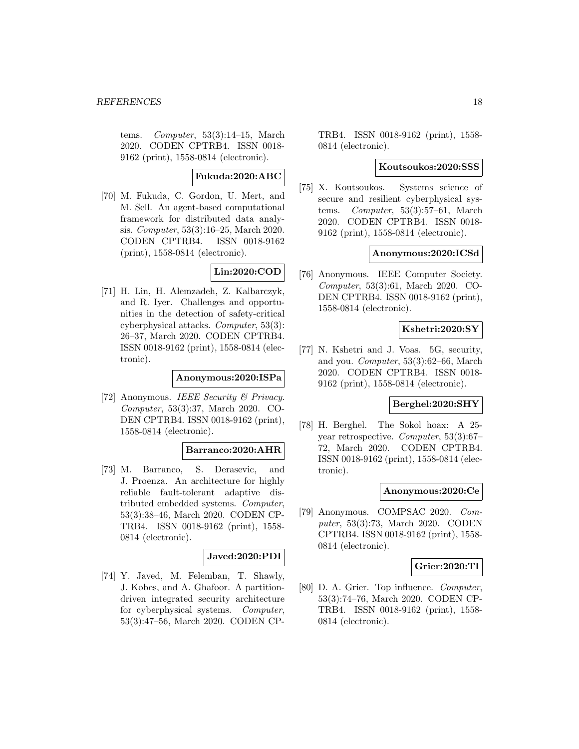tems. Computer, 53(3):14–15, March 2020. CODEN CPTRB4. ISSN 0018- 9162 (print), 1558-0814 (electronic).

### **Fukuda:2020:ABC**

[70] M. Fukuda, C. Gordon, U. Mert, and M. Sell. An agent-based computational framework for distributed data analysis. Computer, 53(3):16–25, March 2020. CODEN CPTRB4. ISSN 0018-9162 (print), 1558-0814 (electronic).

# **Lin:2020:COD**

[71] H. Lin, H. Alemzadeh, Z. Kalbarczyk, and R. Iyer. Challenges and opportunities in the detection of safety-critical cyberphysical attacks. Computer, 53(3): 26–37, March 2020. CODEN CPTRB4. ISSN 0018-9162 (print), 1558-0814 (electronic).

### **Anonymous:2020:ISPa**

[72] Anonymous. IEEE Security & Privacy. Computer, 53(3):37, March 2020. CO-DEN CPTRB4. ISSN 0018-9162 (print), 1558-0814 (electronic).

#### **Barranco:2020:AHR**

[73] M. Barranco, S. Derasevic, and J. Proenza. An architecture for highly reliable fault-tolerant adaptive distributed embedded systems. Computer, 53(3):38–46, March 2020. CODEN CP-TRB4. ISSN 0018-9162 (print), 1558- 0814 (electronic).

### **Javed:2020:PDI**

[74] Y. Javed, M. Felemban, T. Shawly, J. Kobes, and A. Ghafoor. A partitiondriven integrated security architecture for cyberphysical systems. Computer, 53(3):47–56, March 2020. CODEN CP- TRB4. ISSN 0018-9162 (print), 1558- 0814 (electronic).

### **Koutsoukos:2020:SSS**

[75] X. Koutsoukos. Systems science of secure and resilient cyberphysical systems. Computer, 53(3):57–61, March 2020. CODEN CPTRB4. ISSN 0018- 9162 (print), 1558-0814 (electronic).

### **Anonymous:2020:ICSd**

[76] Anonymous. IEEE Computer Society. Computer, 53(3):61, March 2020. CO-DEN CPTRB4. ISSN 0018-9162 (print), 1558-0814 (electronic).

#### **Kshetri:2020:SY**

[77] N. Kshetri and J. Voas. 5G, security, and you. Computer, 53(3):62–66, March 2020. CODEN CPTRB4. ISSN 0018- 9162 (print), 1558-0814 (electronic).

### **Berghel:2020:SHY**

[78] H. Berghel. The Sokol hoax: A 25 year retrospective. Computer, 53(3):67– 72, March 2020. CODEN CPTRB4. ISSN 0018-9162 (print), 1558-0814 (electronic).

#### **Anonymous:2020:Ce**

[79] Anonymous. COMPSAC 2020. Computer, 53(3):73, March 2020. CODEN CPTRB4. ISSN 0018-9162 (print), 1558- 0814 (electronic).

### **Grier:2020:TI**

[80] D. A. Grier. Top influence. Computer, 53(3):74–76, March 2020. CODEN CP-TRB4. ISSN 0018-9162 (print), 1558- 0814 (electronic).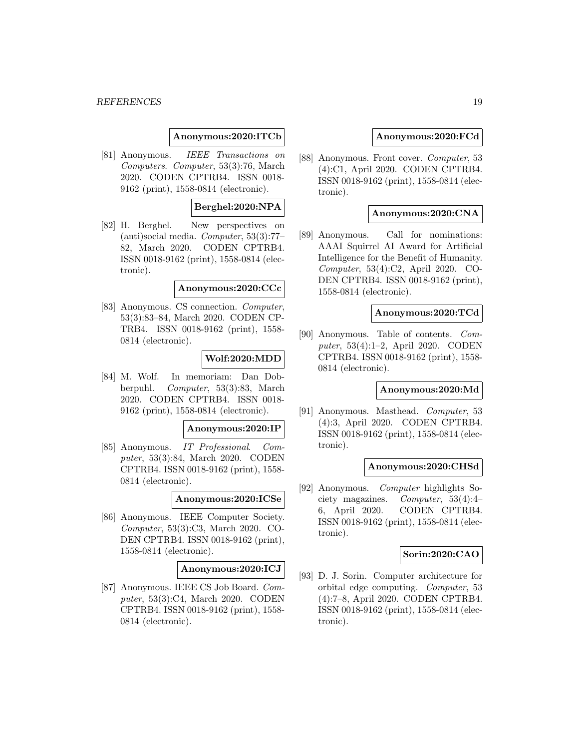### **Anonymous:2020:ITCb**

[81] Anonymous. IEEE Transactions on Computers. Computer, 53(3):76, March 2020. CODEN CPTRB4. ISSN 0018- 9162 (print), 1558-0814 (electronic).

### **Berghel:2020:NPA**

[82] H. Berghel. New perspectives on (anti)social media. Computer, 53(3):77– 82, March 2020. CODEN CPTRB4. ISSN 0018-9162 (print), 1558-0814 (electronic).

#### **Anonymous:2020:CCc**

[83] Anonymous. CS connection. Computer, 53(3):83–84, March 2020. CODEN CP-TRB4. ISSN 0018-9162 (print), 1558- 0814 (electronic).

### **Wolf:2020:MDD**

[84] M. Wolf. In memoriam: Dan Dobberpuhl. Computer, 53(3):83, March 2020. CODEN CPTRB4. ISSN 0018- 9162 (print), 1558-0814 (electronic).

#### **Anonymous:2020:IP**

[85] Anonymous. IT Professional. Computer, 53(3):84, March 2020. CODEN CPTRB4. ISSN 0018-9162 (print), 1558- 0814 (electronic).

#### **Anonymous:2020:ICSe**

[86] Anonymous. IEEE Computer Society. Computer, 53(3):C3, March 2020. CO-DEN CPTRB4. ISSN 0018-9162 (print), 1558-0814 (electronic).

#### **Anonymous:2020:ICJ**

[87] Anonymous. IEEE CS Job Board. Computer, 53(3):C4, March 2020. CODEN CPTRB4. ISSN 0018-9162 (print), 1558- 0814 (electronic).

#### **Anonymous:2020:FCd**

[88] Anonymous. Front cover. Computer, 53 (4):C1, April 2020. CODEN CPTRB4. ISSN 0018-9162 (print), 1558-0814 (electronic).

### **Anonymous:2020:CNA**

[89] Anonymous. Call for nominations: AAAI Squirrel AI Award for Artificial Intelligence for the Benefit of Humanity. Computer, 53(4):C2, April 2020. CO-DEN CPTRB4. ISSN 0018-9162 (print), 1558-0814 (electronic).

### **Anonymous:2020:TCd**

[90] Anonymous. Table of contents. Computer, 53(4):1–2, April 2020. CODEN CPTRB4. ISSN 0018-9162 (print), 1558- 0814 (electronic).

### **Anonymous:2020:Md**

[91] Anonymous. Masthead. Computer, 53 (4):3, April 2020. CODEN CPTRB4. ISSN 0018-9162 (print), 1558-0814 (electronic).

#### **Anonymous:2020:CHSd**

[92] Anonymous. Computer highlights Society magazines. Computer, 53(4):4– 6, April 2020. CODEN CPTRB4. ISSN 0018-9162 (print), 1558-0814 (electronic).

#### **Sorin:2020:CAO**

[93] D. J. Sorin. Computer architecture for orbital edge computing. Computer, 53 (4):7–8, April 2020. CODEN CPTRB4. ISSN 0018-9162 (print), 1558-0814 (electronic).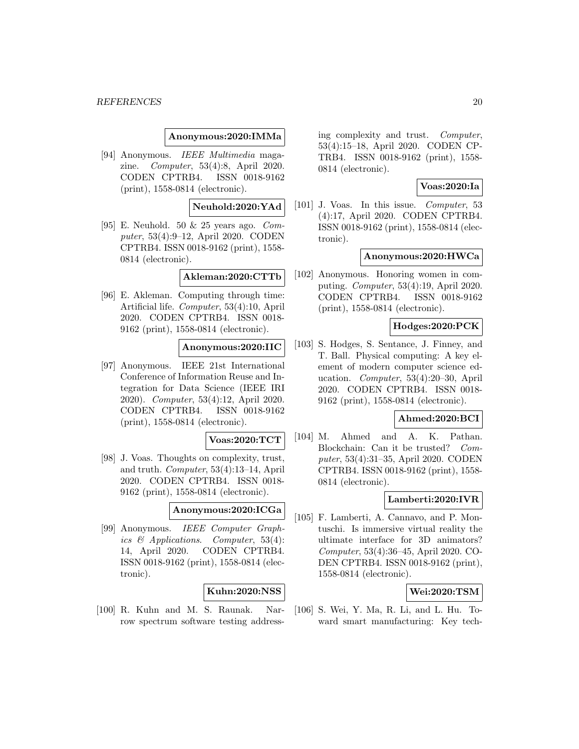#### **Anonymous:2020:IMMa**

[94] Anonymous. IEEE Multimedia magazine. Computer, 53(4):8, April 2020. CODEN CPTRB4. ISSN 0018-9162 (print), 1558-0814 (electronic).

### **Neuhold:2020:YAd**

[95] E. Neuhold. 50 & 25 years ago. Computer, 53(4):9–12, April 2020. CODEN CPTRB4. ISSN 0018-9162 (print), 1558- 0814 (electronic).

#### **Akleman:2020:CTTb**

[96] E. Akleman. Computing through time: Artificial life. Computer, 53(4):10, April 2020. CODEN CPTRB4. ISSN 0018- 9162 (print), 1558-0814 (electronic).

#### **Anonymous:2020:IIC**

[97] Anonymous. IEEE 21st International Conference of Information Reuse and Integration for Data Science (IEEE IRI 2020). Computer, 53(4):12, April 2020. CODEN CPTRB4. ISSN 0018-9162 (print), 1558-0814 (electronic).

#### **Voas:2020:TCT**

[98] J. Voas. Thoughts on complexity, trust, and truth. Computer, 53(4):13–14, April 2020. CODEN CPTRB4. ISSN 0018- 9162 (print), 1558-0814 (electronic).

### **Anonymous:2020:ICGa**

[99] Anonymous. IEEE Computer Graphics & Applications. Computer, 53(4): 14, April 2020. CODEN CPTRB4. ISSN 0018-9162 (print), 1558-0814 (electronic).

### **Kuhn:2020:NSS**

[100] R. Kuhn and M. S. Raunak. Narrow spectrum software testing address-

ing complexity and trust. Computer, 53(4):15–18, April 2020. CODEN CP-TRB4. ISSN 0018-9162 (print), 1558- 0814 (electronic).

### **Voas:2020:Ia**

[101] J. Voas. In this issue. Computer, 53 (4):17, April 2020. CODEN CPTRB4. ISSN 0018-9162 (print), 1558-0814 (electronic).

#### **Anonymous:2020:HWCa**

[102] Anonymous. Honoring women in computing. Computer, 53(4):19, April 2020. CODEN CPTRB4. ISSN 0018-9162 (print), 1558-0814 (electronic).

# **Hodges:2020:PCK**

[103] S. Hodges, S. Sentance, J. Finney, and T. Ball. Physical computing: A key element of modern computer science education. Computer, 53(4):20–30, April 2020. CODEN CPTRB4. ISSN 0018- 9162 (print), 1558-0814 (electronic).

#### **Ahmed:2020:BCI**

[104] M. Ahmed and A. K. Pathan. Blockchain: Can it be trusted? Computer, 53(4):31–35, April 2020. CODEN CPTRB4. ISSN 0018-9162 (print), 1558- 0814 (electronic).

### **Lamberti:2020:IVR**

[105] F. Lamberti, A. Cannavo, and P. Montuschi. Is immersive virtual reality the ultimate interface for 3D animators? Computer, 53(4):36–45, April 2020. CO-DEN CPTRB4. ISSN 0018-9162 (print), 1558-0814 (electronic).

### **Wei:2020:TSM**

[106] S. Wei, Y. Ma, R. Li, and L. Hu. Toward smart manufacturing: Key tech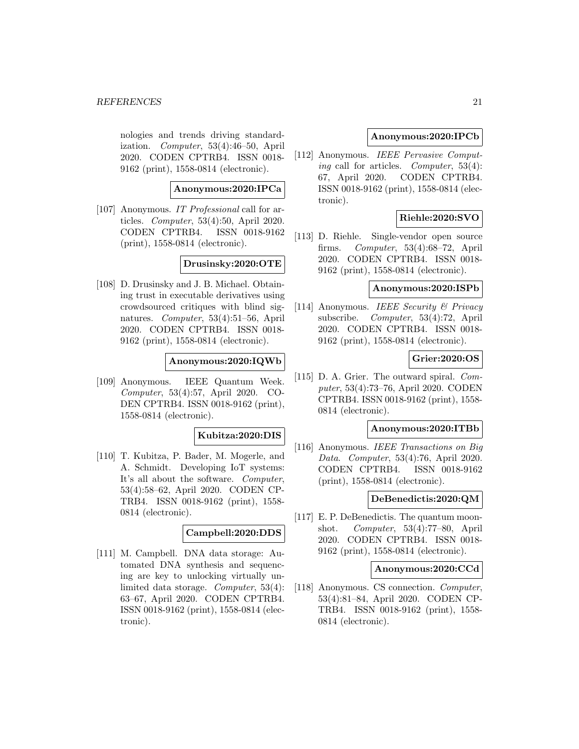nologies and trends driving standardization. Computer, 53(4):46–50, April 2020. CODEN CPTRB4. ISSN 0018- 9162 (print), 1558-0814 (electronic).

### **Anonymous:2020:IPCa**

[107] Anonymous. IT Professional call for articles. Computer, 53(4):50, April 2020. CODEN CPTRB4. ISSN 0018-9162 (print), 1558-0814 (electronic).

### **Drusinsky:2020:OTE**

[108] D. Drusinsky and J. B. Michael. Obtaining trust in executable derivatives using crowdsourced critiques with blind signatures. Computer, 53(4):51–56, April 2020. CODEN CPTRB4. ISSN 0018- 9162 (print), 1558-0814 (electronic).

### **Anonymous:2020:IQWb**

[109] Anonymous. IEEE Quantum Week. Computer, 53(4):57, April 2020. CO-DEN CPTRB4. ISSN 0018-9162 (print), 1558-0814 (electronic).

# **Kubitza:2020:DIS**

[110] T. Kubitza, P. Bader, M. Mogerle, and A. Schmidt. Developing IoT systems: It's all about the software. Computer, 53(4):58–62, April 2020. CODEN CP-TRB4. ISSN 0018-9162 (print), 1558- 0814 (electronic).

#### **Campbell:2020:DDS**

[111] M. Campbell. DNA data storage: Automated DNA synthesis and sequencing are key to unlocking virtually unlimited data storage. Computer, 53(4): 63–67, April 2020. CODEN CPTRB4. ISSN 0018-9162 (print), 1558-0814 (electronic).

### **Anonymous:2020:IPCb**

[112] Anonymous. IEEE Pervasive Computing call for articles. Computer, 53(4): 67, April 2020. CODEN CPTRB4. ISSN 0018-9162 (print), 1558-0814 (electronic).

### **Riehle:2020:SVO**

[113] D. Riehle. Single-vendor open source firms. Computer, 53(4):68–72, April 2020. CODEN CPTRB4. ISSN 0018- 9162 (print), 1558-0814 (electronic).

#### **Anonymous:2020:ISPb**

[114] Anonymous. IEEE Security & Privacy subscribe. Computer, 53(4):72, April 2020. CODEN CPTRB4. ISSN 0018- 9162 (print), 1558-0814 (electronic).

### **Grier:2020:OS**

[115] D. A. Grier. The outward spiral. Computer, 53(4):73–76, April 2020. CODEN CPTRB4. ISSN 0018-9162 (print), 1558- 0814 (electronic).

#### **Anonymous:2020:ITBb**

[116] Anonymous. IEEE Transactions on Big Data. Computer, 53(4):76, April 2020. CODEN CPTRB4. ISSN 0018-9162 (print), 1558-0814 (electronic).

### **DeBenedictis:2020:QM**

[117] E. P. DeBenedictis. The quantum moonshot. Computer, 53(4):77–80, April 2020. CODEN CPTRB4. ISSN 0018- 9162 (print), 1558-0814 (electronic).

#### **Anonymous:2020:CCd**

[118] Anonymous. CS connection. Computer, 53(4):81–84, April 2020. CODEN CP-TRB4. ISSN 0018-9162 (print), 1558- 0814 (electronic).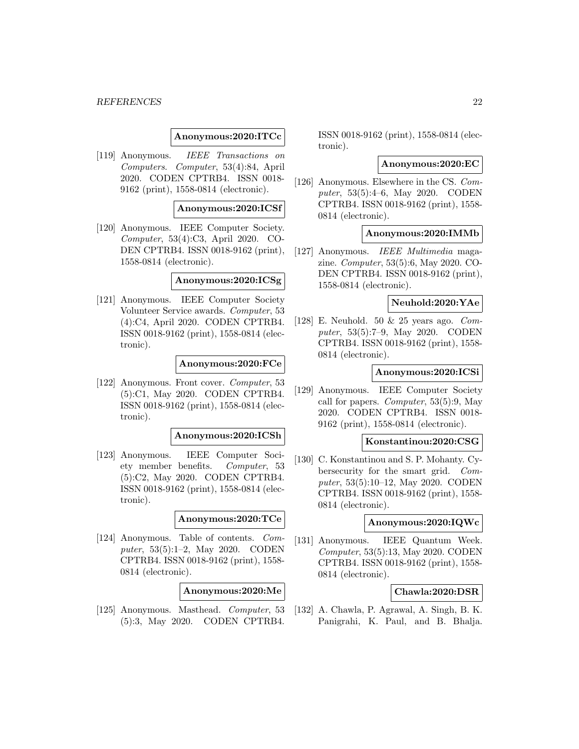#### *REFERENCES* 22

#### **Anonymous:2020:ITCc**

[119] Anonymous. IEEE Transactions on Computers. Computer, 53(4):84, April 2020. CODEN CPTRB4. ISSN 0018- 9162 (print), 1558-0814 (electronic).

#### **Anonymous:2020:ICSf**

[120] Anonymous. IEEE Computer Society. Computer, 53(4):C3, April 2020. CO-DEN CPTRB4. ISSN 0018-9162 (print), 1558-0814 (electronic).

### **Anonymous:2020:ICSg**

[121] Anonymous. IEEE Computer Society Volunteer Service awards. Computer, 53 (4):C4, April 2020. CODEN CPTRB4. ISSN 0018-9162 (print), 1558-0814 (electronic).

#### **Anonymous:2020:FCe**

[122] Anonymous. Front cover. Computer, 53 (5):C1, May 2020. CODEN CPTRB4. ISSN 0018-9162 (print), 1558-0814 (electronic).

#### **Anonymous:2020:ICSh**

[123] Anonymous. IEEE Computer Society member benefits. Computer, 53 (5):C2, May 2020. CODEN CPTRB4. ISSN 0018-9162 (print), 1558-0814 (electronic).

#### **Anonymous:2020:TCe**

[124] Anonymous. Table of contents. Computer, 53(5):1–2, May 2020. CODEN CPTRB4. ISSN 0018-9162 (print), 1558- 0814 (electronic).

#### **Anonymous:2020:Me**

[125] Anonymous. Masthead. Computer, 53 (5):3, May 2020. CODEN CPTRB4.

ISSN 0018-9162 (print), 1558-0814 (electronic).

#### **Anonymous:2020:EC**

[126] Anonymous. Elsewhere in the CS. Computer, 53(5):4–6, May 2020. CODEN CPTRB4. ISSN 0018-9162 (print), 1558- 0814 (electronic).

### **Anonymous:2020:IMMb**

[127] Anonymous. IEEE Multimedia magazine. Computer, 53(5):6, May 2020. CO-DEN CPTRB4. ISSN 0018-9162 (print), 1558-0814 (electronic).

#### **Neuhold:2020:YAe**

[128] E. Neuhold. 50 & 25 years ago. Computer, 53(5):7–9, May 2020. CODEN CPTRB4. ISSN 0018-9162 (print), 1558- 0814 (electronic).

#### **Anonymous:2020:ICSi**

[129] Anonymous. IEEE Computer Society call for papers. Computer, 53(5):9, May 2020. CODEN CPTRB4. ISSN 0018- 9162 (print), 1558-0814 (electronic).

#### **Konstantinou:2020:CSG**

[130] C. Konstantinou and S. P. Mohanty. Cybersecurity for the smart grid. Computer, 53(5):10–12, May 2020. CODEN CPTRB4. ISSN 0018-9162 (print), 1558- 0814 (electronic).

#### **Anonymous:2020:IQWc**

[131] Anonymous. IEEE Quantum Week. Computer, 53(5):13, May 2020. CODEN CPTRB4. ISSN 0018-9162 (print), 1558- 0814 (electronic).

### **Chawla:2020:DSR**

[132] A. Chawla, P. Agrawal, A. Singh, B. K. Panigrahi, K. Paul, and B. Bhalja.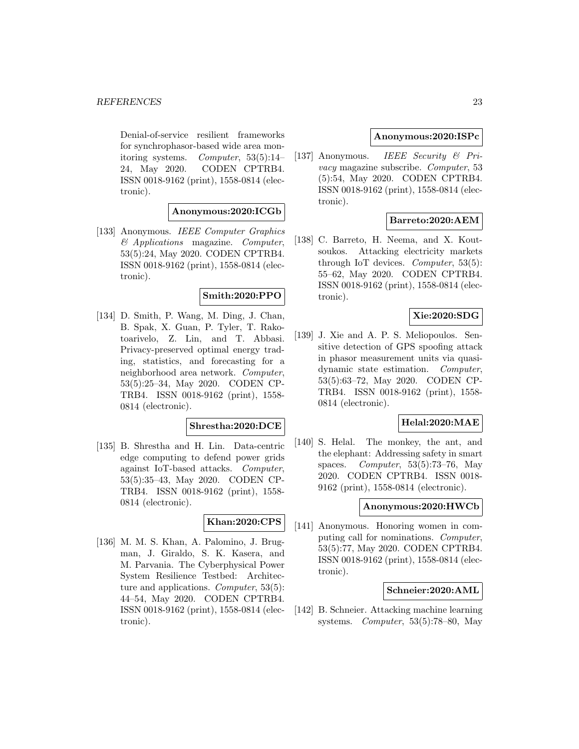Denial-of-service resilient frameworks for synchrophasor-based wide area monitoring systems. Computer, 53(5):14– 24, May 2020. CODEN CPTRB4. ISSN 0018-9162 (print), 1558-0814 (electronic).

### **Anonymous:2020:ICGb**

[133] Anonymous. IEEE Computer Graphics  $\&$  Applications magazine. Computer, 53(5):24, May 2020. CODEN CPTRB4. ISSN 0018-9162 (print), 1558-0814 (electronic).

### **Smith:2020:PPO**

[134] D. Smith, P. Wang, M. Ding, J. Chan, B. Spak, X. Guan, P. Tyler, T. Rakotoarivelo, Z. Lin, and T. Abbasi. Privacy-preserved optimal energy trading, statistics, and forecasting for a neighborhood area network. Computer, 53(5):25–34, May 2020. CODEN CP-TRB4. ISSN 0018-9162 (print), 1558- 0814 (electronic).

#### **Shrestha:2020:DCE**

[135] B. Shrestha and H. Lin. Data-centric edge computing to defend power grids against IoT-based attacks. Computer, 53(5):35–43, May 2020. CODEN CP-TRB4. ISSN 0018-9162 (print), 1558- 0814 (electronic).

# **Khan:2020:CPS**

[136] M. M. S. Khan, A. Palomino, J. Brugman, J. Giraldo, S. K. Kasera, and M. Parvania. The Cyberphysical Power System Resilience Testbed: Architecture and applications. Computer, 53(5): 44–54, May 2020. CODEN CPTRB4. ISSN 0018-9162 (print), 1558-0814 (electronic).

#### **Anonymous:2020:ISPc**

[137] Anonymous. IEEE Security & Privacy magazine subscribe. Computer, 53 (5):54, May 2020. CODEN CPTRB4. ISSN 0018-9162 (print), 1558-0814 (electronic).

### **Barreto:2020:AEM**

[138] C. Barreto, H. Neema, and X. Koutsoukos. Attacking electricity markets through IoT devices. *Computer*,  $53(5)$ : 55–62, May 2020. CODEN CPTRB4. ISSN 0018-9162 (print), 1558-0814 (electronic).

### **Xie:2020:SDG**

[139] J. Xie and A. P. S. Meliopoulos. Sensitive detection of GPS spoofing attack in phasor measurement units via quasidynamic state estimation. Computer, 53(5):63–72, May 2020. CODEN CP-TRB4. ISSN 0018-9162 (print), 1558- 0814 (electronic).

# **Helal:2020:MAE**

[140] S. Helal. The monkey, the ant, and the elephant: Addressing safety in smart spaces. Computer,  $53(5):73-76$ , May 2020. CODEN CPTRB4. ISSN 0018- 9162 (print), 1558-0814 (electronic).

#### **Anonymous:2020:HWCb**

[141] Anonymous. Honoring women in computing call for nominations. Computer, 53(5):77, May 2020. CODEN CPTRB4. ISSN 0018-9162 (print), 1558-0814 (electronic).

#### **Schneier:2020:AML**

[142] B. Schneier. Attacking machine learning systems. Computer, 53(5):78–80, May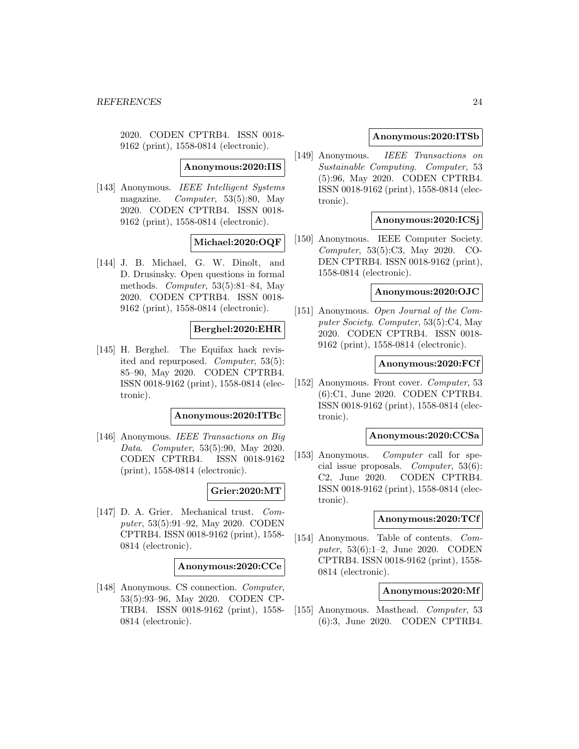2020. CODEN CPTRB4. ISSN 0018- 9162 (print), 1558-0814 (electronic).

**Anonymous:2020:IIS**

[143] Anonymous. IEEE Intelligent Systems magazine. Computer, 53(5):80, May 2020. CODEN CPTRB4. ISSN 0018- 9162 (print), 1558-0814 (electronic).

### **Michael:2020:OQF**

[144] J. B. Michael, G. W. Dinolt, and D. Drusinsky. Open questions in formal methods. Computer, 53(5):81–84, May 2020. CODEN CPTRB4. ISSN 0018- 9162 (print), 1558-0814 (electronic).

### **Berghel:2020:EHR**

[145] H. Berghel. The Equifax hack revisited and repurposed. Computer, 53(5): 85–90, May 2020. CODEN CPTRB4. ISSN 0018-9162 (print), 1558-0814 (electronic).

#### **Anonymous:2020:ITBc**

[146] Anonymous. IEEE Transactions on Big Data. Computer, 53(5):90, May 2020. CODEN CPTRB4. ISSN 0018-9162 (print), 1558-0814 (electronic).

### **Grier:2020:MT**

[147] D. A. Grier. Mechanical trust. Computer, 53(5):91–92, May 2020. CODEN CPTRB4. ISSN 0018-9162 (print), 1558- 0814 (electronic).

#### **Anonymous:2020:CCe**

[148] Anonymous. CS connection. Computer, 53(5):93–96, May 2020. CODEN CP-TRB4. ISSN 0018-9162 (print), 1558- 0814 (electronic).

### **Anonymous:2020:ITSb**

[149] Anonymous. IEEE Transactions on Sustainable Computing. Computer, 53 (5):96, May 2020. CODEN CPTRB4. ISSN 0018-9162 (print), 1558-0814 (electronic).

### **Anonymous:2020:ICSj**

[150] Anonymous. IEEE Computer Society. Computer, 53(5):C3, May 2020. CO-DEN CPTRB4. ISSN 0018-9162 (print), 1558-0814 (electronic).

#### **Anonymous:2020:OJC**

[151] Anonymous. Open Journal of the Computer Society. Computer, 53(5):C4, May 2020. CODEN CPTRB4. ISSN 0018- 9162 (print), 1558-0814 (electronic).

#### **Anonymous:2020:FCf**

[152] Anonymous. Front cover. *Computer*, 53 (6):C1, June 2020. CODEN CPTRB4. ISSN 0018-9162 (print), 1558-0814 (electronic).

#### **Anonymous:2020:CCSa**

[153] Anonymous. Computer call for special issue proposals. Computer, 53(6): C2, June 2020. CODEN CPTRB4. ISSN 0018-9162 (print), 1558-0814 (electronic).

### **Anonymous:2020:TCf**

[154] Anonymous. Table of contents. Computer, 53(6):1–2, June 2020. CODEN CPTRB4. ISSN 0018-9162 (print), 1558- 0814 (electronic).

#### **Anonymous:2020:Mf**

[155] Anonymous. Masthead. Computer, 53 (6):3, June 2020. CODEN CPTRB4.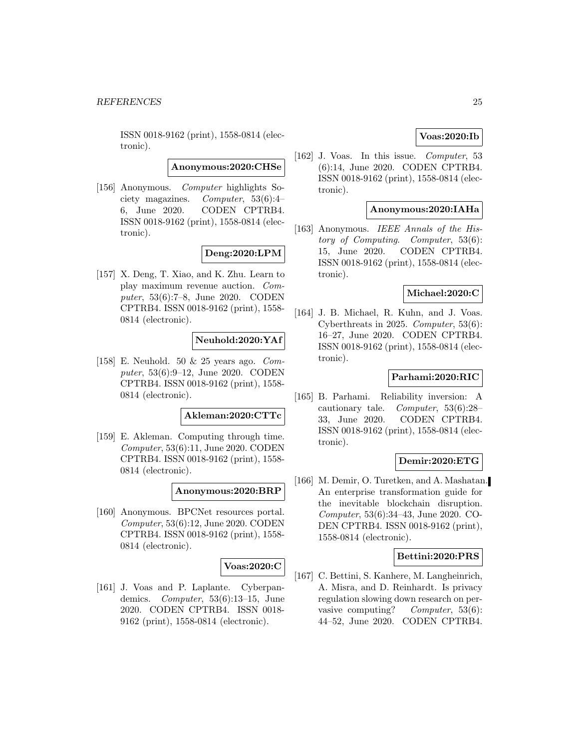ISSN 0018-9162 (print), 1558-0814 (electronic).

**Anonymous:2020:CHSe**

[156] Anonymous. Computer highlights Society magazines. Computer, 53(6):4– 6, June 2020. CODEN CPTRB4. ISSN 0018-9162 (print), 1558-0814 (electronic).

### **Deng:2020:LPM**

[157] X. Deng, T. Xiao, and K. Zhu. Learn to play maximum revenue auction. Computer, 53(6):7–8, June 2020. CODEN CPTRB4. ISSN 0018-9162 (print), 1558- 0814 (electronic).

#### **Neuhold:2020:YAf**

[158] E. Neuhold. 50 & 25 years ago. Computer, 53(6):9–12, June 2020. CODEN CPTRB4. ISSN 0018-9162 (print), 1558- 0814 (electronic).

#### **Akleman:2020:CTTc**

[159] E. Akleman. Computing through time. Computer, 53(6):11, June 2020. CODEN CPTRB4. ISSN 0018-9162 (print), 1558- 0814 (electronic).

#### **Anonymous:2020:BRP**

[160] Anonymous. BPCNet resources portal. Computer, 53(6):12, June 2020. CODEN CPTRB4. ISSN 0018-9162 (print), 1558- 0814 (electronic).

### **Voas:2020:C**

[161] J. Voas and P. Laplante. Cyberpandemics. Computer, 53(6):13–15, June 2020. CODEN CPTRB4. ISSN 0018- 9162 (print), 1558-0814 (electronic).

### **Voas:2020:Ib**

[162] J. Voas. In this issue. Computer, 53 (6):14, June 2020. CODEN CPTRB4. ISSN 0018-9162 (print), 1558-0814 (electronic).

#### **Anonymous:2020:IAHa**

[163] Anonymous. IEEE Annals of the History of Computing. Computer, 53(6): 15, June 2020. CODEN CPTRB4. ISSN 0018-9162 (print), 1558-0814 (electronic).

### **Michael:2020:C**

[164] J. B. Michael, R. Kuhn, and J. Voas. Cyberthreats in 2025. Computer, 53(6): 16–27, June 2020. CODEN CPTRB4. ISSN 0018-9162 (print), 1558-0814 (electronic).

### **Parhami:2020:RIC**

[165] B. Parhami. Reliability inversion: A cautionary tale. Computer, 53(6):28– 33, June 2020. CODEN CPTRB4. ISSN 0018-9162 (print), 1558-0814 (electronic).

#### **Demir:2020:ETG**

[166] M. Demir, O. Turetken, and A. Mashatan. An enterprise transformation guide for the inevitable blockchain disruption. Computer, 53(6):34–43, June 2020. CO-DEN CPTRB4. ISSN 0018-9162 (print), 1558-0814 (electronic).

#### **Bettini:2020:PRS**

[167] C. Bettini, S. Kanhere, M. Langheinrich, A. Misra, and D. Reinhardt. Is privacy regulation slowing down research on pervasive computing? Computer, 53(6): 44–52, June 2020. CODEN CPTRB4.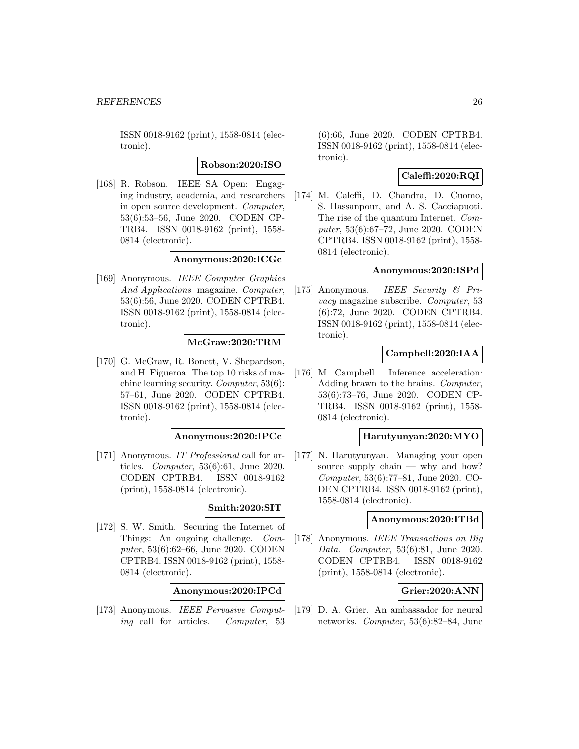ISSN 0018-9162 (print), 1558-0814 (electronic).

**Robson:2020:ISO**

[168] R. Robson. IEEE SA Open: Engaging industry, academia, and researchers in open source development. Computer, 53(6):53–56, June 2020. CODEN CP-TRB4. ISSN 0018-9162 (print), 1558- 0814 (electronic).

### **Anonymous:2020:ICGc**

[169] Anonymous. IEEE Computer Graphics And Applications magazine. Computer, 53(6):56, June 2020. CODEN CPTRB4. ISSN 0018-9162 (print), 1558-0814 (electronic).

### **McGraw:2020:TRM**

[170] G. McGraw, R. Bonett, V. Shepardson, and H. Figueroa. The top 10 risks of machine learning security. Computer, 53(6): 57–61, June 2020. CODEN CPTRB4. ISSN 0018-9162 (print), 1558-0814 (electronic).

#### **Anonymous:2020:IPCc**

[171] Anonymous. IT Professional call for articles. Computer, 53(6):61, June 2020. CODEN CPTRB4. ISSN 0018-9162 (print), 1558-0814 (electronic).

#### **Smith:2020:SIT**

[172] S. W. Smith. Securing the Internet of Things: An ongoing challenge. Computer, 53(6):62–66, June 2020. CODEN CPTRB4. ISSN 0018-9162 (print), 1558- 0814 (electronic).

### **Anonymous:2020:IPCd**

[173] Anonymous. IEEE Pervasive Computing call for articles. Computer, 53

(6):66, June 2020. CODEN CPTRB4. ISSN 0018-9162 (print), 1558-0814 (electronic).

### **Caleffi:2020:RQI**

[174] M. Caleffi, D. Chandra, D. Cuomo, S. Hassanpour, and A. S. Cacciapuoti. The rise of the quantum Internet. Computer, 53(6):67–72, June 2020. CODEN CPTRB4. ISSN 0018-9162 (print), 1558- 0814 (electronic).

### **Anonymous:2020:ISPd**

[175] Anonymous. IEEE Security & Privacy magazine subscribe. Computer, 53 (6):72, June 2020. CODEN CPTRB4. ISSN 0018-9162 (print), 1558-0814 (electronic).

### **Campbell:2020:IAA**

[176] M. Campbell. Inference acceleration: Adding brawn to the brains. Computer, 53(6):73–76, June 2020. CODEN CP-TRB4. ISSN 0018-9162 (print), 1558- 0814 (electronic).

#### **Harutyunyan:2020:MYO**

[177] N. Harutyunyan. Managing your open source supply chain — why and how? Computer, 53(6):77–81, June 2020. CO-DEN CPTRB4. ISSN 0018-9162 (print), 1558-0814 (electronic).

### **Anonymous:2020:ITBd**

[178] Anonymous. IEEE Transactions on Big Data. Computer, 53(6):81, June 2020. CODEN CPTRB4. ISSN 0018-9162 (print), 1558-0814 (electronic).

### **Grier:2020:ANN**

[179] D. A. Grier. An ambassador for neural networks. Computer, 53(6):82–84, June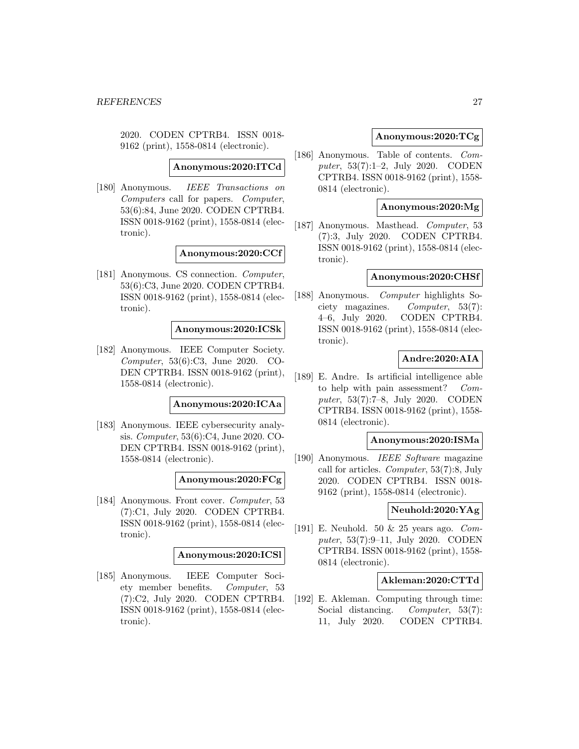2020. CODEN CPTRB4. ISSN 0018- 9162 (print), 1558-0814 (electronic).

**Anonymous:2020:ITCd**

[180] Anonymous. IEEE Transactions on Computers call for papers. Computer, 53(6):84, June 2020. CODEN CPTRB4. ISSN 0018-9162 (print), 1558-0814 (electronic).

#### **Anonymous:2020:CCf**

[181] Anonymous. CS connection. Computer, 53(6):C3, June 2020. CODEN CPTRB4. ISSN 0018-9162 (print), 1558-0814 (electronic).

#### **Anonymous:2020:ICSk**

[182] Anonymous. IEEE Computer Society. Computer, 53(6):C3, June 2020. CO-DEN CPTRB4. ISSN 0018-9162 (print), 1558-0814 (electronic).

### **Anonymous:2020:ICAa**

[183] Anonymous. IEEE cybersecurity analysis. Computer, 53(6):C4, June 2020. CO-DEN CPTRB4. ISSN 0018-9162 (print), 1558-0814 (electronic).

#### **Anonymous:2020:FCg**

[184] Anonymous. Front cover. Computer, 53 (7):C1, July 2020. CODEN CPTRB4. ISSN 0018-9162 (print), 1558-0814 (electronic).

#### **Anonymous:2020:ICSl**

[185] Anonymous. IEEE Computer Society member benefits. Computer, 53 (7):C2, July 2020. CODEN CPTRB4. ISSN 0018-9162 (print), 1558-0814 (electronic).

### **Anonymous:2020:TCg**

[186] Anonymous. Table of contents. Computer, 53(7):1–2, July 2020. CODEN CPTRB4. ISSN 0018-9162 (print), 1558- 0814 (electronic).

### **Anonymous:2020:Mg**

[187] Anonymous. Masthead. Computer, 53 (7):3, July 2020. CODEN CPTRB4. ISSN 0018-9162 (print), 1558-0814 (electronic).

#### **Anonymous:2020:CHSf**

[188] Anonymous. Computer highlights Society magazines. Computer, 53(7): 4–6, July 2020. CODEN CPTRB4. ISSN 0018-9162 (print), 1558-0814 (electronic).

### **Andre:2020:AIA**

[189] E. Andre. Is artificial intelligence able to help with pain assessment? Computer, 53(7):7–8, July 2020. CODEN CPTRB4. ISSN 0018-9162 (print), 1558- 0814 (electronic).

#### **Anonymous:2020:ISMa**

[190] Anonymous. IEEE Software magazine call for articles. Computer, 53(7):8, July 2020. CODEN CPTRB4. ISSN 0018- 9162 (print), 1558-0814 (electronic).

### **Neuhold:2020:YAg**

[191] E. Neuhold. 50 & 25 years ago. Computer, 53(7):9–11, July 2020. CODEN CPTRB4. ISSN 0018-9162 (print), 1558- 0814 (electronic).

### **Akleman:2020:CTTd**

[192] E. Akleman. Computing through time: Social distancing. *Computer*, 53(7): 11, July 2020. CODEN CPTRB4.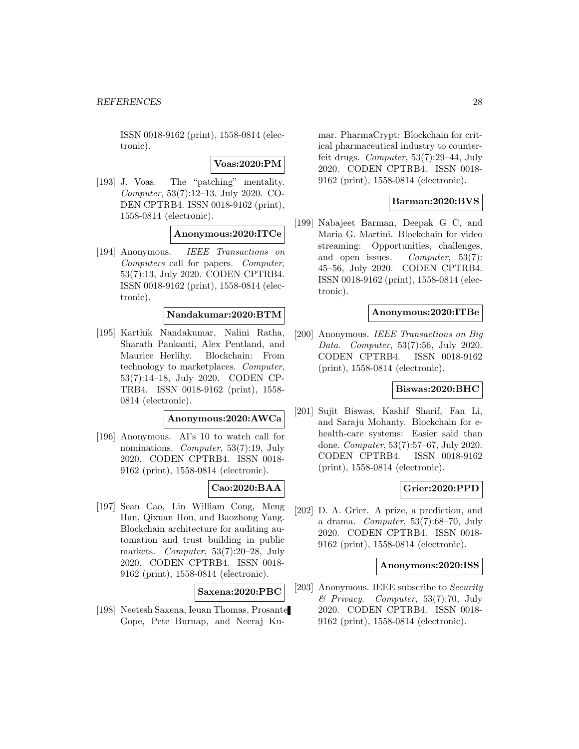ISSN 0018-9162 (print), 1558-0814 (electronic).

**Voas:2020:PM**

[193] J. Voas. The "patching" mentality. Computer, 53(7):12–13, July 2020. CO-DEN CPTRB4. ISSN 0018-9162 (print), 1558-0814 (electronic).

**Anonymous:2020:ITCe**

[194] Anonymous. IEEE Transactions on Computers call for papers. Computer, 53(7):13, July 2020. CODEN CPTRB4. ISSN 0018-9162 (print), 1558-0814 (electronic).

### **Nandakumar:2020:BTM**

[195] Karthik Nandakumar, Nalini Ratha, Sharath Pankanti, Alex Pentland, and Maurice Herlihy. Blockchain: From technology to marketplaces. Computer, 53(7):14–18, July 2020. CODEN CP-TRB4. ISSN 0018-9162 (print), 1558- 0814 (electronic).

#### **Anonymous:2020:AWCa**

[196] Anonymous. AI's 10 to watch call for nominations. Computer, 53(7):19, July 2020. CODEN CPTRB4. ISSN 0018- 9162 (print), 1558-0814 (electronic).

# **Cao:2020:BAA**

[197] Sean Cao, Lin William Cong, Meng Han, Qixuan Hou, and Baozhong Yang. Blockchain architecture for auditing automation and trust building in public markets. Computer, 53(7):20–28, July 2020. CODEN CPTRB4. ISSN 0018- 9162 (print), 1558-0814 (electronic).

### **Saxena:2020:PBC**

[198] Neetesh Saxena, Ieuan Thomas, Prosante Gope, Pete Burnap, and Neeraj Ku-

mar. PharmaCrypt: Blockchain for critical pharmaceutical industry to counterfeit drugs. Computer, 53(7):29–44, July 2020. CODEN CPTRB4. ISSN 0018- 9162 (print), 1558-0814 (electronic).

### **Barman:2020:BVS**

[199] Nabajeet Barman, Deepak G C, and Maria G. Martini. Blockchain for video streaming: Opportunities, challenges, and open issues. Computer, 53(7): 45–56, July 2020. CODEN CPTRB4. ISSN 0018-9162 (print), 1558-0814 (electronic).

### **Anonymous:2020:ITBe**

[200] Anonymous. IEEE Transactions on Big Data. Computer, 53(7):56, July 2020. CODEN CPTRB4. ISSN 0018-9162 (print), 1558-0814 (electronic).

### **Biswas:2020:BHC**

[201] Sujit Biswas, Kashif Sharif, Fan Li, and Saraju Mohanty. Blockchain for ehealth-care systems: Easier said than done. Computer, 53(7):57–67, July 2020. CODEN CPTRB4. ISSN 0018-9162 (print), 1558-0814 (electronic).

### **Grier:2020:PPD**

[202] D. A. Grier. A prize, a prediction, and a drama. Computer, 53(7):68–70, July 2020. CODEN CPTRB4. ISSN 0018- 9162 (print), 1558-0814 (electronic).

#### **Anonymous:2020:ISS**

[203] Anonymous. IEEE subscribe to Security  $\mathscr B$  Privacy. Computer, 53(7):70, July 2020. CODEN CPTRB4. ISSN 0018- 9162 (print), 1558-0814 (electronic).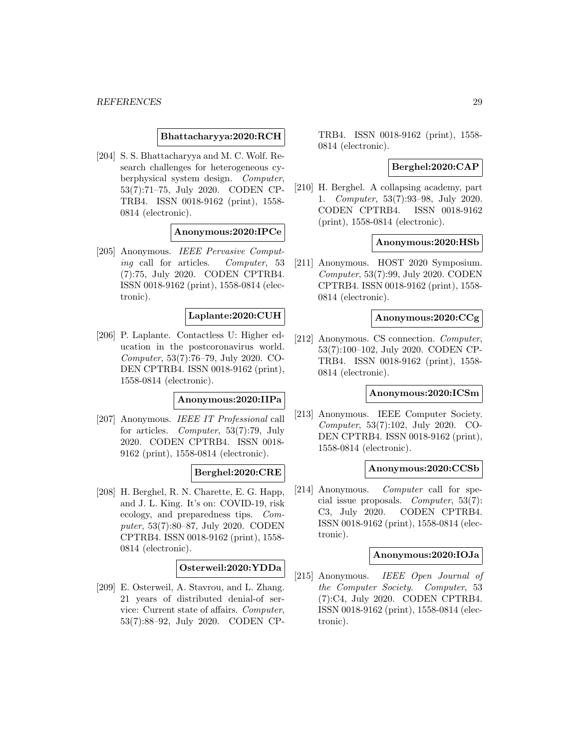### **Bhattacharyya:2020:RCH**

[204] S. S. Bhattacharyya and M. C. Wolf. Research challenges for heterogeneous cyberphysical system design. Computer, 53(7):71–75, July 2020. CODEN CP-TRB4. ISSN 0018-9162 (print), 1558- 0814 (electronic).

#### **Anonymous:2020:IPCe**

[205] Anonymous. IEEE Pervasive Computing call for articles. Computer, 53 (7):75, July 2020. CODEN CPTRB4. ISSN 0018-9162 (print), 1558-0814 (electronic).

### **Laplante:2020:CUH**

[206] P. Laplante. Contactless U: Higher education in the postcoronavirus world. Computer, 53(7):76–79, July 2020. CO-DEN CPTRB4. ISSN 0018-9162 (print), 1558-0814 (electronic).

#### **Anonymous:2020:IIPa**

[207] Anonymous. IEEE IT Professional call for articles. Computer, 53(7):79, July 2020. CODEN CPTRB4. ISSN 0018- 9162 (print), 1558-0814 (electronic).

### **Berghel:2020:CRE**

[208] H. Berghel, R. N. Charette, E. G. Happ, and J. L. King. It's on: COVID-19, risk ecology, and preparedness tips. Computer, 53(7):80–87, July 2020. CODEN CPTRB4. ISSN 0018-9162 (print), 1558- 0814 (electronic).

### **Osterweil:2020:YDDa**

[209] E. Osterweil, A. Stavrou, and L. Zhang. 21 years of distributed denial-of service: Current state of affairs. Computer, 53(7):88–92, July 2020. CODEN CP- TRB4. ISSN 0018-9162 (print), 1558- 0814 (electronic).

## **Berghel:2020:CAP**

[210] H. Berghel. A collapsing academy, part 1. Computer, 53(7):93–98, July 2020. CODEN CPTRB4. ISSN 0018-9162 (print), 1558-0814 (electronic).

#### **Anonymous:2020:HSb**

[211] Anonymous. HOST 2020 Symposium. Computer, 53(7):99, July 2020. CODEN CPTRB4. ISSN 0018-9162 (print), 1558- 0814 (electronic).

### **Anonymous:2020:CCg**

[212] Anonymous. CS connection. Computer, 53(7):100–102, July 2020. CODEN CP-TRB4. ISSN 0018-9162 (print), 1558- 0814 (electronic).

# **Anonymous:2020:ICSm**

[213] Anonymous. IEEE Computer Society. Computer, 53(7):102, July 2020. CO-DEN CPTRB4. ISSN 0018-9162 (print), 1558-0814 (electronic).

#### **Anonymous:2020:CCSb**

[214] Anonymous. Computer call for special issue proposals. Computer, 53(7): C3, July 2020. CODEN CPTRB4. ISSN 0018-9162 (print), 1558-0814 (electronic).

#### **Anonymous:2020:IOJa**

[215] Anonymous. IEEE Open Journal of the Computer Society. Computer, 53 (7):C4, July 2020. CODEN CPTRB4. ISSN 0018-9162 (print), 1558-0814 (electronic).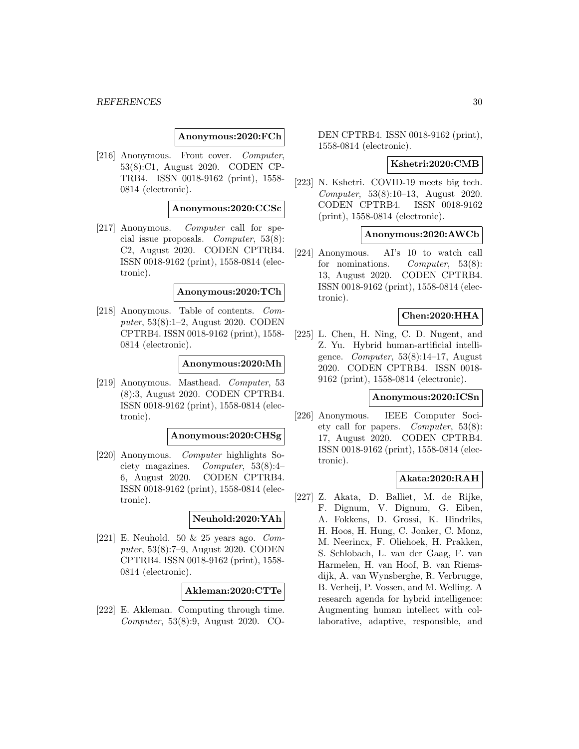#### *REFERENCES* 30

#### **Anonymous:2020:FCh**

[216] Anonymous. Front cover. Computer, 53(8):C1, August 2020. CODEN CP-TRB4. ISSN 0018-9162 (print), 1558- 0814 (electronic).

### **Anonymous:2020:CCSc**

[217] Anonymous. Computer call for special issue proposals. Computer, 53(8): C2, August 2020. CODEN CPTRB4. ISSN 0018-9162 (print), 1558-0814 (electronic).

#### **Anonymous:2020:TCh**

[218] Anonymous. Table of contents. Computer, 53(8):1–2, August 2020. CODEN CPTRB4. ISSN 0018-9162 (print), 1558- 0814 (electronic).

#### **Anonymous:2020:Mh**

[219] Anonymous. Masthead. Computer, 53 (8):3, August 2020. CODEN CPTRB4. ISSN 0018-9162 (print), 1558-0814 (electronic).

#### **Anonymous:2020:CHSg**

[220] Anonymous. Computer highlights Society magazines. Computer, 53(8):4– 6, August 2020. CODEN CPTRB4. ISSN 0018-9162 (print), 1558-0814 (electronic).

#### **Neuhold:2020:YAh**

[221] E. Neuhold. 50  $\&$  25 years ago. Computer, 53(8):7–9, August 2020. CODEN CPTRB4. ISSN 0018-9162 (print), 1558- 0814 (electronic).

#### **Akleman:2020:CTTe**

[222] E. Akleman. Computing through time. Computer, 53(8):9, August 2020. CO- DEN CPTRB4. ISSN 0018-9162 (print), 1558-0814 (electronic).

#### **Kshetri:2020:CMB**

[223] N. Kshetri. COVID-19 meets big tech. Computer, 53(8):10–13, August 2020. CODEN CPTRB4. ISSN 0018-9162 (print), 1558-0814 (electronic).

### **Anonymous:2020:AWCb**

[224] Anonymous. AI's 10 to watch call for nominations. *Computer*, 53(8): 13, August 2020. CODEN CPTRB4. ISSN 0018-9162 (print), 1558-0814 (electronic).

### **Chen:2020:HHA**

[225] L. Chen, H. Ning, C. D. Nugent, and Z. Yu. Hybrid human-artificial intelligence. *Computer*,  $53(8):14-17$ , August 2020. CODEN CPTRB4. ISSN 0018- 9162 (print), 1558-0814 (electronic).

#### **Anonymous:2020:ICSn**

[226] Anonymous. IEEE Computer Society call for papers. Computer, 53(8): 17, August 2020. CODEN CPTRB4. ISSN 0018-9162 (print), 1558-0814 (electronic).

#### **Akata:2020:RAH**

[227] Z. Akata, D. Balliet, M. de Rijke, F. Dignum, V. Dignum, G. Eiben, A. Fokkens, D. Grossi, K. Hindriks, H. Hoos, H. Hung, C. Jonker, C. Monz, M. Neerincx, F. Oliehoek, H. Prakken, S. Schlobach, L. van der Gaag, F. van Harmelen, H. van Hoof, B. van Riemsdijk, A. van Wynsberghe, R. Verbrugge, B. Verheij, P. Vossen, and M. Welling. A research agenda for hybrid intelligence: Augmenting human intellect with collaborative, adaptive, responsible, and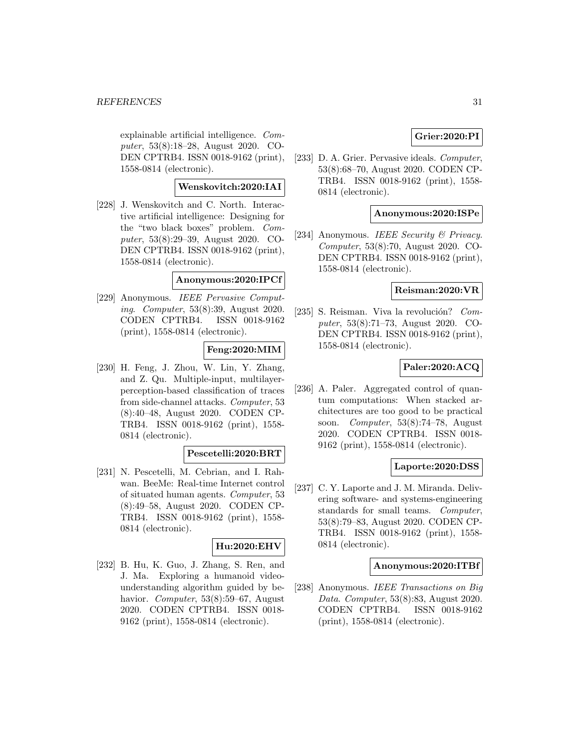explainable artificial intelligence. Computer, 53(8):18–28, August 2020. CO-DEN CPTRB4. ISSN 0018-9162 (print), 1558-0814 (electronic).

### **Wenskovitch:2020:IAI**

[228] J. Wenskovitch and C. North. Interactive artificial intelligence: Designing for the "two black boxes" problem. Computer, 53(8):29–39, August 2020. CO-DEN CPTRB4. ISSN 0018-9162 (print), 1558-0814 (electronic).

### **Anonymous:2020:IPCf**

[229] Anonymous. IEEE Pervasive Computing. Computer, 53(8):39, August 2020. CODEN CPTRB4. ISSN 0018-9162 (print), 1558-0814 (electronic).

#### **Feng:2020:MIM**

[230] H. Feng, J. Zhou, W. Lin, Y. Zhang, and Z. Qu. Multiple-input, multilayerperception-based classification of traces from side-channel attacks. Computer, 53 (8):40–48, August 2020. CODEN CP-TRB4. ISSN 0018-9162 (print), 1558- 0814 (electronic).

### **Pescetelli:2020:BRT**

[231] N. Pescetelli, M. Cebrian, and I. Rahwan. BeeMe: Real-time Internet control of situated human agents. Computer, 53 (8):49–58, August 2020. CODEN CP-TRB4. ISSN 0018-9162 (print), 1558- 0814 (electronic).

### **Hu:2020:EHV**

[232] B. Hu, K. Guo, J. Zhang, S. Ren, and J. Ma. Exploring a humanoid videounderstanding algorithm guided by behavior. Computer, 53(8):59–67, August 2020. CODEN CPTRB4. ISSN 0018- 9162 (print), 1558-0814 (electronic).

### **Grier:2020:PI**

[233] D. A. Grier. Pervasive ideals. Computer, 53(8):68–70, August 2020. CODEN CP-TRB4. ISSN 0018-9162 (print), 1558- 0814 (electronic).

### **Anonymous:2020:ISPe**

[234] Anonymous. IEEE Security & Privacy. Computer, 53(8):70, August 2020. CO-DEN CPTRB4. ISSN 0018-9162 (print), 1558-0814 (electronic).

### **Reisman:2020:VR**

[235] S. Reisman. Viva la revolución?  $Com$ puter, 53(8):71–73, August 2020. CO-DEN CPTRB4. ISSN 0018-9162 (print), 1558-0814 (electronic).

### **Paler:2020:ACQ**

[236] A. Paler. Aggregated control of quantum computations: When stacked architectures are too good to be practical soon. Computer, 53(8):74–78, August 2020. CODEN CPTRB4. ISSN 0018- 9162 (print), 1558-0814 (electronic).

#### **Laporte:2020:DSS**

[237] C. Y. Laporte and J. M. Miranda. Delivering software- and systems-engineering standards for small teams. Computer, 53(8):79–83, August 2020. CODEN CP-TRB4. ISSN 0018-9162 (print), 1558- 0814 (electronic).

#### **Anonymous:2020:ITBf**

[238] Anonymous. IEEE Transactions on Big Data. Computer, 53(8):83, August 2020. CODEN CPTRB4. ISSN 0018-9162 (print), 1558-0814 (electronic).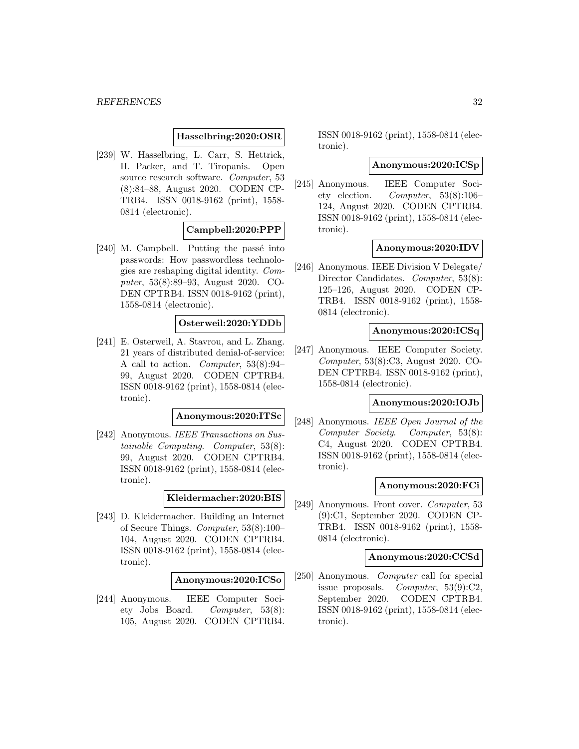### **Hasselbring:2020:OSR**

[239] W. Hasselbring, L. Carr, S. Hettrick, H. Packer, and T. Tiropanis. Open source research software. Computer, 53 (8):84–88, August 2020. CODEN CP-TRB4. ISSN 0018-9162 (print), 1558- 0814 (electronic).

### **Campbell:2020:PPP**

 $[240]$  M. Campbell. Putting the passé into passwords: How passwordless technologies are reshaping digital identity. Computer, 53(8):89–93, August 2020. CO-DEN CPTRB4. ISSN 0018-9162 (print), 1558-0814 (electronic).

### **Osterweil:2020:YDDb**

[241] E. Osterweil, A. Stavrou, and L. Zhang. 21 years of distributed denial-of-service: A call to action. Computer, 53(8):94– 99, August 2020. CODEN CPTRB4. ISSN 0018-9162 (print), 1558-0814 (electronic).

### **Anonymous:2020:ITSc**

[242] Anonymous. IEEE Transactions on Sustainable Computing. Computer, 53(8): 99, August 2020. CODEN CPTRB4. ISSN 0018-9162 (print), 1558-0814 (electronic).

### **Kleidermacher:2020:BIS**

[243] D. Kleidermacher. Building an Internet of Secure Things. Computer, 53(8):100– 104, August 2020. CODEN CPTRB4. ISSN 0018-9162 (print), 1558-0814 (electronic).

#### **Anonymous:2020:ICSo**

[244] Anonymous. IEEE Computer Society Jobs Board. Computer, 53(8): 105, August 2020. CODEN CPTRB4.

ISSN 0018-9162 (print), 1558-0814 (electronic).

#### **Anonymous:2020:ICSp**

[245] Anonymous. IEEE Computer Society election. Computer, 53(8):106– 124, August 2020. CODEN CPTRB4. ISSN 0018-9162 (print), 1558-0814 (electronic).

#### **Anonymous:2020:IDV**

[246] Anonymous. IEEE Division V Delegate/ Director Candidates. *Computer*, 53(8): 125–126, August 2020. CODEN CP-TRB4. ISSN 0018-9162 (print), 1558- 0814 (electronic).

#### **Anonymous:2020:ICSq**

[247] Anonymous. IEEE Computer Society. Computer, 53(8):C3, August 2020. CO-DEN CPTRB4. ISSN 0018-9162 (print), 1558-0814 (electronic).

#### **Anonymous:2020:IOJb**

[248] Anonymous. IEEE Open Journal of the Computer Society. Computer, 53(8): C4, August 2020. CODEN CPTRB4. ISSN 0018-9162 (print), 1558-0814 (electronic).

#### **Anonymous:2020:FCi**

[249] Anonymous. Front cover. Computer, 53 (9):C1, September 2020. CODEN CP-TRB4. ISSN 0018-9162 (print), 1558- 0814 (electronic).

#### **Anonymous:2020:CCSd**

[250] Anonymous. *Computer* call for special issue proposals. Computer, 53(9):C2, September 2020. CODEN CPTRB4. ISSN 0018-9162 (print), 1558-0814 (electronic).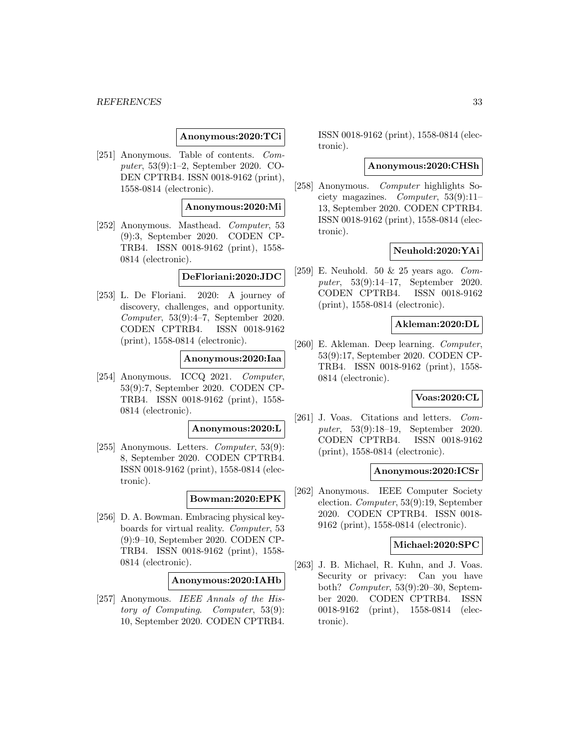#### *REFERENCES* 33

### **Anonymous:2020:TCi**

[251] Anonymous. Table of contents. Computer, 53(9):1–2, September 2020. CO-DEN CPTRB4. ISSN 0018-9162 (print), 1558-0814 (electronic).

### **Anonymous:2020:Mi**

[252] Anonymous. Masthead. Computer, 53 (9):3, September 2020. CODEN CP-TRB4. ISSN 0018-9162 (print), 1558- 0814 (electronic).

#### **DeFloriani:2020:JDC**

[253] L. De Floriani. 2020: A journey of discovery, challenges, and opportunity. Computer, 53(9):4–7, September 2020. CODEN CPTRB4. ISSN 0018-9162 (print), 1558-0814 (electronic).

### **Anonymous:2020:Iaa**

[254] Anonymous. ICCQ 2021. *Computer*, 53(9):7, September 2020. CODEN CP-TRB4. ISSN 0018-9162 (print), 1558- 0814 (electronic).

#### **Anonymous:2020:L**

[255] Anonymous. Letters.  $Computer, 53(9)$ : 8, September 2020. CODEN CPTRB4. ISSN 0018-9162 (print), 1558-0814 (electronic).

#### **Bowman:2020:EPK**

[256] D. A. Bowman. Embracing physical keyboards for virtual reality. Computer, 53 (9):9–10, September 2020. CODEN CP-TRB4. ISSN 0018-9162 (print), 1558- 0814 (electronic).

### **Anonymous:2020:IAHb**

[257] Anonymous. IEEE Annals of the History of Computing. Computer, 53(9): 10, September 2020. CODEN CPTRB4.

ISSN 0018-9162 (print), 1558-0814 (electronic).

#### **Anonymous:2020:CHSh**

[258] Anonymous. Computer highlights Society magazines. Computer, 53(9):11– 13, September 2020. CODEN CPTRB4. ISSN 0018-9162 (print), 1558-0814 (electronic).

### **Neuhold:2020:YAi**

[259] E. Neuhold. 50  $\&$  25 years ago. Computer, 53(9):14–17, September 2020. CODEN CPTRB4. ISSN 0018-9162 (print), 1558-0814 (electronic).

#### **Akleman:2020:DL**

[260] E. Akleman. Deep learning. Computer, 53(9):17, September 2020. CODEN CP-TRB4. ISSN 0018-9162 (print), 1558- 0814 (electronic).

### **Voas:2020:CL**

[261] J. Voas. Citations and letters. Computer, 53(9):18–19, September 2020. CODEN CPTRB4. ISSN 0018-9162 (print), 1558-0814 (electronic).

#### **Anonymous:2020:ICSr**

[262] Anonymous. IEEE Computer Society election. Computer, 53(9):19, September 2020. CODEN CPTRB4. ISSN 0018- 9162 (print), 1558-0814 (electronic).

#### **Michael:2020:SPC**

[263] J. B. Michael, R. Kuhn, and J. Voas. Security or privacy: Can you have both? Computer, 53(9):20–30, September 2020. CODEN CPTRB4. ISSN 0018-9162 (print), 1558-0814 (electronic).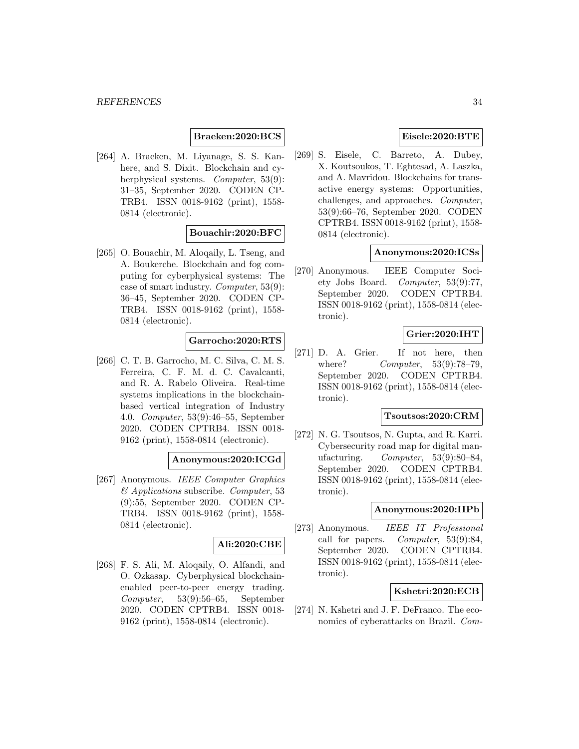### **Braeken:2020:BCS**

[264] A. Braeken, M. Liyanage, S. S. Kanhere, and S. Dixit. Blockchain and cyberphysical systems. Computer, 53(9): 31–35, September 2020. CODEN CP-TRB4. ISSN 0018-9162 (print), 1558- 0814 (electronic).

### **Bouachir:2020:BFC**

[265] O. Bouachir, M. Aloqaily, L. Tseng, and A. Boukerche. Blockchain and fog computing for cyberphysical systems: The case of smart industry. Computer, 53(9): 36–45, September 2020. CODEN CP-TRB4. ISSN 0018-9162 (print), 1558- 0814 (electronic).

### **Garrocho:2020:RTS**

[266] C. T. B. Garrocho, M. C. Silva, C. M. S. Ferreira, C. F. M. d. C. Cavalcanti, and R. A. Rabelo Oliveira. Real-time systems implications in the blockchainbased vertical integration of Industry 4.0. Computer, 53(9):46–55, September 2020. CODEN CPTRB4. ISSN 0018- 9162 (print), 1558-0814 (electronic).

#### **Anonymous:2020:ICGd**

[267] Anonymous. IEEE Computer Graphics  $\mathcal{O}$  Applications subscribe. Computer, 53 (9):55, September 2020. CODEN CP-TRB4. ISSN 0018-9162 (print), 1558- 0814 (electronic).

# **Ali:2020:CBE**

[268] F. S. Ali, M. Aloqaily, O. Alfandi, and O. Ozkasap. Cyberphysical blockchainenabled peer-to-peer energy trading. Computer, 53(9):56–65, September 2020. CODEN CPTRB4. ISSN 0018- 9162 (print), 1558-0814 (electronic).

### **Eisele:2020:BTE**

[269] S. Eisele, C. Barreto, A. Dubey, X. Koutsoukos, T. Eghtesad, A. Laszka, and A. Mavridou. Blockchains for transactive energy systems: Opportunities, challenges, and approaches. Computer, 53(9):66–76, September 2020. CODEN CPTRB4. ISSN 0018-9162 (print), 1558- 0814 (electronic).

### **Anonymous:2020:ICSs**

[270] Anonymous. IEEE Computer Society Jobs Board. Computer, 53(9):77, September 2020. CODEN CPTRB4. ISSN 0018-9162 (print), 1558-0814 (electronic).

### **Grier:2020:IHT**

[271] D. A. Grier. If not here, then where? *Computer*, 53(9):78-79, September 2020. CODEN CPTRB4. ISSN 0018-9162 (print), 1558-0814 (electronic).

### **Tsoutsos:2020:CRM**

[272] N. G. Tsoutsos, N. Gupta, and R. Karri. Cybersecurity road map for digital manufacturing. Computer, 53(9):80–84, September 2020. CODEN CPTRB4. ISSN 0018-9162 (print), 1558-0814 (electronic).

### **Anonymous:2020:IIPb**

[273] Anonymous. IEEE IT Professional call for papers. Computer,  $53(9):84$ , September 2020. CODEN CPTRB4. ISSN 0018-9162 (print), 1558-0814 (electronic).

### **Kshetri:2020:ECB**

[274] N. Kshetri and J. F. DeFranco. The economics of cyberattacks on Brazil. Com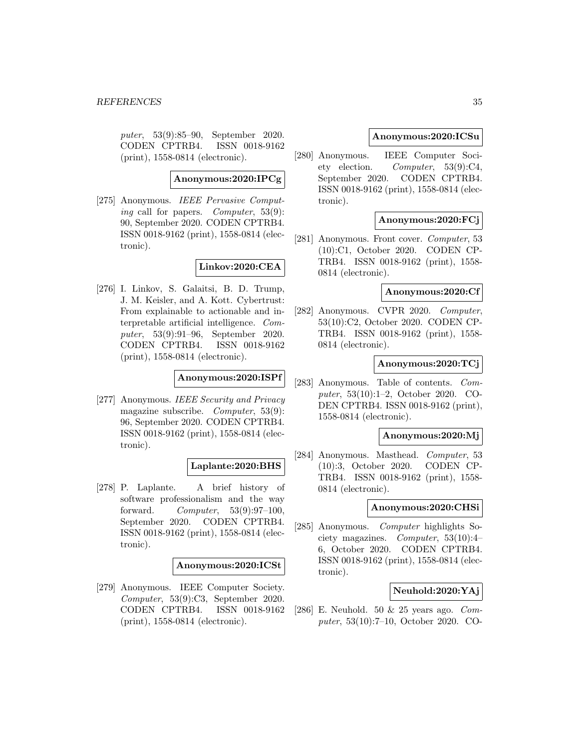puter, 53(9):85–90, September 2020. CODEN CPTRB4. ISSN 0018-9162 (print), 1558-0814 (electronic).

**Anonymous:2020:IPCg**

[275] Anonymous. IEEE Pervasive Computing call for papers. *Computer*, 53(9): 90, September 2020. CODEN CPTRB4. ISSN 0018-9162 (print), 1558-0814 (electronic).

**Linkov:2020:CEA**

[276] I. Linkov, S. Galaitsi, B. D. Trump, J. M. Keisler, and A. Kott. Cybertrust: From explainable to actionable and interpretable artificial intelligence. Computer, 53(9):91–96, September 2020. CODEN CPTRB4. ISSN 0018-9162 (print), 1558-0814 (electronic).

# **Anonymous:2020:ISPf**

[277] Anonymous. IEEE Security and Privacy magazine subscribe. Computer, 53(9): 96, September 2020. CODEN CPTRB4. ISSN 0018-9162 (print), 1558-0814 (electronic).

# **Laplante:2020:BHS**

[278] P. Laplante. A brief history of software professionalism and the way forward. Computer, 53(9):97–100, September 2020. CODEN CPTRB4. ISSN 0018-9162 (print), 1558-0814 (electronic).

### **Anonymous:2020:ICSt**

[279] Anonymous. IEEE Computer Society. Computer, 53(9):C3, September 2020. CODEN CPTRB4. ISSN 0018-9162 (print), 1558-0814 (electronic).

### **Anonymous:2020:ICSu**

[280] Anonymous. IEEE Computer Society election. Computer, 53(9):C4, September 2020. CODEN CPTRB4. ISSN 0018-9162 (print), 1558-0814 (electronic).

### **Anonymous:2020:FCj**

[281] Anonymous. Front cover. Computer, 53 (10):C1, October 2020. CODEN CP-TRB4. ISSN 0018-9162 (print), 1558- 0814 (electronic).

### **Anonymous:2020:Cf**

[282] Anonymous. CVPR 2020. Computer, 53(10):C2, October 2020. CODEN CP-TRB4. ISSN 0018-9162 (print), 1558- 0814 (electronic).

#### **Anonymous:2020:TCj**

[283] Anonymous. Table of contents. Computer, 53(10):1–2, October 2020. CO-DEN CPTRB4. ISSN 0018-9162 (print), 1558-0814 (electronic).

### **Anonymous:2020:Mj**

[284] Anonymous. Masthead. Computer, 53 (10):3, October 2020. CODEN CP-TRB4. ISSN 0018-9162 (print), 1558- 0814 (electronic).

#### **Anonymous:2020:CHSi**

[285] Anonymous. Computer highlights Society magazines. Computer, 53(10):4– 6, October 2020. CODEN CPTRB4. ISSN 0018-9162 (print), 1558-0814 (electronic).

### **Neuhold:2020:YAj**

[286] E. Neuhold. 50 & 25 years ago. Computer, 53(10):7–10, October 2020. CO-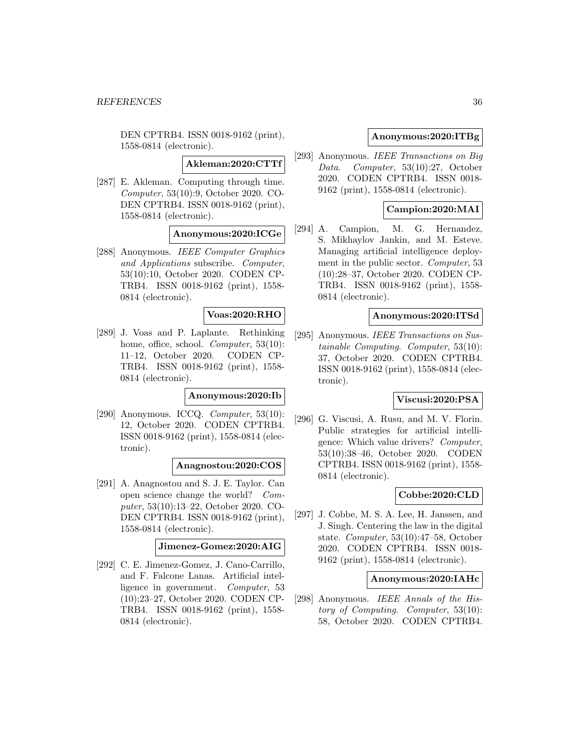DEN CPTRB4. ISSN 0018-9162 (print), 1558-0814 (electronic).

**Akleman:2020:CTTf**

[287] E. Akleman. Computing through time. Computer, 53(10):9, October 2020. CO-DEN CPTRB4. ISSN 0018-9162 (print), 1558-0814 (electronic).

#### **Anonymous:2020:ICGe**

[288] Anonymous. IEEE Computer Graphics and Applications subscribe. Computer, 53(10):10, October 2020. CODEN CP-TRB4. ISSN 0018-9162 (print), 1558- 0814 (electronic).

### **Voas:2020:RHO**

[289] J. Voas and P. Laplante. Rethinking home, office, school. *Computer*, 53(10): 11–12, October 2020. CODEN CP-TRB4. ISSN 0018-9162 (print), 1558- 0814 (electronic).

#### **Anonymous:2020:Ib**

[290] Anonymous. ICCQ. Computer, 53(10): 12, October 2020. CODEN CPTRB4. ISSN 0018-9162 (print), 1558-0814 (electronic).

#### **Anagnostou:2020:COS**

[291] A. Anagnostou and S. J. E. Taylor. Can open science change the world? Computer, 53(10):13–22, October 2020. CO-DEN CPTRB4. ISSN 0018-9162 (print), 1558-0814 (electronic).

### **Jimenez-Gomez:2020:AIG**

[292] C. E. Jimenez-Gomez, J. Cano-Carrillo, and F. Falcone Lanas. Artificial intelligence in government. Computer, 53 (10):23–27, October 2020. CODEN CP-TRB4. ISSN 0018-9162 (print), 1558- 0814 (electronic).

### **Anonymous:2020:ITBg**

[293] Anonymous. IEEE Transactions on Big Data. Computer, 53(10):27, October 2020. CODEN CPTRB4. ISSN 0018- 9162 (print), 1558-0814 (electronic).

#### **Campion:2020:MAI**

[294] A. Campion, M. G. Hernandez, S. Mikhaylov Jankin, and M. Esteve. Managing artificial intelligence deployment in the public sector. Computer, 53 (10):28–37, October 2020. CODEN CP-TRB4. ISSN 0018-9162 (print), 1558- 0814 (electronic).

### **Anonymous:2020:ITSd**

[295] Anonymous. IEEE Transactions on Sustainable Computing. Computer, 53(10): 37, October 2020. CODEN CPTRB4. ISSN 0018-9162 (print), 1558-0814 (electronic).

### **Viscusi:2020:PSA**

[296] G. Viscusi, A. Rusu, and M. V. Florin. Public strategies for artificial intelligence: Which value drivers? Computer, 53(10):38–46, October 2020. CODEN CPTRB4. ISSN 0018-9162 (print), 1558- 0814 (electronic).

### **Cobbe:2020:CLD**

[297] J. Cobbe, M. S. A. Lee, H. Janssen, and J. Singh. Centering the law in the digital state. Computer, 53(10):47–58, October 2020. CODEN CPTRB4. ISSN 0018- 9162 (print), 1558-0814 (electronic).

### **Anonymous:2020:IAHc**

[298] Anonymous. IEEE Annals of the History of Computing. Computer, 53(10): 58, October 2020. CODEN CPTRB4.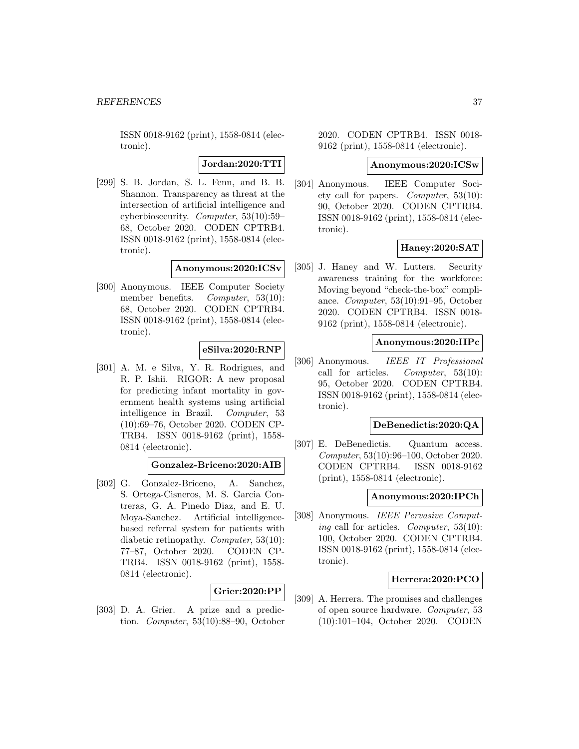**Jordan:2020:TTI**

[299] S. B. Jordan, S. L. Fenn, and B. B. Shannon. Transparency as threat at the intersection of artificial intelligence and cyberbiosecurity. Computer, 53(10):59– 68, October 2020. CODEN CPTRB4. ISSN 0018-9162 (print), 1558-0814 (electronic).

**Anonymous:2020:ICSv**

[300] Anonymous. IEEE Computer Society member benefits. *Computer*, 53(10): 68, October 2020. CODEN CPTRB4. ISSN 0018-9162 (print), 1558-0814 (electronic).

# **eSilva:2020:RNP**

[301] A. M. e Silva, Y. R. Rodrigues, and R. P. Ishii. RIGOR: A new proposal for predicting infant mortality in government health systems using artificial intelligence in Brazil. Computer, 53 (10):69–76, October 2020. CODEN CP-TRB4. ISSN 0018-9162 (print), 1558- 0814 (electronic).

#### **Gonzalez-Briceno:2020:AIB**

[302] G. Gonzalez-Briceno, A. Sanchez, S. Ortega-Cisneros, M. S. Garcia Contreras, G. A. Pinedo Diaz, and E. U. Moya-Sanchez. Artificial intelligencebased referral system for patients with diabetic retinopathy. Computer, 53(10): 77–87, October 2020. CODEN CP-TRB4. ISSN 0018-9162 (print), 1558- 0814 (electronic).

# **Grier:2020:PP**

[303] D. A. Grier. A prize and a prediction. Computer, 53(10):88–90, October 2020. CODEN CPTRB4. ISSN 0018- 9162 (print), 1558-0814 (electronic).

#### **Anonymous:2020:ICSw**

[304] Anonymous. IEEE Computer Society call for papers. Computer,  $53(10)$ : 90, October 2020. CODEN CPTRB4. ISSN 0018-9162 (print), 1558-0814 (electronic).

### **Haney:2020:SAT**

[305] J. Haney and W. Lutters. Security awareness training for the workforce: Moving beyond "check-the-box" compliance. Computer, 53(10):91–95, October 2020. CODEN CPTRB4. ISSN 0018- 9162 (print), 1558-0814 (electronic).

## **Anonymous:2020:IIPc**

[306] Anonymous. IEEE IT Professional call for articles. Computer, 53(10): 95, October 2020. CODEN CPTRB4. ISSN 0018-9162 (print), 1558-0814 (electronic).

# **DeBenedictis:2020:QA**

[307] E. DeBenedictis. Quantum access. Computer, 53(10):96–100, October 2020. CODEN CPTRB4. ISSN 0018-9162 (print), 1558-0814 (electronic).

# **Anonymous:2020:IPCh**

[308] Anonymous. IEEE Pervasive Computing call for articles. Computer, 53(10): 100, October 2020. CODEN CPTRB4. ISSN 0018-9162 (print), 1558-0814 (electronic).

## **Herrera:2020:PCO**

[309] A. Herrera. The promises and challenges of open source hardware. Computer, 53 (10):101–104, October 2020. CODEN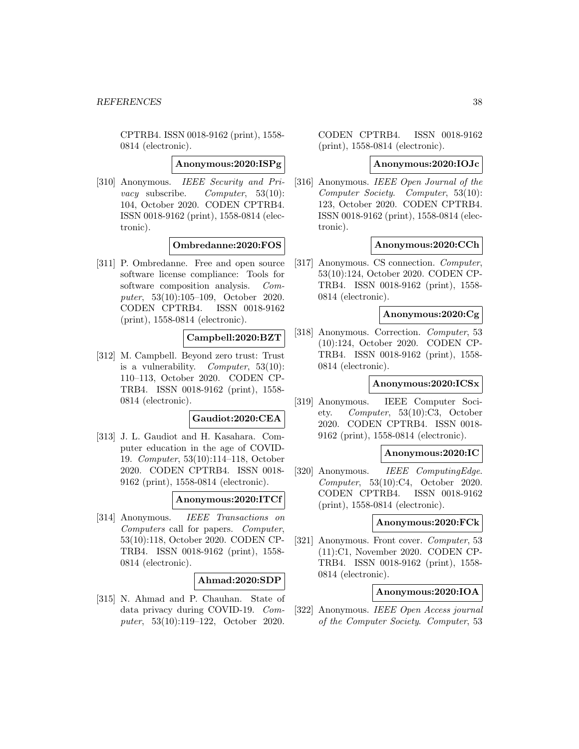#### **Anonymous:2020:ISPg**

[310] Anonymous. IEEE Security and Pri*vacy* subscribe. *Computer*,  $53(10)$ : 104, October 2020. CODEN CPTRB4. ISSN 0018-9162 (print), 1558-0814 (electronic).

# **Ombredanne:2020:FOS**

[311] P. Ombredanne. Free and open source software license compliance: Tools for software composition analysis. Computer, 53(10):105–109, October 2020. CODEN CPTRB4. ISSN 0018-9162 (print), 1558-0814 (electronic).

# **Campbell:2020:BZT**

[312] M. Campbell. Beyond zero trust: Trust is a vulnerability. Computer,  $53(10)$ : 110–113, October 2020. CODEN CP-TRB4. ISSN 0018-9162 (print), 1558- 0814 (electronic).

# **Gaudiot:2020:CEA**

[313] J. L. Gaudiot and H. Kasahara. Computer education in the age of COVID-19. Computer, 53(10):114–118, October 2020. CODEN CPTRB4. ISSN 0018- 9162 (print), 1558-0814 (electronic).

#### **Anonymous:2020:ITCf**

[314] Anonymous. IEEE Transactions on Computers call for papers. Computer, 53(10):118, October 2020. CODEN CP-TRB4. ISSN 0018-9162 (print), 1558- 0814 (electronic).

# **Ahmad:2020:SDP**

[315] N. Ahmad and P. Chauhan. State of data privacy during COVID-19. Computer, 53(10):119–122, October 2020.

CODEN CPTRB4. ISSN 0018-9162 (print), 1558-0814 (electronic).

#### **Anonymous:2020:IOJc**

[316] Anonymous. IEEE Open Journal of the Computer Society. Computer, 53(10): 123, October 2020. CODEN CPTRB4. ISSN 0018-9162 (print), 1558-0814 (electronic).

## **Anonymous:2020:CCh**

[317] Anonymous. CS connection. Computer, 53(10):124, October 2020. CODEN CP-TRB4. ISSN 0018-9162 (print), 1558- 0814 (electronic).

#### **Anonymous:2020:Cg**

[318] Anonymous. Correction. Computer, 53 (10):124, October 2020. CODEN CP-TRB4. ISSN 0018-9162 (print), 1558- 0814 (electronic).

## **Anonymous:2020:ICSx**

[319] Anonymous. IEEE Computer Society. Computer, 53(10):C3, October 2020. CODEN CPTRB4. ISSN 0018- 9162 (print), 1558-0814 (electronic).

# **Anonymous:2020:IC**

[320] Anonymous. *IEEE ComputingEdge.* Computer, 53(10):C4, October 2020. CODEN CPTRB4. ISSN 0018-9162 (print), 1558-0814 (electronic).

## **Anonymous:2020:FCk**

[321] Anonymous. Front cover. Computer, 53 (11):C1, November 2020. CODEN CP-TRB4. ISSN 0018-9162 (print), 1558- 0814 (electronic).

# **Anonymous:2020:IOA**

[322] Anonymous. IEEE Open Access journal of the Computer Society. Computer, 53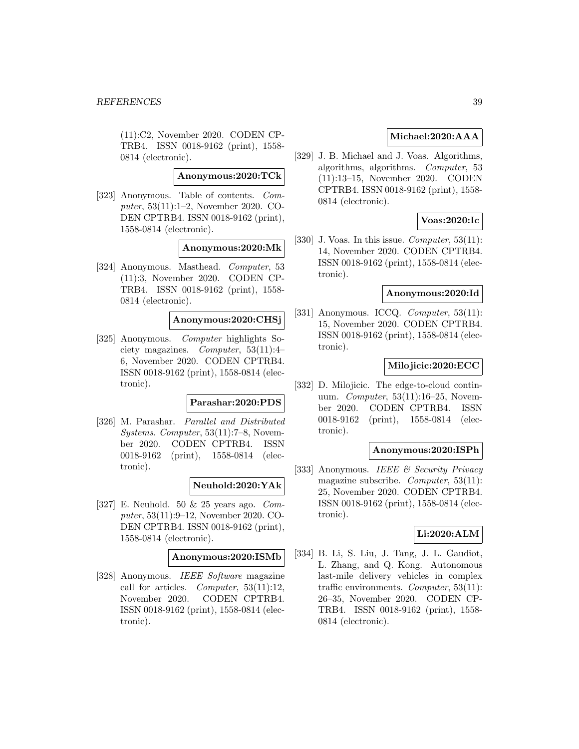(11):C2, November 2020. CODEN CP-TRB4. ISSN 0018-9162 (print), 1558- 0814 (electronic).

### **Anonymous:2020:TCk**

[323] Anonymous. Table of contents. Computer, 53(11):1–2, November 2020. CO-DEN CPTRB4. ISSN 0018-9162 (print), 1558-0814 (electronic).

#### **Anonymous:2020:Mk**

[324] Anonymous. Masthead. Computer, 53 (11):3, November 2020. CODEN CP-TRB4. ISSN 0018-9162 (print), 1558- 0814 (electronic).

### **Anonymous:2020:CHSj**

[325] Anonymous. Computer highlights Society magazines. Computer, 53(11):4– 6, November 2020. CODEN CPTRB4. ISSN 0018-9162 (print), 1558-0814 (electronic).

#### **Parashar:2020:PDS**

[326] M. Parashar. Parallel and Distributed Systems. Computer, 53(11):7–8, November 2020. CODEN CPTRB4. ISSN 0018-9162 (print), 1558-0814 (electronic).

# **Neuhold:2020:YAk**

[327] E. Neuhold. 50 & 25 years ago. Computer, 53(11):9–12, November 2020. CO-DEN CPTRB4. ISSN 0018-9162 (print), 1558-0814 (electronic).

**Anonymous:2020:ISMb**

[328] Anonymous. IEEE Software magazine call for articles. Computer, 53(11):12, November 2020. CODEN CPTRB4. ISSN 0018-9162 (print), 1558-0814 (electronic).

# **Michael:2020:AAA**

[329] J. B. Michael and J. Voas. Algorithms, algorithms, algorithms. Computer, 53 (11):13–15, November 2020. CODEN CPTRB4. ISSN 0018-9162 (print), 1558- 0814 (electronic).

### **Voas:2020:Ic**

[330] J. Voas. In this issue. *Computer*,  $53(11)$ : 14, November 2020. CODEN CPTRB4. ISSN 0018-9162 (print), 1558-0814 (electronic).

#### **Anonymous:2020:Id**

[331] Anonymous. ICCQ.  $Computer, 53(11)$ : 15, November 2020. CODEN CPTRB4. ISSN 0018-9162 (print), 1558-0814 (electronic).

#### **Milojicic:2020:ECC**

[332] D. Milojicic. The edge-to-cloud continuum. *Computer*,  $53(11):16-25$ , November 2020. CODEN CPTRB4. ISSN 0018-9162 (print), 1558-0814 (electronic).

#### **Anonymous:2020:ISPh**

[333] Anonymous. IEEE & Security Privacy magazine subscribe. *Computer*, 53(11): 25, November 2020. CODEN CPTRB4. ISSN 0018-9162 (print), 1558-0814 (electronic).

#### **Li:2020:ALM**

[334] B. Li, S. Liu, J. Tang, J. L. Gaudiot, L. Zhang, and Q. Kong. Autonomous last-mile delivery vehicles in complex traffic environments. Computer,  $53(11)$ : 26–35, November 2020. CODEN CP-TRB4. ISSN 0018-9162 (print), 1558- 0814 (electronic).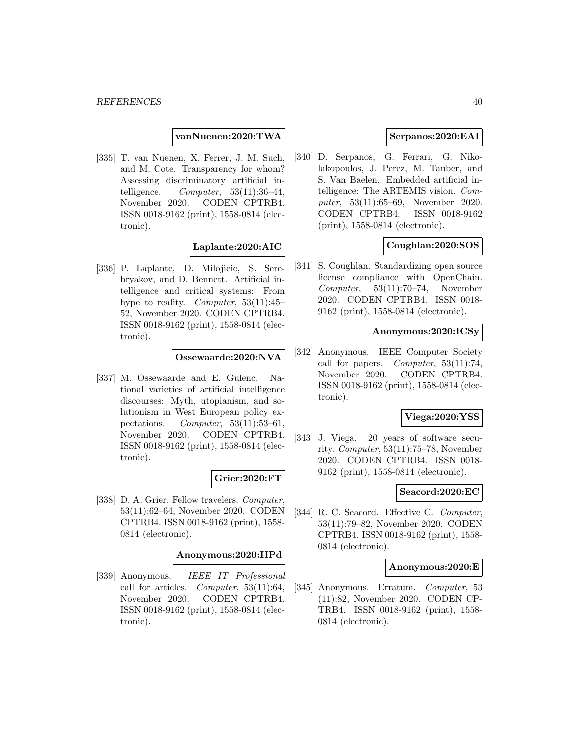**vanNuenen:2020:TWA**

[335] T. van Nuenen, X. Ferrer, J. M. Such, and M. Cote. Transparency for whom? Assessing discriminatory artificial intelligence.  $Computer, 53(11):36-44,$ November 2020. CODEN CPTRB4. ISSN 0018-9162 (print), 1558-0814 (electronic).

# **Laplante:2020:AIC**

[336] P. Laplante, D. Milojicic, S. Serebryakov, and D. Bennett. Artificial intelligence and critical systems: From hype to reality. *Computer*,  $53(11):45$ 52, November 2020. CODEN CPTRB4. ISSN 0018-9162 (print), 1558-0814 (electronic).

**Ossewaarde:2020:NVA**

[337] M. Ossewaarde and E. Gulenc. National varieties of artificial intelligence discourses: Myth, utopianism, and solutionism in West European policy expectations. Computer, 53(11):53–61, November 2020. CODEN CPTRB4. ISSN 0018-9162 (print), 1558-0814 (electronic).

# **Grier:2020:FT**

[338] D. A. Grier. Fellow travelers. *Computer*, 53(11):62–64, November 2020. CODEN CPTRB4. ISSN 0018-9162 (print), 1558- 0814 (electronic).

#### **Anonymous:2020:IIPd**

[339] Anonymous. IEEE IT Professional call for articles. Computer, 53(11):64, November 2020. CODEN CPTRB4. ISSN 0018-9162 (print), 1558-0814 (electronic).

# **Serpanos:2020:EAI**

[340] D. Serpanos, G. Ferrari, G. Nikolakopoulos, J. Perez, M. Tauber, and S. Van Baelen. Embedded artificial intelligence: The ARTEMIS vision. Computer, 53(11):65–69, November 2020. CODEN CPTRB4. ISSN 0018-9162 (print), 1558-0814 (electronic).

# **Coughlan:2020:SOS**

[341] S. Coughlan. Standardizing open source license compliance with OpenChain. Computer, 53(11):70–74, November 2020. CODEN CPTRB4. ISSN 0018- 9162 (print), 1558-0814 (electronic).

#### **Anonymous:2020:ICSy**

[342] Anonymous. IEEE Computer Society call for papers. Computer,  $53(11):74$ , November 2020. CODEN CPTRB4. ISSN 0018-9162 (print), 1558-0814 (electronic).

#### **Viega:2020:YSS**

[343] J. Viega. 20 years of software security. Computer, 53(11):75–78, November 2020. CODEN CPTRB4. ISSN 0018- 9162 (print), 1558-0814 (electronic).

#### **Seacord:2020:EC**

[344] R. C. Seacord. Effective C. Computer, 53(11):79–82, November 2020. CODEN CPTRB4. ISSN 0018-9162 (print), 1558- 0814 (electronic).

# **Anonymous:2020:E**

[345] Anonymous. Erratum. Computer, 53 (11):82, November 2020. CODEN CP-TRB4. ISSN 0018-9162 (print), 1558- 0814 (electronic).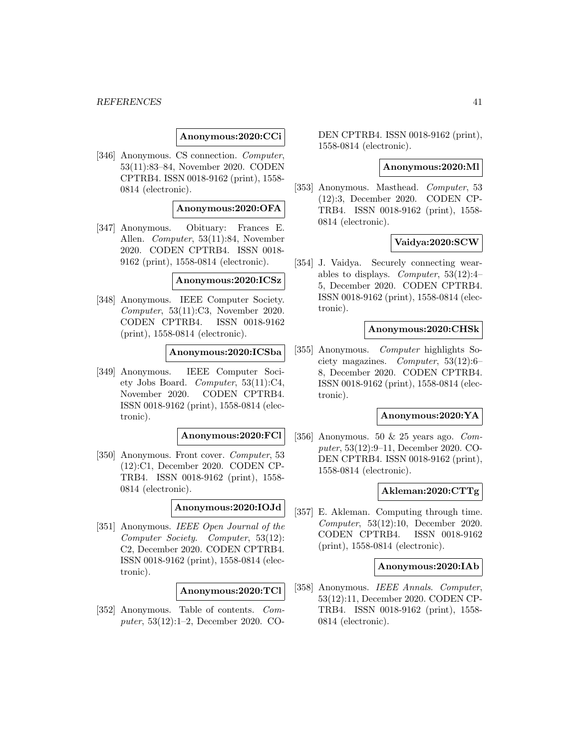#### *REFERENCES* 41

### **Anonymous:2020:CCi**

[346] Anonymous. CS connection. Computer, 53(11):83–84, November 2020. CODEN CPTRB4. ISSN 0018-9162 (print), 1558- 0814 (electronic).

# **Anonymous:2020:OFA**

[347] Anonymous. Obituary: Frances E. Allen. Computer, 53(11):84, November 2020. CODEN CPTRB4. ISSN 0018- 9162 (print), 1558-0814 (electronic).

## **Anonymous:2020:ICSz**

[348] Anonymous. IEEE Computer Society. Computer, 53(11):C3, November 2020. CODEN CPTRB4. ISSN 0018-9162 (print), 1558-0814 (electronic).

### **Anonymous:2020:ICSba**

[349] Anonymous. IEEE Computer Society Jobs Board. Computer, 53(11):C4, November 2020. CODEN CPTRB4. ISSN 0018-9162 (print), 1558-0814 (electronic).

#### **Anonymous:2020:FCl**

[350] Anonymous. Front cover. *Computer*, 53 (12):C1, December 2020. CODEN CP-TRB4. ISSN 0018-9162 (print), 1558- 0814 (electronic).

# **Anonymous:2020:IOJd**

[351] Anonymous. IEEE Open Journal of the Computer Society. Computer, 53(12): C2, December 2020. CODEN CPTRB4. ISSN 0018-9162 (print), 1558-0814 (electronic).

#### **Anonymous:2020:TCl**

[352] Anonymous. Table of contents. Computer, 53(12):1–2, December 2020. CO- DEN CPTRB4. ISSN 0018-9162 (print), 1558-0814 (electronic).

#### **Anonymous:2020:Ml**

[353] Anonymous. Masthead. Computer, 53 (12):3, December 2020. CODEN CP-TRB4. ISSN 0018-9162 (print), 1558- 0814 (electronic).

## **Vaidya:2020:SCW**

[354] J. Vaidya. Securely connecting wearables to displays. *Computer*,  $53(12):4$ 5, December 2020. CODEN CPTRB4. ISSN 0018-9162 (print), 1558-0814 (electronic).

#### **Anonymous:2020:CHSk**

[355] Anonymous. *Computer* highlights Society magazines. Computer, 53(12):6– 8, December 2020. CODEN CPTRB4. ISSN 0018-9162 (print), 1558-0814 (electronic).

#### **Anonymous:2020:YA**

[356] Anonymous. 50  $\&$  25 years ago. Computer, 53(12):9–11, December 2020. CO-DEN CPTRB4. ISSN 0018-9162 (print), 1558-0814 (electronic).

#### **Akleman:2020:CTTg**

[357] E. Akleman. Computing through time. Computer, 53(12):10, December 2020. CODEN CPTRB4. ISSN 0018-9162 (print), 1558-0814 (electronic).

#### **Anonymous:2020:IAb**

[358] Anonymous. IEEE Annals. Computer, 53(12):11, December 2020. CODEN CP-TRB4. ISSN 0018-9162 (print), 1558- 0814 (electronic).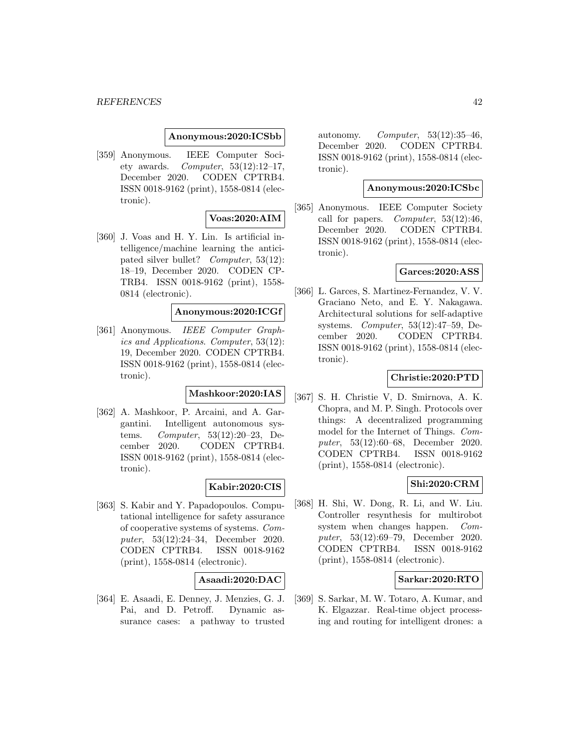#### **Anonymous:2020:ICSbb**

[359] Anonymous. IEEE Computer Society awards. Computer,  $53(12):12-17$ , December 2020. CODEN CPTRB4. ISSN 0018-9162 (print), 1558-0814 (electronic).

# **Voas:2020:AIM**

[360] J. Voas and H. Y. Lin. Is artificial intelligence/machine learning the anticipated silver bullet? Computer, 53(12): 18–19, December 2020. CODEN CP-TRB4. ISSN 0018-9162 (print), 1558- 0814 (electronic).

# **Anonymous:2020:ICGf**

[361] Anonymous. IEEE Computer Graphics and Applications. Computer, 53(12): 19, December 2020. CODEN CPTRB4. ISSN 0018-9162 (print), 1558-0814 (electronic).

# **Mashkoor:2020:IAS**

[362] A. Mashkoor, P. Arcaini, and A. Gargantini. Intelligent autonomous systems. Computer, 53(12):20–23, December 2020. CODEN CPTRB4. ISSN 0018-9162 (print), 1558-0814 (electronic).

# **Kabir:2020:CIS**

[363] S. Kabir and Y. Papadopoulos. Computational intelligence for safety assurance of cooperative systems of systems. Computer, 53(12):24–34, December 2020. CODEN CPTRB4. ISSN 0018-9162 (print), 1558-0814 (electronic).

# **Asaadi:2020:DAC**

[364] E. Asaadi, E. Denney, J. Menzies, G. J. Pai, and D. Petroff. Dynamic assurance cases: a pathway to trusted

autonomy. Computer,  $53(12):35-46$ , December 2020. CODEN CPTRB4. ISSN 0018-9162 (print), 1558-0814 (electronic).

# **Anonymous:2020:ICSbc**

[365] Anonymous. IEEE Computer Society call for papers. *Computer*,  $53(12):46$ , December 2020. CODEN CPTRB4. ISSN 0018-9162 (print), 1558-0814 (electronic).

## **Garces:2020:ASS**

[366] L. Garces, S. Martinez-Fernandez, V. V. Graciano Neto, and E. Y. Nakagawa. Architectural solutions for self-adaptive systems. Computer, 53(12):47–59, December 2020. CODEN CPTRB4. ISSN 0018-9162 (print), 1558-0814 (electronic).

# **Christie:2020:PTD**

[367] S. H. Christie V, D. Smirnova, A. K. Chopra, and M. P. Singh. Protocols over things: A decentralized programming model for the Internet of Things. Computer, 53(12):60–68, December 2020. CODEN CPTRB4. ISSN 0018-9162 (print), 1558-0814 (electronic).

# **Shi:2020:CRM**

[368] H. Shi, W. Dong, R. Li, and W. Liu. Controller resynthesis for multirobot system when changes happen. Computer, 53(12):69–79, December 2020. CODEN CPTRB4. ISSN 0018-9162 (print), 1558-0814 (electronic).

# **Sarkar:2020:RTO**

[369] S. Sarkar, M. W. Totaro, A. Kumar, and K. Elgazzar. Real-time object processing and routing for intelligent drones: a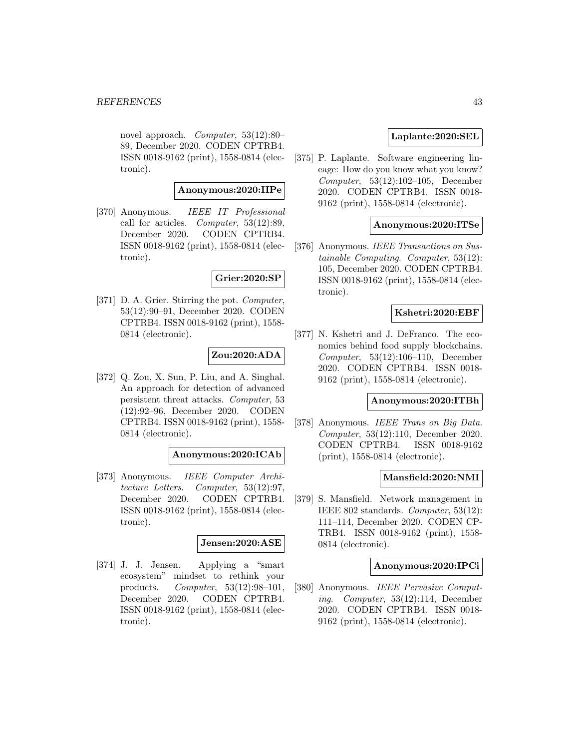novel approach. Computer, 53(12):80– 89, December 2020. CODEN CPTRB4. ISSN 0018-9162 (print), 1558-0814 (electronic).

# **Anonymous:2020:IIPe**

[370] Anonymous. IEEE IT Professional call for articles. Computer, 53(12):89, December 2020. CODEN CPTRB4. ISSN 0018-9162 (print), 1558-0814 (electronic).

# **Grier:2020:SP**

[371] D. A. Grier. Stirring the pot. *Computer*, 53(12):90–91, December 2020. CODEN CPTRB4. ISSN 0018-9162 (print), 1558- 0814 (electronic).

# **Zou:2020:ADA**

[372] Q. Zou, X. Sun, P. Liu, and A. Singhal. An approach for detection of advanced persistent threat attacks. Computer, 53 (12):92–96, December 2020. CODEN CPTRB4. ISSN 0018-9162 (print), 1558- 0814 (electronic).

## **Anonymous:2020:ICAb**

[373] Anonymous. IEEE Computer Architecture Letters. Computer, 53(12):97, December 2020. CODEN CPTRB4. ISSN 0018-9162 (print), 1558-0814 (electronic).

#### **Jensen:2020:ASE**

[374] J. J. Jensen. Applying a "smart ecosystem" mindset to rethink your products. Computer, 53(12):98–101, December 2020. CODEN CPTRB4. ISSN 0018-9162 (print), 1558-0814 (electronic).

# **Laplante:2020:SEL**

[375] P. Laplante. Software engineering lineage: How do you know what you know? Computer, 53(12):102–105, December 2020. CODEN CPTRB4. ISSN 0018- 9162 (print), 1558-0814 (electronic).

### **Anonymous:2020:ITSe**

[376] Anonymous. IEEE Transactions on Sustainable Computing. Computer, 53(12): 105, December 2020. CODEN CPTRB4. ISSN 0018-9162 (print), 1558-0814 (electronic).

# **Kshetri:2020:EBF**

[377] N. Kshetri and J. DeFranco. The economics behind food supply blockchains. Computer, 53(12):106–110, December 2020. CODEN CPTRB4. ISSN 0018- 9162 (print), 1558-0814 (electronic).

# **Anonymous:2020:ITBh**

[378] Anonymous. IEEE Trans on Big Data. Computer, 53(12):110, December 2020. CODEN CPTRB4. ISSN 0018-9162 (print), 1558-0814 (electronic).

# **Mansfield:2020:NMI**

[379] S. Mansfield. Network management in IEEE 802 standards. Computer, 53(12): 111–114, December 2020. CODEN CP-TRB4. ISSN 0018-9162 (print), 1558- 0814 (electronic).

### **Anonymous:2020:IPCi**

[380] Anonymous. IEEE Pervasive Computing. Computer, 53(12):114, December 2020. CODEN CPTRB4. ISSN 0018- 9162 (print), 1558-0814 (electronic).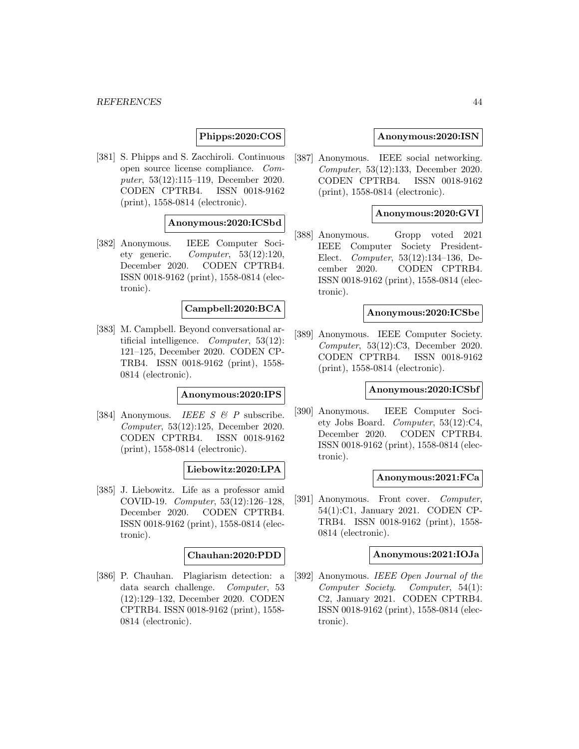# **Phipps:2020:COS**

[381] S. Phipps and S. Zacchiroli. Continuous open source license compliance. Computer, 53(12):115–119, December 2020. CODEN CPTRB4. ISSN 0018-9162 (print), 1558-0814 (electronic).

# **Anonymous:2020:ICSbd**

[382] Anonymous. IEEE Computer Society generic. Computer, 53(12):120, December 2020. CODEN CPTRB4. ISSN 0018-9162 (print), 1558-0814 (electronic).

### **Campbell:2020:BCA**

[383] M. Campbell. Beyond conversational artificial intelligence. Computer, 53(12): 121–125, December 2020. CODEN CP-TRB4. ISSN 0018-9162 (print), 1558- 0814 (electronic).

## **Anonymous:2020:IPS**

[384] Anonymous. IEEE  $S \mathcal{B} P$  subscribe. Computer, 53(12):125, December 2020. CODEN CPTRB4. ISSN 0018-9162 (print), 1558-0814 (electronic).

# **Liebowitz:2020:LPA**

[385] J. Liebowitz. Life as a professor amid COVID-19. Computer, 53(12):126–128, December 2020. CODEN CPTRB4. ISSN 0018-9162 (print), 1558-0814 (electronic).

# **Chauhan:2020:PDD**

[386] P. Chauhan. Plagiarism detection: a data search challenge. Computer, 53 (12):129–132, December 2020. CODEN CPTRB4. ISSN 0018-9162 (print), 1558- 0814 (electronic).

## **Anonymous:2020:ISN**

[387] Anonymous. IEEE social networking. Computer, 53(12):133, December 2020. CODEN CPTRB4. ISSN 0018-9162 (print), 1558-0814 (electronic).

### **Anonymous:2020:GVI**

[388] Anonymous. Gropp voted 2021 IEEE Computer Society President-Elect. Computer, 53(12):134–136, December 2020. CODEN CPTRB4. ISSN 0018-9162 (print), 1558-0814 (electronic).

# **Anonymous:2020:ICSbe**

[389] Anonymous. IEEE Computer Society. Computer, 53(12):C3, December 2020. CODEN CPTRB4. ISSN 0018-9162 (print), 1558-0814 (electronic).

# **Anonymous:2020:ICSbf**

[390] Anonymous. IEEE Computer Society Jobs Board. Computer, 53(12):C4, December 2020. CODEN CPTRB4. ISSN 0018-9162 (print), 1558-0814 (electronic).

#### **Anonymous:2021:FCa**

[391] Anonymous. Front cover. Computer, 54(1):C1, January 2021. CODEN CP-TRB4. ISSN 0018-9162 (print), 1558- 0814 (electronic).

### **Anonymous:2021:IOJa**

[392] Anonymous. IEEE Open Journal of the Computer Society. Computer, 54(1): C2, January 2021. CODEN CPTRB4. ISSN 0018-9162 (print), 1558-0814 (electronic).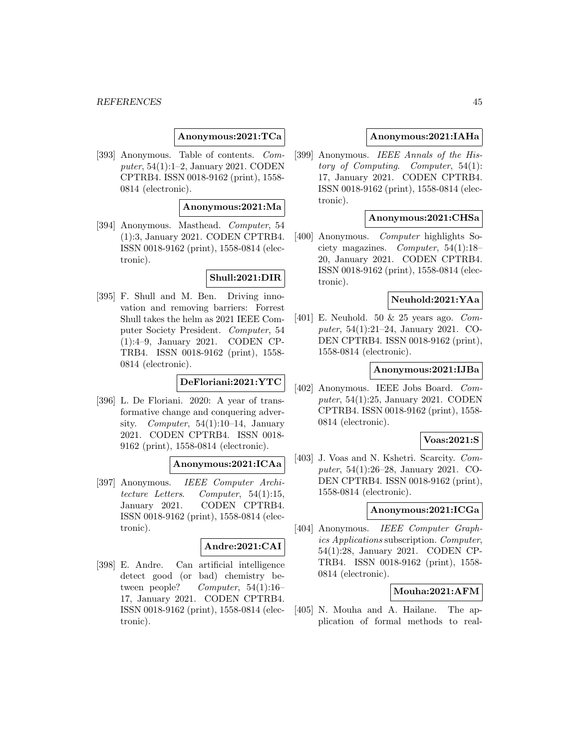## **Anonymous:2021:TCa**

[393] Anonymous. Table of contents. Computer, 54(1):1–2, January 2021. CODEN CPTRB4. ISSN 0018-9162 (print), 1558- 0814 (electronic).

#### **Anonymous:2021:Ma**

[394] Anonymous. Masthead. Computer, 54 (1):3, January 2021. CODEN CPTRB4. ISSN 0018-9162 (print), 1558-0814 (electronic).

## **Shull:2021:DIR**

[395] F. Shull and M. Ben. Driving innovation and removing barriers: Forrest Shull takes the helm as 2021 IEEE Computer Society President. Computer, 54 (1):4–9, January 2021. CODEN CP-TRB4. ISSN 0018-9162 (print), 1558- 0814 (electronic).

# **DeFloriani:2021:YTC**

[396] L. De Floriani. 2020: A year of transformative change and conquering adversity. Computer,  $54(1):10-14$ , January 2021. CODEN CPTRB4. ISSN 0018- 9162 (print), 1558-0814 (electronic).

# **Anonymous:2021:ICAa**

[397] Anonymous. IEEE Computer Architecture Letters. Computer, 54(1):15, January 2021. CODEN CPTRB4. ISSN 0018-9162 (print), 1558-0814 (electronic).

# **Andre:2021:CAI**

[398] E. Andre. Can artificial intelligence detect good (or bad) chemistry between people? Computer, 54(1):16– 17, January 2021. CODEN CPTRB4. ISSN 0018-9162 (print), 1558-0814 (electronic).

### **Anonymous:2021:IAHa**

[399] Anonymous. IEEE Annals of the History of Computing. Computer, 54(1): 17, January 2021. CODEN CPTRB4. ISSN 0018-9162 (print), 1558-0814 (electronic).

## **Anonymous:2021:CHSa**

[400] Anonymous. Computer highlights Society magazines. Computer, 54(1):18– 20, January 2021. CODEN CPTRB4. ISSN 0018-9162 (print), 1558-0814 (electronic).

# **Neuhold:2021:YAa**

[401] E. Neuhold. 50  $\&$  25 years ago. Computer, 54(1):21–24, January 2021. CO-DEN CPTRB4. ISSN 0018-9162 (print), 1558-0814 (electronic).

# **Anonymous:2021:IJBa**

[402] Anonymous. IEEE Jobs Board. Computer, 54(1):25, January 2021. CODEN CPTRB4. ISSN 0018-9162 (print), 1558- 0814 (electronic).

#### **Voas:2021:S**

[403] J. Voas and N. Kshetri. Scarcity. Computer, 54(1):26–28, January 2021. CO-DEN CPTRB4. ISSN 0018-9162 (print), 1558-0814 (electronic).

## **Anonymous:2021:ICGa**

[404] Anonymous. IEEE Computer Graphics Applications subscription. Computer, 54(1):28, January 2021. CODEN CP-TRB4. ISSN 0018-9162 (print), 1558- 0814 (electronic).

# **Mouha:2021:AFM**

[405] N. Mouha and A. Hailane. The application of formal methods to real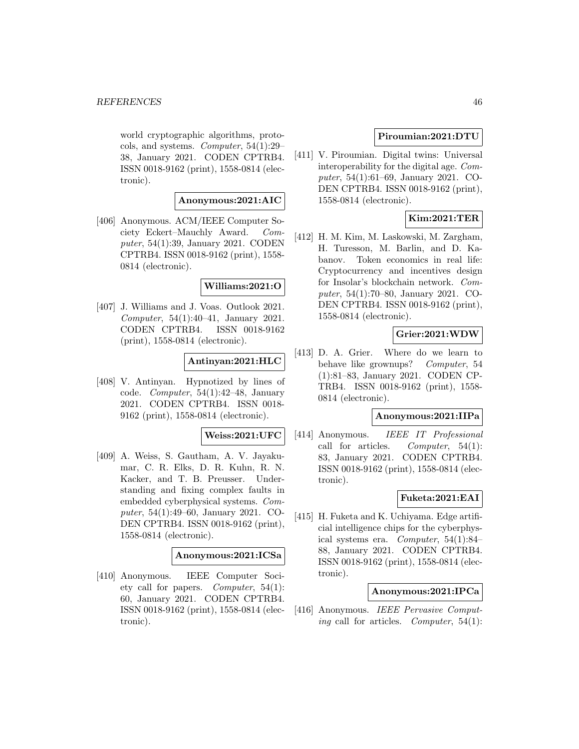world cryptographic algorithms, protocols, and systems. Computer, 54(1):29– 38, January 2021. CODEN CPTRB4. ISSN 0018-9162 (print), 1558-0814 (electronic).

# **Anonymous:2021:AIC**

[406] Anonymous. ACM/IEEE Computer Society Eckert–Mauchly Award. Computer, 54(1):39, January 2021. CODEN CPTRB4. ISSN 0018-9162 (print), 1558- 0814 (electronic).

### **Williams:2021:O**

[407] J. Williams and J. Voas. Outlook 2021. Computer, 54(1):40–41, January 2021. CODEN CPTRB4. ISSN 0018-9162 (print), 1558-0814 (electronic).

# **Antinyan:2021:HLC**

[408] V. Antinyan. Hypnotized by lines of code. Computer, 54(1):42–48, January 2021. CODEN CPTRB4. ISSN 0018- 9162 (print), 1558-0814 (electronic).

### **Weiss:2021:UFC**

[409] A. Weiss, S. Gautham, A. V. Jayakumar, C. R. Elks, D. R. Kuhn, R. N. Kacker, and T. B. Preusser. Understanding and fixing complex faults in embedded cyberphysical systems. Computer, 54(1):49–60, January 2021. CO-DEN CPTRB4. ISSN 0018-9162 (print), 1558-0814 (electronic).

## **Anonymous:2021:ICSa**

[410] Anonymous. IEEE Computer Society call for papers. Computer, 54(1): 60, January 2021. CODEN CPTRB4. ISSN 0018-9162 (print), 1558-0814 (electronic).

# **Piroumian:2021:DTU**

[411] V. Piroumian. Digital twins: Universal interoperability for the digital age. Computer, 54(1):61–69, January 2021. CO-DEN CPTRB4. ISSN 0018-9162 (print), 1558-0814 (electronic).

# **Kim:2021:TER**

[412] H. M. Kim, M. Laskowski, M. Zargham, H. Turesson, M. Barlin, and D. Kabanov. Token economics in real life: Cryptocurrency and incentives design for Insolar's blockchain network. Computer, 54(1):70–80, January 2021. CO-DEN CPTRB4. ISSN 0018-9162 (print), 1558-0814 (electronic).

# **Grier:2021:WDW**

[413] D. A. Grier. Where do we learn to behave like grownups? Computer, 54 (1):81–83, January 2021. CODEN CP-TRB4. ISSN 0018-9162 (print), 1558- 0814 (electronic).

## **Anonymous:2021:IIPa**

[414] Anonymous. IEEE IT Professional call for articles. Computer,  $54(1)$ : 83, January 2021. CODEN CPTRB4. ISSN 0018-9162 (print), 1558-0814 (electronic).

#### **Fuketa:2021:EAI**

[415] H. Fuketa and K. Uchiyama. Edge artificial intelligence chips for the cyberphysical systems era. Computer, 54(1):84– 88, January 2021. CODEN CPTRB4. ISSN 0018-9162 (print), 1558-0814 (electronic).

## **Anonymous:2021:IPCa**

[416] Anonymous. IEEE Pervasive Comput*ing* call for articles. *Computer*,  $54(1)$ :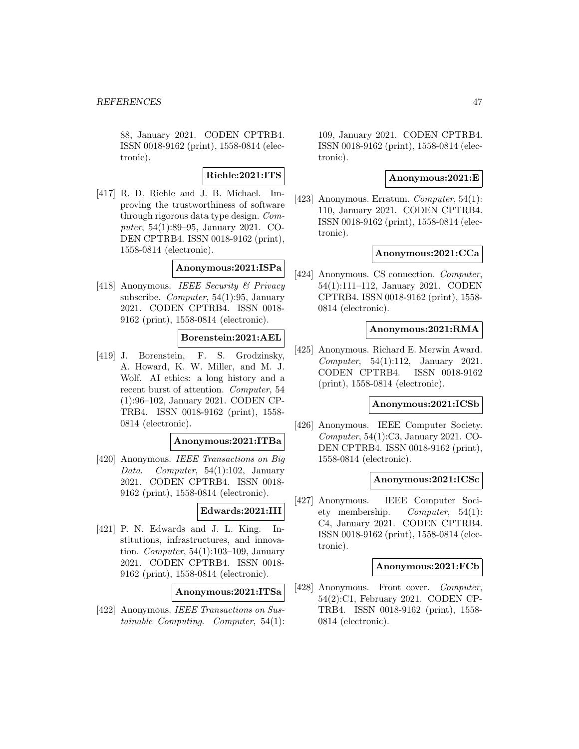88, January 2021. CODEN CPTRB4. ISSN 0018-9162 (print), 1558-0814 (electronic).

# **Riehle:2021:ITS**

[417] R. D. Riehle and J. B. Michael. Improving the trustworthiness of software through rigorous data type design. Computer, 54(1):89–95, January 2021. CO-DEN CPTRB4. ISSN 0018-9162 (print), 1558-0814 (electronic).

# **Anonymous:2021:ISPa**

[418] Anonymous. IEEE Security & Privacy subscribe. Computer, 54(1):95, January 2021. CODEN CPTRB4. ISSN 0018- 9162 (print), 1558-0814 (electronic).

# **Borenstein:2021:AEL**

[419] J. Borenstein, F. S. Grodzinsky, A. Howard, K. W. Miller, and M. J. Wolf. AI ethics: a long history and a recent burst of attention. Computer, 54 (1):96–102, January 2021. CODEN CP-TRB4. ISSN 0018-9162 (print), 1558- 0814 (electronic).

## **Anonymous:2021:ITBa**

[420] Anonymous. IEEE Transactions on Big Data. Computer, 54(1):102, January 2021. CODEN CPTRB4. ISSN 0018- 9162 (print), 1558-0814 (electronic).

# **Edwards:2021:III**

[421] P. N. Edwards and J. L. King. Institutions, infrastructures, and innovation. Computer, 54(1):103–109, January 2021. CODEN CPTRB4. ISSN 0018- 9162 (print), 1558-0814 (electronic).

#### **Anonymous:2021:ITSa**

[422] Anonymous. IEEE Transactions on Sustainable Computing. Computer, 54(1): 109, January 2021. CODEN CPTRB4. ISSN 0018-9162 (print), 1558-0814 (electronic).

# **Anonymous:2021:E**

[423] Anonymous. Erratum. *Computer*,  $54(1)$ : 110, January 2021. CODEN CPTRB4. ISSN 0018-9162 (print), 1558-0814 (electronic).

### **Anonymous:2021:CCa**

[424] Anonymous. CS connection. *Computer*, 54(1):111–112, January 2021. CODEN CPTRB4. ISSN 0018-9162 (print), 1558- 0814 (electronic).

#### **Anonymous:2021:RMA**

[425] Anonymous. Richard E. Merwin Award. Computer, 54(1):112, January 2021. CODEN CPTRB4. ISSN 0018-9162 (print), 1558-0814 (electronic).

## **Anonymous:2021:ICSb**

[426] Anonymous. IEEE Computer Society. Computer, 54(1):C3, January 2021. CO-DEN CPTRB4. ISSN 0018-9162 (print), 1558-0814 (electronic).

#### **Anonymous:2021:ICSc**

[427] Anonymous. IEEE Computer Society membership. Computer, 54(1): C4, January 2021. CODEN CPTRB4. ISSN 0018-9162 (print), 1558-0814 (electronic).

### **Anonymous:2021:FCb**

[428] Anonymous. Front cover. Computer, 54(2):C1, February 2021. CODEN CP-TRB4. ISSN 0018-9162 (print), 1558- 0814 (electronic).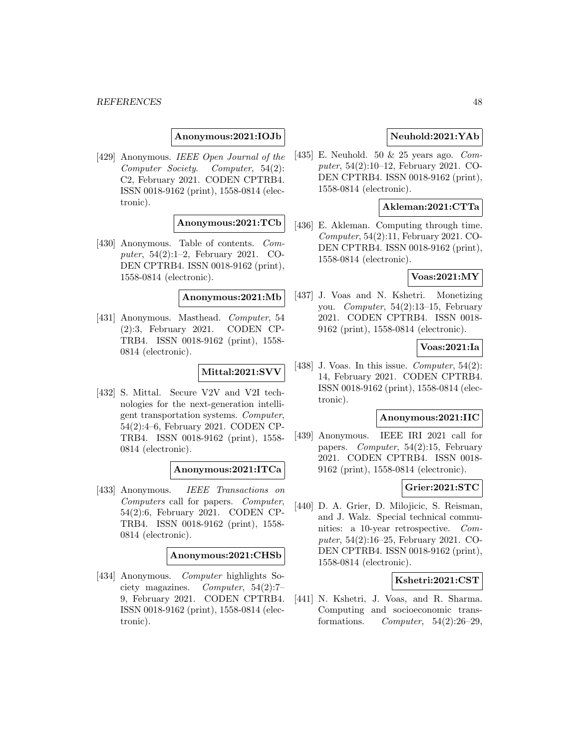#### *REFERENCES* 48

### **Anonymous:2021:IOJb**

[429] Anonymous. IEEE Open Journal of the Computer Society. Computer, 54(2): C2, February 2021. CODEN CPTRB4. ISSN 0018-9162 (print), 1558-0814 (electronic).

# **Anonymous:2021:TCb**

[430] Anonymous. Table of contents. Computer, 54(2):1–2, February 2021. CO-DEN CPTRB4. ISSN 0018-9162 (print), 1558-0814 (electronic).

## **Anonymous:2021:Mb**

[431] Anonymous. Masthead. Computer, 54 (2):3, February 2021. CODEN CP-TRB4. ISSN 0018-9162 (print), 1558- 0814 (electronic).

#### **Mittal:2021:SVV**

[432] S. Mittal. Secure V2V and V2I technologies for the next-generation intelligent transportation systems. Computer, 54(2):4–6, February 2021. CODEN CP-TRB4. ISSN 0018-9162 (print), 1558- 0814 (electronic).

### **Anonymous:2021:ITCa**

[433] Anonymous. IEEE Transactions on Computers call for papers. Computer, 54(2):6, February 2021. CODEN CP-TRB4. ISSN 0018-9162 (print), 1558- 0814 (electronic).

#### **Anonymous:2021:CHSb**

[434] Anonymous. Computer highlights Society magazines. Computer, 54(2):7– 9, February 2021. CODEN CPTRB4. ISSN 0018-9162 (print), 1558-0814 (electronic).

# **Neuhold:2021:YAb**

[435] E. Neuhold. 50 & 25 years ago. Computer, 54(2):10–12, February 2021. CO-DEN CPTRB4. ISSN 0018-9162 (print), 1558-0814 (electronic).

# **Akleman:2021:CTTa**

[436] E. Akleman. Computing through time. Computer, 54(2):11, February 2021. CO-DEN CPTRB4. ISSN 0018-9162 (print), 1558-0814 (electronic).

#### **Voas:2021:MY**

[437] J. Voas and N. Kshetri. Monetizing you. Computer, 54(2):13–15, February 2021. CODEN CPTRB4. ISSN 0018- 9162 (print), 1558-0814 (electronic).

### **Voas:2021:Ia**

[438] J. Voas. In this issue. *Computer*,  $54(2)$ : 14, February 2021. CODEN CPTRB4. ISSN 0018-9162 (print), 1558-0814 (electronic).

#### **Anonymous:2021:IIC**

[439] Anonymous. IEEE IRI 2021 call for papers. Computer, 54(2):15, February 2021. CODEN CPTRB4. ISSN 0018- 9162 (print), 1558-0814 (electronic).

## **Grier:2021:STC**

[440] D. A. Grier, D. Milojicic, S. Reisman, and J. Walz. Special technical communities: a 10-year retrospective. Computer, 54(2):16–25, February 2021. CO-DEN CPTRB4. ISSN 0018-9162 (print), 1558-0814 (electronic).

# **Kshetri:2021:CST**

[441] N. Kshetri, J. Voas, and R. Sharma. Computing and socioeconomic transformations. Computer,  $54(2):26-29$ ,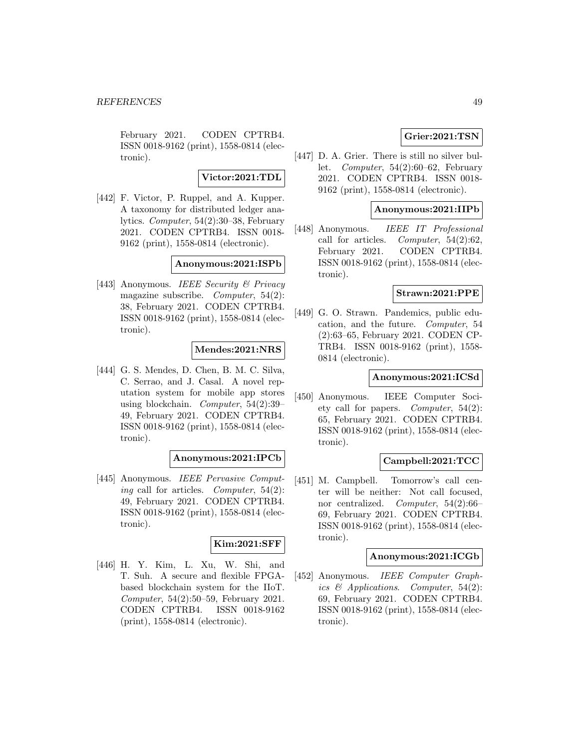February 2021. CODEN CPTRB4. ISSN 0018-9162 (print), 1558-0814 (electronic).

**Victor:2021:TDL**

[442] F. Victor, P. Ruppel, and A. Kupper. A taxonomy for distributed ledger analytics. Computer, 54(2):30–38, February 2021. CODEN CPTRB4. ISSN 0018- 9162 (print), 1558-0814 (electronic).

## **Anonymous:2021:ISPb**

[443] Anonymous. IEEE Security & Privacy magazine subscribe. Computer, 54(2): 38, February 2021. CODEN CPTRB4. ISSN 0018-9162 (print), 1558-0814 (electronic).

# **Mendes:2021:NRS**

[444] G. S. Mendes, D. Chen, B. M. C. Silva, C. Serrao, and J. Casal. A novel reputation system for mobile app stores using blockchain. Computer, 54(2):39– 49, February 2021. CODEN CPTRB4. ISSN 0018-9162 (print), 1558-0814 (electronic).

### **Anonymous:2021:IPCb**

[445] Anonymous. IEEE Pervasive Computing call for articles. Computer,  $54(2)$ : 49, February 2021. CODEN CPTRB4. ISSN 0018-9162 (print), 1558-0814 (electronic).

# **Kim:2021:SFF**

[446] H. Y. Kim, L. Xu, W. Shi, and T. Suh. A secure and flexible FPGAbased blockchain system for the IIoT. Computer, 54(2):50–59, February 2021. CODEN CPTRB4. ISSN 0018-9162 (print), 1558-0814 (electronic).

# **Grier:2021:TSN**

[447] D. A. Grier. There is still no silver bullet. *Computer*,  $54(2):60-62$ , February 2021. CODEN CPTRB4. ISSN 0018- 9162 (print), 1558-0814 (electronic).

### **Anonymous:2021:IIPb**

[448] Anonymous. IEEE IT Professional call for articles. Computer,  $54(2):62$ , February 2021. CODEN CPTRB4. ISSN 0018-9162 (print), 1558-0814 (electronic).

## **Strawn:2021:PPE**

[449] G. O. Strawn. Pandemics, public education, and the future. Computer, 54 (2):63–65, February 2021. CODEN CP-TRB4. ISSN 0018-9162 (print), 1558- 0814 (electronic).

# **Anonymous:2021:ICSd**

[450] Anonymous. IEEE Computer Society call for papers. *Computer*,  $54(2)$ : 65, February 2021. CODEN CPTRB4. ISSN 0018-9162 (print), 1558-0814 (electronic).

# **Campbell:2021:TCC**

[451] M. Campbell. Tomorrow's call center will be neither: Not call focused, nor centralized. Computer, 54(2):66– 69, February 2021. CODEN CPTRB4. ISSN 0018-9162 (print), 1558-0814 (electronic).

#### **Anonymous:2021:ICGb**

[452] Anonymous. IEEE Computer Graphics & Applications. Computer, 54(2): 69, February 2021. CODEN CPTRB4. ISSN 0018-9162 (print), 1558-0814 (electronic).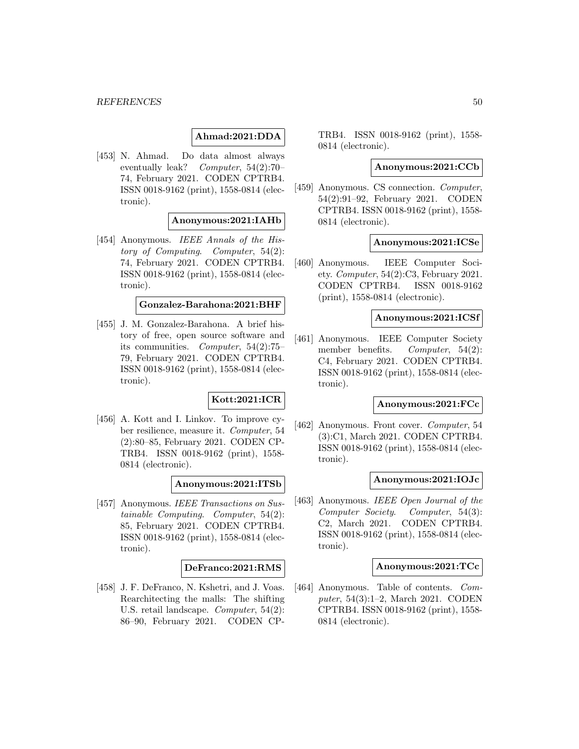# **Ahmad:2021:DDA**

[453] N. Ahmad. Do data almost always eventually leak? Computer, 54(2):70– 74, February 2021. CODEN CPTRB4. ISSN 0018-9162 (print), 1558-0814 (electronic).

# **Anonymous:2021:IAHb**

[454] Anonymous. IEEE Annals of the History of Computing. Computer, 54(2): 74, February 2021. CODEN CPTRB4. ISSN 0018-9162 (print), 1558-0814 (electronic).

#### **Gonzalez-Barahona:2021:BHF**

[455] J. M. Gonzalez-Barahona. A brief history of free, open source software and its communities. Computer, 54(2):75– 79, February 2021. CODEN CPTRB4. ISSN 0018-9162 (print), 1558-0814 (electronic).

# **Kott:2021:ICR**

[456] A. Kott and I. Linkov. To improve cyber resilience, measure it. Computer, 54 (2):80–85, February 2021. CODEN CP-TRB4. ISSN 0018-9162 (print), 1558- 0814 (electronic).

**Anonymous:2021:ITSb**

[457] Anonymous. IEEE Transactions on Sustainable Computing. Computer, 54(2): 85, February 2021. CODEN CPTRB4. ISSN 0018-9162 (print), 1558-0814 (electronic).

#### **DeFranco:2021:RMS**

[458] J. F. DeFranco, N. Kshetri, and J. Voas. Rearchitecting the malls: The shifting U.S. retail landscape. Computer, 54(2): 86–90, February 2021. CODEN CP-

TRB4. ISSN 0018-9162 (print), 1558- 0814 (electronic).

## **Anonymous:2021:CCb**

[459] Anonymous. CS connection. Computer, 54(2):91–92, February 2021. CODEN CPTRB4. ISSN 0018-9162 (print), 1558- 0814 (electronic).

#### **Anonymous:2021:ICSe**

[460] Anonymous. IEEE Computer Society. Computer,  $54(2)$ :C3, February 2021. CODEN CPTRB4. ISSN 0018-9162 (print), 1558-0814 (electronic).

### **Anonymous:2021:ICSf**

[461] Anonymous. IEEE Computer Society member benefits. *Computer*, 54(2): C4, February 2021. CODEN CPTRB4. ISSN 0018-9162 (print), 1558-0814 (electronic).

## **Anonymous:2021:FCc**

[462] Anonymous. Front cover. Computer, 54 (3):C1, March 2021. CODEN CPTRB4. ISSN 0018-9162 (print), 1558-0814 (electronic).

#### **Anonymous:2021:IOJc**

[463] Anonymous. IEEE Open Journal of the Computer Society. Computer, 54(3): C2, March 2021. CODEN CPTRB4. ISSN 0018-9162 (print), 1558-0814 (electronic).

#### **Anonymous:2021:TCc**

[464] Anonymous. Table of contents. Computer, 54(3):1–2, March 2021. CODEN CPTRB4. ISSN 0018-9162 (print), 1558- 0814 (electronic).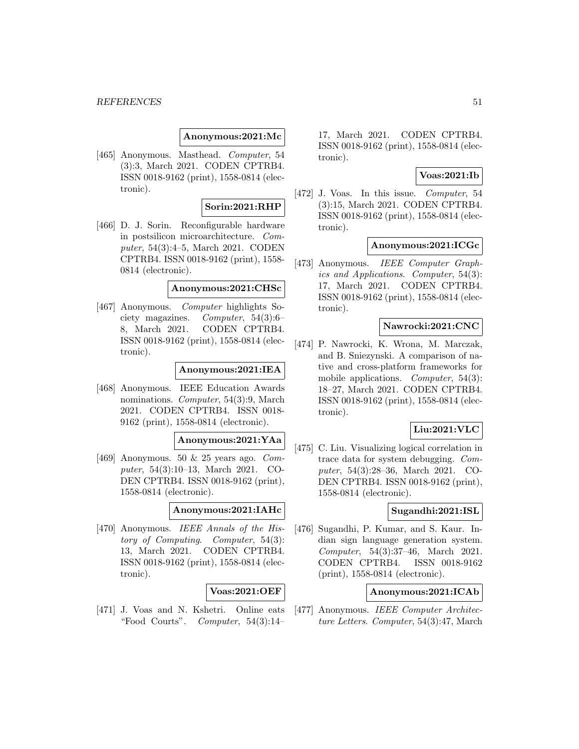#### **REFERENCES** 51

#### **Anonymous:2021:Mc**

[465] Anonymous. Masthead. Computer, 54 (3):3, March 2021. CODEN CPTRB4. ISSN 0018-9162 (print), 1558-0814 (electronic).

#### **Sorin:2021:RHP**

[466] D. J. Sorin. Reconfigurable hardware in postsilicon microarchitecture. Computer, 54(3):4–5, March 2021. CODEN CPTRB4. ISSN 0018-9162 (print), 1558- 0814 (electronic).

#### **Anonymous:2021:CHSc**

[467] Anonymous. Computer highlights Society magazines. Computer, 54(3):6– 8, March 2021. CODEN CPTRB4. ISSN 0018-9162 (print), 1558-0814 (electronic).

## **Anonymous:2021:IEA**

[468] Anonymous. IEEE Education Awards nominations. *Computer*, 54(3):9, March 2021. CODEN CPTRB4. ISSN 0018- 9162 (print), 1558-0814 (electronic).

# **Anonymous:2021:YAa**

[469] Anonymous. 50  $\&$  25 years ago. Computer, 54(3):10–13, March 2021. CO-DEN CPTRB4. ISSN 0018-9162 (print), 1558-0814 (electronic).

# **Anonymous:2021:IAHc**

[470] Anonymous. *IEEE Annals of the His*tory of Computing. Computer, 54(3): 13, March 2021. CODEN CPTRB4. ISSN 0018-9162 (print), 1558-0814 (electronic).

# **Voas:2021:OEF**

[471] J. Voas and N. Kshetri. Online eats "Food Courts". *Computer*,  $54(3):14-$  17, March 2021. CODEN CPTRB4. ISSN 0018-9162 (print), 1558-0814 (electronic).

# **Voas:2021:Ib**

[472] J. Voas. In this issue. Computer, 54 (3):15, March 2021. CODEN CPTRB4. ISSN 0018-9162 (print), 1558-0814 (electronic).

## **Anonymous:2021:ICGc**

[473] Anonymous. IEEE Computer Graphics and Applications. Computer, 54(3): 17, March 2021. CODEN CPTRB4. ISSN 0018-9162 (print), 1558-0814 (electronic).

# **Nawrocki:2021:CNC**

[474] P. Nawrocki, K. Wrona, M. Marczak, and B. Sniezynski. A comparison of native and cross-platform frameworks for mobile applications. *Computer*, 54(3): 18–27, March 2021. CODEN CPTRB4. ISSN 0018-9162 (print), 1558-0814 (electronic).

# **Liu:2021:VLC**

[475] C. Liu. Visualizing logical correlation in trace data for system debugging. Computer, 54(3):28–36, March 2021. CO-DEN CPTRB4. ISSN 0018-9162 (print), 1558-0814 (electronic).

#### **Sugandhi:2021:ISL**

[476] Sugandhi, P. Kumar, and S. Kaur. Indian sign language generation system. Computer, 54(3):37–46, March 2021. CODEN CPTRB4. ISSN 0018-9162 (print), 1558-0814 (electronic).

## **Anonymous:2021:ICAb**

[477] Anonymous. IEEE Computer Architecture Letters. Computer, 54(3):47, March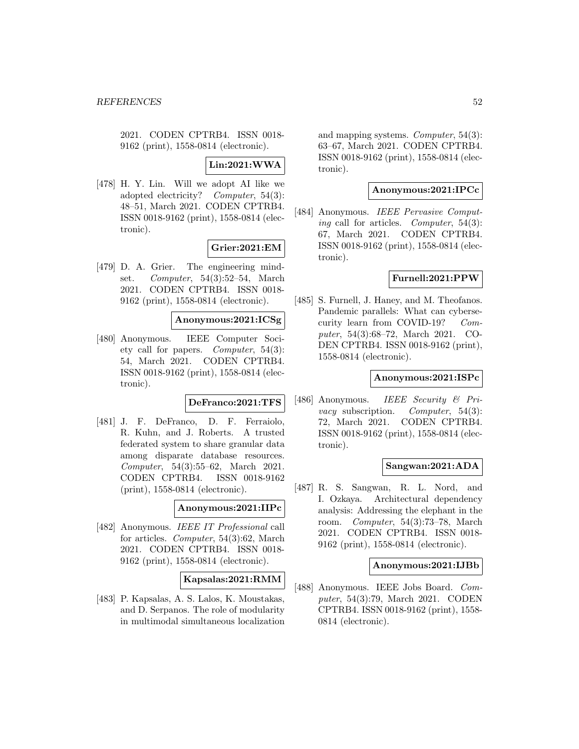2021. CODEN CPTRB4. ISSN 0018- 9162 (print), 1558-0814 (electronic).

**Lin:2021:WWA**

[478] H. Y. Lin. Will we adopt AI like we adopted electricity? Computer, 54(3): 48–51, March 2021. CODEN CPTRB4. ISSN 0018-9162 (print), 1558-0814 (electronic).

### **Grier:2021:EM**

[479] D. A. Grier. The engineering mindset. Computer, 54(3):52–54, March 2021. CODEN CPTRB4. ISSN 0018- 9162 (print), 1558-0814 (electronic).

#### **Anonymous:2021:ICSg**

[480] Anonymous. IEEE Computer Society call for papers. Computer, 54(3): 54, March 2021. CODEN CPTRB4. ISSN 0018-9162 (print), 1558-0814 (electronic).

#### **DeFranco:2021:TFS**

[481] J. F. DeFranco, D. F. Ferraiolo, R. Kuhn, and J. Roberts. A trusted federated system to share granular data among disparate database resources. Computer, 54(3):55–62, March 2021. CODEN CPTRB4. ISSN 0018-9162 (print), 1558-0814 (electronic).

# **Anonymous:2021:IIPc**

[482] Anonymous. IEEE IT Professional call for articles. Computer, 54(3):62, March 2021. CODEN CPTRB4. ISSN 0018- 9162 (print), 1558-0814 (electronic).

# **Kapsalas:2021:RMM**

[483] P. Kapsalas, A. S. Lalos, K. Moustakas, and D. Serpanos. The role of modularity in multimodal simultaneous localization and mapping systems. Computer, 54(3): 63–67, March 2021. CODEN CPTRB4. ISSN 0018-9162 (print), 1558-0814 (electronic).

# **Anonymous:2021:IPCc**

[484] Anonymous. IEEE Pervasive Computing call for articles. Computer, 54(3): 67, March 2021. CODEN CPTRB4. ISSN 0018-9162 (print), 1558-0814 (electronic).

### **Furnell:2021:PPW**

[485] S. Furnell, J. Haney, and M. Theofanos. Pandemic parallels: What can cybersecurity learn from COVID-19? Computer, 54(3):68–72, March 2021. CO-DEN CPTRB4. ISSN 0018-9162 (print), 1558-0814 (electronic).

# **Anonymous:2021:ISPc**

[486] Anonymous. IEEE Security & Privacy subscription. Computer, 54(3): 72, March 2021. CODEN CPTRB4. ISSN 0018-9162 (print), 1558-0814 (electronic).

# **Sangwan:2021:ADA**

[487] R. S. Sangwan, R. L. Nord, and I. Ozkaya. Architectural dependency analysis: Addressing the elephant in the room. Computer, 54(3):73–78, March 2021. CODEN CPTRB4. ISSN 0018- 9162 (print), 1558-0814 (electronic).

### **Anonymous:2021:IJBb**

[488] Anonymous. IEEE Jobs Board. Computer, 54(3):79, March 2021. CODEN CPTRB4. ISSN 0018-9162 (print), 1558- 0814 (electronic).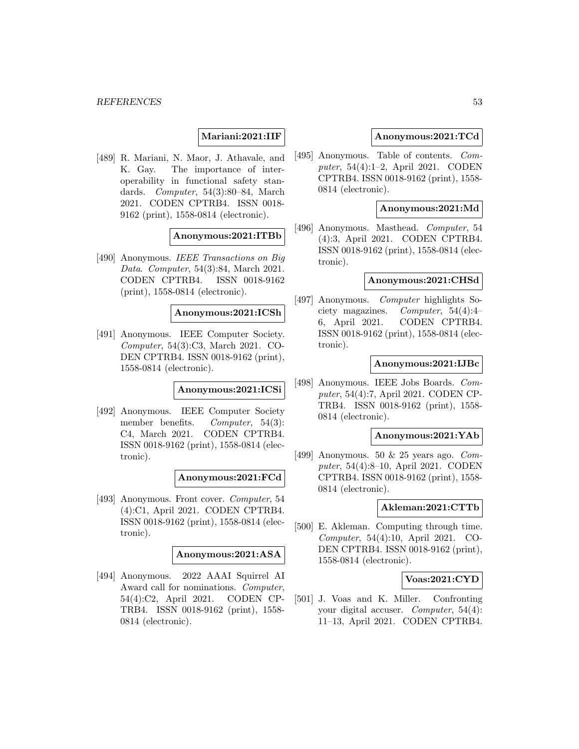## **Mariani:2021:IIF**

[489] R. Mariani, N. Maor, J. Athavale, and K. Gay. The importance of interoperability in functional safety standards. Computer, 54(3):80–84, March 2021. CODEN CPTRB4. ISSN 0018- 9162 (print), 1558-0814 (electronic).

### **Anonymous:2021:ITBb**

[490] Anonymous. IEEE Transactions on Big Data. Computer, 54(3):84, March 2021. CODEN CPTRB4. ISSN 0018-9162 (print), 1558-0814 (electronic).

# **Anonymous:2021:ICSh**

[491] Anonymous. IEEE Computer Society. Computer, 54(3):C3, March 2021. CO-DEN CPTRB4. ISSN 0018-9162 (print), 1558-0814 (electronic).

**Anonymous:2021:ICSi**

[492] Anonymous. IEEE Computer Society member benefits. *Computer*, 54(3): C4, March 2021. CODEN CPTRB4. ISSN 0018-9162 (print), 1558-0814 (electronic).

#### **Anonymous:2021:FCd**

[493] Anonymous. Front cover. Computer, 54 (4):C1, April 2021. CODEN CPTRB4. ISSN 0018-9162 (print), 1558-0814 (electronic).

#### **Anonymous:2021:ASA**

[494] Anonymous. 2022 AAAI Squirrel AI Award call for nominations. Computer, 54(4):C2, April 2021. CODEN CP-TRB4. ISSN 0018-9162 (print), 1558- 0814 (electronic).

### **Anonymous:2021:TCd**

[495] Anonymous. Table of contents. Computer, 54(4):1–2, April 2021. CODEN CPTRB4. ISSN 0018-9162 (print), 1558- 0814 (electronic).

#### **Anonymous:2021:Md**

[496] Anonymous. Masthead. Computer, 54 (4):3, April 2021. CODEN CPTRB4. ISSN 0018-9162 (print), 1558-0814 (electronic).

# **Anonymous:2021:CHSd**

[497] Anonymous. Computer highlights Society magazines. Computer, 54(4):4– 6, April 2021. CODEN CPTRB4. ISSN 0018-9162 (print), 1558-0814 (electronic).

#### **Anonymous:2021:IJBc**

[498] Anonymous. IEEE Jobs Boards. Computer, 54(4):7, April 2021. CODEN CP-TRB4. ISSN 0018-9162 (print), 1558- 0814 (electronic).

### **Anonymous:2021:YAb**

[499] Anonymous. 50 & 25 years ago. Computer, 54(4):8–10, April 2021. CODEN CPTRB4. ISSN 0018-9162 (print), 1558- 0814 (electronic).

#### **Akleman:2021:CTTb**

[500] E. Akleman. Computing through time. Computer, 54(4):10, April 2021. CO-DEN CPTRB4. ISSN 0018-9162 (print), 1558-0814 (electronic).

# **Voas:2021:CYD**

[501] J. Voas and K. Miller. Confronting your digital accuser. Computer, 54(4): 11–13, April 2021. CODEN CPTRB4.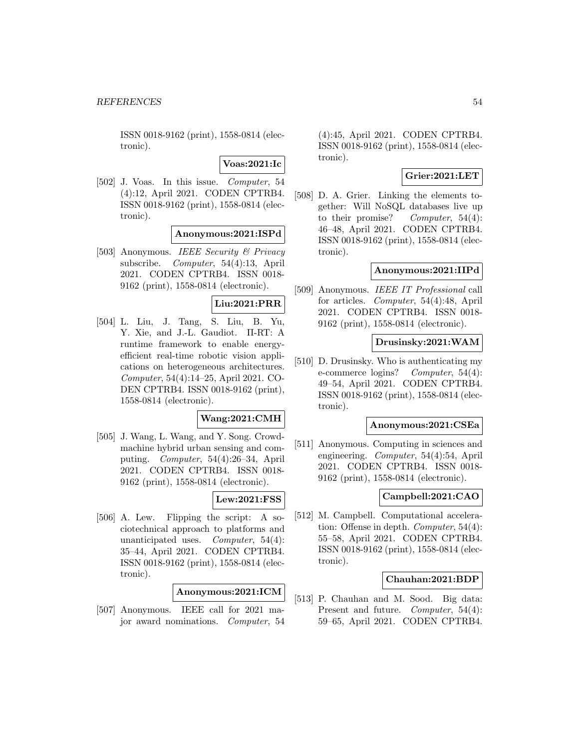**Voas:2021:Ic**

[502] J. Voas. In this issue. Computer, 54 (4):12, April 2021. CODEN CPTRB4. ISSN 0018-9162 (print), 1558-0814 (electronic).

**Anonymous:2021:ISPd**

[503] Anonymous. IEEE Security & Privacy subscribe. Computer, 54(4):13, April 2021. CODEN CPTRB4. ISSN 0018- 9162 (print), 1558-0814 (electronic).

# **Liu:2021:PRR**

[504] L. Liu, J. Tang, S. Liu, B. Yu, Y. Xie, and J.-L. Gaudiot. Π-RT: A runtime framework to enable energyefficient real-time robotic vision applications on heterogeneous architectures. Computer, 54(4):14–25, April 2021. CO-DEN CPTRB4. ISSN 0018-9162 (print), 1558-0814 (electronic).

# **Wang:2021:CMH**

[505] J. Wang, L. Wang, and Y. Song. Crowdmachine hybrid urban sensing and computing. Computer, 54(4):26–34, April 2021. CODEN CPTRB4. ISSN 0018- 9162 (print), 1558-0814 (electronic).

# **Lew:2021:FSS**

[506] A. Lew. Flipping the script: A sociotechnical approach to platforms and unanticipated uses. Computer, 54(4): 35–44, April 2021. CODEN CPTRB4. ISSN 0018-9162 (print), 1558-0814 (electronic).

# **Anonymous:2021:ICM**

[507] Anonymous. IEEE call for 2021 major award nominations. Computer, 54

(4):45, April 2021. CODEN CPTRB4. ISSN 0018-9162 (print), 1558-0814 (electronic).

# **Grier:2021:LET**

[508] D. A. Grier. Linking the elements together: Will NoSQL databases live up to their promise? Computer,  $54(4)$ : 46–48, April 2021. CODEN CPTRB4. ISSN 0018-9162 (print), 1558-0814 (electronic).

# **Anonymous:2021:IIPd**

[509] Anonymous. IEEE IT Professional call for articles. Computer, 54(4):48, April 2021. CODEN CPTRB4. ISSN 0018- 9162 (print), 1558-0814 (electronic).

## **Drusinsky:2021:WAM**

[510] D. Drusinsky. Who is authenticating my e-commerce logins? Computer, 54(4): 49–54, April 2021. CODEN CPTRB4. ISSN 0018-9162 (print), 1558-0814 (electronic).

# **Anonymous:2021:CSEa**

[511] Anonymous. Computing in sciences and engineering. Computer, 54(4):54, April 2021. CODEN CPTRB4. ISSN 0018- 9162 (print), 1558-0814 (electronic).

# **Campbell:2021:CAO**

[512] M. Campbell. Computational acceleration: Offense in depth. Computer, 54(4): 55–58, April 2021. CODEN CPTRB4. ISSN 0018-9162 (print), 1558-0814 (electronic).

## **Chauhan:2021:BDP**

[513] P. Chauhan and M. Sood. Big data: Present and future. Computer, 54(4): 59–65, April 2021. CODEN CPTRB4.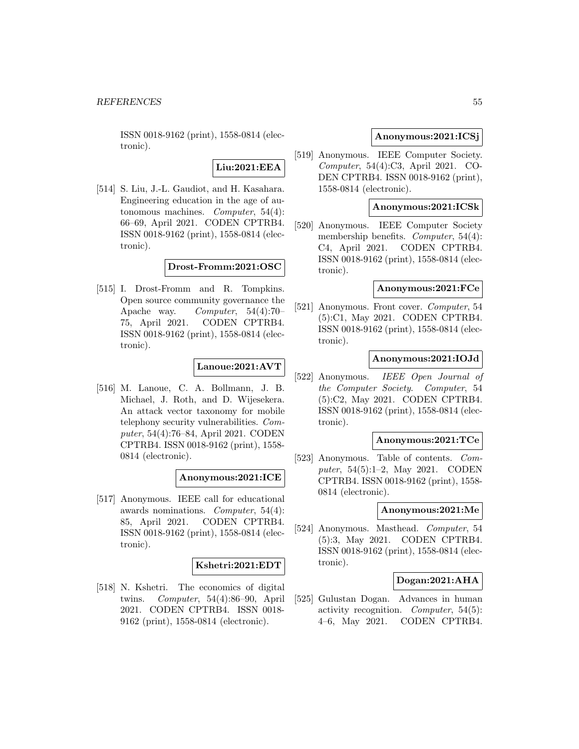# **Liu:2021:EEA**

[514] S. Liu, J.-L. Gaudiot, and H. Kasahara. Engineering education in the age of autonomous machines. Computer, 54(4): 66–69, April 2021. CODEN CPTRB4. ISSN 0018-9162 (print), 1558-0814 (electronic).

**Drost-Fromm:2021:OSC**

[515] I. Drost-Fromm and R. Tompkins. Open source community governance the Apache way. Computer, 54(4):70– 75, April 2021. CODEN CPTRB4. ISSN 0018-9162 (print), 1558-0814 (electronic).

# **Lanoue:2021:AVT**

[516] M. Lanoue, C. A. Bollmann, J. B. Michael, J. Roth, and D. Wijesekera. An attack vector taxonomy for mobile telephony security vulnerabilities. Computer, 54(4):76–84, April 2021. CODEN CPTRB4. ISSN 0018-9162 (print), 1558- 0814 (electronic).

# **Anonymous:2021:ICE**

[517] Anonymous. IEEE call for educational awards nominations. Computer, 54(4): 85, April 2021. CODEN CPTRB4. ISSN 0018-9162 (print), 1558-0814 (electronic).

## **Kshetri:2021:EDT**

[518] N. Kshetri. The economics of digital twins. Computer, 54(4):86–90, April 2021. CODEN CPTRB4. ISSN 0018- 9162 (print), 1558-0814 (electronic).

# **Anonymous:2021:ICSj**

[519] Anonymous. IEEE Computer Society. Computer, 54(4):C3, April 2021. CO-DEN CPTRB4. ISSN 0018-9162 (print), 1558-0814 (electronic).

## **Anonymous:2021:ICSk**

[520] Anonymous. IEEE Computer Society membership benefits. *Computer*, 54(4): C4, April 2021. CODEN CPTRB4. ISSN 0018-9162 (print), 1558-0814 (electronic).

#### **Anonymous:2021:FCe**

[521] Anonymous. Front cover. Computer, 54 (5):C1, May 2021. CODEN CPTRB4. ISSN 0018-9162 (print), 1558-0814 (electronic).

# **Anonymous:2021:IOJd**

[522] Anonymous. IEEE Open Journal of the Computer Society. Computer, 54 (5):C2, May 2021. CODEN CPTRB4. ISSN 0018-9162 (print), 1558-0814 (electronic).

#### **Anonymous:2021:TCe**

[523] Anonymous. Table of contents. Computer, 54(5):1–2, May 2021. CODEN CPTRB4. ISSN 0018-9162 (print), 1558- 0814 (electronic).

## **Anonymous:2021:Me**

[524] Anonymous. Masthead. Computer, 54 (5):3, May 2021. CODEN CPTRB4. ISSN 0018-9162 (print), 1558-0814 (electronic).

# **Dogan:2021:AHA**

[525] Gulustan Dogan. Advances in human activity recognition. Computer, 54(5): 4–6, May 2021. CODEN CPTRB4.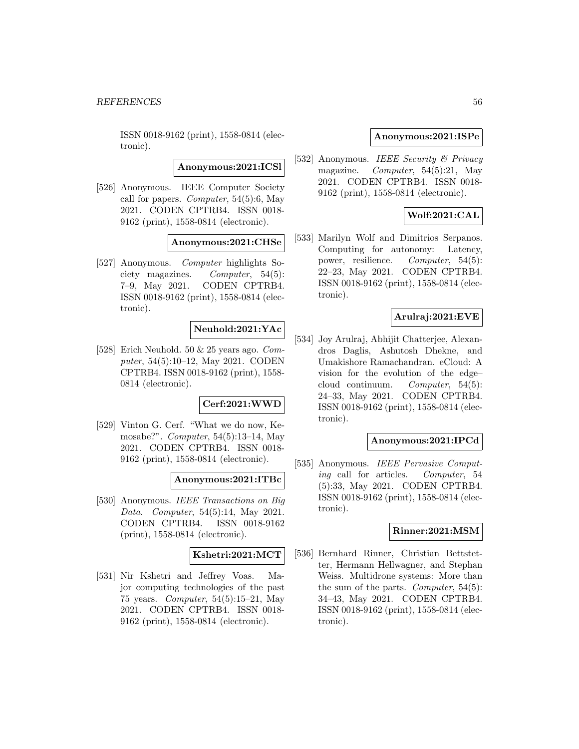**Anonymous:2021:ICSl**

[526] Anonymous. IEEE Computer Society call for papers. *Computer*,  $54(5):6$ , May 2021. CODEN CPTRB4. ISSN 0018- 9162 (print), 1558-0814 (electronic).

# **Anonymous:2021:CHSe**

[527] Anonymous. Computer highlights Society magazines. Computer, 54(5): 7–9, May 2021. CODEN CPTRB4. ISSN 0018-9162 (print), 1558-0814 (electronic).

# **Neuhold:2021:YAc**

[528] Erich Neuhold. 50 & 25 years ago. Computer, 54(5):10–12, May 2021. CODEN CPTRB4. ISSN 0018-9162 (print), 1558- 0814 (electronic).

# **Cerf:2021:WWD**

[529] Vinton G. Cerf. "What we do now, Kemosabe?". Computer, 54(5):13–14, May 2021. CODEN CPTRB4. ISSN 0018- 9162 (print), 1558-0814 (electronic).

#### **Anonymous:2021:ITBc**

[530] Anonymous. IEEE Transactions on Big Data. Computer, 54(5):14, May 2021. CODEN CPTRB4. ISSN 0018-9162 (print), 1558-0814 (electronic).

#### **Kshetri:2021:MCT**

[531] Nir Kshetri and Jeffrey Voas. Major computing technologies of the past 75 years. Computer, 54(5):15–21, May 2021. CODEN CPTRB4. ISSN 0018- 9162 (print), 1558-0814 (electronic).

### **Anonymous:2021:ISPe**

[532] Anonymous. IEEE Security & Privacy magazine. Computer, 54(5):21, May 2021. CODEN CPTRB4. ISSN 0018- 9162 (print), 1558-0814 (electronic).

# **Wolf:2021:CAL**

[533] Marilyn Wolf and Dimitrios Serpanos. Computing for autonomy: Latency, power, resilience. Computer, 54(5): 22–23, May 2021. CODEN CPTRB4. ISSN 0018-9162 (print), 1558-0814 (electronic).

# **Arulraj:2021:EVE**

[534] Joy Arulraj, Abhijit Chatterjee, Alexandros Daglis, Ashutosh Dhekne, and Umakishore Ramachandran. eCloud: A vision for the evolution of the edge– cloud continuum. Computer, 54(5): 24–33, May 2021. CODEN CPTRB4. ISSN 0018-9162 (print), 1558-0814 (electronic).

#### **Anonymous:2021:IPCd**

[535] Anonymous. *IEEE Pervasive Comput*ing call for articles. Computer, 54 (5):33, May 2021. CODEN CPTRB4. ISSN 0018-9162 (print), 1558-0814 (electronic).

#### **Rinner:2021:MSM**

[536] Bernhard Rinner, Christian Bettstetter, Hermann Hellwagner, and Stephan Weiss. Multidrone systems: More than the sum of the parts. *Computer*,  $54(5)$ : 34–43, May 2021. CODEN CPTRB4. ISSN 0018-9162 (print), 1558-0814 (electronic).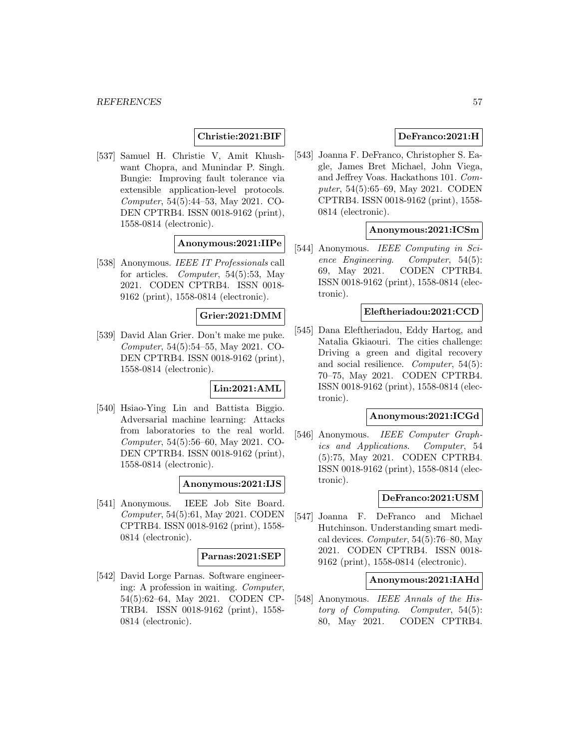# **Christie:2021:BIF**

[537] Samuel H. Christie V, Amit Khushwant Chopra, and Munindar P. Singh. Bungie: Improving fault tolerance via extensible application-level protocols. Computer, 54(5):44–53, May 2021. CO-DEN CPTRB4. ISSN 0018-9162 (print), 1558-0814 (electronic).

# **Anonymous:2021:IIPe**

[538] Anonymous. IEEE IT Professionals call for articles. Computer, 54(5):53, May 2021. CODEN CPTRB4. ISSN 0018- 9162 (print), 1558-0814 (electronic).

### **Grier:2021:DMM**

[539] David Alan Grier. Don't make me puke. Computer, 54(5):54–55, May 2021. CO-DEN CPTRB4. ISSN 0018-9162 (print), 1558-0814 (electronic).

# **Lin:2021:AML**

[540] Hsiao-Ying Lin and Battista Biggio. Adversarial machine learning: Attacks from laboratories to the real world. Computer, 54(5):56–60, May 2021. CO-DEN CPTRB4. ISSN 0018-9162 (print), 1558-0814 (electronic).

# **Anonymous:2021:IJS**

[541] Anonymous. IEEE Job Site Board. Computer, 54(5):61, May 2021. CODEN CPTRB4. ISSN 0018-9162 (print), 1558- 0814 (electronic).

# **Parnas:2021:SEP**

[542] David Lorge Parnas. Software engineering: A profession in waiting. Computer, 54(5):62–64, May 2021. CODEN CP-TRB4. ISSN 0018-9162 (print), 1558- 0814 (electronic).

# **DeFranco:2021:H**

[543] Joanna F. DeFranco, Christopher S. Eagle, James Bret Michael, John Viega, and Jeffrey Voas. Hackathons 101. Computer, 54(5):65–69, May 2021. CODEN CPTRB4. ISSN 0018-9162 (print), 1558- 0814 (electronic).

## **Anonymous:2021:ICSm**

[544] Anonymous. IEEE Computing in Science Engineering. Computer, 54(5): 69, May 2021. CODEN CPTRB4. ISSN 0018-9162 (print), 1558-0814 (electronic).

## **Eleftheriadou:2021:CCD**

[545] Dana Eleftheriadou, Eddy Hartog, and Natalia Gkiaouri. The cities challenge: Driving a green and digital recovery and social resilience. Computer, 54(5): 70–75, May 2021. CODEN CPTRB4. ISSN 0018-9162 (print), 1558-0814 (electronic).

## **Anonymous:2021:ICGd**

[546] Anonymous. IEEE Computer Graphics and Applications. Computer, 54 (5):75, May 2021. CODEN CPTRB4. ISSN 0018-9162 (print), 1558-0814 (electronic).

#### **DeFranco:2021:USM**

[547] Joanna F. DeFranco and Michael Hutchinson. Understanding smart medical devices. Computer,  $54(5):76-80$ , May 2021. CODEN CPTRB4. ISSN 0018- 9162 (print), 1558-0814 (electronic).

## **Anonymous:2021:IAHd**

[548] Anonymous. IEEE Annals of the History of Computing. Computer, 54(5): 80, May 2021. CODEN CPTRB4.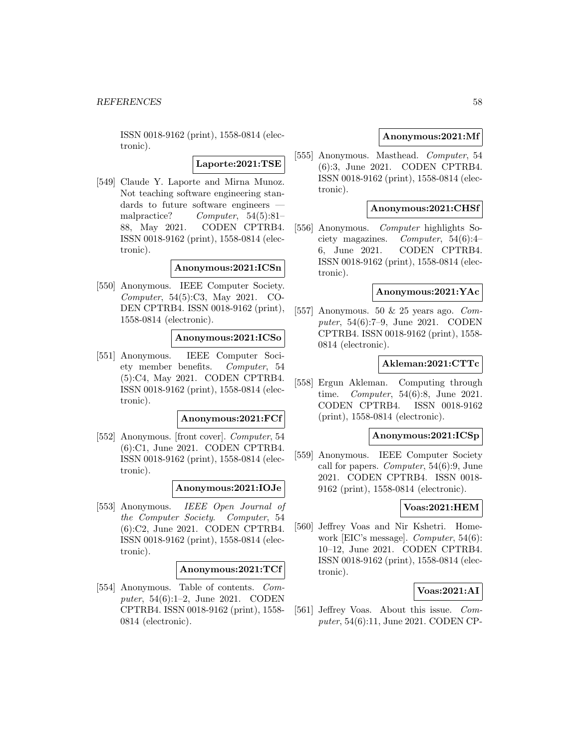**Laporte:2021:TSE**

[549] Claude Y. Laporte and Mirna Munoz. Not teaching software engineering standards to future software engineers malpractice? Computer, 54(5):81– 88, May 2021. CODEN CPTRB4. ISSN 0018-9162 (print), 1558-0814 (electronic).

### **Anonymous:2021:ICSn**

[550] Anonymous. IEEE Computer Society. Computer, 54(5):C3, May 2021. CO-DEN CPTRB4. ISSN 0018-9162 (print), 1558-0814 (electronic).

### **Anonymous:2021:ICSo**

[551] Anonymous. IEEE Computer Society member benefits. Computer, 54 (5):C4, May 2021. CODEN CPTRB4. ISSN 0018-9162 (print), 1558-0814 (electronic).

#### **Anonymous:2021:FCf**

[552] Anonymous. [front cover]. Computer, 54 (6):C1, June 2021. CODEN CPTRB4. ISSN 0018-9162 (print), 1558-0814 (electronic).

#### **Anonymous:2021:IOJe**

[553] Anonymous. IEEE Open Journal of the Computer Society. Computer, 54 (6):C2, June 2021. CODEN CPTRB4. ISSN 0018-9162 (print), 1558-0814 (electronic).

#### **Anonymous:2021:TCf**

[554] Anonymous. Table of contents. Computer, 54(6):1–2, June 2021. CODEN CPTRB4. ISSN 0018-9162 (print), 1558- 0814 (electronic).

# **Anonymous:2021:Mf**

[555] Anonymous. Masthead. Computer, 54 (6):3, June 2021. CODEN CPTRB4. ISSN 0018-9162 (print), 1558-0814 (electronic).

# **Anonymous:2021:CHSf**

[556] Anonymous. Computer highlights Society magazines. Computer, 54(6):4– 6, June 2021. CODEN CPTRB4. ISSN 0018-9162 (print), 1558-0814 (electronic).

## **Anonymous:2021:YAc**

[557] Anonymous. 50 & 25 years ago. Computer, 54(6):7–9, June 2021. CODEN CPTRB4. ISSN 0018-9162 (print), 1558- 0814 (electronic).

## **Akleman:2021:CTTc**

[558] Ergun Akleman. Computing through time. Computer, 54(6):8, June 2021. CODEN CPTRB4. ISSN 0018-9162 (print), 1558-0814 (electronic).

# **Anonymous:2021:ICSp**

[559] Anonymous. IEEE Computer Society call for papers. Computer, 54(6):9, June 2021. CODEN CPTRB4. ISSN 0018- 9162 (print), 1558-0814 (electronic).

#### **Voas:2021:HEM**

[560] Jeffrey Voas and Nir Kshetri. Homework [EIC's message]. Computer, 54(6): 10–12, June 2021. CODEN CPTRB4. ISSN 0018-9162 (print), 1558-0814 (electronic).

# **Voas:2021:AI**

[561] Jeffrey Voas. About this issue. Computer, 54(6):11, June 2021. CODEN CP-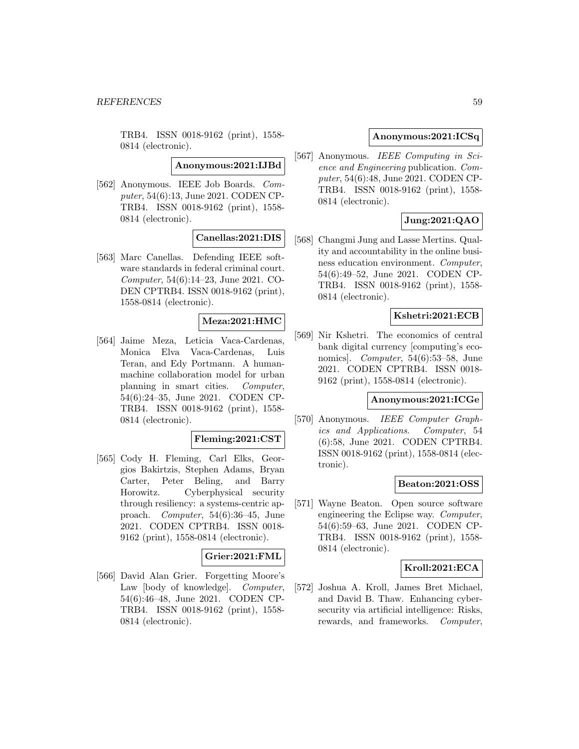**Anonymous:2021:IJBd**

[562] Anonymous. IEEE Job Boards. Computer, 54(6):13, June 2021. CODEN CP-TRB4. ISSN 0018-9162 (print), 1558- 0814 (electronic).

# **Canellas:2021:DIS**

[563] Marc Canellas. Defending IEEE software standards in federal criminal court. Computer, 54(6):14–23, June 2021. CO-DEN CPTRB4. ISSN 0018-9162 (print), 1558-0814 (electronic).

# **Meza:2021:HMC**

[564] Jaime Meza, Leticia Vaca-Cardenas, Monica Elva Vaca-Cardenas, Luis Teran, and Edy Portmann. A humanmachine collaboration model for urban planning in smart cities. Computer, 54(6):24–35, June 2021. CODEN CP-TRB4. ISSN 0018-9162 (print), 1558- 0814 (electronic).

#### **Fleming:2021:CST**

[565] Cody H. Fleming, Carl Elks, Georgios Bakirtzis, Stephen Adams, Bryan Carter, Peter Beling, and Barry Horowitz. Cyberphysical security through resiliency: a systems-centric approach. Computer, 54(6):36–45, June 2021. CODEN CPTRB4. ISSN 0018- 9162 (print), 1558-0814 (electronic).

# **Grier:2021:FML**

[566] David Alan Grier. Forgetting Moore's Law [body of knowledge]. Computer, 54(6):46–48, June 2021. CODEN CP-TRB4. ISSN 0018-9162 (print), 1558- 0814 (electronic).

# **Anonymous:2021:ICSq**

[567] Anonymous. IEEE Computing in Science and Engineering publication. Computer, 54(6):48, June 2021. CODEN CP-TRB4. ISSN 0018-9162 (print), 1558- 0814 (electronic).

# **Jung:2021:QAO**

[568] Changmi Jung and Lasse Mertins. Quality and accountability in the online business education environment. Computer, 54(6):49–52, June 2021. CODEN CP-TRB4. ISSN 0018-9162 (print), 1558- 0814 (electronic).

# **Kshetri:2021:ECB**

[569] Nir Kshetri. The economics of central bank digital currency [computing's economics]. Computer,  $54(6):53-58$ , June 2021. CODEN CPTRB4. ISSN 0018- 9162 (print), 1558-0814 (electronic).

### **Anonymous:2021:ICGe**

[570] Anonymous. IEEE Computer Graphics and Applications. Computer, 54 (6):58, June 2021. CODEN CPTRB4. ISSN 0018-9162 (print), 1558-0814 (electronic).

### **Beaton:2021:OSS**

[571] Wayne Beaton. Open source software engineering the Eclipse way. Computer, 54(6):59–63, June 2021. CODEN CP-TRB4. ISSN 0018-9162 (print), 1558- 0814 (electronic).

## **Kroll:2021:ECA**

[572] Joshua A. Kroll, James Bret Michael, and David B. Thaw. Enhancing cybersecurity via artificial intelligence: Risks, rewards, and frameworks. Computer,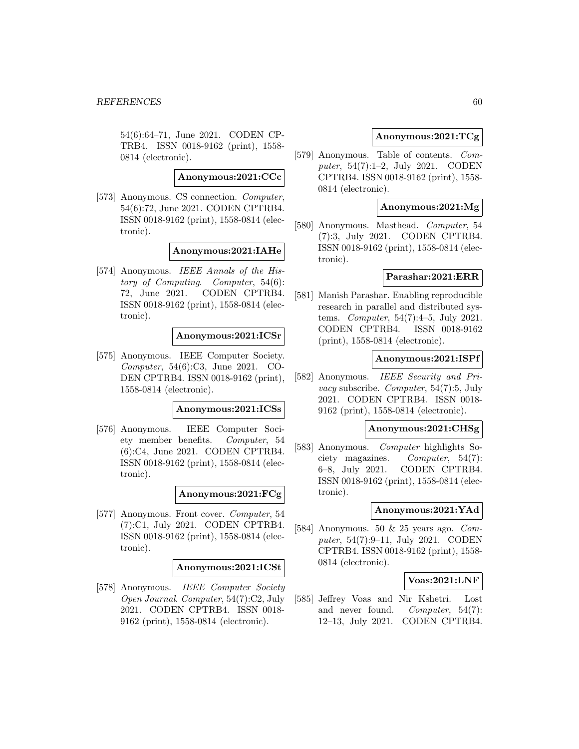54(6):64–71, June 2021. CODEN CP-TRB4. ISSN 0018-9162 (print), 1558- 0814 (electronic).

**Anonymous:2021:CCc**

[573] Anonymous. CS connection. Computer, 54(6):72, June 2021. CODEN CPTRB4. ISSN 0018-9162 (print), 1558-0814 (electronic).

# **Anonymous:2021:IAHe**

[574] Anonymous. IEEE Annals of the History of Computing. Computer, 54(6): 72, June 2021. CODEN CPTRB4. ISSN 0018-9162 (print), 1558-0814 (electronic).

#### **Anonymous:2021:ICSr**

[575] Anonymous. IEEE Computer Society. Computer, 54(6):C3, June 2021. CO-DEN CPTRB4. ISSN 0018-9162 (print), 1558-0814 (electronic).

#### **Anonymous:2021:ICSs**

[576] Anonymous. IEEE Computer Society member benefits. Computer, 54 (6):C4, June 2021. CODEN CPTRB4. ISSN 0018-9162 (print), 1558-0814 (electronic).

# **Anonymous:2021:FCg**

[577] Anonymous. Front cover. Computer, 54 (7):C1, July 2021. CODEN CPTRB4. ISSN 0018-9162 (print), 1558-0814 (electronic).

## **Anonymous:2021:ICSt**

[578] Anonymous. IEEE Computer Society Open Journal. Computer, 54(7):C2, July 2021. CODEN CPTRB4. ISSN 0018- 9162 (print), 1558-0814 (electronic).

# **Anonymous:2021:TCg**

[579] Anonymous. Table of contents. Computer, 54(7):1–2, July 2021. CODEN CPTRB4. ISSN 0018-9162 (print), 1558- 0814 (electronic).

# **Anonymous:2021:Mg**

[580] Anonymous. Masthead. Computer, 54 (7):3, July 2021. CODEN CPTRB4. ISSN 0018-9162 (print), 1558-0814 (electronic).

#### **Parashar:2021:ERR**

[581] Manish Parashar. Enabling reproducible research in parallel and distributed systems. Computer, 54(7):4–5, July 2021. CODEN CPTRB4. ISSN 0018-9162 (print), 1558-0814 (electronic).

### **Anonymous:2021:ISPf**

[582] Anonymous. IEEE Security and Privacy subscribe. Computer, 54(7):5, July 2021. CODEN CPTRB4. ISSN 0018- 9162 (print), 1558-0814 (electronic).

#### **Anonymous:2021:CHSg**

[583] Anonymous. Computer highlights Society magazines. Computer, 54(7): 6–8, July 2021. CODEN CPTRB4. ISSN 0018-9162 (print), 1558-0814 (electronic).

## **Anonymous:2021:YAd**

[584] Anonymous. 50 & 25 years ago. Computer, 54(7):9–11, July 2021. CODEN CPTRB4. ISSN 0018-9162 (print), 1558- 0814 (electronic).

## **Voas:2021:LNF**

[585] Jeffrey Voas and Nir Kshetri. Lost and never found. Computer, 54(7): 12–13, July 2021. CODEN CPTRB4.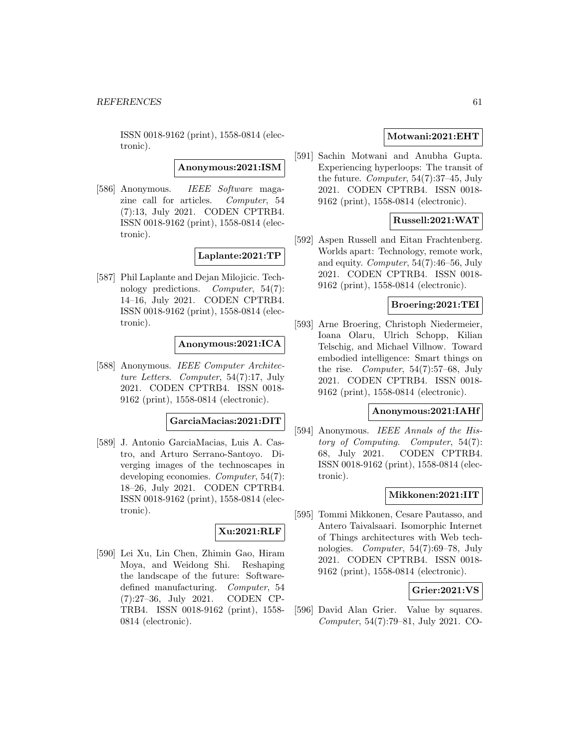**Anonymous:2021:ISM**

[586] Anonymous. IEEE Software magazine call for articles. Computer, 54 (7):13, July 2021. CODEN CPTRB4. ISSN 0018-9162 (print), 1558-0814 (electronic).

**Laplante:2021:TP**

[587] Phil Laplante and Dejan Milojicic. Technology predictions. Computer, 54(7): 14–16, July 2021. CODEN CPTRB4. ISSN 0018-9162 (print), 1558-0814 (electronic).

**Anonymous:2021:ICA**

[588] Anonymous. IEEE Computer Architecture Letters. Computer, 54(7):17, July 2021. CODEN CPTRB4. ISSN 0018- 9162 (print), 1558-0814 (electronic).

**GarciaMacias:2021:DIT**

[589] J. Antonio GarciaMacias, Luis A. Castro, and Arturo Serrano-Santoyo. Diverging images of the technoscapes in developing economies. Computer, 54(7): 18–26, July 2021. CODEN CPTRB4. ISSN 0018-9162 (print), 1558-0814 (electronic).

# **Xu:2021:RLF**

[590] Lei Xu, Lin Chen, Zhimin Gao, Hiram Moya, and Weidong Shi. Reshaping the landscape of the future: Softwaredefined manufacturing. Computer, 54 (7):27–36, July 2021. CODEN CP-TRB4. ISSN 0018-9162 (print), 1558- 0814 (electronic).

# **Motwani:2021:EHT**

[591] Sachin Motwani and Anubha Gupta. Experiencing hyperloops: The transit of the future. Computer, 54(7):37–45, July 2021. CODEN CPTRB4. ISSN 0018- 9162 (print), 1558-0814 (electronic).

# **Russell:2021:WAT**

[592] Aspen Russell and Eitan Frachtenberg. Worlds apart: Technology, remote work, and equity. Computer, 54(7):46–56, July 2021. CODEN CPTRB4. ISSN 0018- 9162 (print), 1558-0814 (electronic).

## **Broering:2021:TEI**

[593] Arne Broering, Christoph Niedermeier, Ioana Olaru, Ulrich Schopp, Kilian Telschig, and Michael Villnow. Toward embodied intelligence: Smart things on the rise. Computer, 54(7):57–68, July 2021. CODEN CPTRB4. ISSN 0018- 9162 (print), 1558-0814 (electronic).

### **Anonymous:2021:IAHf**

[594] Anonymous. IEEE Annals of the History of Computing. Computer, 54(7): 68, July 2021. CODEN CPTRB4. ISSN 0018-9162 (print), 1558-0814 (electronic).

### **Mikkonen:2021:IIT**

[595] Tommi Mikkonen, Cesare Pautasso, and Antero Taivalsaari. Isomorphic Internet of Things architectures with Web technologies. Computer, 54(7):69–78, July 2021. CODEN CPTRB4. ISSN 0018- 9162 (print), 1558-0814 (electronic).

# **Grier:2021:VS**

[596] David Alan Grier. Value by squares. Computer, 54(7):79–81, July 2021. CO-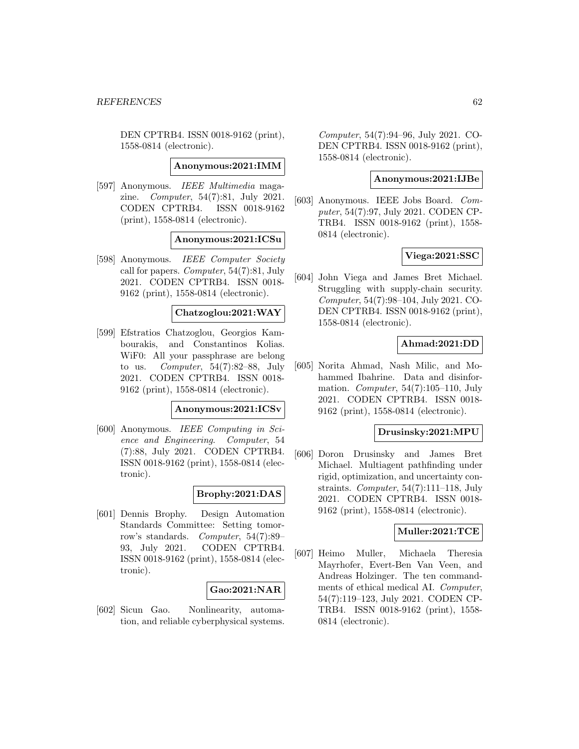DEN CPTRB4. ISSN 0018-9162 (print), 1558-0814 (electronic).

### **Anonymous:2021:IMM**

[597] Anonymous. IEEE Multimedia magazine. Computer, 54(7):81, July 2021. CODEN CPTRB4. ISSN 0018-9162 (print), 1558-0814 (electronic).

## **Anonymous:2021:ICSu**

[598] Anonymous. IEEE Computer Society call for papers. Computer, 54(7):81, July 2021. CODEN CPTRB4. ISSN 0018- 9162 (print), 1558-0814 (electronic).

**Chatzoglou:2021:WAY**

[599] Efstratios Chatzoglou, Georgios Kambourakis, and Constantinos Kolias. WiF0: All your passphrase are belong to us. Computer, 54(7):82–88, July 2021. CODEN CPTRB4. ISSN 0018- 9162 (print), 1558-0814 (electronic).

#### **Anonymous:2021:ICSv**

[600] Anonymous. IEEE Computing in Science and Engineering. Computer, 54 (7):88, July 2021. CODEN CPTRB4. ISSN 0018-9162 (print), 1558-0814 (electronic).

# **Brophy:2021:DAS**

[601] Dennis Brophy. Design Automation Standards Committee: Setting tomorrow's standards. Computer, 54(7):89– 93, July 2021. CODEN CPTRB4. ISSN 0018-9162 (print), 1558-0814 (electronic).

# **Gao:2021:NAR**

[602] Sicun Gao. Nonlinearity, automation, and reliable cyberphysical systems. Computer, 54(7):94–96, July 2021. CO-DEN CPTRB4. ISSN 0018-9162 (print), 1558-0814 (electronic).

#### **Anonymous:2021:IJBe**

[603] Anonymous. IEEE Jobs Board. Computer, 54(7):97, July 2021. CODEN CP-TRB4. ISSN 0018-9162 (print), 1558- 0814 (electronic).

#### **Viega:2021:SSC**

[604] John Viega and James Bret Michael. Struggling with supply-chain security. Computer, 54(7):98–104, July 2021. CO-DEN CPTRB4. ISSN 0018-9162 (print), 1558-0814 (electronic).

# **Ahmad:2021:DD**

[605] Norita Ahmad, Nash Milic, and Mohammed Ibahrine. Data and disinformation. Computer,  $54(7):105-110$ , July 2021. CODEN CPTRB4. ISSN 0018- 9162 (print), 1558-0814 (electronic).

#### **Drusinsky:2021:MPU**

[606] Doron Drusinsky and James Bret Michael. Multiagent pathfinding under rigid, optimization, and uncertainty constraints. Computer,  $54(7):111-118$ , July 2021. CODEN CPTRB4. ISSN 0018- 9162 (print), 1558-0814 (electronic).

## **Muller:2021:TCE**

[607] Heimo Muller, Michaela Theresia Mayrhofer, Evert-Ben Van Veen, and Andreas Holzinger. The ten commandments of ethical medical AI. Computer, 54(7):119–123, July 2021. CODEN CP-TRB4. ISSN 0018-9162 (print), 1558- 0814 (electronic).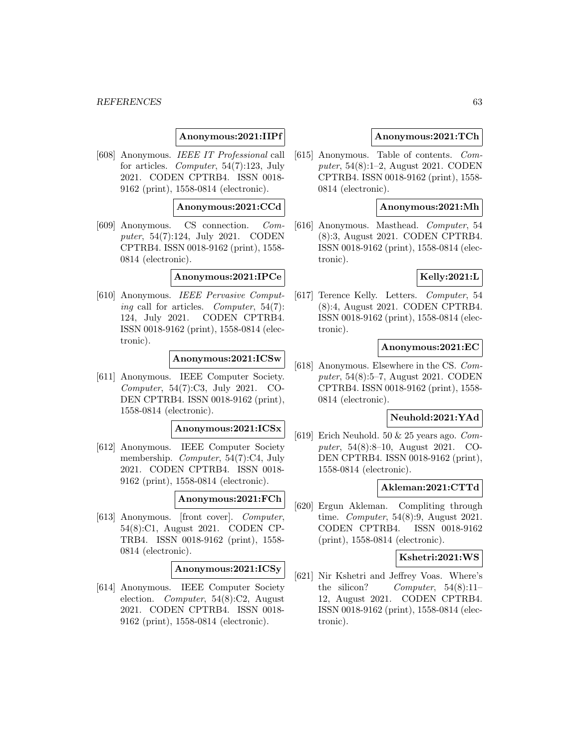#### *REFERENCES* 63

## **Anonymous:2021:IIPf**

[608] Anonymous. IEEE IT Professional call for articles. Computer, 54(7):123, July 2021. CODEN CPTRB4. ISSN 0018- 9162 (print), 1558-0814 (electronic).

### **Anonymous:2021:CCd**

[609] Anonymous. CS connection. Computer, 54(7):124, July 2021. CODEN CPTRB4. ISSN 0018-9162 (print), 1558- 0814 (electronic).

# **Anonymous:2021:IPCe**

[610] Anonymous. IEEE Pervasive Computing call for articles. Computer, 54(7): 124, July 2021. CODEN CPTRB4. ISSN 0018-9162 (print), 1558-0814 (electronic).

#### **Anonymous:2021:ICSw**

[611] Anonymous. IEEE Computer Society. Computer, 54(7):C3, July 2021. CO-DEN CPTRB4. ISSN 0018-9162 (print), 1558-0814 (electronic).

#### **Anonymous:2021:ICSx**

[612] Anonymous. IEEE Computer Society membership. Computer, 54(7):C4, July 2021. CODEN CPTRB4. ISSN 0018- 9162 (print), 1558-0814 (electronic).

#### **Anonymous:2021:FCh**

[613] Anonymous. [front cover]. Computer, 54(8):C1, August 2021. CODEN CP-TRB4. ISSN 0018-9162 (print), 1558- 0814 (electronic).

#### **Anonymous:2021:ICSy**

[614] Anonymous. IEEE Computer Society election. Computer, 54(8):C2, August 2021. CODEN CPTRB4. ISSN 0018- 9162 (print), 1558-0814 (electronic).

#### **Anonymous:2021:TCh**

[615] Anonymous. Table of contents. Computer, 54(8):1–2, August 2021. CODEN CPTRB4. ISSN 0018-9162 (print), 1558- 0814 (electronic).

### **Anonymous:2021:Mh**

[616] Anonymous. Masthead. Computer, 54 (8):3, August 2021. CODEN CPTRB4. ISSN 0018-9162 (print), 1558-0814 (electronic).

### **Kelly:2021:L**

[617] Terence Kelly. Letters. Computer, 54 (8):4, August 2021. CODEN CPTRB4. ISSN 0018-9162 (print), 1558-0814 (electronic).

## **Anonymous:2021:EC**

[618] Anonymous. Elsewhere in the CS. Computer, 54(8):5–7, August 2021. CODEN CPTRB4. ISSN 0018-9162 (print), 1558- 0814 (electronic).

## **Neuhold:2021:YAd**

[619] Erich Neuhold. 50 & 25 years ago. Computer, 54(8):8–10, August 2021. CO-DEN CPTRB4. ISSN 0018-9162 (print), 1558-0814 (electronic).

## **Akleman:2021:CTTd**

[620] Ergun Akleman. Compliting through time. Computer, 54(8):9, August 2021. CODEN CPTRB4. ISSN 0018-9162 (print), 1558-0814 (electronic).

#### **Kshetri:2021:WS**

[621] Nir Kshetri and Jeffrey Voas. Where's the silicon? Computer, 54(8):11-12, August 2021. CODEN CPTRB4. ISSN 0018-9162 (print), 1558-0814 (electronic).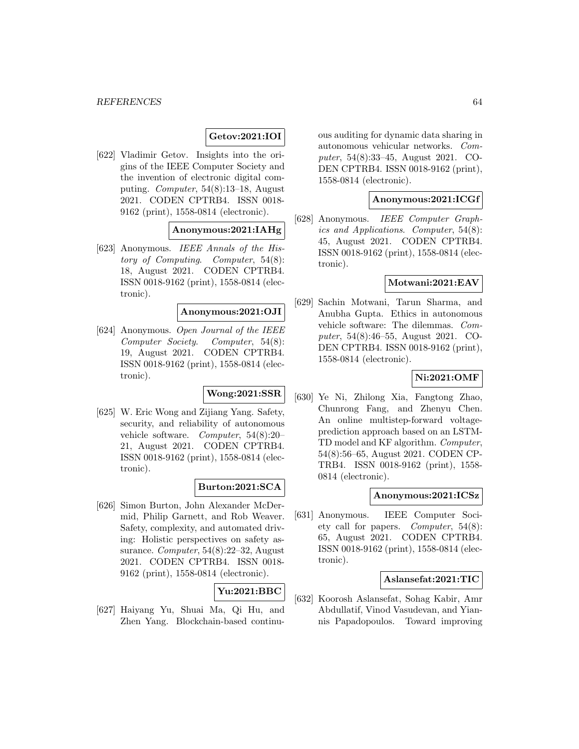# **Getov:2021:IOI**

[622] Vladimir Getov. Insights into the origins of the IEEE Computer Society and the invention of electronic digital computing. Computer, 54(8):13–18, August 2021. CODEN CPTRB4. ISSN 0018- 9162 (print), 1558-0814 (electronic).

# **Anonymous:2021:IAHg**

[623] Anonymous. IEEE Annals of the History of Computing. Computer, 54(8): 18, August 2021. CODEN CPTRB4. ISSN 0018-9162 (print), 1558-0814 (electronic).

# **Anonymous:2021:OJI**

[624] Anonymous. Open Journal of the IEEE Computer Society. Computer, 54(8): 19, August 2021. CODEN CPTRB4. ISSN 0018-9162 (print), 1558-0814 (electronic).

#### **Wong:2021:SSR**

[625] W. Eric Wong and Zijiang Yang. Safety, security, and reliability of autonomous vehicle software. Computer, 54(8):20– 21, August 2021. CODEN CPTRB4. ISSN 0018-9162 (print), 1558-0814 (electronic).

# **Burton:2021:SCA**

[626] Simon Burton, John Alexander McDermid, Philip Garnett, and Rob Weaver. Safety, complexity, and automated driving: Holistic perspectives on safety assurance. Computer, 54(8):22–32, August 2021. CODEN CPTRB4. ISSN 0018- 9162 (print), 1558-0814 (electronic).

# **Yu:2021:BBC**

[627] Haiyang Yu, Shuai Ma, Qi Hu, and Zhen Yang. Blockchain-based continuous auditing for dynamic data sharing in autonomous vehicular networks. Computer, 54(8):33–45, August 2021. CO-DEN CPTRB4. ISSN 0018-9162 (print), 1558-0814 (electronic).

### **Anonymous:2021:ICGf**

[628] Anonymous. IEEE Computer Graphics and Applications. Computer, 54(8): 45, August 2021. CODEN CPTRB4. ISSN 0018-9162 (print), 1558-0814 (electronic).

## **Motwani:2021:EAV**

[629] Sachin Motwani, Tarun Sharma, and Anubha Gupta. Ethics in autonomous vehicle software: The dilemmas. Computer, 54(8):46–55, August 2021. CO-DEN CPTRB4. ISSN 0018-9162 (print), 1558-0814 (electronic).

# **Ni:2021:OMF**

[630] Ye Ni, Zhilong Xia, Fangtong Zhao, Chunrong Fang, and Zhenyu Chen. An online multistep-forward voltageprediction approach based on an LSTM-TD model and KF algorithm. Computer, 54(8):56–65, August 2021. CODEN CP-TRB4. ISSN 0018-9162 (print), 1558- 0814 (electronic).

# **Anonymous:2021:ICSz**

[631] Anonymous. IEEE Computer Society call for papers. Computer, 54(8): 65, August 2021. CODEN CPTRB4. ISSN 0018-9162 (print), 1558-0814 (electronic).

## **Aslansefat:2021:TIC**

[632] Koorosh Aslansefat, Sohag Kabir, Amr Abdullatif, Vinod Vasudevan, and Yiannis Papadopoulos. Toward improving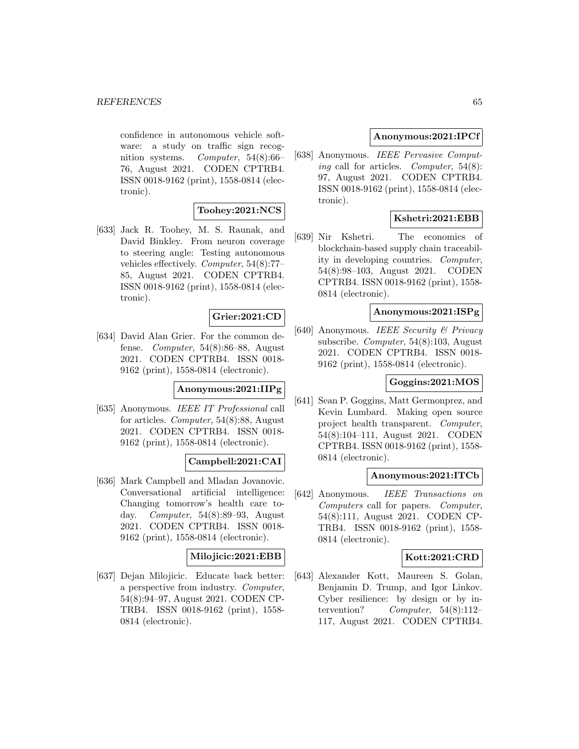confidence in autonomous vehicle software: a study on traffic sign recognition systems. Computer, 54(8):66– 76, August 2021. CODEN CPTRB4. ISSN 0018-9162 (print), 1558-0814 (electronic).

# **Toohey:2021:NCS**

[633] Jack R. Toohey, M. S. Raunak, and David Binkley. From neuron coverage to steering angle: Testing autonomous vehicles effectively. Computer, 54(8):77– 85, August 2021. CODEN CPTRB4. ISSN 0018-9162 (print), 1558-0814 (electronic).

# **Grier:2021:CD**

[634] David Alan Grier. For the common defense. Computer, 54(8):86–88, August 2021. CODEN CPTRB4. ISSN 0018- 9162 (print), 1558-0814 (electronic).

### **Anonymous:2021:IIPg**

[635] Anonymous. IEEE IT Professional call for articles. Computer, 54(8):88, August 2021. CODEN CPTRB4. ISSN 0018- 9162 (print), 1558-0814 (electronic).

# **Campbell:2021:CAI**

[636] Mark Campbell and Mladan Jovanovic. Conversational artificial intelligence: Changing tomorrow's health care today. Computer, 54(8):89–93, August 2021. CODEN CPTRB4. ISSN 0018- 9162 (print), 1558-0814 (electronic).

# **Milojicic:2021:EBB**

[637] Dejan Milojicic. Educate back better: a perspective from industry. Computer, 54(8):94–97, August 2021. CODEN CP-TRB4. ISSN 0018-9162 (print), 1558- 0814 (electronic).

# **Anonymous:2021:IPCf**

[638] Anonymous. IEEE Pervasive Computing call for articles. Computer,  $54(8)$ : 97, August 2021. CODEN CPTRB4. ISSN 0018-9162 (print), 1558-0814 (electronic).

# **Kshetri:2021:EBB**

[639] Nir Kshetri. The economics of blockchain-based supply chain traceability in developing countries. Computer, 54(8):98–103, August 2021. CODEN CPTRB4. ISSN 0018-9162 (print), 1558- 0814 (electronic).

# **Anonymous:2021:ISPg**

[640] Anonymous. IEEE Security & Privacy subscribe. Computer, 54(8):103, August 2021. CODEN CPTRB4. ISSN 0018- 9162 (print), 1558-0814 (electronic).

# **Goggins:2021:MOS**

[641] Sean P. Goggins, Matt Germonprez, and Kevin Lumbard. Making open source project health transparent. Computer, 54(8):104–111, August 2021. CODEN CPTRB4. ISSN 0018-9162 (print), 1558- 0814 (electronic).

#### **Anonymous:2021:ITCb**

[642] Anonymous. IEEE Transactions on Computers call for papers. Computer, 54(8):111, August 2021. CODEN CP-TRB4. ISSN 0018-9162 (print), 1558- 0814 (electronic).

# **Kott:2021:CRD**

[643] Alexander Kott, Maureen S. Golan, Benjamin D. Trump, and Igor Linkov. Cyber resilience: by design or by intervention?  $Computer, 54(8):112-$ 117, August 2021. CODEN CPTRB4.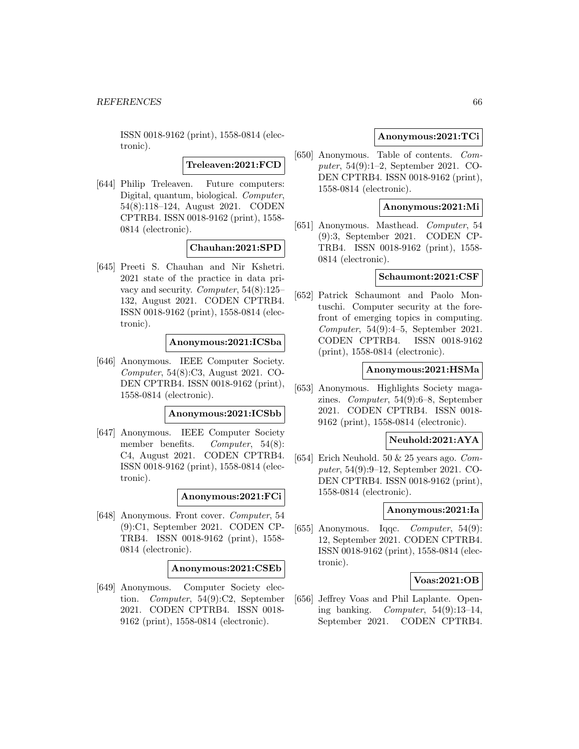**Treleaven:2021:FCD**

[644] Philip Treleaven. Future computers: Digital, quantum, biological. Computer, 54(8):118–124, August 2021. CODEN CPTRB4. ISSN 0018-9162 (print), 1558- 0814 (electronic).

### **Chauhan:2021:SPD**

[645] Preeti S. Chauhan and Nir Kshetri. 2021 state of the practice in data privacy and security. Computer, 54(8):125– 132, August 2021. CODEN CPTRB4. ISSN 0018-9162 (print), 1558-0814 (electronic).

# **Anonymous:2021:ICSba**

[646] Anonymous. IEEE Computer Society. Computer, 54(8):C3, August 2021. CO-DEN CPTRB4. ISSN 0018-9162 (print), 1558-0814 (electronic).

#### **Anonymous:2021:ICSbb**

[647] Anonymous. IEEE Computer Society member benefits. *Computer*, 54(8): C4, August 2021. CODEN CPTRB4. ISSN 0018-9162 (print), 1558-0814 (electronic).

#### **Anonymous:2021:FCi**

[648] Anonymous. Front cover. Computer, 54 (9):C1, September 2021. CODEN CP-TRB4. ISSN 0018-9162 (print), 1558- 0814 (electronic).

#### **Anonymous:2021:CSEb**

[649] Anonymous. Computer Society election. Computer, 54(9):C2, September 2021. CODEN CPTRB4. ISSN 0018- 9162 (print), 1558-0814 (electronic).

## **Anonymous:2021:TCi**

[650] Anonymous. Table of contents. Computer, 54(9):1–2, September 2021. CO-DEN CPTRB4. ISSN 0018-9162 (print), 1558-0814 (electronic).

## **Anonymous:2021:Mi**

[651] Anonymous. Masthead. Computer, 54 (9):3, September 2021. CODEN CP-TRB4. ISSN 0018-9162 (print), 1558- 0814 (electronic).

## **Schaumont:2021:CSF**

[652] Patrick Schaumont and Paolo Montuschi. Computer security at the forefront of emerging topics in computing. Computer, 54(9):4–5, September 2021. CODEN CPTRB4. ISSN 0018-9162 (print), 1558-0814 (electronic).

## **Anonymous:2021:HSMa**

[653] Anonymous. Highlights Society magazines. Computer, 54(9):6–8, September 2021. CODEN CPTRB4. ISSN 0018- 9162 (print), 1558-0814 (electronic).

# **Neuhold:2021:AYA**

[654] Erich Neuhold. 50  $& 25$  years ago. Computer, 54(9):9–12, September 2021. CO-DEN CPTRB4. ISSN 0018-9162 (print), 1558-0814 (electronic).

## **Anonymous:2021:Ia**

[655] Anonymous. Iqqc.  $Computer, 54(9)$ : 12, September 2021. CODEN CPTRB4. ISSN 0018-9162 (print), 1558-0814 (electronic).

#### **Voas:2021:OB**

[656] Jeffrey Voas and Phil Laplante. Opening banking. *Computer*,  $54(9):13-14$ , September 2021. CODEN CPTRB4.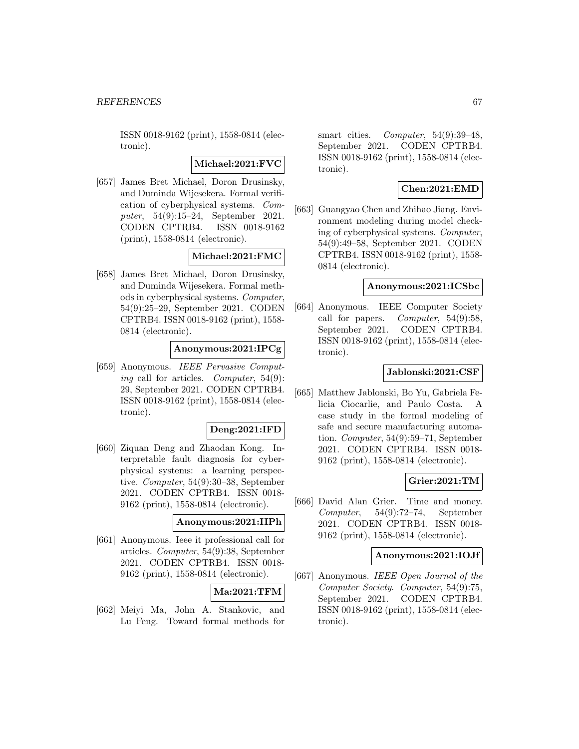**Michael:2021:FVC**

[657] James Bret Michael, Doron Drusinsky, and Duminda Wijesekera. Formal verification of cyberphysical systems. Computer, 54(9):15–24, September 2021. CODEN CPTRB4. ISSN 0018-9162 (print), 1558-0814 (electronic).

**Michael:2021:FMC**

[658] James Bret Michael, Doron Drusinsky, and Duminda Wijesekera. Formal methods in cyberphysical systems. Computer, 54(9):25–29, September 2021. CODEN CPTRB4. ISSN 0018-9162 (print), 1558- 0814 (electronic).

# **Anonymous:2021:IPCg**

[659] Anonymous. IEEE Pervasive Computing call for articles. Computer, 54(9): 29, September 2021. CODEN CPTRB4. ISSN 0018-9162 (print), 1558-0814 (electronic).

# **Deng:2021:IFD**

[660] Ziquan Deng and Zhaodan Kong. Interpretable fault diagnosis for cyberphysical systems: a learning perspective. Computer, 54(9):30–38, September 2021. CODEN CPTRB4. ISSN 0018- 9162 (print), 1558-0814 (electronic).

## **Anonymous:2021:IIPh**

[661] Anonymous. Ieee it professional call for articles. Computer, 54(9):38, September 2021. CODEN CPTRB4. ISSN 0018- 9162 (print), 1558-0814 (electronic).

# **Ma:2021:TFM**

[662] Meiyi Ma, John A. Stankovic, and Lu Feng. Toward formal methods for

smart cities. Computer, 54(9):39-48, September 2021. CODEN CPTRB4. ISSN 0018-9162 (print), 1558-0814 (electronic).

# **Chen:2021:EMD**

[663] Guangyao Chen and Zhihao Jiang. Environment modeling during model checking of cyberphysical systems. Computer, 54(9):49–58, September 2021. CODEN CPTRB4. ISSN 0018-9162 (print), 1558- 0814 (electronic).

#### **Anonymous:2021:ICSbc**

[664] Anonymous. IEEE Computer Society call for papers. *Computer*,  $54(9):58$ , September 2021. CODEN CPTRB4. ISSN 0018-9162 (print), 1558-0814 (electronic).

#### **Jablonski:2021:CSF**

[665] Matthew Jablonski, Bo Yu, Gabriela Felicia Ciocarlie, and Paulo Costa. A case study in the formal modeling of safe and secure manufacturing automation. Computer, 54(9):59–71, September 2021. CODEN CPTRB4. ISSN 0018- 9162 (print), 1558-0814 (electronic).

# **Grier:2021:TM**

[666] David Alan Grier. Time and money. Computer, 54(9):72–74, September 2021. CODEN CPTRB4. ISSN 0018- 9162 (print), 1558-0814 (electronic).

# **Anonymous:2021:IOJf**

[667] Anonymous. IEEE Open Journal of the Computer Society. Computer, 54(9):75, September 2021. CODEN CPTRB4. ISSN 0018-9162 (print), 1558-0814 (electronic).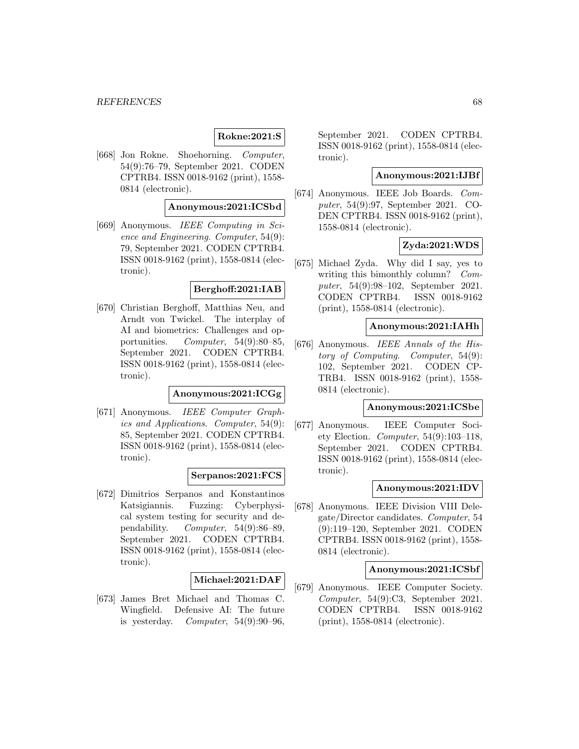# **Rokne:2021:S**

[668] Jon Rokne. Shoehorning. Computer, 54(9):76–79, September 2021. CODEN CPTRB4. ISSN 0018-9162 (print), 1558- 0814 (electronic).

## **Anonymous:2021:ICSbd**

[669] Anonymous. IEEE Computing in Science and Engineering. Computer, 54(9): 79, September 2021. CODEN CPTRB4. ISSN 0018-9162 (print), 1558-0814 (electronic).

### **Berghoff:2021:IAB**

[670] Christian Berghoff, Matthias Neu, and Arndt von Twickel. The interplay of AI and biometrics: Challenges and opportunities. Computer, 54(9):80–85, September 2021. CODEN CPTRB4. ISSN 0018-9162 (print), 1558-0814 (electronic).

#### **Anonymous:2021:ICGg**

[671] Anonymous. IEEE Computer Graphics and Applications. Computer, 54(9): 85, September 2021. CODEN CPTRB4. ISSN 0018-9162 (print), 1558-0814 (electronic).

#### **Serpanos:2021:FCS**

[672] Dimitrios Serpanos and Konstantinos Katsigiannis. Fuzzing: Cyberphysical system testing for security and dependability. Computer, 54(9):86–89, September 2021. CODEN CPTRB4. ISSN 0018-9162 (print), 1558-0814 (electronic).

## **Michael:2021:DAF**

[673] James Bret Michael and Thomas C. Wingfield. Defensive AI: The future is yesterday. Computer,  $54(9):90-96$ ,

September 2021. CODEN CPTRB4. ISSN 0018-9162 (print), 1558-0814 (electronic).

# **Anonymous:2021:IJBf**

[674] Anonymous. IEEE Job Boards. Computer, 54(9):97, September 2021. CO-DEN CPTRB4. ISSN 0018-9162 (print), 1558-0814 (electronic).

# **Zyda:2021:WDS**

[675] Michael Zyda. Why did I say, yes to writing this bimonthly column? Computer, 54(9):98–102, September 2021. CODEN CPTRB4. ISSN 0018-9162 (print), 1558-0814 (electronic).

# **Anonymous:2021:IAHh**

[676] Anonymous. IEEE Annals of the History of Computing. Computer, 54(9): 102, September 2021. CODEN CP-TRB4. ISSN 0018-9162 (print), 1558- 0814 (electronic).

# **Anonymous:2021:ICSbe**

[677] Anonymous. IEEE Computer Society Election. Computer, 54(9):103–118, September 2021. CODEN CPTRB4. ISSN 0018-9162 (print), 1558-0814 (electronic).

## **Anonymous:2021:IDV**

[678] Anonymous. IEEE Division VIII Delegate/Director candidates. Computer, 54 (9):119–120, September 2021. CODEN CPTRB4. ISSN 0018-9162 (print), 1558- 0814 (electronic).

#### **Anonymous:2021:ICSbf**

[679] Anonymous. IEEE Computer Society. Computer, 54(9):C3, September 2021. CODEN CPTRB4. ISSN 0018-9162 (print), 1558-0814 (electronic).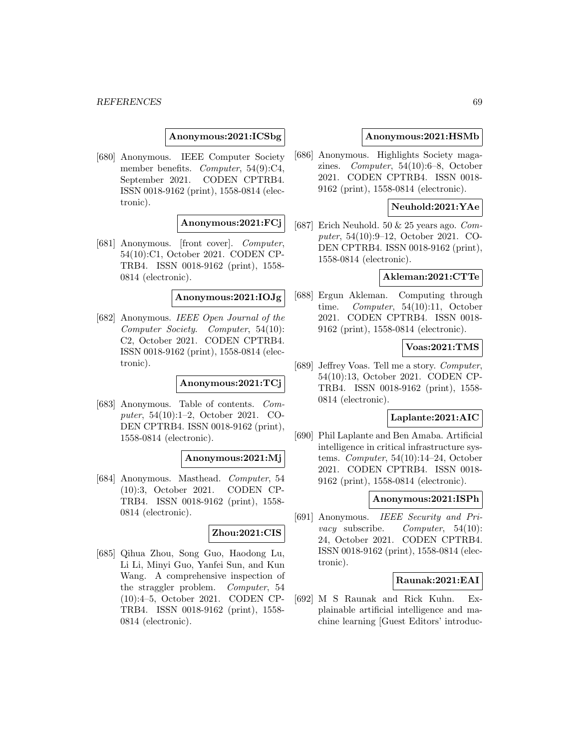**Anonymous:2021:ICSbg**

[680] Anonymous. IEEE Computer Society member benefits. Computer, 54(9):C4, September 2021. CODEN CPTRB4. ISSN 0018-9162 (print), 1558-0814 (electronic).

# **Anonymous:2021:FCj**

[681] Anonymous. [front cover]. Computer, 54(10):C1, October 2021. CODEN CP-TRB4. ISSN 0018-9162 (print), 1558- 0814 (electronic).

# **Anonymous:2021:IOJg**

[682] Anonymous. IEEE Open Journal of the Computer Society. Computer, 54(10): C2, October 2021. CODEN CPTRB4. ISSN 0018-9162 (print), 1558-0814 (electronic).

### **Anonymous:2021:TCj**

[683] Anonymous. Table of contents. Computer, 54(10):1–2, October 2021. CO-DEN CPTRB4. ISSN 0018-9162 (print), 1558-0814 (electronic).

### **Anonymous:2021:Mj**

[684] Anonymous. Masthead. Computer, 54 (10):3, October 2021. CODEN CP-TRB4. ISSN 0018-9162 (print), 1558- 0814 (electronic).

#### **Zhou:2021:CIS**

[685] Qihua Zhou, Song Guo, Haodong Lu, Li Li, Minyi Guo, Yanfei Sun, and Kun Wang. A comprehensive inspection of the straggler problem. Computer, 54 (10):4–5, October 2021. CODEN CP-TRB4. ISSN 0018-9162 (print), 1558- 0814 (electronic).

#### **Anonymous:2021:HSMb**

[686] Anonymous. Highlights Society magazines. Computer, 54(10):6–8, October 2021. CODEN CPTRB4. ISSN 0018- 9162 (print), 1558-0814 (electronic).

# **Neuhold:2021:YAe**

[687] Erich Neuhold.  $50 \& 25$  years ago.  $Com$ puter, 54(10):9–12, October 2021. CO-DEN CPTRB4. ISSN 0018-9162 (print), 1558-0814 (electronic).

## **Akleman:2021:CTTe**

[688] Ergun Akleman. Computing through time. Computer, 54(10):11, October 2021. CODEN CPTRB4. ISSN 0018- 9162 (print), 1558-0814 (electronic).

# **Voas:2021:TMS**

[689] Jeffrey Voas. Tell me a story. Computer, 54(10):13, October 2021. CODEN CP-TRB4. ISSN 0018-9162 (print), 1558- 0814 (electronic).

#### **Laplante:2021:AIC**

[690] Phil Laplante and Ben Amaba. Artificial intelligence in critical infrastructure systems. Computer, 54(10):14–24, October 2021. CODEN CPTRB4. ISSN 0018- 9162 (print), 1558-0814 (electronic).

# **Anonymous:2021:ISPh**

[691] Anonymous. IEEE Security and Privacy subscribe. Computer, 54(10): 24, October 2021. CODEN CPTRB4. ISSN 0018-9162 (print), 1558-0814 (electronic).

## **Raunak:2021:EAI**

[692] M S Raunak and Rick Kuhn. Explainable artificial intelligence and machine learning [Guest Editors' introduc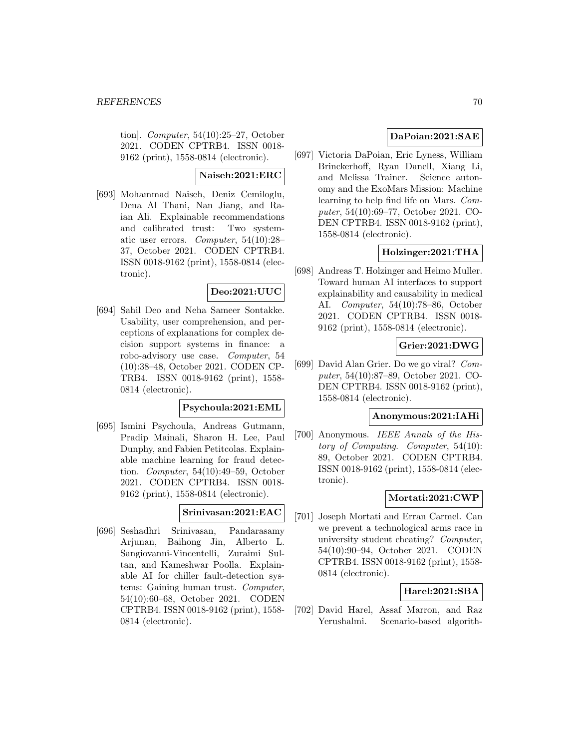tion]. Computer, 54(10):25–27, October 2021. CODEN CPTRB4. ISSN 0018- 9162 (print), 1558-0814 (electronic).

# **Naiseh:2021:ERC**

[693] Mohammad Naiseh, Deniz Cemiloglu, Dena Al Thani, Nan Jiang, and Raian Ali. Explainable recommendations and calibrated trust: Two systematic user errors. Computer, 54(10):28– 37, October 2021. CODEN CPTRB4. ISSN 0018-9162 (print), 1558-0814 (electronic).

# **Deo:2021:UUC**

[694] Sahil Deo and Neha Sameer Sontakke. Usability, user comprehension, and perceptions of explanations for complex decision support systems in finance: a robo-advisory use case. Computer, 54 (10):38–48, October 2021. CODEN CP-TRB4. ISSN 0018-9162 (print), 1558- 0814 (electronic).

# **Psychoula:2021:EML**

[695] Ismini Psychoula, Andreas Gutmann, Pradip Mainali, Sharon H. Lee, Paul Dunphy, and Fabien Petitcolas. Explainable machine learning for fraud detection. Computer, 54(10):49–59, October 2021. CODEN CPTRB4. ISSN 0018- 9162 (print), 1558-0814 (electronic).

# **Srinivasan:2021:EAC**

[696] Seshadhri Srinivasan, Pandarasamy Arjunan, Baihong Jin, Alberto L. Sangiovanni-Vincentelli, Zuraimi Sultan, and Kameshwar Poolla. Explainable AI for chiller fault-detection systems: Gaining human trust. Computer, 54(10):60–68, October 2021. CODEN CPTRB4. ISSN 0018-9162 (print), 1558- 0814 (electronic).

# **DaPoian:2021:SAE**

[697] Victoria DaPoian, Eric Lyness, William Brinckerhoff, Ryan Danell, Xiang Li, and Melissa Trainer. Science autonomy and the ExoMars Mission: Machine learning to help find life on Mars. Computer, 54(10):69–77, October 2021. CO-DEN CPTRB4. ISSN 0018-9162 (print), 1558-0814 (electronic).

# **Holzinger:2021:THA**

[698] Andreas T. Holzinger and Heimo Muller. Toward human AI interfaces to support explainability and causability in medical AI. Computer, 54(10):78–86, October 2021. CODEN CPTRB4. ISSN 0018- 9162 (print), 1558-0814 (electronic).

# **Grier:2021:DWG**

[699] David Alan Grier. Do we go viral? Computer, 54(10):87–89, October 2021. CO-DEN CPTRB4. ISSN 0018-9162 (print), 1558-0814 (electronic).

## **Anonymous:2021:IAHi**

[700] Anonymous. IEEE Annals of the History of Computing. Computer, 54(10): 89, October 2021. CODEN CPTRB4. ISSN 0018-9162 (print), 1558-0814 (electronic).

## **Mortati:2021:CWP**

[701] Joseph Mortati and Erran Carmel. Can we prevent a technological arms race in university student cheating? Computer, 54(10):90–94, October 2021. CODEN CPTRB4. ISSN 0018-9162 (print), 1558- 0814 (electronic).

# **Harel:2021:SBA**

[702] David Harel, Assaf Marron, and Raz Yerushalmi. Scenario-based algorith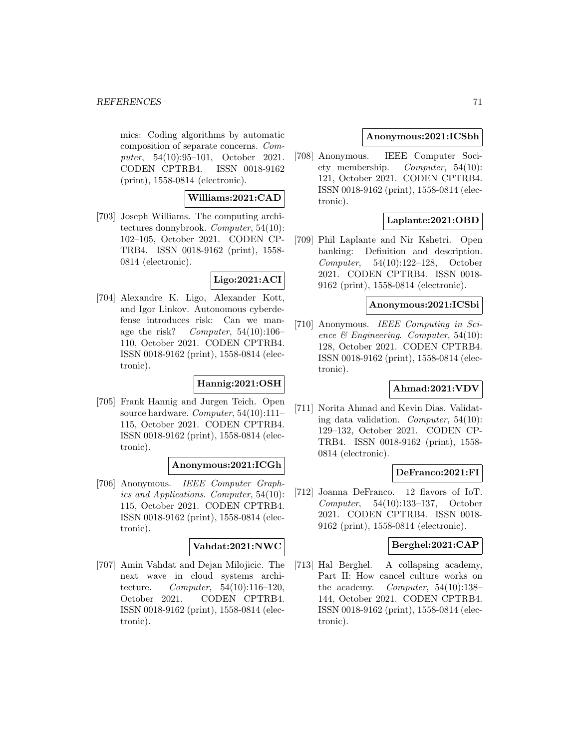mics: Coding algorithms by automatic composition of separate concerns. Computer, 54(10):95–101, October 2021. CODEN CPTRB4. ISSN 0018-9162 (print), 1558-0814 (electronic).

# **Williams:2021:CAD**

[703] Joseph Williams. The computing architectures donnybrook. Computer, 54(10): 102–105, October 2021. CODEN CP-TRB4. ISSN 0018-9162 (print), 1558- 0814 (electronic).

# **Ligo:2021:ACI**

[704] Alexandre K. Ligo, Alexander Kott, and Igor Linkov. Autonomous cyberdefense introduces risk: Can we manage the risk? Computer, 54(10):106– 110, October 2021. CODEN CPTRB4. ISSN 0018-9162 (print), 1558-0814 (electronic).

# **Hannig:2021:OSH**

[705] Frank Hannig and Jurgen Teich. Open source hardware. Computer, 54(10):111– 115, October 2021. CODEN CPTRB4. ISSN 0018-9162 (print), 1558-0814 (electronic).

# **Anonymous:2021:ICGh**

[706] Anonymous. IEEE Computer Graphics and Applications. Computer, 54(10): 115, October 2021. CODEN CPTRB4. ISSN 0018-9162 (print), 1558-0814 (electronic).

# **Vahdat:2021:NWC**

[707] Amin Vahdat and Dejan Milojicic. The next wave in cloud systems architecture. Computer, 54(10):116–120, October 2021. CODEN CPTRB4. ISSN 0018-9162 (print), 1558-0814 (electronic).

# **Anonymous:2021:ICSbh**

[708] Anonymous. IEEE Computer Society membership. Computer, 54(10): 121, October 2021. CODEN CPTRB4. ISSN 0018-9162 (print), 1558-0814 (electronic).

# **Laplante:2021:OBD**

[709] Phil Laplante and Nir Kshetri. Open banking: Definition and description. Computer, 54(10):122–128, October 2021. CODEN CPTRB4. ISSN 0018- 9162 (print), 1558-0814 (electronic).

# **Anonymous:2021:ICSbi**

[710] Anonymous. IEEE Computing in Science & Engineering. Computer, 54(10): 128, October 2021. CODEN CPTRB4. ISSN 0018-9162 (print), 1558-0814 (electronic).

# **Ahmad:2021:VDV**

[711] Norita Ahmad and Kevin Dias. Validating data validation. Computer, 54(10): 129–132, October 2021. CODEN CP-TRB4. ISSN 0018-9162 (print), 1558- 0814 (electronic).

# **DeFranco:2021:FI**

[712] Joanna DeFranco. 12 flavors of IoT. Computer, 54(10):133–137, October 2021. CODEN CPTRB4. ISSN 0018- 9162 (print), 1558-0814 (electronic).

# **Berghel:2021:CAP**

[713] Hal Berghel. A collapsing academy, Part II: How cancel culture works on the academy. Computer, 54(10):138– 144, October 2021. CODEN CPTRB4. ISSN 0018-9162 (print), 1558-0814 (electronic).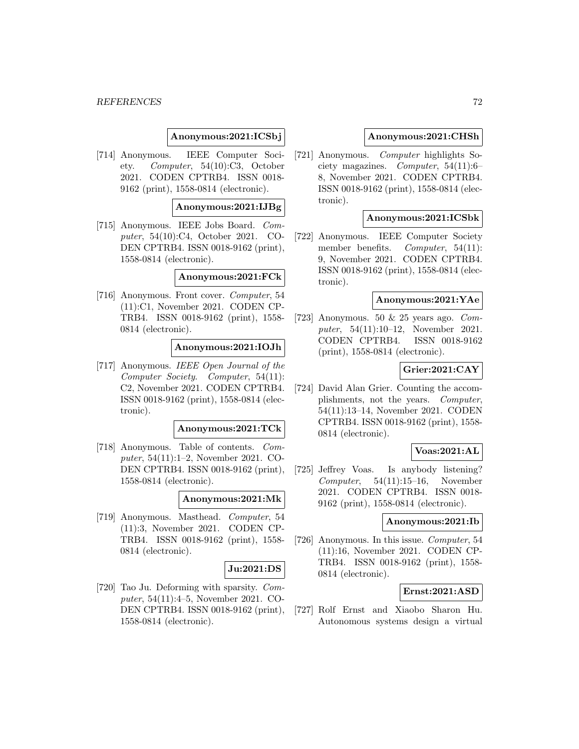### **Anonymous:2021:ICSbj**

[714] Anonymous. IEEE Computer Society. Computer, 54(10):C3, October 2021. CODEN CPTRB4. ISSN 0018- 9162 (print), 1558-0814 (electronic).

### **Anonymous:2021:IJBg**

[715] Anonymous. IEEE Jobs Board. Computer, 54(10):C4, October 2021. CO-DEN CPTRB4. ISSN 0018-9162 (print), 1558-0814 (electronic).

#### **Anonymous:2021:FCk**

[716] Anonymous. Front cover. Computer, 54 (11):C1, November 2021. CODEN CP-TRB4. ISSN 0018-9162 (print), 1558- 0814 (electronic).

## **Anonymous:2021:IOJh**

[717] Anonymous. IEEE Open Journal of the Computer Society. Computer, 54(11): C2, November 2021. CODEN CPTRB4. ISSN 0018-9162 (print), 1558-0814 (electronic).

#### **Anonymous:2021:TCk**

[718] Anonymous. Table of contents. Computer, 54(11):1–2, November 2021. CO-DEN CPTRB4. ISSN 0018-9162 (print), 1558-0814 (electronic).

#### **Anonymous:2021:Mk**

[719] Anonymous. Masthead. Computer, 54 (11):3, November 2021. CODEN CP-TRB4. ISSN 0018-9162 (print), 1558- 0814 (electronic).

#### **Ju:2021:DS**

[720] Tao Ju. Deforming with sparsity. Computer, 54(11):4–5, November 2021. CO-DEN CPTRB4. ISSN 0018-9162 (print), 1558-0814 (electronic).

#### **Anonymous:2021:CHSh**

[721] Anonymous. Computer highlights Society magazines. *Computer*,  $54(11):6$ 8, November 2021. CODEN CPTRB4. ISSN 0018-9162 (print), 1558-0814 (electronic).

### **Anonymous:2021:ICSbk**

[722] Anonymous. IEEE Computer Society member benefits. Computer, 54(11): 9, November 2021. CODEN CPTRB4. ISSN 0018-9162 (print), 1558-0814 (electronic).

### **Anonymous:2021:YAe**

[723] Anonymous. 50  $\&$  25 years ago. Computer, 54(11):10–12, November 2021. CODEN CPTRB4. ISSN 0018-9162 (print), 1558-0814 (electronic).

# **Grier:2021:CAY**

[724] David Alan Grier. Counting the accomplishments, not the years. Computer, 54(11):13–14, November 2021. CODEN CPTRB4. ISSN 0018-9162 (print), 1558- 0814 (electronic).

## **Voas:2021:AL**

[725] Jeffrey Voas. Is anybody listening? Computer,  $54(11):15-16$ , November 2021. CODEN CPTRB4. ISSN 0018- 9162 (print), 1558-0814 (electronic).

#### **Anonymous:2021:Ib**

[726] Anonymous. In this issue. Computer, 54 (11):16, November 2021. CODEN CP-TRB4. ISSN 0018-9162 (print), 1558- 0814 (electronic).

# **Ernst:2021:ASD**

[727] Rolf Ernst and Xiaobo Sharon Hu. Autonomous systems design a virtual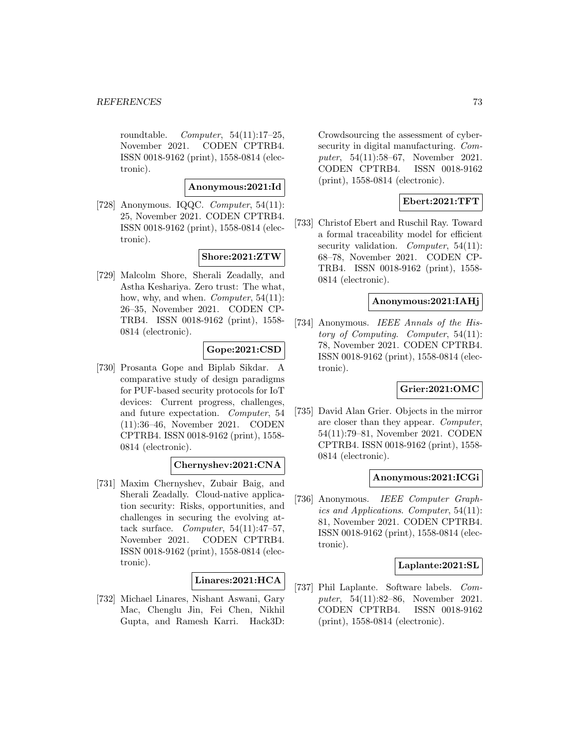roundtable. Computer, 54(11):17–25, November 2021. CODEN CPTRB4. ISSN 0018-9162 (print), 1558-0814 (electronic).

## **Anonymous:2021:Id**

[728] Anonymous. IQQC. Computer, 54(11): 25, November 2021. CODEN CPTRB4. ISSN 0018-9162 (print), 1558-0814 (electronic).

# **Shore:2021:ZTW**

[729] Malcolm Shore, Sherali Zeadally, and Astha Keshariya. Zero trust: The what, how, why, and when. *Computer*, 54(11): 26–35, November 2021. CODEN CP-TRB4. ISSN 0018-9162 (print), 1558- 0814 (electronic).

## **Gope:2021:CSD**

[730] Prosanta Gope and Biplab Sikdar. A comparative study of design paradigms for PUF-based security protocols for IoT devices: Current progress, challenges, and future expectation. Computer, 54 (11):36–46, November 2021. CODEN CPTRB4. ISSN 0018-9162 (print), 1558- 0814 (electronic).

## **Chernyshev:2021:CNA**

[731] Maxim Chernyshev, Zubair Baig, and Sherali Zeadally. Cloud-native application security: Risks, opportunities, and challenges in securing the evolving attack surface. Computer,  $54(11):47-57$ , November 2021. CODEN CPTRB4. ISSN 0018-9162 (print), 1558-0814 (electronic).

# **Linares:2021:HCA**

[732] Michael Linares, Nishant Aswani, Gary Mac, Chenglu Jin, Fei Chen, Nikhil Gupta, and Ramesh Karri. Hack3D: Crowdsourcing the assessment of cybersecurity in digital manufacturing. Computer, 54(11):58–67, November 2021. CODEN CPTRB4. ISSN 0018-9162 (print), 1558-0814 (electronic).

# **Ebert:2021:TFT**

[733] Christof Ebert and Ruschil Ray. Toward a formal traceability model for efficient security validation. Computer,  $54(11)$ : 68–78, November 2021. CODEN CP-TRB4. ISSN 0018-9162 (print), 1558- 0814 (electronic).

## **Anonymous:2021:IAHj**

[734] Anonymous. IEEE Annals of the History of Computing. Computer, 54(11): 78, November 2021. CODEN CPTRB4. ISSN 0018-9162 (print), 1558-0814 (electronic).

## **Grier:2021:OMC**

[735] David Alan Grier. Objects in the mirror are closer than they appear. Computer, 54(11):79–81, November 2021. CODEN CPTRB4. ISSN 0018-9162 (print), 1558- 0814 (electronic).

#### **Anonymous:2021:ICGi**

[736] Anonymous. IEEE Computer Graphics and Applications. Computer, 54(11): 81, November 2021. CODEN CPTRB4. ISSN 0018-9162 (print), 1558-0814 (electronic).

# **Laplante:2021:SL**

[737] Phil Laplante. Software labels. Computer, 54(11):82–86, November 2021. CODEN CPTRB4. ISSN 0018-9162 (print), 1558-0814 (electronic).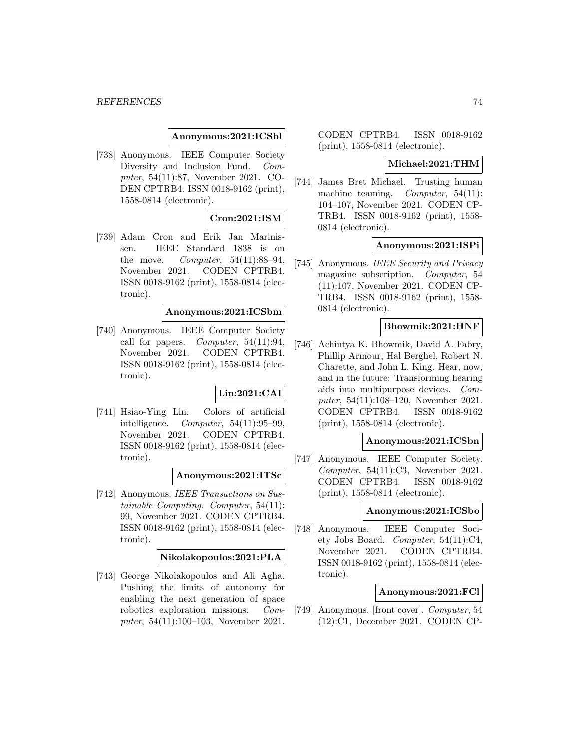#### **Anonymous:2021:ICSbl**

[738] Anonymous. IEEE Computer Society Diversity and Inclusion Fund. Computer, 54(11):87, November 2021. CO-DEN CPTRB4. ISSN 0018-9162 (print), 1558-0814 (electronic).

# **Cron:2021:ISM**

[739] Adam Cron and Erik Jan Marinissen. IEEE Standard 1838 is on the move. Computer,  $54(11):88-94$ , November 2021. CODEN CPTRB4. ISSN 0018-9162 (print), 1558-0814 (electronic).

# **Anonymous:2021:ICSbm**

[740] Anonymous. IEEE Computer Society call for papers. Computer,  $54(11):94$ , November 2021. CODEN CPTRB4. ISSN 0018-9162 (print), 1558-0814 (electronic).

# **Lin:2021:CAI**

[741] Hsiao-Ying Lin. Colors of artificial intelligence.  $Computer, 54(11):95-99,$ November 2021. CODEN CPTRB4. ISSN 0018-9162 (print), 1558-0814 (electronic).

#### **Anonymous:2021:ITSc**

[742] Anonymous. IEEE Transactions on Sustainable Computing. Computer, 54(11): 99, November 2021. CODEN CPTRB4. ISSN 0018-9162 (print), 1558-0814 (electronic).

## **Nikolakopoulos:2021:PLA**

[743] George Nikolakopoulos and Ali Agha. Pushing the limits of autonomy for enabling the next generation of space robotics exploration missions. Computer, 54(11):100–103, November 2021.

CODEN CPTRB4. ISSN 0018-9162 (print), 1558-0814 (electronic).

#### **Michael:2021:THM**

[744] James Bret Michael. Trusting human machine teaming. *Computer*, 54(11): 104–107, November 2021. CODEN CP-TRB4. ISSN 0018-9162 (print), 1558- 0814 (electronic).

## **Anonymous:2021:ISPi**

[745] Anonymous. IEEE Security and Privacy magazine subscription. Computer, 54 (11):107, November 2021. CODEN CP-TRB4. ISSN 0018-9162 (print), 1558- 0814 (electronic).

# **Bhowmik:2021:HNF**

[746] Achintya K. Bhowmik, David A. Fabry, Phillip Armour, Hal Berghel, Robert N. Charette, and John L. King. Hear, now, and in the future: Transforming hearing aids into multipurpose devices. Computer, 54(11):108–120, November 2021. CODEN CPTRB4. ISSN 0018-9162 (print), 1558-0814 (electronic).

## **Anonymous:2021:ICSbn**

[747] Anonymous. IEEE Computer Society. Computer, 54(11):C3, November 2021. CODEN CPTRB4. ISSN 0018-9162 (print), 1558-0814 (electronic).

#### **Anonymous:2021:ICSbo**

[748] Anonymous. IEEE Computer Society Jobs Board. Computer, 54(11):C4, November 2021. CODEN CPTRB4. ISSN 0018-9162 (print), 1558-0814 (electronic).

# **Anonymous:2021:FCl**

[749] Anonymous. [front cover]. Computer, 54 (12):C1, December 2021. CODEN CP-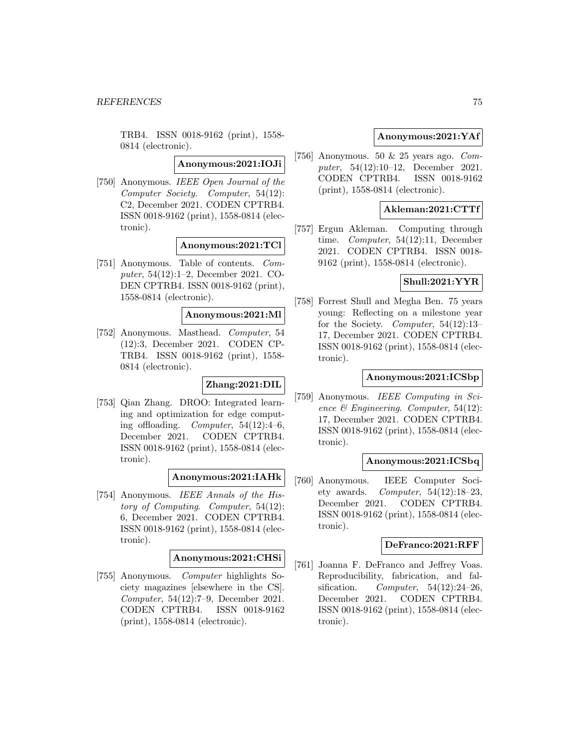TRB4. ISSN 0018-9162 (print), 1558- 0814 (electronic).

**Anonymous:2021:IOJi**

[750] Anonymous. IEEE Open Journal of the Computer Society. Computer, 54(12): C2, December 2021. CODEN CPTRB4. ISSN 0018-9162 (print), 1558-0814 (electronic).

# **Anonymous:2021:TCl**

[751] Anonymous. Table of contents. Computer, 54(12):1–2, December 2021. CO-DEN CPTRB4. ISSN 0018-9162 (print), 1558-0814 (electronic).

# **Anonymous:2021:Ml**

[752] Anonymous. Masthead. Computer, 54 (12):3, December 2021. CODEN CP-TRB4. ISSN 0018-9162 (print), 1558- 0814 (electronic).

#### **Zhang:2021:DIL**

[753] Qian Zhang. DROO: Integrated learning and optimization for edge computing offloading. Computer,  $54(12):4-6$ , December 2021. CODEN CPTRB4. ISSN 0018-9162 (print), 1558-0814 (electronic).

## **Anonymous:2021:IAHk**

[754] Anonymous. IEEE Annals of the History of Computing. Computer, 54(12): 6, December 2021. CODEN CPTRB4. ISSN 0018-9162 (print), 1558-0814 (electronic).

## **Anonymous:2021:CHSi**

[755] Anonymous. Computer highlights Society magazines [elsewhere in the CS]. Computer, 54(12):7–9, December 2021. CODEN CPTRB4. ISSN 0018-9162 (print), 1558-0814 (electronic).

# **Anonymous:2021:YAf**

[756] Anonymous. 50 & 25 years ago. Computer, 54(12):10–12, December 2021. CODEN CPTRB4. ISSN 0018-9162 (print), 1558-0814 (electronic).

## **Akleman:2021:CTTf**

[757] Ergun Akleman. Computing through time. Computer, 54(12):11, December 2021. CODEN CPTRB4. ISSN 0018- 9162 (print), 1558-0814 (electronic).

# **Shull:2021:YYR**

[758] Forrest Shull and Megha Ben. 75 years young: Reflecting on a milestone year for the Society. Computer, 54(12):13-17, December 2021. CODEN CPTRB4. ISSN 0018-9162 (print), 1558-0814 (electronic).

# **Anonymous:2021:ICSbp**

[759] Anonymous. IEEE Computing in Science & Engineering. Computer, 54(12): 17, December 2021. CODEN CPTRB4. ISSN 0018-9162 (print), 1558-0814 (electronic).

## **Anonymous:2021:ICSbq**

[760] Anonymous. IEEE Computer Society awards. Computer,  $54(12):18-23$ , December 2021. CODEN CPTRB4. ISSN 0018-9162 (print), 1558-0814 (electronic).

# **DeFranco:2021:RFF**

[761] Joanna F. DeFranco and Jeffrey Voas. Reproducibility, fabrication, and falsification. Computer,  $54(12):24-26$ , December 2021. CODEN CPTRB4. ISSN 0018-9162 (print), 1558-0814 (electronic).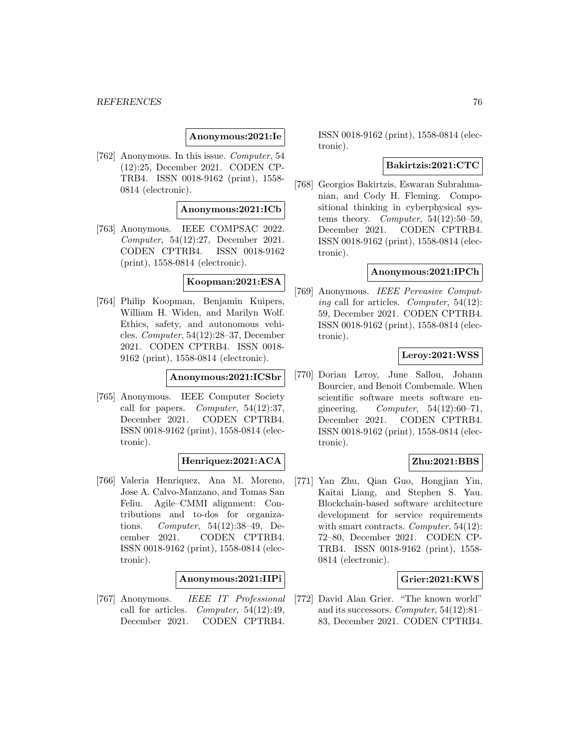## **Anonymous:2021:Ie**

[762] Anonymous. In this issue. Computer, 54 (12):25, December 2021. CODEN CP-TRB4. ISSN 0018-9162 (print), 1558- 0814 (electronic).

#### **Anonymous:2021:ICb**

[763] Anonymous. IEEE COMPSAC 2022. Computer, 54(12):27, December 2021. CODEN CPTRB4. ISSN 0018-9162 (print), 1558-0814 (electronic).

## **Koopman:2021:ESA**

[764] Philip Koopman, Benjamin Kuipers, William H. Widen, and Marilyn Wolf. Ethics, safety, and autonomous vehicles. Computer, 54(12):28–37, December 2021. CODEN CPTRB4. ISSN 0018- 9162 (print), 1558-0814 (electronic).

## **Anonymous:2021:ICSbr**

[765] Anonymous. IEEE Computer Society call for papers. *Computer*,  $54(12):37$ , December 2021. CODEN CPTRB4. ISSN 0018-9162 (print), 1558-0814 (electronic).

## **Henriquez:2021:ACA**

[766] Valeria Henriquez, Ana M. Moreno, Jose A. Calvo-Manzano, and Tomas San Feliu. Agile–CMMI alignment: Contributions and to-dos for organizations. Computer, 54(12):38–49, December 2021. CODEN CPTRB4. ISSN 0018-9162 (print), 1558-0814 (electronic).

#### **Anonymous:2021:IIPi**

[767] Anonymous. IEEE IT Professional call for articles. Computer, 54(12):49, December 2021. CODEN CPTRB4.

ISSN 0018-9162 (print), 1558-0814 (electronic).

## **Bakirtzis:2021:CTC**

[768] Georgios Bakirtzis, Eswaran Subrahmanian, and Cody H. Fleming. Compositional thinking in cyberphysical systems theory. Computer,  $54(12):50-59$ , December 2021. CODEN CPTRB4. ISSN 0018-9162 (print), 1558-0814 (electronic).

## **Anonymous:2021:IPCh**

[769] Anonymous. IEEE Pervasive Computing call for articles. Computer,  $54(12)$ : 59, December 2021. CODEN CPTRB4. ISSN 0018-9162 (print), 1558-0814 (electronic).

## **Leroy:2021:WSS**

[770] Dorian Leroy, June Sallou, Johann Bourcier, and Benoit Combemale. When scientific software meets software engineering.  $Computer, 54(12):60-71,$ December 2021. CODEN CPTRB4. ISSN 0018-9162 (print), 1558-0814 (electronic).

## **Zhu:2021:BBS**

[771] Yan Zhu, Qian Guo, Hongjian Yin, Kaitai Liang, and Stephen S. Yau. Blockchain-based software architecture development for service requirements with smart contracts. Computer,  $54(12)$ : 72–80, December 2021. CODEN CP-TRB4. ISSN 0018-9162 (print), 1558- 0814 (electronic).

## **Grier:2021:KWS**

[772] David Alan Grier. "The known world" and its successors. Computer, 54(12):81– 83, December 2021. CODEN CPTRB4.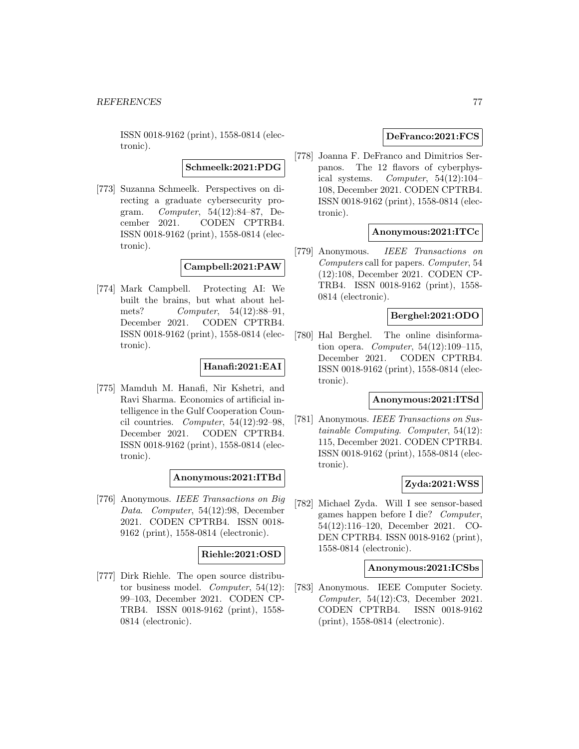ISSN 0018-9162 (print), 1558-0814 (electronic).

**Schmeelk:2021:PDG**

[773] Suzanna Schmeelk. Perspectives on directing a graduate cybersecurity program. Computer, 54(12):84–87, December 2021. CODEN CPTRB4. ISSN 0018-9162 (print), 1558-0814 (electronic).

**Campbell:2021:PAW**

[774] Mark Campbell. Protecting AI: We built the brains, but what about helmets? Computer, 54(12):88-91, December 2021. CODEN CPTRB4. ISSN 0018-9162 (print), 1558-0814 (electronic).

# **Hanafi:2021:EAI**

[775] Mamduh M. Hanafi, Nir Kshetri, and Ravi Sharma. Economics of artificial intelligence in the Gulf Cooperation Council countries. Computer,  $54(12):92-98$ , December 2021. CODEN CPTRB4. ISSN 0018-9162 (print), 1558-0814 (electronic).

# **Anonymous:2021:ITBd**

[776] Anonymous. IEEE Transactions on Big Data. Computer, 54(12):98, December 2021. CODEN CPTRB4. ISSN 0018- 9162 (print), 1558-0814 (electronic).

## **Riehle:2021:OSD**

[777] Dirk Riehle. The open source distributor business model. Computer, 54(12): 99–103, December 2021. CODEN CP-TRB4. ISSN 0018-9162 (print), 1558- 0814 (electronic).

## **DeFranco:2021:FCS**

[778] Joanna F. DeFranco and Dimitrios Serpanos. The 12 flavors of cyberphysical systems. Computer,  $54(12):104-$ 108, December 2021. CODEN CPTRB4. ISSN 0018-9162 (print), 1558-0814 (electronic).

## **Anonymous:2021:ITCc**

[779] Anonymous. IEEE Transactions on Computers call for papers. Computer, 54 (12):108, December 2021. CODEN CP-TRB4. ISSN 0018-9162 (print), 1558- 0814 (electronic).

# **Berghel:2021:ODO**

[780] Hal Berghel. The online disinformation opera. *Computer*,  $54(12):109-115$ , December 2021. CODEN CPTRB4. ISSN 0018-9162 (print), 1558-0814 (electronic).

## **Anonymous:2021:ITSd**

[781] Anonymous. IEEE Transactions on Sustainable Computing. Computer, 54(12): 115, December 2021. CODEN CPTRB4. ISSN 0018-9162 (print), 1558-0814 (electronic).

# **Zyda:2021:WSS**

[782] Michael Zyda. Will I see sensor-based games happen before I die? Computer, 54(12):116–120, December 2021. CO-DEN CPTRB4. ISSN 0018-9162 (print), 1558-0814 (electronic).

## **Anonymous:2021:ICSbs**

[783] Anonymous. IEEE Computer Society. Computer, 54(12):C3, December 2021. CODEN CPTRB4. ISSN 0018-9162 (print), 1558-0814 (electronic).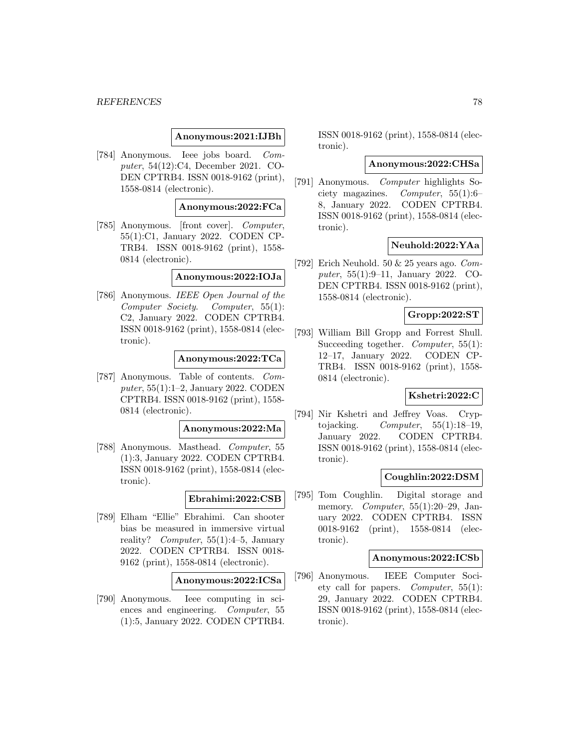#### *REFERENCES* 78

## **Anonymous:2021:IJBh**

[784] Anonymous. Ieee jobs board. Computer, 54(12):C4, December 2021. CO-DEN CPTRB4. ISSN 0018-9162 (print), 1558-0814 (electronic).

## **Anonymous:2022:FCa**

[785] Anonymous. [front cover]. Computer, 55(1):C1, January 2022. CODEN CP-TRB4. ISSN 0018-9162 (print), 1558- 0814 (electronic).

## **Anonymous:2022:IOJa**

[786] Anonymous. IEEE Open Journal of the Computer Society. Computer, 55(1): C2, January 2022. CODEN CPTRB4. ISSN 0018-9162 (print), 1558-0814 (electronic).

#### **Anonymous:2022:TCa**

[787] Anonymous. Table of contents. Computer, 55(1):1–2, January 2022. CODEN CPTRB4. ISSN 0018-9162 (print), 1558- 0814 (electronic).

#### **Anonymous:2022:Ma**

[788] Anonymous. Masthead. Computer, 55 (1):3, January 2022. CODEN CPTRB4. ISSN 0018-9162 (print), 1558-0814 (electronic).

#### **Ebrahimi:2022:CSB**

[789] Elham "Ellie" Ebrahimi. Can shooter bias be measured in immersive virtual reality? Computer, 55(1):4–5, January 2022. CODEN CPTRB4. ISSN 0018- 9162 (print), 1558-0814 (electronic).

#### **Anonymous:2022:ICSa**

[790] Anonymous. Ieee computing in sciences and engineering. Computer, 55 (1):5, January 2022. CODEN CPTRB4. ISSN 0018-9162 (print), 1558-0814 (electronic).

#### **Anonymous:2022:CHSa**

[791] Anonymous. Computer highlights Society magazines. Computer, 55(1):6– 8, January 2022. CODEN CPTRB4. ISSN 0018-9162 (print), 1558-0814 (electronic).

## **Neuhold:2022:YAa**

[792] Erich Neuhold. 50 & 25 years ago. Computer, 55(1):9–11, January 2022. CO-DEN CPTRB4. ISSN 0018-9162 (print), 1558-0814 (electronic).

# **Gropp:2022:ST**

[793] William Bill Gropp and Forrest Shull. Succeeding together. *Computer*, 55(1): 12–17, January 2022. CODEN CP-TRB4. ISSN 0018-9162 (print), 1558- 0814 (electronic).

# **Kshetri:2022:C**

[794] Nir Kshetri and Jeffrey Voas. Cryptojacking.  $Computer, 55(1):18-19,$ January 2022. CODEN CPTRB4. ISSN 0018-9162 (print), 1558-0814 (electronic).

#### **Coughlin:2022:DSM**

[795] Tom Coughlin. Digital storage and memory. Computer,  $55(1):20-29$ , January 2022. CODEN CPTRB4. ISSN 0018-9162 (print), 1558-0814 (electronic).

#### **Anonymous:2022:ICSb**

[796] Anonymous. IEEE Computer Society call for papers. Computer, 55(1): 29, January 2022. CODEN CPTRB4. ISSN 0018-9162 (print), 1558-0814 (electronic).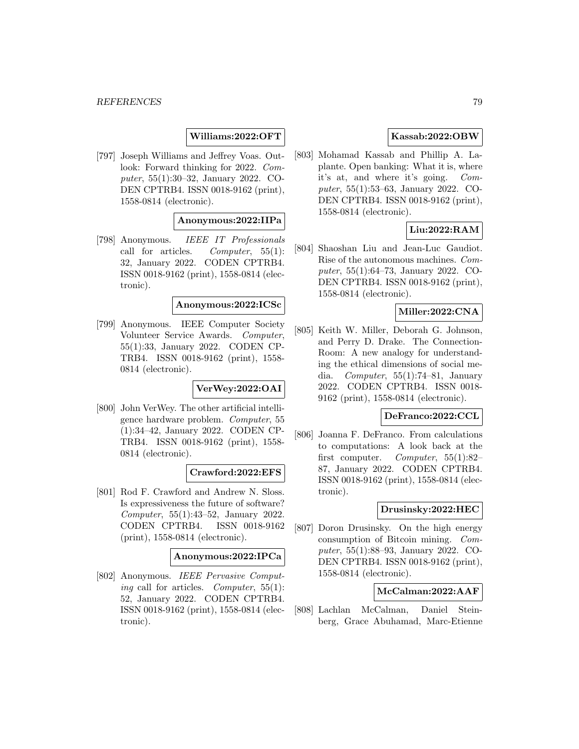# **Williams:2022:OFT**

[797] Joseph Williams and Jeffrey Voas. Outlook: Forward thinking for 2022. Computer, 55(1):30–32, January 2022. CO-DEN CPTRB4. ISSN 0018-9162 (print), 1558-0814 (electronic).

# **Anonymous:2022:IIPa**

[798] Anonymous. IEEE IT Professionals call for articles. Computer,  $55(1)$ : 32, January 2022. CODEN CPTRB4. ISSN 0018-9162 (print), 1558-0814 (electronic).

### **Anonymous:2022:ICSc**

[799] Anonymous. IEEE Computer Society Volunteer Service Awards. Computer, 55(1):33, January 2022. CODEN CP-TRB4. ISSN 0018-9162 (print), 1558- 0814 (electronic).

## **VerWey:2022:OAI**

[800] John VerWey. The other artificial intelligence hardware problem. Computer, 55 (1):34–42, January 2022. CODEN CP-TRB4. ISSN 0018-9162 (print), 1558- 0814 (electronic).

## **Crawford:2022:EFS**

[801] Rod F. Crawford and Andrew N. Sloss. Is expressiveness the future of software? Computer, 55(1):43–52, January 2022. CODEN CPTRB4. ISSN 0018-9162 (print), 1558-0814 (electronic).

#### **Anonymous:2022:IPCa**

[802] Anonymous. IEEE Pervasive Computing call for articles. Computer,  $55(1)$ : 52, January 2022. CODEN CPTRB4. ISSN 0018-9162 (print), 1558-0814 (electronic).

## **Kassab:2022:OBW**

[803] Mohamad Kassab and Phillip A. Laplante. Open banking: What it is, where it's at, and where it's going. Computer, 55(1):53–63, January 2022. CO-DEN CPTRB4. ISSN 0018-9162 (print), 1558-0814 (electronic).

# **Liu:2022:RAM**

[804] Shaoshan Liu and Jean-Luc Gaudiot. Rise of the autonomous machines. Computer, 55(1):64–73, January 2022. CO-DEN CPTRB4. ISSN 0018-9162 (print), 1558-0814 (electronic).

# **Miller:2022:CNA**

[805] Keith W. Miller, Deborah G. Johnson, and Perry D. Drake. The Connection-Room: A new analogy for understanding the ethical dimensions of social media. Computer, 55(1):74–81, January 2022. CODEN CPTRB4. ISSN 0018- 9162 (print), 1558-0814 (electronic).

#### **DeFranco:2022:CCL**

[806] Joanna F. DeFranco. From calculations to computations: A look back at the first computer. Computer,  $55(1):82-$ 87, January 2022. CODEN CPTRB4. ISSN 0018-9162 (print), 1558-0814 (electronic).

# **Drusinsky:2022:HEC**

[807] Doron Drusinsky. On the high energy consumption of Bitcoin mining. Computer, 55(1):88–93, January 2022. CO-DEN CPTRB4. ISSN 0018-9162 (print), 1558-0814 (electronic).

## **McCalman:2022:AAF**

[808] Lachlan McCalman, Daniel Steinberg, Grace Abuhamad, Marc-Etienne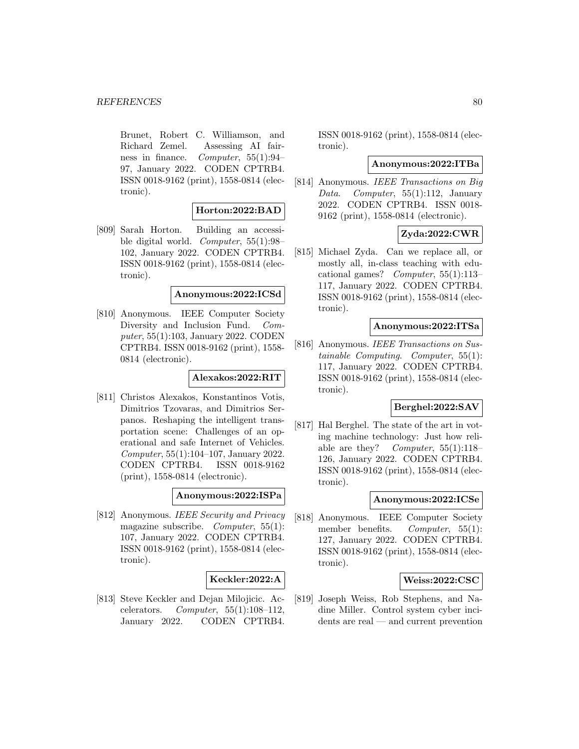Brunet, Robert C. Williamson, and Richard Zemel. Assessing AI fairness in finance. Computer, 55(1):94– 97, January 2022. CODEN CPTRB4. ISSN 0018-9162 (print), 1558-0814 (electronic).

## **Horton:2022:BAD**

[809] Sarah Horton. Building an accessible digital world. Computer, 55(1):98– 102, January 2022. CODEN CPTRB4. ISSN 0018-9162 (print), 1558-0814 (electronic).

#### **Anonymous:2022:ICSd**

[810] Anonymous. IEEE Computer Society Diversity and Inclusion Fund. Computer, 55(1):103, January 2022. CODEN CPTRB4. ISSN 0018-9162 (print), 1558- 0814 (electronic).

## **Alexakos:2022:RIT**

[811] Christos Alexakos, Konstantinos Votis, Dimitrios Tzovaras, and Dimitrios Serpanos. Reshaping the intelligent transportation scene: Challenges of an operational and safe Internet of Vehicles. Computer, 55(1):104–107, January 2022. CODEN CPTRB4. ISSN 0018-9162 (print), 1558-0814 (electronic).

## **Anonymous:2022:ISPa**

[812] Anonymous. IEEE Security and Privacy magazine subscribe. Computer, 55(1): 107, January 2022. CODEN CPTRB4. ISSN 0018-9162 (print), 1558-0814 (electronic).

## **Keckler:2022:A**

[813] Steve Keckler and Dejan Milojicic. Accelerators. Computer,  $55(1):108-112$ , January 2022. CODEN CPTRB4.

ISSN 0018-9162 (print), 1558-0814 (electronic).

#### **Anonymous:2022:ITBa**

[814] Anonymous. IEEE Transactions on Big Data. Computer, 55(1):112, January 2022. CODEN CPTRB4. ISSN 0018- 9162 (print), 1558-0814 (electronic).

# **Zyda:2022:CWR**

[815] Michael Zyda. Can we replace all, or mostly all, in-class teaching with educational games? Computer, 55(1):113– 117, January 2022. CODEN CPTRB4. ISSN 0018-9162 (print), 1558-0814 (electronic).

## **Anonymous:2022:ITSa**

[816] Anonymous. IEEE Transactions on Sustainable Computing. Computer, 55(1): 117, January 2022. CODEN CPTRB4. ISSN 0018-9162 (print), 1558-0814 (electronic).

#### **Berghel:2022:SAV**

[817] Hal Berghel. The state of the art in voting machine technology: Just how reliable are they? Computer,  $55(1):118-$ 126, January 2022. CODEN CPTRB4. ISSN 0018-9162 (print), 1558-0814 (electronic).

## **Anonymous:2022:ICSe**

[818] Anonymous. IEEE Computer Society member benefits. *Computer*,  $55(1)$ : 127, January 2022. CODEN CPTRB4. ISSN 0018-9162 (print), 1558-0814 (electronic).

#### **Weiss:2022:CSC**

[819] Joseph Weiss, Rob Stephens, and Nadine Miller. Control system cyber incidents are real — and current prevention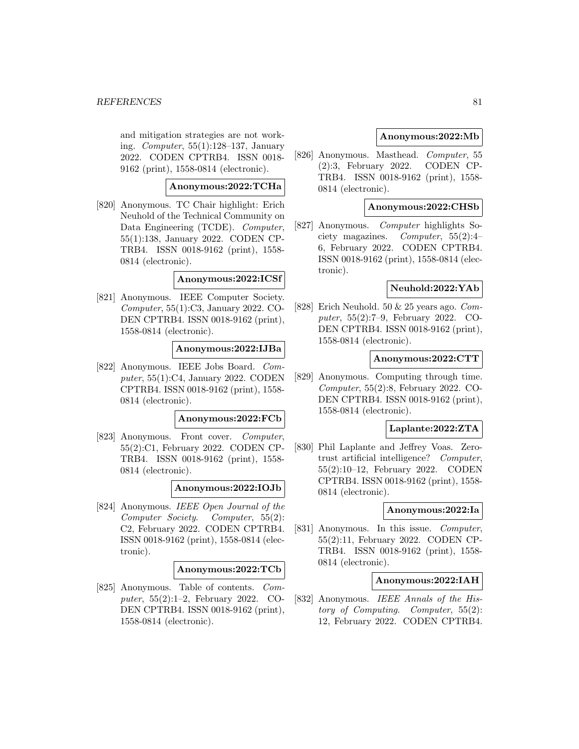and mitigation strategies are not working. Computer, 55(1):128–137, January 2022. CODEN CPTRB4. ISSN 0018- 9162 (print), 1558-0814 (electronic).

# **Anonymous:2022:TCHa**

[820] Anonymous. TC Chair highlight: Erich Neuhold of the Technical Community on Data Engineering (TCDE). Computer, 55(1):138, January 2022. CODEN CP-TRB4. ISSN 0018-9162 (print), 1558- 0814 (electronic).

## **Anonymous:2022:ICSf**

[821] Anonymous. IEEE Computer Society. Computer, 55(1):C3, January 2022. CO-DEN CPTRB4. ISSN 0018-9162 (print), 1558-0814 (electronic).

## **Anonymous:2022:IJBa**

[822] Anonymous. IEEE Jobs Board. Computer, 55(1):C4, January 2022. CODEN CPTRB4. ISSN 0018-9162 (print), 1558- 0814 (electronic).

#### **Anonymous:2022:FCb**

[823] Anonymous. Front cover. Computer, 55(2):C1, February 2022. CODEN CP-TRB4. ISSN 0018-9162 (print), 1558- 0814 (electronic).

#### **Anonymous:2022:IOJb**

[824] Anonymous. IEEE Open Journal of the Computer Society. Computer, 55(2): C2, February 2022. CODEN CPTRB4. ISSN 0018-9162 (print), 1558-0814 (electronic).

#### **Anonymous:2022:TCb**

[825] Anonymous. Table of contents. Computer, 55(2):1–2, February 2022. CO-DEN CPTRB4. ISSN 0018-9162 (print), 1558-0814 (electronic).

## **Anonymous:2022:Mb**

[826] Anonymous. Masthead. Computer, 55 (2):3, February 2022. CODEN CP-TRB4. ISSN 0018-9162 (print), 1558- 0814 (electronic).

## **Anonymous:2022:CHSb**

[827] Anonymous. Computer highlights Society magazines. Computer, 55(2):4– 6, February 2022. CODEN CPTRB4. ISSN 0018-9162 (print), 1558-0814 (electronic).

## **Neuhold:2022:YAb**

[828] Erich Neuhold. 50 & 25 years ago. Computer, 55(2):7–9, February 2022. CO-DEN CPTRB4. ISSN 0018-9162 (print), 1558-0814 (electronic).

## **Anonymous:2022:CTT**

[829] Anonymous. Computing through time. Computer, 55(2):8, February 2022. CO-DEN CPTRB4. ISSN 0018-9162 (print), 1558-0814 (electronic).

#### **Laplante:2022:ZTA**

[830] Phil Laplante and Jeffrey Voas. Zerotrust artificial intelligence? Computer, 55(2):10–12, February 2022. CODEN CPTRB4. ISSN 0018-9162 (print), 1558- 0814 (electronic).

#### **Anonymous:2022:Ia**

[831] Anonymous. In this issue. *Computer*, 55(2):11, February 2022. CODEN CP-TRB4. ISSN 0018-9162 (print), 1558- 0814 (electronic).

## **Anonymous:2022:IAH**

[832] Anonymous. IEEE Annals of the History of Computing. Computer, 55(2): 12, February 2022. CODEN CPTRB4.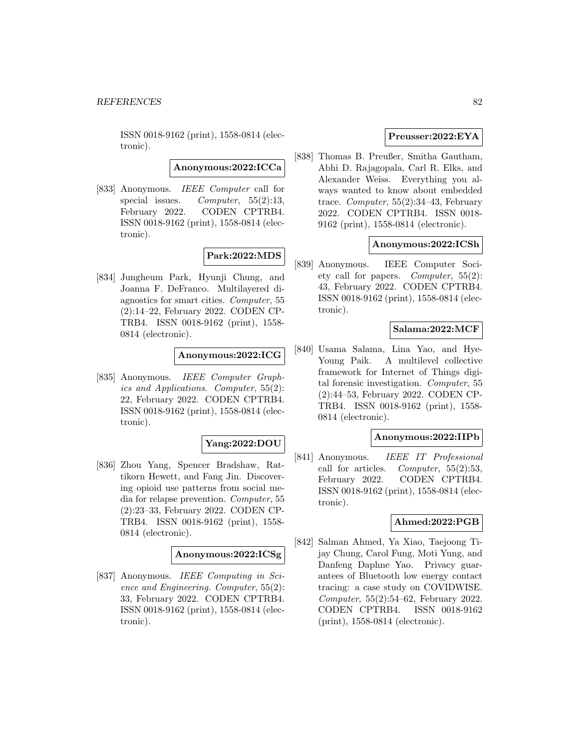ISSN 0018-9162 (print), 1558-0814 (electronic).

**Anonymous:2022:ICCa**

[833] Anonymous. IEEE Computer call for special issues. Computer, 55(2):13, February 2022. CODEN CPTRB4. ISSN 0018-9162 (print), 1558-0814 (electronic).

# **Park:2022:MDS**

[834] Jungheum Park, Hyunji Chung, and Joanna F. DeFranco. Multilayered diagnostics for smart cities. Computer, 55 (2):14–22, February 2022. CODEN CP-TRB4. ISSN 0018-9162 (print), 1558- 0814 (electronic).

# **Anonymous:2022:ICG**

[835] Anonymous. IEEE Computer Graphics and Applications. Computer, 55(2): 22, February 2022. CODEN CPTRB4. ISSN 0018-9162 (print), 1558-0814 (electronic).

## **Yang:2022:DOU**

[836] Zhou Yang, Spencer Bradshaw, Rattikorn Hewett, and Fang Jin. Discovering opioid use patterns from social media for relapse prevention. Computer, 55 (2):23–33, February 2022. CODEN CP-TRB4. ISSN 0018-9162 (print), 1558- 0814 (electronic).

## **Anonymous:2022:ICSg**

[837] Anonymous. IEEE Computing in Science and Engineering. Computer, 55(2): 33, February 2022. CODEN CPTRB4. ISSN 0018-9162 (print), 1558-0814 (electronic).

## **Preusser:2022:EYA**

[838] Thomas B. Preußer, Smitha Gautham, Abhi D. Rajagopala, Carl R. Elks, and Alexander Weiss. Everything you always wanted to know about embedded trace. Computer,  $55(2):34-43$ , February 2022. CODEN CPTRB4. ISSN 0018- 9162 (print), 1558-0814 (electronic).

## **Anonymous:2022:ICSh**

[839] Anonymous. IEEE Computer Society call for papers. Computer, 55(2): 43, February 2022. CODEN CPTRB4. ISSN 0018-9162 (print), 1558-0814 (electronic).

## **Salama:2022:MCF**

[840] Usama Salama, Lina Yao, and Hye-Young Paik. A multilevel collective framework for Internet of Things digital forensic investigation. Computer, 55 (2):44–53, February 2022. CODEN CP-TRB4. ISSN 0018-9162 (print), 1558- 0814 (electronic).

## **Anonymous:2022:IIPb**

[841] Anonymous. IEEE IT Professional call for articles. Computer,  $55(2):53$ , February 2022. CODEN CPTRB4. ISSN 0018-9162 (print), 1558-0814 (electronic).

#### **Ahmed:2022:PGB**

[842] Salman Ahmed, Ya Xiao, Taejoong Tijay Chung, Carol Fung, Moti Yung, and Danfeng Daphne Yao. Privacy guarantees of Bluetooth low energy contact tracing: a case study on COVIDWISE. Computer, 55(2):54–62, February 2022. CODEN CPTRB4. ISSN 0018-9162 (print), 1558-0814 (electronic).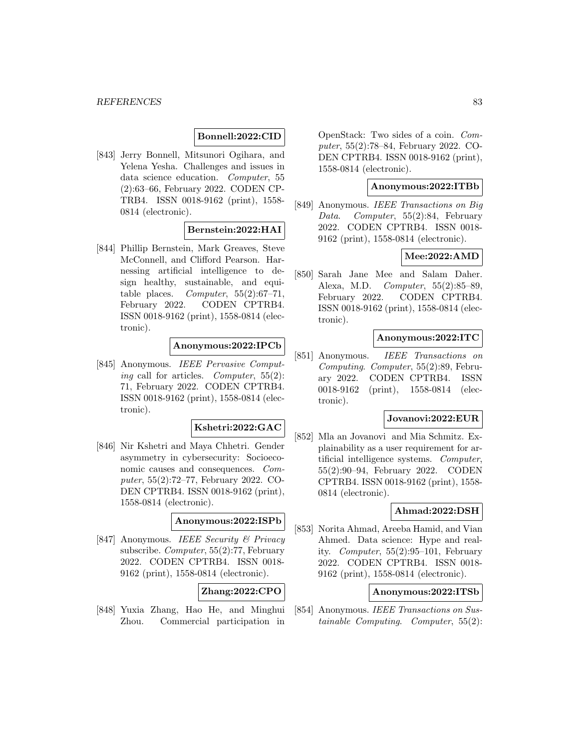## **Bonnell:2022:CID**

[843] Jerry Bonnell, Mitsunori Ogihara, and Yelena Yesha. Challenges and issues in data science education. Computer, 55 (2):63–66, February 2022. CODEN CP-TRB4. ISSN 0018-9162 (print), 1558- 0814 (electronic).

# **Bernstein:2022:HAI**

[844] Phillip Bernstein, Mark Greaves, Steve McConnell, and Clifford Pearson. Harnessing artificial intelligence to design healthy, sustainable, and equitable places. *Computer*,  $55(2):67-71$ , February 2022. CODEN CPTRB4. ISSN 0018-9162 (print), 1558-0814 (electronic).

# **Anonymous:2022:IPCb**

[845] Anonymous. IEEE Pervasive Computing call for articles. Computer,  $55(2)$ : 71, February 2022. CODEN CPTRB4. ISSN 0018-9162 (print), 1558-0814 (electronic).

## **Kshetri:2022:GAC**

[846] Nir Kshetri and Maya Chhetri. Gender asymmetry in cybersecurity: Socioeconomic causes and consequences. Computer, 55(2):72–77, February 2022. CO-DEN CPTRB4. ISSN 0018-9162 (print), 1558-0814 (electronic).

## **Anonymous:2022:ISPb**

[847] Anonymous. IEEE Security & Privacy subscribe. Computer, 55(2):77, February 2022. CODEN CPTRB4. ISSN 0018- 9162 (print), 1558-0814 (electronic).

# **Zhang:2022:CPO**

[848] Yuxia Zhang, Hao He, and Minghui Zhou. Commercial participation in

OpenStack: Two sides of a coin. Computer, 55(2):78–84, February 2022. CO-DEN CPTRB4. ISSN 0018-9162 (print), 1558-0814 (electronic).

# **Anonymous:2022:ITBb**

[849] Anonymous. IEEE Transactions on Big Data. Computer, 55(2):84, February 2022. CODEN CPTRB4. ISSN 0018- 9162 (print), 1558-0814 (electronic).

## **Mee:2022:AMD**

[850] Sarah Jane Mee and Salam Daher. Alexa, M.D. Computer, 55(2):85–89, February 2022. CODEN CPTRB4. ISSN 0018-9162 (print), 1558-0814 (electronic).

## **Anonymous:2022:ITC**

[851] Anonymous. IEEE Transactions on Computing. Computer, 55(2):89, February 2022. CODEN CPTRB4. ISSN 0018-9162 (print), 1558-0814 (electronic).

#### **Jovanovi:2022:EUR**

[852] Mla an Jovanovi and Mia Schmitz. Explainability as a user requirement for artificial intelligence systems. Computer, 55(2):90–94, February 2022. CODEN CPTRB4. ISSN 0018-9162 (print), 1558- 0814 (electronic).

## **Ahmad:2022:DSH**

[853] Norita Ahmad, Areeba Hamid, and Vian Ahmed. Data science: Hype and reality. *Computer*,  $55(2):95-101$ , February 2022. CODEN CPTRB4. ISSN 0018- 9162 (print), 1558-0814 (electronic).

## **Anonymous:2022:ITSb**

[854] Anonymous. IEEE Transactions on Sustainable Computing. Computer, 55(2):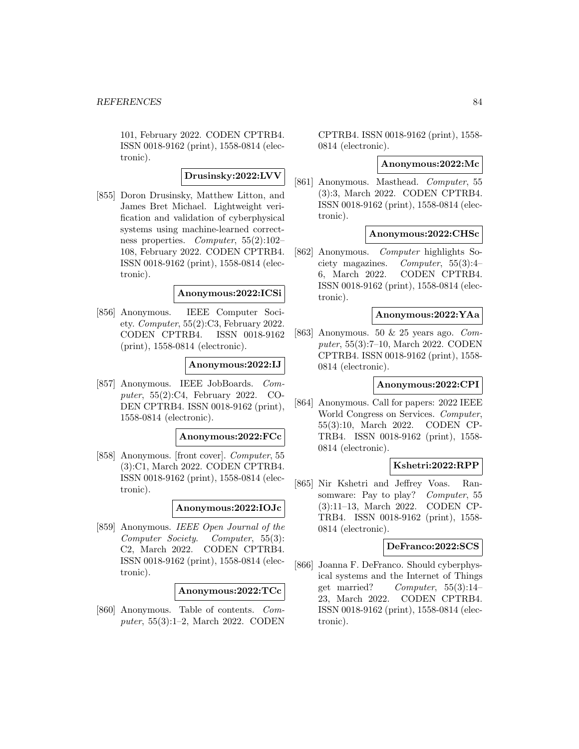101, February 2022. CODEN CPTRB4. ISSN 0018-9162 (print), 1558-0814 (electronic).

# **Drusinsky:2022:LVV**

[855] Doron Drusinsky, Matthew Litton, and James Bret Michael. Lightweight verification and validation of cyberphysical systems using machine-learned correctness properties. Computer, 55(2):102– 108, February 2022. CODEN CPTRB4. ISSN 0018-9162 (print), 1558-0814 (electronic).

#### **Anonymous:2022:ICSi**

[856] Anonymous. IEEE Computer Society. Computer, 55(2):C3, February 2022. CODEN CPTRB4. ISSN 0018-9162 (print), 1558-0814 (electronic).

## **Anonymous:2022:IJ**

[857] Anonymous. IEEE JobBoards. Computer, 55(2):C4, February 2022. CO-DEN CPTRB4. ISSN 0018-9162 (print), 1558-0814 (electronic).

#### **Anonymous:2022:FCc**

[858] Anonymous. [front cover]. Computer, 55 (3):C1, March 2022. CODEN CPTRB4. ISSN 0018-9162 (print), 1558-0814 (electronic).

## **Anonymous:2022:IOJc**

[859] Anonymous. IEEE Open Journal of the Computer Society. Computer, 55(3): C2, March 2022. CODEN CPTRB4. ISSN 0018-9162 (print), 1558-0814 (electronic).

## **Anonymous:2022:TCc**

[860] Anonymous. Table of contents. Computer, 55(3):1–2, March 2022. CODEN

CPTRB4. ISSN 0018-9162 (print), 1558- 0814 (electronic).

#### **Anonymous:2022:Mc**

[861] Anonymous. Masthead. Computer, 55 (3):3, March 2022. CODEN CPTRB4. ISSN 0018-9162 (print), 1558-0814 (electronic).

#### **Anonymous:2022:CHSc**

[862] Anonymous. Computer highlights Society magazines. Computer, 55(3):4– 6, March 2022. CODEN CPTRB4. ISSN 0018-9162 (print), 1558-0814 (electronic).

## **Anonymous:2022:YAa**

[863] Anonymous. 50 & 25 years ago. Computer, 55(3):7–10, March 2022. CODEN CPTRB4. ISSN 0018-9162 (print), 1558- 0814 (electronic).

## **Anonymous:2022:CPI**

[864] Anonymous. Call for papers: 2022 IEEE World Congress on Services. Computer, 55(3):10, March 2022. CODEN CP-TRB4. ISSN 0018-9162 (print), 1558- 0814 (electronic).

## **Kshetri:2022:RPP**

[865] Nir Kshetri and Jeffrey Voas. Ransomware: Pay to play? Computer, 55 (3):11–13, March 2022. CODEN CP-TRB4. ISSN 0018-9162 (print), 1558- 0814 (electronic).

## **DeFranco:2022:SCS**

[866] Joanna F. DeFranco. Should cyberphysical systems and the Internet of Things get married? Computer, 55(3):14– 23, March 2022. CODEN CPTRB4. ISSN 0018-9162 (print), 1558-0814 (electronic).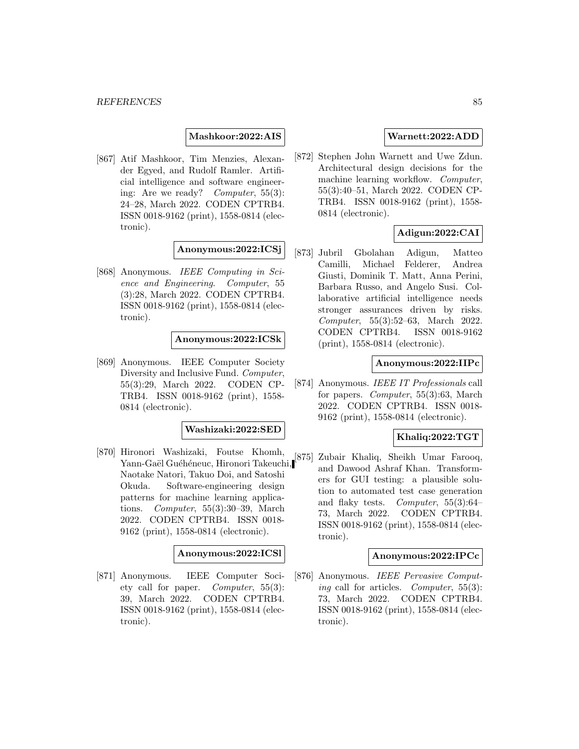**Mashkoor:2022:AIS**

[867] Atif Mashkoor, Tim Menzies, Alexander Egyed, and Rudolf Ramler. Artificial intelligence and software engineering: Are we ready? Computer, 55(3): 24–28, March 2022. CODEN CPTRB4. ISSN 0018-9162 (print), 1558-0814 (electronic).

**Anonymous:2022:ICSj**

[868] Anonymous. IEEE Computing in Science and Engineering. Computer, 55 (3):28, March 2022. CODEN CPTRB4. ISSN 0018-9162 (print), 1558-0814 (electronic).

## **Anonymous:2022:ICSk**

[869] Anonymous. IEEE Computer Society Diversity and Inclusive Fund. Computer, 55(3):29, March 2022. CODEN CP-TRB4. ISSN 0018-9162 (print), 1558- 0814 (electronic).

#### **Washizaki:2022:SED**

[870] Hironori Washizaki, Foutse Khomh, Yann-Gaël Guéhéneuc, Hironori Takeuchi, Naotake Natori, Takuo Doi, and Satoshi Okuda. Software-engineering design patterns for machine learning applications. Computer, 55(3):30–39, March 2022. CODEN CPTRB4. ISSN 0018- 9162 (print), 1558-0814 (electronic).

#### **Anonymous:2022:ICSl**

[871] Anonymous. IEEE Computer Society call for paper. Computer, 55(3): 39, March 2022. CODEN CPTRB4. ISSN 0018-9162 (print), 1558-0814 (electronic).

## **Warnett:2022:ADD**

[872] Stephen John Warnett and Uwe Zdun. Architectural design decisions for the machine learning workflow. *Computer*, 55(3):40–51, March 2022. CODEN CP-TRB4. ISSN 0018-9162 (print), 1558- 0814 (electronic).

# **Adigun:2022:CAI**

[873] Jubril Gbolahan Adigun, Matteo Camilli, Michael Felderer, Andrea Giusti, Dominik T. Matt, Anna Perini, Barbara Russo, and Angelo Susi. Collaborative artificial intelligence needs stronger assurances driven by risks. Computer, 55(3):52–63, March 2022. CODEN CPTRB4. ISSN 0018-9162 (print), 1558-0814 (electronic).

# **Anonymous:2022:IIPc**

[874] Anonymous. IEEE IT Professionals call for papers. Computer, 55(3):63, March 2022. CODEN CPTRB4. ISSN 0018- 9162 (print), 1558-0814 (electronic).

# **Khaliq:2022:TGT**

[875] Zubair Khaliq, Sheikh Umar Farooq, and Dawood Ashraf Khan. Transformers for GUI testing: a plausible solution to automated test case generation and flaky tests. Computer, 55(3):64– 73, March 2022. CODEN CPTRB4. ISSN 0018-9162 (print), 1558-0814 (electronic).

#### **Anonymous:2022:IPCc**

[876] Anonymous. IEEE Pervasive Computing call for articles. Computer, 55(3): 73, March 2022. CODEN CPTRB4. ISSN 0018-9162 (print), 1558-0814 (electronic).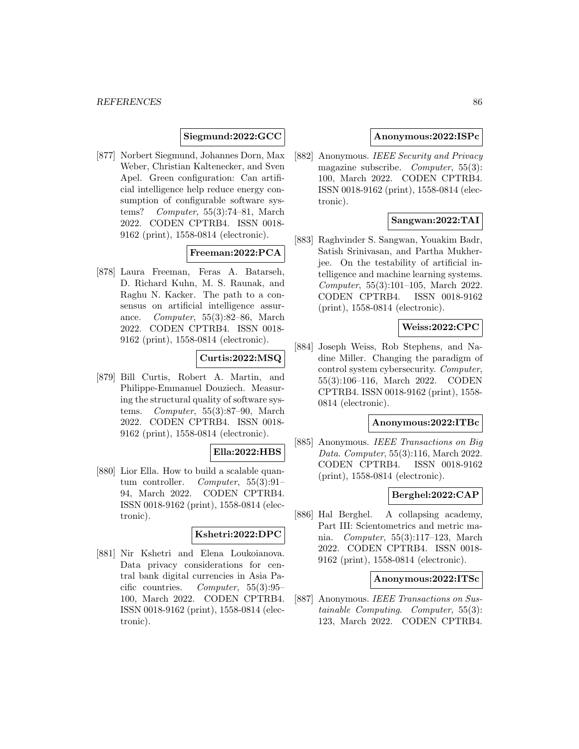## **Siegmund:2022:GCC**

[877] Norbert Siegmund, Johannes Dorn, Max Weber, Christian Kaltenecker, and Sven Apel. Green configuration: Can artificial intelligence help reduce energy consumption of configurable software systems? Computer, 55(3):74–81, March 2022. CODEN CPTRB4. ISSN 0018- 9162 (print), 1558-0814 (electronic).

# **Freeman:2022:PCA**

[878] Laura Freeman, Feras A. Batarseh, D. Richard Kuhn, M. S. Raunak, and Raghu N. Kacker. The path to a consensus on artificial intelligence assurance. Computer, 55(3):82–86, March 2022. CODEN CPTRB4. ISSN 0018- 9162 (print), 1558-0814 (electronic).

# **Curtis:2022:MSQ**

[879] Bill Curtis, Robert A. Martin, and Philippe-Emmanuel Douziech. Measuring the structural quality of software systems. Computer, 55(3):87–90, March 2022. CODEN CPTRB4. ISSN 0018- 9162 (print), 1558-0814 (electronic).

## **Ella:2022:HBS**

[880] Lior Ella. How to build a scalable quantum controller. Computer, 55(3):91– 94, March 2022. CODEN CPTRB4. ISSN 0018-9162 (print), 1558-0814 (electronic).

#### **Kshetri:2022:DPC**

[881] Nir Kshetri and Elena Loukoianova. Data privacy considerations for central bank digital currencies in Asia Pacific countries. Computer, 55(3):95– 100, March 2022. CODEN CPTRB4. ISSN 0018-9162 (print), 1558-0814 (electronic).

## **Anonymous:2022:ISPc**

[882] Anonymous. IEEE Security and Privacy magazine subscribe. Computer, 55(3): 100, March 2022. CODEN CPTRB4. ISSN 0018-9162 (print), 1558-0814 (electronic).

## **Sangwan:2022:TAI**

[883] Raghvinder S. Sangwan, Youakim Badr, Satish Srinivasan, and Partha Mukherjee. On the testability of artificial intelligence and machine learning systems. Computer, 55(3):101–105, March 2022. CODEN CPTRB4. ISSN 0018-9162 (print), 1558-0814 (electronic).

## **Weiss:2022:CPC**

[884] Joseph Weiss, Rob Stephens, and Nadine Miller. Changing the paradigm of control system cybersecurity. Computer, 55(3):106–116, March 2022. CODEN CPTRB4. ISSN 0018-9162 (print), 1558- 0814 (electronic).

# **Anonymous:2022:ITBc**

[885] Anonymous. IEEE Transactions on Big Data. Computer, 55(3):116, March 2022. CODEN CPTRB4. ISSN 0018-9162 (print), 1558-0814 (electronic).

## **Berghel:2022:CAP**

[886] Hal Berghel. A collapsing academy, Part III: Scientometrics and metric mania. Computer, 55(3):117–123, March 2022. CODEN CPTRB4. ISSN 0018- 9162 (print), 1558-0814 (electronic).

## **Anonymous:2022:ITSc**

[887] Anonymous. IEEE Transactions on Sustainable Computing. Computer, 55(3): 123, March 2022. CODEN CPTRB4.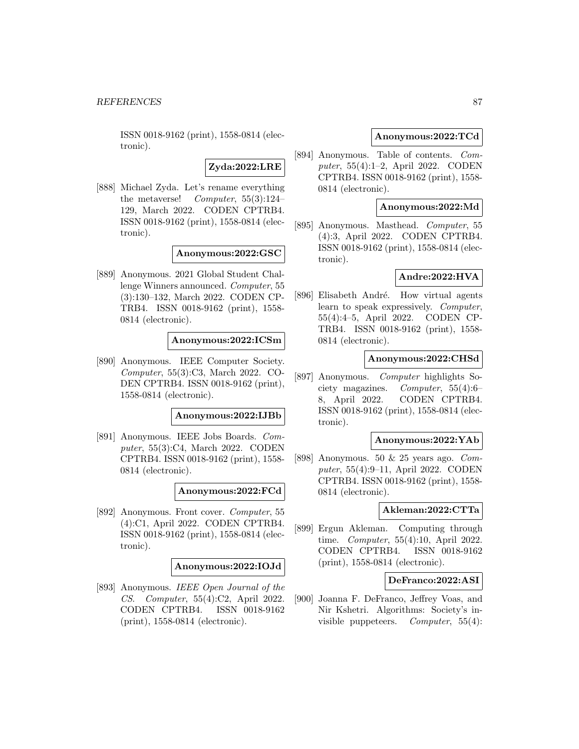ISSN 0018-9162 (print), 1558-0814 (electronic).

# **Zyda:2022:LRE**

[888] Michael Zyda. Let's rename everything the metaverse! Computer, 55(3):124– 129, March 2022. CODEN CPTRB4. ISSN 0018-9162 (print), 1558-0814 (electronic).

## **Anonymous:2022:GSC**

[889] Anonymous. 2021 Global Student Challenge Winners announced. Computer, 55 (3):130–132, March 2022. CODEN CP-TRB4. ISSN 0018-9162 (print), 1558- 0814 (electronic).

#### **Anonymous:2022:ICSm**

[890] Anonymous. IEEE Computer Society. Computer, 55(3):C3, March 2022. CO-DEN CPTRB4. ISSN 0018-9162 (print), 1558-0814 (electronic).

#### **Anonymous:2022:IJBb**

[891] Anonymous. IEEE Jobs Boards. Computer, 55(3):C4, March 2022. CODEN CPTRB4. ISSN 0018-9162 (print), 1558- 0814 (electronic).

**Anonymous:2022:FCd**

[892] Anonymous. Front cover. Computer, 55 (4):C1, April 2022. CODEN CPTRB4. ISSN 0018-9162 (print), 1558-0814 (electronic).

#### **Anonymous:2022:IOJd**

[893] Anonymous. IEEE Open Journal of the CS. Computer, 55(4):C2, April 2022. CODEN CPTRB4. ISSN 0018-9162 (print), 1558-0814 (electronic).

## **Anonymous:2022:TCd**

[894] Anonymous. Table of contents. Computer, 55(4):1–2, April 2022. CODEN CPTRB4. ISSN 0018-9162 (print), 1558- 0814 (electronic).

## **Anonymous:2022:Md**

[895] Anonymous. Masthead. Computer, 55 (4):3, April 2022. CODEN CPTRB4. ISSN 0018-9162 (print), 1558-0814 (electronic).

## **Andre:2022:HVA**

[896] Elisabeth André. How virtual agents learn to speak expressively. Computer, 55(4):4–5, April 2022. CODEN CP-TRB4. ISSN 0018-9162 (print), 1558- 0814 (electronic).

#### **Anonymous:2022:CHSd**

[897] Anonymous. Computer highlights Society magazines. Computer, 55(4):6– 8, April 2022. CODEN CPTRB4. ISSN 0018-9162 (print), 1558-0814 (electronic).

#### **Anonymous:2022:YAb**

[898] Anonymous. 50 & 25 years ago. Computer, 55(4):9–11, April 2022. CODEN CPTRB4. ISSN 0018-9162 (print), 1558- 0814 (electronic).

## **Akleman:2022:CTTa**

[899] Ergun Akleman. Computing through time. *Computer*, 55(4):10, April 2022. CODEN CPTRB4. ISSN 0018-9162 (print), 1558-0814 (electronic).

## **DeFranco:2022:ASI**

[900] Joanna F. DeFranco, Jeffrey Voas, and Nir Kshetri. Algorithms: Society's invisible puppeteers. Computer,  $55(4)$ :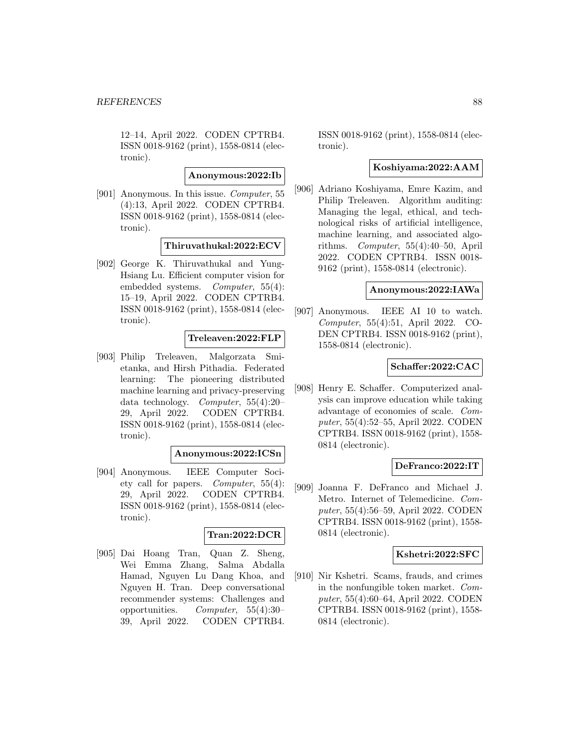12–14, April 2022. CODEN CPTRB4. ISSN 0018-9162 (print), 1558-0814 (electronic).

**Anonymous:2022:Ib**

[901] Anonymous. In this issue. Computer, 55 (4):13, April 2022. CODEN CPTRB4. ISSN 0018-9162 (print), 1558-0814 (electronic).

# **Thiruvathukal:2022:ECV**

[902] George K. Thiruvathukal and Yung-Hsiang Lu. Efficient computer vision for embedded systems. Computer, 55(4): 15–19, April 2022. CODEN CPTRB4. ISSN 0018-9162 (print), 1558-0814 (electronic).

## **Treleaven:2022:FLP**

[903] Philip Treleaven, Malgorzata Smietanka, and Hirsh Pithadia. Federated learning: The pioneering distributed machine learning and privacy-preserving data technology. Computer, 55(4):20– 29, April 2022. CODEN CPTRB4. ISSN 0018-9162 (print), 1558-0814 (electronic).

#### **Anonymous:2022:ICSn**

[904] Anonymous. IEEE Computer Society call for papers. Computer, 55(4): 29, April 2022. CODEN CPTRB4. ISSN 0018-9162 (print), 1558-0814 (electronic).

## **Tran:2022:DCR**

[905] Dai Hoang Tran, Quan Z. Sheng, Wei Emma Zhang, Salma Abdalla Hamad, Nguyen Lu Dang Khoa, and Nguyen H. Tran. Deep conversational recommender systems: Challenges and opportunities. Computer, 55(4):30– 39, April 2022. CODEN CPTRB4.

ISSN 0018-9162 (print), 1558-0814 (electronic).

# **Koshiyama:2022:AAM**

[906] Adriano Koshiyama, Emre Kazim, and Philip Treleaven. Algorithm auditing: Managing the legal, ethical, and technological risks of artificial intelligence, machine learning, and associated algorithms. Computer, 55(4):40–50, April 2022. CODEN CPTRB4. ISSN 0018- 9162 (print), 1558-0814 (electronic).

#### **Anonymous:2022:IAWa**

[907] Anonymous. IEEE AI 10 to watch. Computer, 55(4):51, April 2022. CO-DEN CPTRB4. ISSN 0018-9162 (print), 1558-0814 (electronic).

## **Schaffer:2022:CAC**

[908] Henry E. Schaffer. Computerized analysis can improve education while taking advantage of economies of scale. Computer, 55(4):52–55, April 2022. CODEN CPTRB4. ISSN 0018-9162 (print), 1558- 0814 (electronic).

# **DeFranco:2022:IT**

[909] Joanna F. DeFranco and Michael J. Metro. Internet of Telemedicine. Computer, 55(4):56–59, April 2022. CODEN CPTRB4. ISSN 0018-9162 (print), 1558- 0814 (electronic).

#### **Kshetri:2022:SFC**

[910] Nir Kshetri. Scams, frauds, and crimes in the nonfungible token market. Computer, 55(4):60–64, April 2022. CODEN CPTRB4. ISSN 0018-9162 (print), 1558- 0814 (electronic).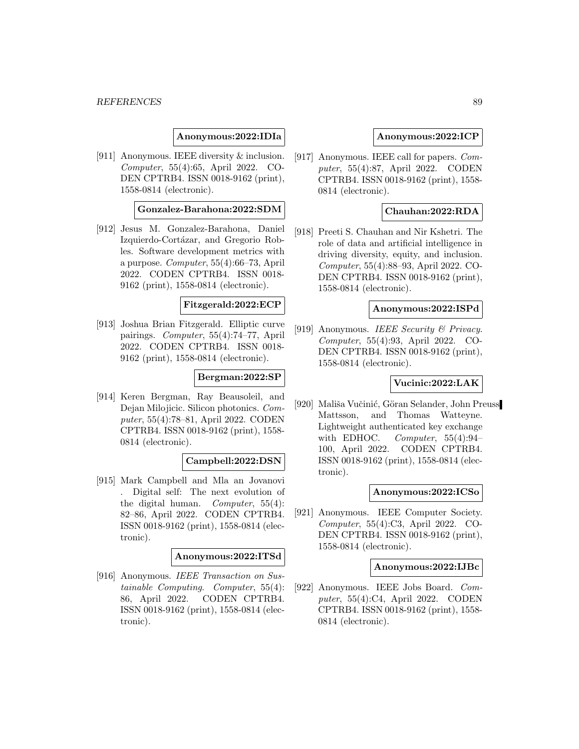#### *REFERENCES* 89

## **Anonymous:2022:IDIa**

[911] Anonymous. IEEE diversity & inclusion. Computer, 55(4):65, April 2022. CO-DEN CPTRB4. ISSN 0018-9162 (print), 1558-0814 (electronic).

#### **Gonzalez-Barahona:2022:SDM**

[912] Jesus M. Gonzalez-Barahona, Daniel Izquierdo-Cortázar, and Gregorio Robles. Software development metrics with a purpose. Computer, 55(4):66–73, April 2022. CODEN CPTRB4. ISSN 0018- 9162 (print), 1558-0814 (electronic).

#### **Fitzgerald:2022:ECP**

[913] Joshua Brian Fitzgerald. Elliptic curve pairings. Computer, 55(4):74–77, April 2022. CODEN CPTRB4. ISSN 0018- 9162 (print), 1558-0814 (electronic).

## **Bergman:2022:SP**

[914] Keren Bergman, Ray Beausoleil, and Dejan Milojicic. Silicon photonics. Computer, 55(4):78–81, April 2022. CODEN CPTRB4. ISSN 0018-9162 (print), 1558- 0814 (electronic).

#### **Campbell:2022:DSN**

[915] Mark Campbell and Mla an Jovanovi . Digital self: The next evolution of the digital human. Computer, 55(4): 82–86, April 2022. CODEN CPTRB4. ISSN 0018-9162 (print), 1558-0814 (electronic).

#### **Anonymous:2022:ITSd**

[916] Anonymous. IEEE Transaction on Sustainable Computing. Computer, 55(4): 86, April 2022. CODEN CPTRB4. ISSN 0018-9162 (print), 1558-0814 (electronic).

#### **Anonymous:2022:ICP**

[917] Anonymous. IEEE call for papers. Computer, 55(4):87, April 2022. CODEN CPTRB4. ISSN 0018-9162 (print), 1558- 0814 (electronic).

## **Chauhan:2022:RDA**

[918] Preeti S. Chauhan and Nir Kshetri. The role of data and artificial intelligence in driving diversity, equity, and inclusion. Computer, 55(4):88–93, April 2022. CO-DEN CPTRB4. ISSN 0018-9162 (print), 1558-0814 (electronic).

#### **Anonymous:2022:ISPd**

[919] Anonymous. IEEE Security  $\mathcal B$  Privacy. Computer, 55(4):93, April 2022. CO-DEN CPTRB4. ISSN 0018-9162 (print), 1558-0814 (electronic).

## **Vucinic:2022:LAK**

[920] Mališa Vučinić, Göran Selander, John Preuss Mattsson, and Thomas Watteyne. Lightweight authenticated key exchange with EDHOC. Computer,  $55(4):94-$ 100, April 2022. CODEN CPTRB4. ISSN 0018-9162 (print), 1558-0814 (electronic).

#### **Anonymous:2022:ICSo**

[921] Anonymous. IEEE Computer Society. Computer, 55(4):C3, April 2022. CO-DEN CPTRB4. ISSN 0018-9162 (print), 1558-0814 (electronic).

## **Anonymous:2022:IJBc**

[922] Anonymous. IEEE Jobs Board. Computer, 55(4):C4, April 2022. CODEN CPTRB4. ISSN 0018-9162 (print), 1558- 0814 (electronic).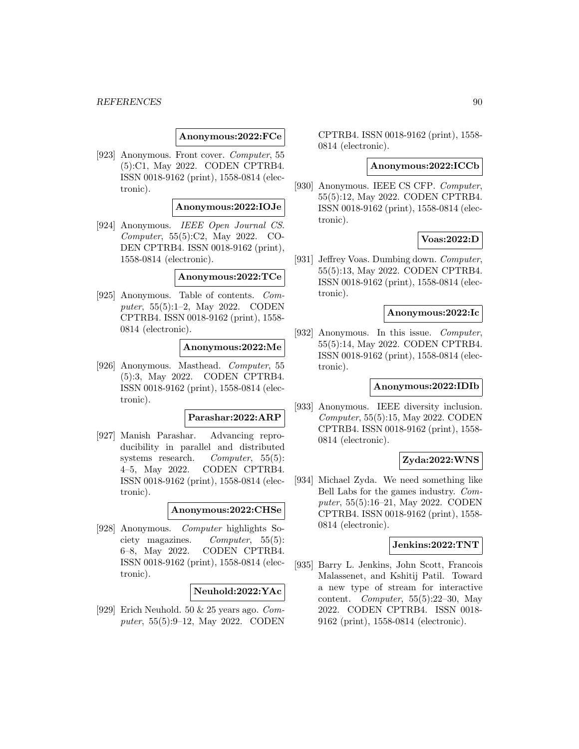#### *REFERENCES* 90

#### **Anonymous:2022:FCe**

[923] Anonymous. Front cover. Computer, 55 (5):C1, May 2022. CODEN CPTRB4. ISSN 0018-9162 (print), 1558-0814 (electronic).

## **Anonymous:2022:IOJe**

[924] Anonymous. IEEE Open Journal CS. Computer, 55(5):C2, May 2022. CO-DEN CPTRB4. ISSN 0018-9162 (print), 1558-0814 (electronic).

#### **Anonymous:2022:TCe**

[925] Anonymous. Table of contents. Computer, 55(5):1–2, May 2022. CODEN CPTRB4. ISSN 0018-9162 (print), 1558- 0814 (electronic).

## **Anonymous:2022:Me**

[926] Anonymous. Masthead. Computer, 55 (5):3, May 2022. CODEN CPTRB4. ISSN 0018-9162 (print), 1558-0814 (electronic).

## **Parashar:2022:ARP**

[927] Manish Parashar. Advancing reproducibility in parallel and distributed systems research. Computer, 55(5): 4–5, May 2022. CODEN CPTRB4. ISSN 0018-9162 (print), 1558-0814 (electronic).

## **Anonymous:2022:CHSe**

[928] Anonymous. Computer highlights Society magazines. Computer, 55(5): 6–8, May 2022. CODEN CPTRB4. ISSN 0018-9162 (print), 1558-0814 (electronic).

## **Neuhold:2022:YAc**

[929] Erich Neuhold. 50 & 25 years ago. Computer, 55(5):9–12, May 2022. CODEN CPTRB4. ISSN 0018-9162 (print), 1558- 0814 (electronic).

#### **Anonymous:2022:ICCb**

[930] Anonymous. IEEE CS CFP. Computer, 55(5):12, May 2022. CODEN CPTRB4. ISSN 0018-9162 (print), 1558-0814 (electronic).

## **Voas:2022:D**

[931] Jeffrey Voas. Dumbing down. Computer, 55(5):13, May 2022. CODEN CPTRB4. ISSN 0018-9162 (print), 1558-0814 (electronic).

## **Anonymous:2022:Ic**

[932] Anonymous. In this issue. Computer, 55(5):14, May 2022. CODEN CPTRB4. ISSN 0018-9162 (print), 1558-0814 (electronic).

#### **Anonymous:2022:IDIb**

[933] Anonymous. IEEE diversity inclusion. Computer, 55(5):15, May 2022. CODEN CPTRB4. ISSN 0018-9162 (print), 1558- 0814 (electronic).

## **Zyda:2022:WNS**

[934] Michael Zyda. We need something like Bell Labs for the games industry. Computer, 55(5):16–21, May 2022. CODEN CPTRB4. ISSN 0018-9162 (print), 1558- 0814 (electronic).

## **Jenkins:2022:TNT**

[935] Barry L. Jenkins, John Scott, Francois Malassenet, and Kshitij Patil. Toward a new type of stream for interactive content. Computer, 55(5):22–30, May 2022. CODEN CPTRB4. ISSN 0018- 9162 (print), 1558-0814 (electronic).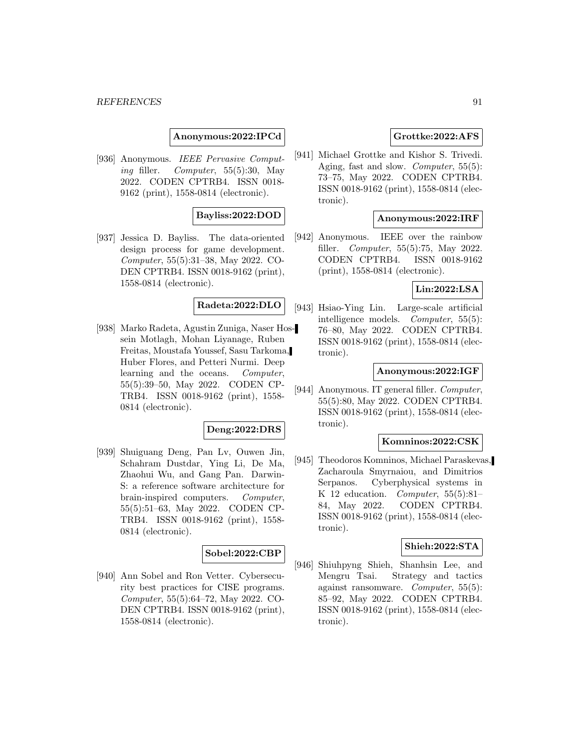**Anonymous:2022:IPCd**

[936] Anonymous. IEEE Pervasive Computing filler. Computer, 55(5):30, May 2022. CODEN CPTRB4. ISSN 0018- 9162 (print), 1558-0814 (electronic).

# **Bayliss:2022:DOD**

[937] Jessica D. Bayliss. The data-oriented design process for game development. Computer, 55(5):31–38, May 2022. CO-DEN CPTRB4. ISSN 0018-9162 (print), 1558-0814 (electronic).

# **Radeta:2022:DLO**

[938] Marko Radeta, Agustin Zuniga, Naser Hossein Motlagh, Mohan Liyanage, Ruben Freitas, Moustafa Youssef, Sasu Tarkoma, Huber Flores, and Petteri Nurmi. Deep learning and the oceans. Computer, 55(5):39–50, May 2022. CODEN CP-TRB4. ISSN 0018-9162 (print), 1558- 0814 (electronic).

## **Deng:2022:DRS**

[939] Shuiguang Deng, Pan Lv, Ouwen Jin, Schahram Dustdar, Ying Li, De Ma, Zhaohui Wu, and Gang Pan. Darwin-S: a reference software architecture for brain-inspired computers. Computer, 55(5):51–63, May 2022. CODEN CP-TRB4. ISSN 0018-9162 (print), 1558- 0814 (electronic).

## **Sobel:2022:CBP**

[940] Ann Sobel and Ron Vetter. Cybersecurity best practices for CISE programs. Computer, 55(5):64–72, May 2022. CO-DEN CPTRB4. ISSN 0018-9162 (print), 1558-0814 (electronic).

# **Grottke:2022:AFS**

[941] Michael Grottke and Kishor S. Trivedi. Aging, fast and slow. Computer, 55(5): 73–75, May 2022. CODEN CPTRB4. ISSN 0018-9162 (print), 1558-0814 (electronic).

## **Anonymous:2022:IRF**

[942] Anonymous. IEEE over the rainbow filler. Computer, 55(5):75, May 2022. CODEN CPTRB4. ISSN 0018-9162 (print), 1558-0814 (electronic).

#### **Lin:2022:LSA**

[943] Hsiao-Ying Lin. Large-scale artificial intelligence models. Computer, 55(5): 76–80, May 2022. CODEN CPTRB4. ISSN 0018-9162 (print), 1558-0814 (electronic).

## **Anonymous:2022:IGF**

[944] Anonymous. IT general filler. Computer, 55(5):80, May 2022. CODEN CPTRB4. ISSN 0018-9162 (print), 1558-0814 (electronic).

## **Komninos:2022:CSK**

[945] Theodoros Komninos, Michael Paraskevas, Zacharoula Smyrnaiou, and Dimitrios Serpanos. Cyberphysical systems in K 12 education. Computer,  $55(5):81-$ 84, May 2022. CODEN CPTRB4. ISSN 0018-9162 (print), 1558-0814 (electronic).

# **Shieh:2022:STA**

[946] Shiuhpyng Shieh, Shanhsin Lee, and Mengru Tsai. Strategy and tactics against ransomware. Computer, 55(5): 85–92, May 2022. CODEN CPTRB4. ISSN 0018-9162 (print), 1558-0814 (electronic).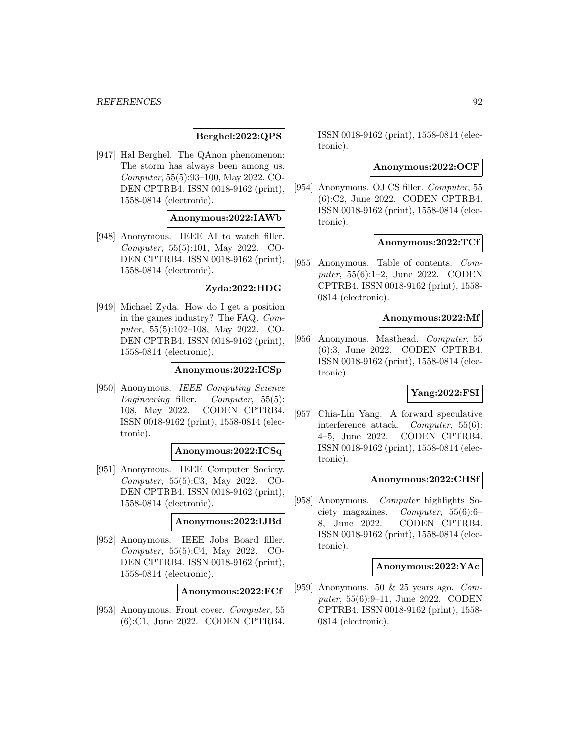## **Berghel:2022:QPS**

[947] Hal Berghel. The QAnon phenomenon: The storm has always been among us. Computer, 55(5):93–100, May 2022. CO-DEN CPTRB4. ISSN 0018-9162 (print), 1558-0814 (electronic).

## **Anonymous:2022:IAWb**

[948] Anonymous. IEEE AI to watch filler. Computer, 55(5):101, May 2022. CO-DEN CPTRB4. ISSN 0018-9162 (print), 1558-0814 (electronic).

#### **Zyda:2022:HDG**

[949] Michael Zyda. How do I get a position in the games industry? The FAQ. Computer, 55(5):102–108, May 2022. CO-DEN CPTRB4. ISSN 0018-9162 (print), 1558-0814 (electronic).

## **Anonymous:2022:ICSp**

[950] Anonymous. IEEE Computing Science Engineering filler. Computer, 55(5): 108, May 2022. CODEN CPTRB4. ISSN 0018-9162 (print), 1558-0814 (electronic).

# **Anonymous:2022:ICSq**

[951] Anonymous. IEEE Computer Society. Computer, 55(5):C3, May 2022. CO-DEN CPTRB4. ISSN 0018-9162 (print), 1558-0814 (electronic).

## **Anonymous:2022:IJBd**

[952] Anonymous. IEEE Jobs Board filler. Computer, 55(5):C4, May 2022. CO-DEN CPTRB4. ISSN 0018-9162 (print), 1558-0814 (electronic).

## **Anonymous:2022:FCf**

[953] Anonymous. Front cover. Computer, 55 (6):C1, June 2022. CODEN CPTRB4. ISSN 0018-9162 (print), 1558-0814 (electronic).

## **Anonymous:2022:OCF**

[954] Anonymous. OJ CS filler. Computer, 55 (6):C2, June 2022. CODEN CPTRB4. ISSN 0018-9162 (print), 1558-0814 (electronic).

## **Anonymous:2022:TCf**

[955] Anonymous. Table of contents. Computer, 55(6):1–2, June 2022. CODEN CPTRB4. ISSN 0018-9162 (print), 1558- 0814 (electronic).

### **Anonymous:2022:Mf**

[956] Anonymous. Masthead. Computer, 55 (6):3, June 2022. CODEN CPTRB4. ISSN 0018-9162 (print), 1558-0814 (electronic).

## **Yang:2022:FSI**

[957] Chia-Lin Yang. A forward speculative interference attack. Computer, 55(6): 4–5, June 2022. CODEN CPTRB4. ISSN 0018-9162 (print), 1558-0814 (electronic).

## **Anonymous:2022:CHSf**

[958] Anonymous. Computer highlights Society magazines. Computer, 55(6):6– 8, June 2022. CODEN CPTRB4. ISSN 0018-9162 (print), 1558-0814 (electronic).

#### **Anonymous:2022:YAc**

[959] Anonymous. 50 & 25 years ago. Computer, 55(6):9–11, June 2022. CODEN CPTRB4. ISSN 0018-9162 (print), 1558- 0814 (electronic).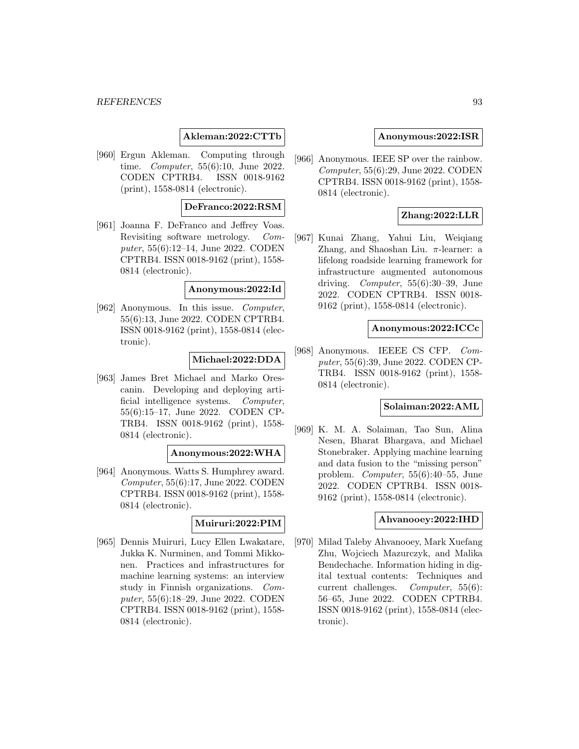#### **Akleman:2022:CTTb**

[960] Ergun Akleman. Computing through time. Computer, 55(6):10, June 2022. CODEN CPTRB4. ISSN 0018-9162 (print), 1558-0814 (electronic).

## **DeFranco:2022:RSM**

[961] Joanna F. DeFranco and Jeffrey Voas. Revisiting software metrology. Computer, 55(6):12–14, June 2022. CODEN CPTRB4. ISSN 0018-9162 (print), 1558- 0814 (electronic).

#### **Anonymous:2022:Id**

[962] Anonymous. In this issue. Computer, 55(6):13, June 2022. CODEN CPTRB4. ISSN 0018-9162 (print), 1558-0814 (electronic).

## **Michael:2022:DDA**

[963] James Bret Michael and Marko Orescanin. Developing and deploying artificial intelligence systems. Computer, 55(6):15–17, June 2022. CODEN CP-TRB4. ISSN 0018-9162 (print), 1558- 0814 (electronic).

# **Anonymous:2022:WHA**

[964] Anonymous. Watts S. Humphrey award. Computer, 55(6):17, June 2022. CODEN CPTRB4. ISSN 0018-9162 (print), 1558- 0814 (electronic).

#### **Muiruri:2022:PIM**

[965] Dennis Muiruri, Lucy Ellen Lwakatare, Jukka K. Nurminen, and Tommi Mikkonen. Practices and infrastructures for machine learning systems: an interview study in Finnish organizations. Computer, 55(6):18–29, June 2022. CODEN CPTRB4. ISSN 0018-9162 (print), 1558- 0814 (electronic).

#### **Anonymous:2022:ISR**

[966] Anonymous. IEEE SP over the rainbow. Computer, 55(6):29, June 2022. CODEN CPTRB4. ISSN 0018-9162 (print), 1558- 0814 (electronic).

#### **Zhang:2022:LLR**

[967] Kunai Zhang, Yahui Liu, Weiqiang Zhang, and Shaoshan Liu.  $π$ -learner: a lifelong roadside learning framework for infrastructure augmented autonomous driving. *Computer*,  $55(6):30-39$ , June 2022. CODEN CPTRB4. ISSN 0018- 9162 (print), 1558-0814 (electronic).

## **Anonymous:2022:ICCc**

[968] Anonymous. IEEEE CS CFP. Computer, 55(6):39, June 2022. CODEN CP-TRB4. ISSN 0018-9162 (print), 1558- 0814 (electronic).

## **Solaiman:2022:AML**

[969] K. M. A. Solaiman, Tao Sun, Alina Nesen, Bharat Bhargava, and Michael Stonebraker. Applying machine learning and data fusion to the "missing person" problem. Computer, 55(6):40–55, June 2022. CODEN CPTRB4. ISSN 0018- 9162 (print), 1558-0814 (electronic).

#### **Ahvanooey:2022:IHD**

[970] Milad Taleby Ahvanooey, Mark Xuefang Zhu, Wojciech Mazurczyk, and Malika Bendechache. Information hiding in digital textual contents: Techniques and current challenges. Computer, 55(6): 56–65, June 2022. CODEN CPTRB4. ISSN 0018-9162 (print), 1558-0814 (electronic).